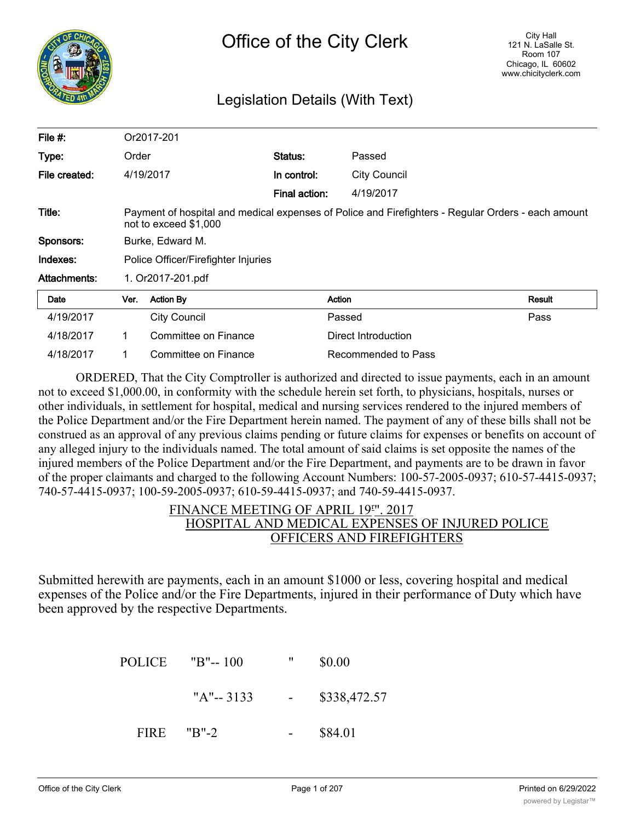

# Legislation Details (With Text)

| File $#$ :    |           | Or2017-201                                                                                                                  |               |                     |        |  |  |  |  |  |
|---------------|-----------|-----------------------------------------------------------------------------------------------------------------------------|---------------|---------------------|--------|--|--|--|--|--|
| Type:         | Order     |                                                                                                                             | Status:       | Passed              |        |  |  |  |  |  |
| File created: | 4/19/2017 |                                                                                                                             | In control:   | <b>City Council</b> |        |  |  |  |  |  |
|               |           |                                                                                                                             | Final action: | 4/19/2017           |        |  |  |  |  |  |
| Title:        |           | Payment of hospital and medical expenses of Police and Firefighters - Regular Orders - each amount<br>not to exceed \$1,000 |               |                     |        |  |  |  |  |  |
| Sponsors:     |           | Burke, Edward M.                                                                                                            |               |                     |        |  |  |  |  |  |
| Indexes:      |           | Police Officer/Firefighter Injuries                                                                                         |               |                     |        |  |  |  |  |  |
| Attachments:  |           | 1. Or2017-201.pdf                                                                                                           |               |                     |        |  |  |  |  |  |
| Date          | Ver.      | <b>Action By</b>                                                                                                            | Action        |                     | Result |  |  |  |  |  |
| 4/19/2017     |           | <b>City Council</b>                                                                                                         |               | Passed              | Pass   |  |  |  |  |  |
| 4/18/2017     | 1         | Committee on Finance                                                                                                        |               | Direct Introduction |        |  |  |  |  |  |
| 4/18/2017     | 1.        | Committee on Finance                                                                                                        |               | Recommended to Pass |        |  |  |  |  |  |

ORDERED, That the City Comptroller is authorized and directed to issue payments, each in an amount not to exceed \$1,000.00, in conformity with the schedule herein set forth, to physicians, hospitals, nurses or other individuals, in settlement for hospital, medical and nursing services rendered to the injured members of the Police Department and/or the Fire Department herein named. The payment of any of these bills shall not be construed as an approval of any previous claims pending or future claims for expenses or benefits on account of any alleged injury to the individuals named. The total amount of said claims is set opposite the names of the injured members of the Police Department and/or the Fire Department, and payments are to be drawn in favor of the proper claimants and charged to the following Account Numbers: 100-57-2005-0937; 610-57-4415-0937; 740-57-4415-0937; 100-59-2005-0937; 610-59-4415-0937; and 740-59-4415-0937.

# FINANCE MEETING OF APRIL 19<sup>r</sup>". 2017 HOSPITAL AND MEDICAL EXPENSES OF INJURED POLICE OFFICERS AND FIREFIGHTERS

Submitted herewith are payments, each in an amount \$1000 or less, covering hospital and medical expenses of the Police and/or the Fire Departments, injured in their performance of Duty which have been approved by the respective Departments.

| POLICE      | $"B"$ -- 100 | 11 | \$0.00       |
|-------------|--------------|----|--------------|
|             | "A"-- $3133$ |    | \$338,472.57 |
| <b>FIRE</b> | "B"-2        |    | \$84.01      |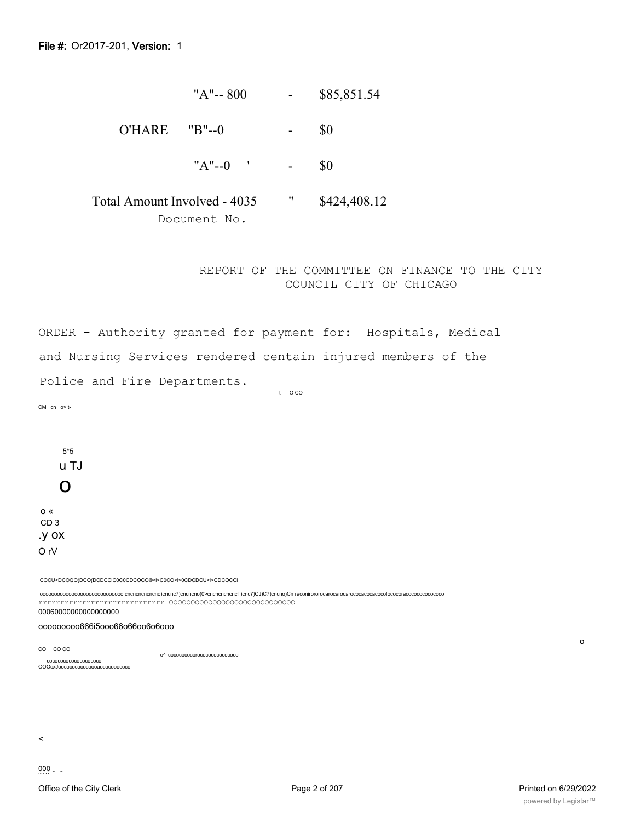"A"-- 800 \$85,851.54  $\omega_{\rm{max}}$ 

**O'HARE**  $"B" - 0"$ \$0  $\blacksquare$ 

> $\omega_{\rm{eff}}$  $"A" - 0"$ \$0

Total Amount Involved - 4035  $\pmb{\mathsf{H}}$ \$424,408.12 Document No.

### REPORT OF THE COMMITTEE ON FINANCE TO THE CITY COUNCIL CITY OF CHICAGO

ORDER - Authority granted for payment for: Hospitals, Medical and Nursing Services rendered centain injured members of the Police and Fire Departments.  $t-0$  CO  $CM$  cn  $o$ >t- $5*5$ u TJ  $\Omega$ O « CD<sub>3</sub> y ox. OrV COCU<DCOQO(DCO(DCDCCiC0C0CDCOCO©<l>C0CO<l>0CDCDCU<l>CDCOCCi 00060000000000000000 000000000666i50006606600606000  $\cos$   $\cos$  $0^{\text{A}^+}$  cococococorococococococococo cocococococococococo<br>OOOcxJoococococococoooaococooococo

 $\,<$ 

 $\mathsf{o}$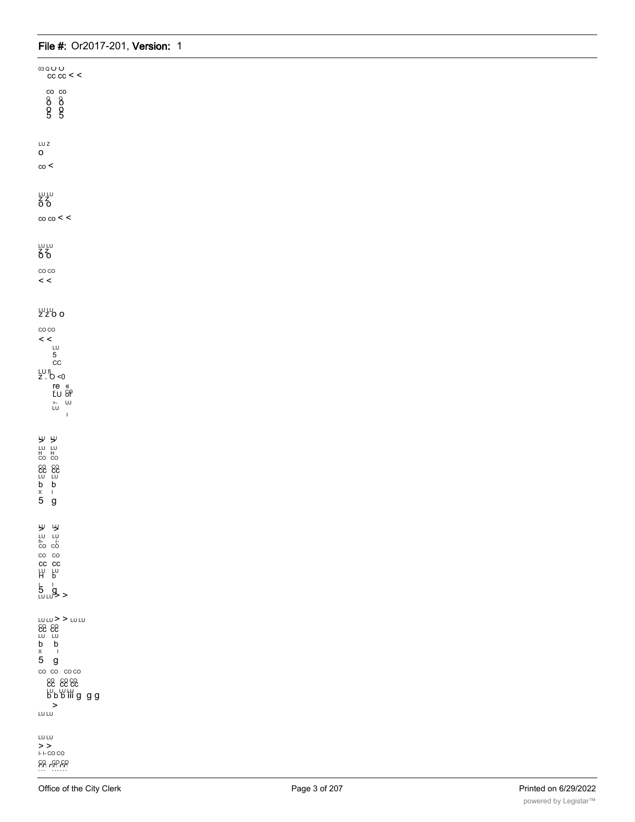| $\begin{array}{c} 03\;\mathsf{Q}\;\mathsf{U}\;\mathsf{U}\\ \mathsf{CC}\;\mathsf{CC}\leq\mathsf{C}\leq\mathsf{C} \end{array}$                                                                                                                                                                                                                                                                                                                                                                                                                                                                                                   |  |  |
|--------------------------------------------------------------------------------------------------------------------------------------------------------------------------------------------------------------------------------------------------------------------------------------------------------------------------------------------------------------------------------------------------------------------------------------------------------------------------------------------------------------------------------------------------------------------------------------------------------------------------------|--|--|
| $\begin{array}{l} 0 \\ 0 \\ 0 \\ 0 \\ \end{array}$                                                                                                                                                                                                                                                                                                                                                                                                                                                                                                                                                                             |  |  |
| $\mathsf{L}\mathsf{U}$ Z<br>$\mathbf{o}$<br>$_{\text{co}}$ <                                                                                                                                                                                                                                                                                                                                                                                                                                                                                                                                                                   |  |  |
| mm<br>195<br>199<br>$\cos$ co $\lt$ $\lt$                                                                                                                                                                                                                                                                                                                                                                                                                                                                                                                                                                                      |  |  |
| LULU<br>2<br>0 O<br>$\cos$<br>$\,<$ $<$                                                                                                                                                                                                                                                                                                                                                                                                                                                                                                                                                                                        |  |  |
| <b>LULU</b><br>ZZOO<br>$\cos$<br>$\,<$ $<$<br>$5$<br>CC<br>$\stackrel{\text{LU}}{z}.^{\text{fi}}\stackrel{\text{fi}}{b}<0$<br>$\begin{array}{c}\n\text{re} \\ \text{Eu} \\ \text{Eu} \\ \text{Eu} \\ \text{Eu} \\ \text{Qu} \\ \text{Qu} \\ \text{Qu} \\ \text{Qu} \\ \text{Qu} \\ \text{Qu} \\ \text{Qu} \\ \text{Qu} \\ \text{Qu} \\ \text{Qu} \\ \text{Qu} \\ \text{Qu} \\ \text{Qu} \\ \text{Qu} \\ \text{Qu} \\ \text{Qu} \\ \text{Qu} \\ \text{Qu} \\ \text{Qu} \\ \text{Qu} \\ \text{Qu} \\ \text{Qu} \\ \text{Qu} \\ \text{Qu} \\ \text{Qu} \\ \text{Qu} \\ \text{Qu} \\ \text{Qu} \\ \text{Qu} \\ \text{Qu} \\ \text$ |  |  |
| $\Rightarrow$ $\exists$ -8 $\frac{83}{34}$ $\ge$ $\infty$<br>$\Rightarrow$ $\exists$ -8 $\frac{83}{34}$ $\ge$ $\infty$                                                                                                                                                                                                                                                                                                                                                                                                                                                                                                         |  |  |
| So co<br>Co co<br>$\cos$ $\cos$<br>$\frac{1}{2}$<br>$\frac{1}{2}$<br>$\frac{1}{2}$<br>$\frac{1}{2}$<br>$\frac{1}{2}$<br>$\frac{1}{2}$<br>$\frac{1}{2}$<br><br>$\frac{1}{2}$<br><br><br><br><br><br><br><br><br><br><br><br><br><br><br><br><br><br><br><br><br><br><br><br><br><br><br><br><br>                                                                                                                                                                                                                                                                                                                                |  |  |
| $\frac{1}{2}$<br>$\frac{1}{2}$<br>$\frac{1}{2}$<br>$\frac{1}{2}$<br>$\frac{1}{2}$<br>$\frac{1}{2}$<br>$\frac{1}{2}$<br>$\frac{1}{2}$<br>$\frac{1}{2}$<br>$\frac{1}{2}$<br>$\frac{1}{2}$<br>$\frac{1}{2}$<br>$\frac{1}{2}$<br>$\frac{1}{2}$<br>$\frac{1}{2}$<br>$\frac{1}{2}$<br>$\frac{1}{2}$<br>$\frac{1}{2}$<br>$\frac{1}{2}$<br>$\frac{1}{2}$<br><br>co co co co                                                                                                                                                                                                                                                            |  |  |
| LU LU<br>$>$ - 1- CO CO<br>88.099<br>$\alpha$ , and $\alpha$                                                                                                                                                                                                                                                                                                                                                                                                                                                                                                                                                                   |  |  |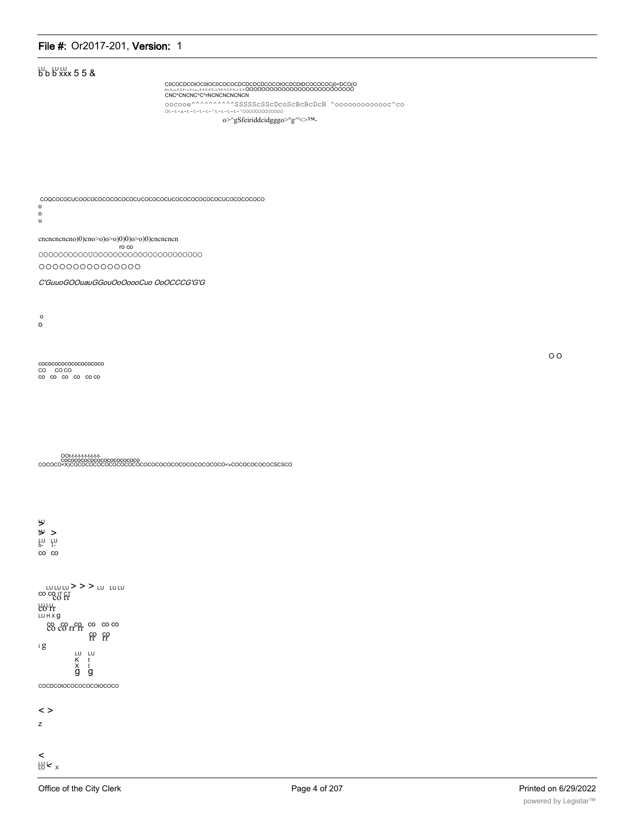### $b^{0}b^{10}$   $b^{10}$  xxx 5 5 &

CNC^CNCNC^C^rNCNCNCNCNCNCN oocooe^^^^^^^^^^^SSSSScSScDcoScBcBcDcB ^oooooooooooc^co 0t-t-x-t-t-t-t-\*-t-t-t-t-\*0000000000000 o>^gSfeiriddcidgggo>°g^'<>™-

 $\begin{matrix} 0 \\ 0 \\ 0 \end{matrix}$ 

cncncncncno)0)cno>o)o>o)0)0)o>o)0)cncncncn ro co 00000000000000

C'GuuoGOOuauGGouOoOoooCuo OoOCCCG'G'G

 $\circ$  $\circ$ 

cocococococococococo<br>CO CO CO CO

 $\cos$  co co co co co co

Y  $\blacktriangleright$   $>$ LU LU<br>h- 1-

 $\cos$   $\cos$ 

 $\begin{array}{l} \text{conv}(\mathbb{Z}) \rightarrow \mathbb{Z} \rightarrow \mathbb{Z} \rightarrow \mathbb{Z} \rightarrow \mathbb{Z} \rightarrow \mathbb{Z} \rightarrow \mathbb{Z} \rightarrow \mathbb{Z} \rightarrow \mathbb{Z} \rightarrow \mathbb{Z} \rightarrow \mathbb{Z} \rightarrow \mathbb{Z} \rightarrow \mathbb{Z} \rightarrow \mathbb{Z} \rightarrow \mathbb{Z} \rightarrow \mathbb{Z} \rightarrow \mathbb{Z} \rightarrow \mathbb{Z} \rightarrow \mathbb{Z} \rightarrow \mathbb{Z} \rightarrow \mathbb{Z} \rightarrow \mathbb{Z} \rightarrow \mathbb{Z} \rightarrow \mathbb{Z} \rightarrow \mathbb{Z} \rightarrow \mathbb{Z} \rightarrow$  $EbE$  $LU H X g$ co co co co co co co co co  $\mathrm{i}\,g$  $\begin{array}{ccc} \n\text{L} & \text{L} & \text{L} \\ \n\text{K} & \text{t} \\ \n\text{A} & \text{L} \\ \n\text{C} & \text{S} \n\end{array}$ COCDCOtOCOCOCOCOtOCOCO

 $\leq$ 

 $\mathsf{z}$ 

 $\,<$ 

 $H$ 

 $O<sub>O</sub>$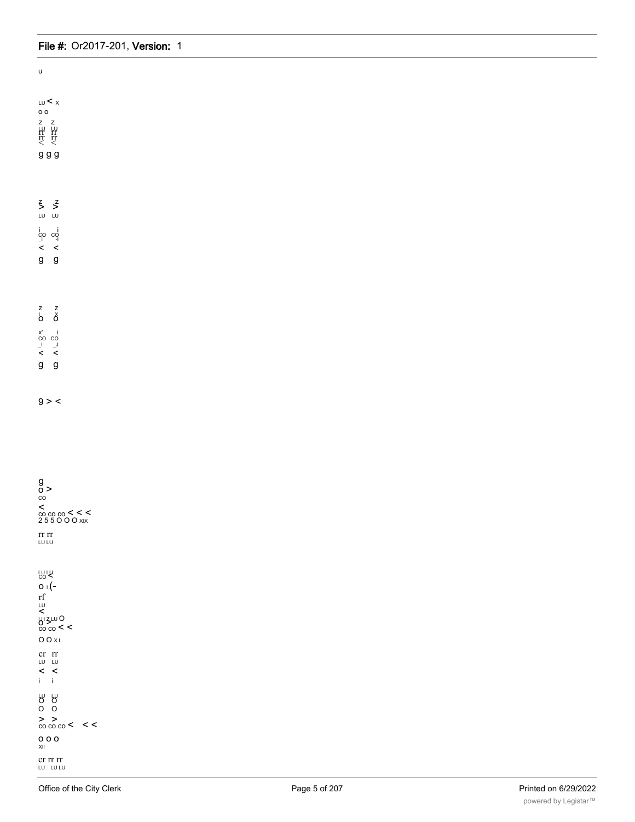| $\sf u$                                                                                                                                                                                                                                                                                                                                                                                                                                                                                                                                                |  |  |  |
|--------------------------------------------------------------------------------------------------------------------------------------------------------------------------------------------------------------------------------------------------------------------------------------------------------------------------------------------------------------------------------------------------------------------------------------------------------------------------------------------------------------------------------------------------------|--|--|--|
| $\begin{array}{c} \n\text{LU} < x \\ \text{o o} & \n\end{array}$<br>$\begin{array}{cc} z & z \\ \downarrow \downarrow \downarrow \downarrow \downarrow \downarrow \downarrow \\ \uparrow \uparrow \quad \uparrow \uparrow \downarrow \downarrow \end{array}$<br>${\mathfrak g}\, {\mathfrak g}\, {\mathfrak g}$                                                                                                                                                                                                                                        |  |  |  |
| $\begin{array}{ccc} \zeta & \zeta \\ \zeta & \zeta \\ \omega & \omega \end{array}$<br>$\frac{1}{2}$<br>$\frac{1}{2}$<br>$\frac{1}{2}$<br>$\frac{1}{2}$<br>$\frac{1}{2}$<br>$\frac{1}{2}$<br>$\frac{1}{2}$                                                                                                                                                                                                                                                                                                                                              |  |  |  |
| $\begin{matrix} z & z \\ b & \delta \end{matrix}$<br>$\begin{array}{ccc}\n & \text{if } & \text{if } & \text{if } & \text{if } & \text{if } & \text{if } & \text{if } & \text{if } & \text{if } & \text{if } & \text{if } & \text{if } & \text{if } & \text{if } & \text{if } & \text{if } & \text{if } & \text{if } & \text{if } & \text{if } & \text{if } & \text{if } & \text{if } & \text{if } & \text{if } & \text{if } & \text{if } & \text{if } & \text{if } & \text{if } & \text{if } & \text{if } & \text{if } & \text{if } & \text{if } & \$ |  |  |  |
| 9 > 5                                                                                                                                                                                                                                                                                                                                                                                                                                                                                                                                                  |  |  |  |
| g<br>$80$<br>$60$<br>$60$ co co $60$<br>$255000$ xx<br>$\mathop{\rm rr}_{\text{LU~LU}}$                                                                                                                                                                                                                                                                                                                                                                                                                                                                |  |  |  |
| $\frac{10}{2}$<br>$\begin{array}{c}\n0 \\ 0 \\ \text{if } \\ K = 0 \\ K = 0\n\end{array}$<br>$O O X1$                                                                                                                                                                                                                                                                                                                                                                                                                                                  |  |  |  |
| $\begin{array}{cc} cr & rr \\ \text{LU} & \text{LU} \end{array}$<br>$\langle \ \rangle$<br>$\mathbf{i}=\mathbf{i}$                                                                                                                                                                                                                                                                                                                                                                                                                                     |  |  |  |
| $\begin{array}{c} 0 \\ 0 \\ 0 \\ \end{array}$<br>$>$ $>$ $>$ $<$ $<$<br>000                                                                                                                                                                                                                                                                                                                                                                                                                                                                            |  |  |  |
| $\boldsymbol{\mathsf{X}}\boldsymbol{\mathsf{II}}$<br>$\begin{bmatrix} cr & rr \\ LU & LU & LU \end{bmatrix}$                                                                                                                                                                                                                                                                                                                                                                                                                                           |  |  |  |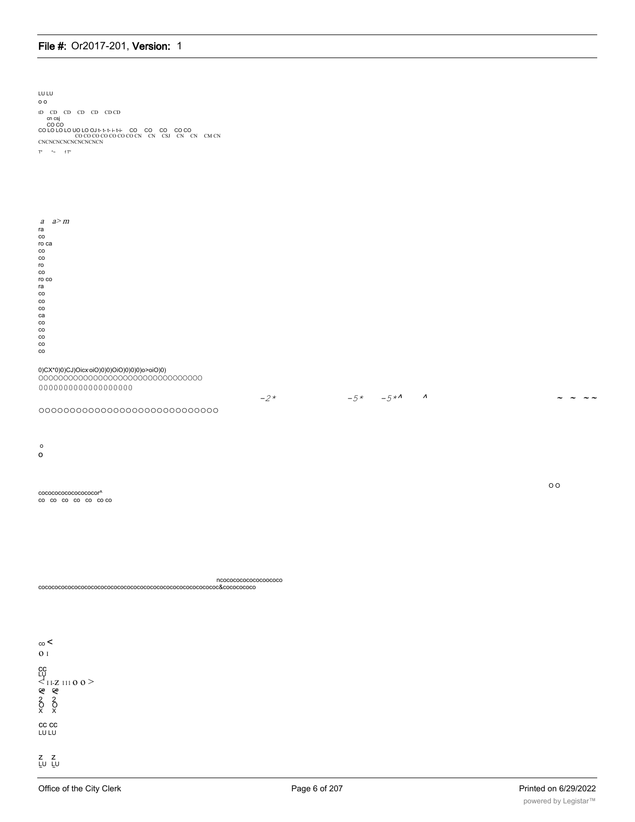LU LU o o tD CD CD CD CD CD CD cn csj CO CO CO LO LO LO UO LO OJ t- t- t- i- t-i- CO CO CO CO CO CO CO CO CO CO CO CO CN CN CSJ CN CN CM CN CNCNCNCNCNCNCNCNCN  $T^*$   $\rightarrow \sim$  f T" a  $a > m$ ra co ro ca co co ro co ro co ra co co co ca co co co co co 0)CX\*0)0)CJ)Oicx, oiO)0)0)OiO)0)0)0)o>oiO)0) OOOOOOOOOOOOOOOOOOOOOOOOOOOOOOOOO 0000000000000000000 -2\* -5\* -5\*^ ^ ~ ~ ~ ~ ooooooooooooooooooooooooooooo o o O O cococococococococor^ co co co co co co co ncococococococoococo cocococococococococococococococococococococococococococ&cococococo  $_{\rm co}$   $<$ o I cc<br><|<br><|<br>*u\_z* 111 0 0 ><br>**@**<br>Q Q<br>Q x

cc cc LU LU

z z<br>LU LU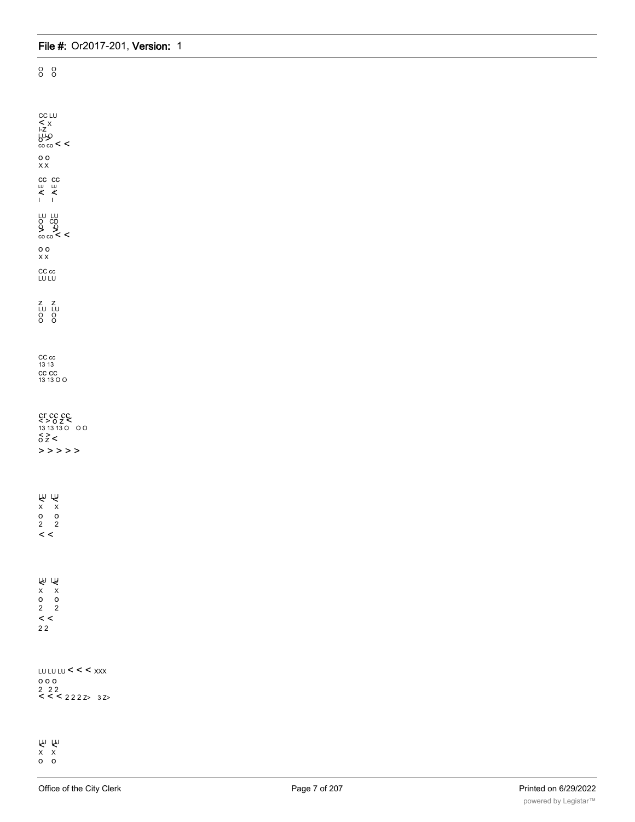| File #: Or2017-201, Version: 1                                                                                                                                                                                                                                                                                                                                                                                                                                                                                                                                                                                                              |
|---------------------------------------------------------------------------------------------------------------------------------------------------------------------------------------------------------------------------------------------------------------------------------------------------------------------------------------------------------------------------------------------------------------------------------------------------------------------------------------------------------------------------------------------------------------------------------------------------------------------------------------------|
| $8\degree$                                                                                                                                                                                                                                                                                                                                                                                                                                                                                                                                                                                                                                  |
| $\frac{\cos x}{\cos x}$<br>$\frac{1}{2}$<br>$\frac{1}{2}$<br>$\frac{1}{2}$<br>$\frac{1}{2}$<br>$\frac{1}{2}$<br>$\frac{1}{2}$<br>$\frac{1}{2}$                                                                                                                                                                                                                                                                                                                                                                                                                                                                                              |
| 0 <sub>0</sub><br>XX                                                                                                                                                                                                                                                                                                                                                                                                                                                                                                                                                                                                                        |
| $ k \in \mathbb{C}$<br>$k \in \mathbb{C}$                                                                                                                                                                                                                                                                                                                                                                                                                                                                                                                                                                                                   |
| $\begin{array}{c} 0.0000 \\ 0.0000 \\ 0.0000 \\ 0.0000 \\ \end{array}$                                                                                                                                                                                                                                                                                                                                                                                                                                                                                                                                                                      |
| 0 <sub>0</sub><br>XX                                                                                                                                                                                                                                                                                                                                                                                                                                                                                                                                                                                                                        |
| $CC$ $CC$<br>$LU$ $LU$                                                                                                                                                                                                                                                                                                                                                                                                                                                                                                                                                                                                                      |
| $\begin{array}{cc} Z & Z \\ LU & LU \\ 0 & 0 \\ 0 & 0 \end{array}$                                                                                                                                                                                                                                                                                                                                                                                                                                                                                                                                                                          |
| CC cc<br>13 13<br>CC CC<br>13 13 O O                                                                                                                                                                                                                                                                                                                                                                                                                                                                                                                                                                                                        |
| Cr Cc Cc<br>$5 > 0$ Z<br>13 13 13 0 0 0<br>$6 > 2$<br>0 Z <<br>$>$ > > > >                                                                                                                                                                                                                                                                                                                                                                                                                                                                                                                                                                  |
|                                                                                                                                                                                                                                                                                                                                                                                                                                                                                                                                                                                                                                             |
| $\begin{array}{c}\n\swarrow & \swarrow \\ \times & \times & \swarrow \\ \searrow & \searrow & \searrow \\ \searrow & \searrow & \searrow \\ \searrow & \searrow & \searrow \\ \searrow & \searrow & \searrow \\ \searrow & \searrow & \searrow \\ \searrow & \searrow & \searrow \\ \searrow & \searrow & \searrow \\ \searrow & \searrow & \searrow \\ \searrow & \searrow & \searrow \\ \searrow & \searrow & \searrow \\ \searrow & \searrow & \searrow \\ \searrow & \searrow & \searrow \\ \searrow & \searrow & \searrow & \searrow \\ \searrow & \searrow & \searrow & \searrow \\ \searrow & \searrow & \searrow & \searrow \\ \se$ |
|                                                                                                                                                                                                                                                                                                                                                                                                                                                                                                                                                                                                                                             |
| $\begin{array}{c}\n\swarrow & \swarrow \\ \times & \times \\ \searrow & \circ \\ 2 & 2 \\ \swarrow & \end{array}$<br>$2\,2$                                                                                                                                                                                                                                                                                                                                                                                                                                                                                                                 |
|                                                                                                                                                                                                                                                                                                                                                                                                                                                                                                                                                                                                                                             |

LU LU LU  $<< xxx$ LULULU<br>000<br>2 22<br><<<2222> 32>

マ<br>メ<br>マ<br>ロ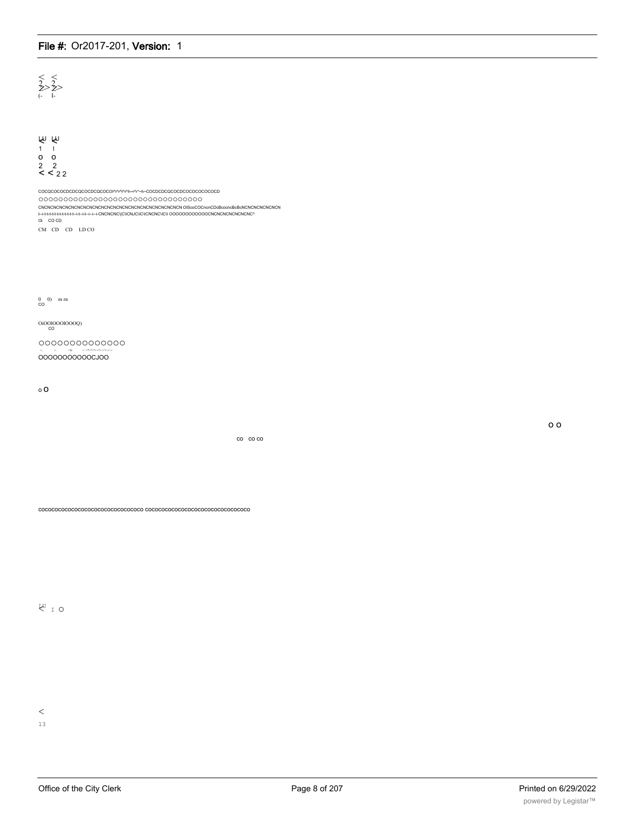$\left\{\n \begin{array}{c}\n < \\
 2 & 2 \\
 2 & 1\n \end{array}\n \right\}$ 

LU LU <sup>&</sup>lt; <sup>&</sup>lt; <sup>1</sup> <sup>I</sup> o o 2<br>**< <** 2 2

COCQCOCOCDCDCQCOCDCQCOCOI^I^r^l^r^h~r^r\*~h~COCDCDCQCOCDCOCOCOCOCOCD ooooooooooooooooooooooooooooooooo

CNCNCNCNCNCNCNCNCNCNCNCNCNCNCNCNCNCNCNCNCNCNCNCN OlScoCOCncnCDcBcocncBcBcNCNCNCNCNCNCN t--i-t-t-t-t-t-t-t-t-t-t-t-t--i-t--i-t--i--i--i-CNCNCNC\|C\ICNJC\IC\ICNCNC\IC\I OOOOOOOOOOOOCNCNCNCNCNCNCNC^ Oi CO CD

cocococococococococococococococo cocococococococococococococococo

CM CD CD LD CO

0 0) m rn CO

OiOOlOOOlOOOQ) CO

oooooooooooooo >, >. >N >. >\*>4 >4 >, >4 >,,>, '>, >,,>,, OOOOOOOOOOOCJOO

<sup>o</sup> o

co co co

o o

 $\overline{\mathsf{R}}$ <sup>1</sup> o

 $\,<$ 

13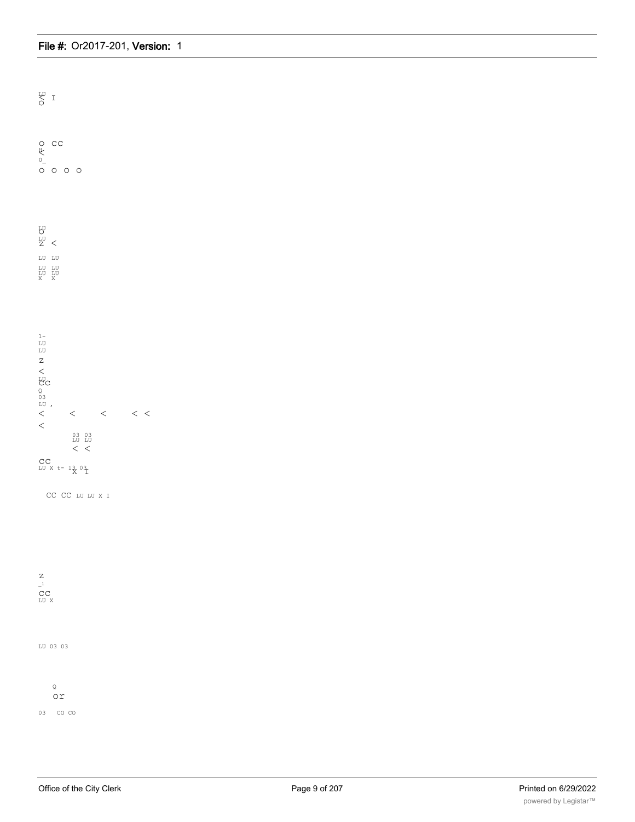| $\stackrel{\text{L}}{\leq}$ 1                                                                                                                                                                                                                                                                                                                                                                                        |  |  |
|----------------------------------------------------------------------------------------------------------------------------------------------------------------------------------------------------------------------------------------------------------------------------------------------------------------------------------------------------------------------------------------------------------------------|--|--|
| $\begin{array}{c} 0 & CC \\ \mathbb{R} \\ 0 \\ 0 & 0 & 0 & 0 \end{array}$                                                                                                                                                                                                                                                                                                                                            |  |  |
| $\frac{100}{2} <$<br>$\begin{array}{cc} X & X \\ \Gamma \Omega & \Gamma \Omega \\ \Gamma \Omega & \Gamma \Omega \\ \Gamma \Omega & \Gamma \Omega \end{array}$                                                                                                                                                                                                                                                        |  |  |
| $\begin{array}{l} 1- \\ \text{LU} \\ \text{LU} \\ \text{Z} \\ \text{C} \\ \text{QC} \\ \text{0.3} \\ \text{U} \\ \text{C} \\ \text{Q.3} \\ \text{U} \\ \text{C} \end{array},$<br>$\vert\vert\vert<\vert<$<br>$\,<\,$ $\qquad$ $\,<\,$<br>$\,<$<br>$\rm _{LO}^{\rm 03~03}$ $\rm _{LO}^{\rm 03}$<br>$\begin{array}{l} \text{CC} \\ \text{LU} \ x \ \text{t-}\ 1\ \text{X}\ 0\ \text{Y} \end{array}$<br>CC CC LU LU X I |  |  |
| $\begin{array}{c} \mathbf{Z} \\ \mathbf{I} \\ \mathbf{C} \\ \mathbf{C} \\ \mathbf{L} \mathbf{U} \ \mathbf{X} \end{array}$                                                                                                                                                                                                                                                                                            |  |  |
| LU 03 03                                                                                                                                                                                                                                                                                                                                                                                                             |  |  |
| $\frac{Q}{OT}$<br>03 CO CO                                                                                                                                                                                                                                                                                                                                                                                           |  |  |

CO CO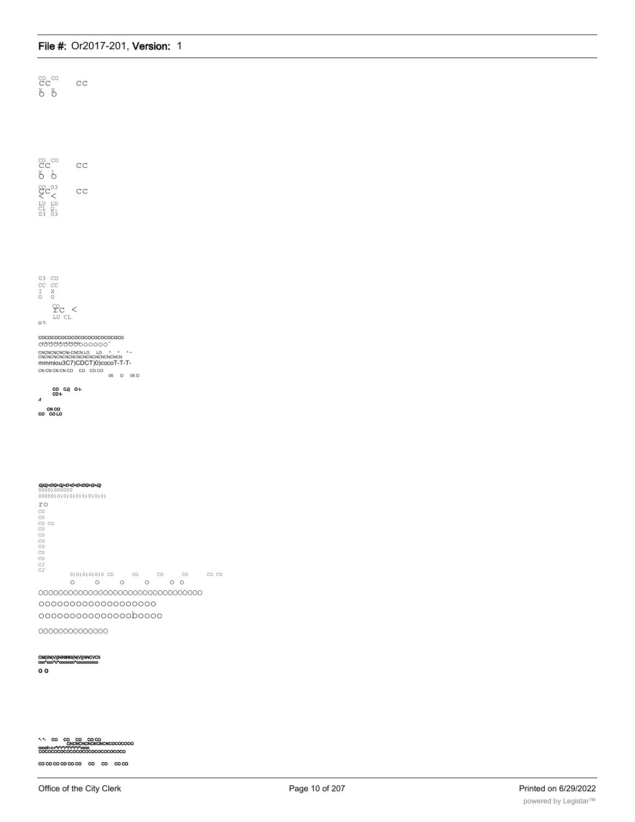| $\mathrm{^{CO}_{CC}}$ co<br>8 š                                                                                                                                                                                                                  | CC                                                                                                                                                                                                                                                                                                                                   |  |
|--------------------------------------------------------------------------------------------------------------------------------------------------------------------------------------------------------------------------------------------------|--------------------------------------------------------------------------------------------------------------------------------------------------------------------------------------------------------------------------------------------------------------------------------------------------------------------------------------|--|
| $\overset{co}{\circ} \overset{co}{\circ}$<br>$\xi^{c}$<br>$\begin{array}{cc} 03 & 03 \\ 03 & 03 \end{array}$                                                                                                                                     | CC<br>CC                                                                                                                                                                                                                                                                                                                             |  |
| 03 CO<br>$\begin{array}{cc} \texttt{CC} & \texttt{CC} \\ \texttt{I} & \texttt{X} \end{array}$<br>$\circ\hspace{0.15cm}\circ$<br>$C$ <<br>LU CL<br>OT-<br>CO CJ) O1-<br>CD <sub>1</sub><br>4<br><b>co</b> CN CO                                   | ${\tt COCOCO COCO CO CO CO CO CO CO CO CO}$<br>00000000000000<br>mmmiou3C7)CDCT)0)cocoT-T-T-<br>CN CN CN CN CO CO CO CO<br>05 0 05 0                                                                                                                                                                                                 |  |
| 0000) 000000<br>ro<br>$_{\rm CO}$<br>$_{\rm CO}$<br>CO <sub>CO</sub><br>$_{\rm CO}$<br>$_{\rm CO}$<br>$_{\rm CO}$<br>$_{\rm CO}$<br>$_{\rm CO}$<br>$_{\rm CO}$<br>$\begin{array}{c} {\mathbb C}{\mathbb J}\\ {\mathbb C}{\mathbb J} \end{array}$ | 0)0) <dq>0)<d<d<d<d<dq>0&gt;0)<br/><math>0) 0) 0) 0) 0) 0 0</math> CO CO<br/>CO<br/>CO<br/>CO<sub>CO</sub><br/><math display="inline">\circ</math><br/><math>\circ</math> <math>\circ</math> <math>\circ</math><br/><math>O</math> <math>O</math><br/>000000000000000000<br/>0000000000000000000<br/>0000000000000</d<d<d<d<dq></dq> |  |

CM(\IN(V|(NINtNt\(N(V|(NNCVC\)<br>coc^coc^c^cocococ^cococococo

 $\mathbf{o}\,\mathbf{o}$ 

\*-\*- CO CO CO CO CO<br>comborthrightmomentericocococo<br>COCOCOCOCOCOCOCOCOCOCOCOCOCO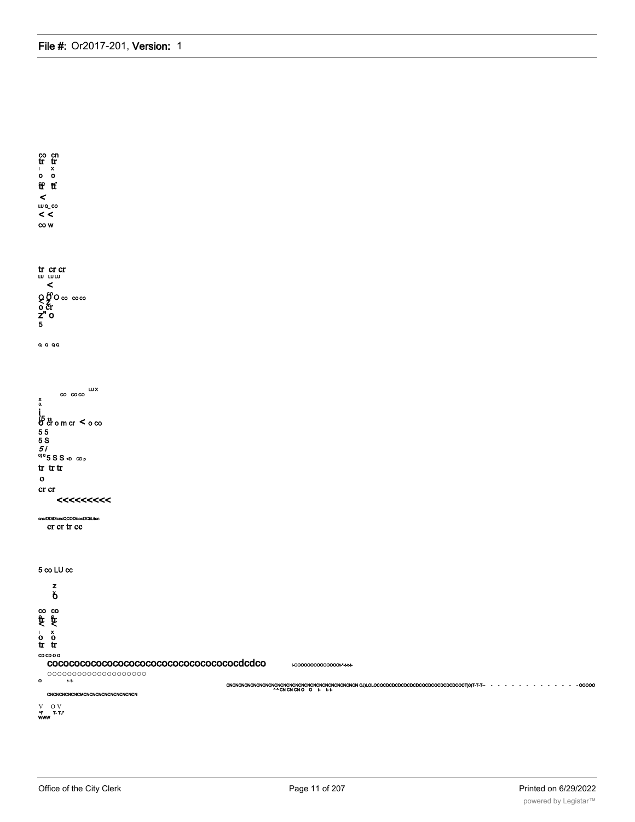$\begin{array}{c} \mathop{\mathrm{co}}\limits_{\mathop{\mathrm{tr}}\limits_{}}^{\mathop{\mathrm{co}}\limits_{\mathop{\mathrm{tr}}\limits_{}}^{\mathop{\mathrm{co}}\limits_{}}}} \mathop{\mathrm{tr}}\limits_{\mathop{\mathrm{co}}\limits_{\mathop{\mathrm{tr}}\limits_{}}^{\mathop{\mathrm{co}}\limits_{}}}} \mathop{\mathrm{tr}}\limits_{\mathop{\mathrm{tr}}\limits_{}}^{\mathop{\mathrm{con}}\limits_{}}$  $\,<\,$ **LUQ\_CO**  $\prec$ co w  $\begin{array}{c} \mbox{tr} \hspace{2mm} \mbox{cr} \mbox{cr} \\ \mbox{\tiny \text{III-III}} \end{array}$  $\,<$  $Q_{\text{C}r}^{\text{m}}$ <br>  $Q_{\text{C}r}^{\text{m}}$ <br>  $Z''$  o<br>  $5$  $\alpha$   $\alpha$   $\alpha\alpha$  $\frac{1}{2}$  co coco  $\sum_{i=1}^{k}$  $\mathbf{o}$  $cr$   $cr$ <<<<<<<< cnclODIDIcncQCODIcocDCIILIicn cr cr tr cc 5 co LU cc  $\mathbf{z}$  $\delta$  $\overset{\circ}{\mathfrak{g}}\overset{\circ}{\mathfrak{g}}$  $\begin{matrix} 1 & x \\ 0 & 0 \\ tr & tr \end{matrix}$  $CD$   $CD$   $O$   $O$ cocococococococococococococococococococdcdco H0000000000000004\*444  ${\begin{array}{c} 000000000000000000000 \\ \textbf{r}t \end{array}}$  $\bullet$ CNCNCNCNCNCMCNCNCNCNCNCNCNCNCNCN  $V$  O  $V$ <br> $V$  T-TJ<br>www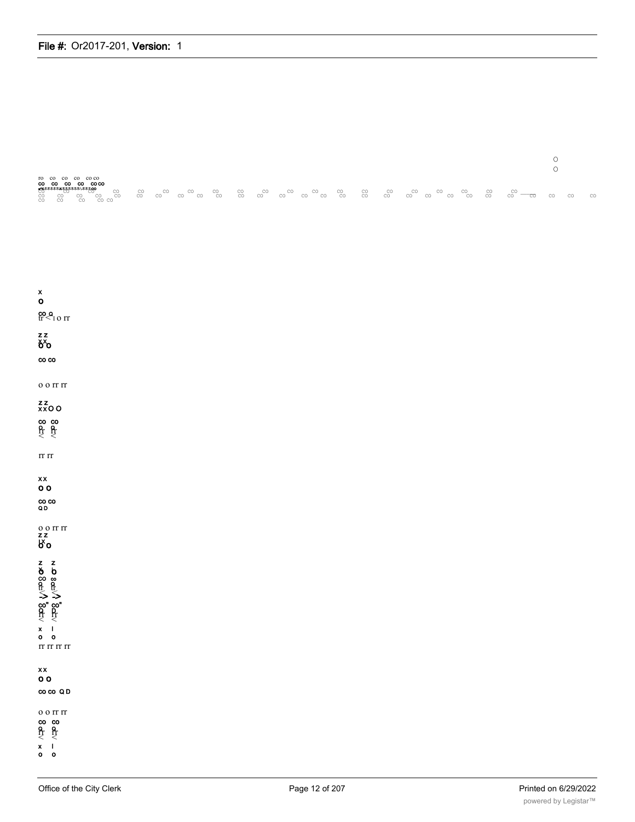|                                                                                 |  |                      |  |  |  |                                              |                   | $\circ$   |             |
|---------------------------------------------------------------------------------|--|----------------------|--|--|--|----------------------------------------------|-------------------|-----------|-------------|
|                                                                                 |  | co co co co co co co |  |  |  | co co co co co co co<br>co co co co co co co | $\frac{100}{100}$ | $CO$ $CO$ | $_{\rm CO}$ |
|                                                                                 |  |                      |  |  |  |                                              |                   |           |             |
|                                                                                 |  |                      |  |  |  |                                              |                   |           |             |
| $\boldsymbol{\mathsf{x}}$<br>$\mathbf{o}$                                       |  |                      |  |  |  |                                              |                   |           |             |
| $_{\rm tr}^{\rm co}$ Q $_{\rm I\,0\,rr}$                                        |  |                      |  |  |  |                                              |                   |           |             |
| $\overset{zz}{\delta\mathbf{\hat{o}}}$<br>$\cos$                                |  |                      |  |  |  |                                              |                   |           |             |
| $\rm o$ o r<br>r rr                                                             |  |                      |  |  |  |                                              |                   |           |             |
| $\frac{zz}{xx00}$                                                               |  |                      |  |  |  |                                              |                   |           |             |
| 80<br>8 p<br>2 ∑                                                                |  |                      |  |  |  |                                              |                   |           |             |
| $\operatorname{rr}$ $\operatorname{rr}$                                         |  |                      |  |  |  |                                              |                   |           |             |
| XX<br>$\mathbf{o}$ o                                                            |  |                      |  |  |  |                                              |                   |           |             |
| CO CO<br>Q D                                                                    |  |                      |  |  |  |                                              |                   |           |             |
| o o rr rr<br>zz<br><b>B</b> o                                                   |  |                      |  |  |  |                                              |                   |           |             |
| х < ∨≓р8<br>за⊭\у 8а±х – с<br>х Фовски х                                        |  |                      |  |  |  |                                              |                   |           |             |
|                                                                                 |  |                      |  |  |  |                                              |                   |           |             |
| $0$ 0<br>$\operatorname{rr}\operatorname{rr}\operatorname{rr}\operatorname{rr}$ |  |                      |  |  |  |                                              |                   |           |             |
| XX<br>$\mathbf{o}$ o                                                            |  |                      |  |  |  |                                              |                   |           |             |
| co co QD                                                                        |  |                      |  |  |  |                                              |                   |           |             |
| $\,$ o o rr $\,$ rr<br>8<br>8<br>8<br>8<br>8<br>8<br>8<br>8                     |  |                      |  |  |  |                                              |                   |           |             |
| $0$ 0                                                                           |  |                      |  |  |  |                                              |                   |           |             |

 $x \rightarrow x$ 

O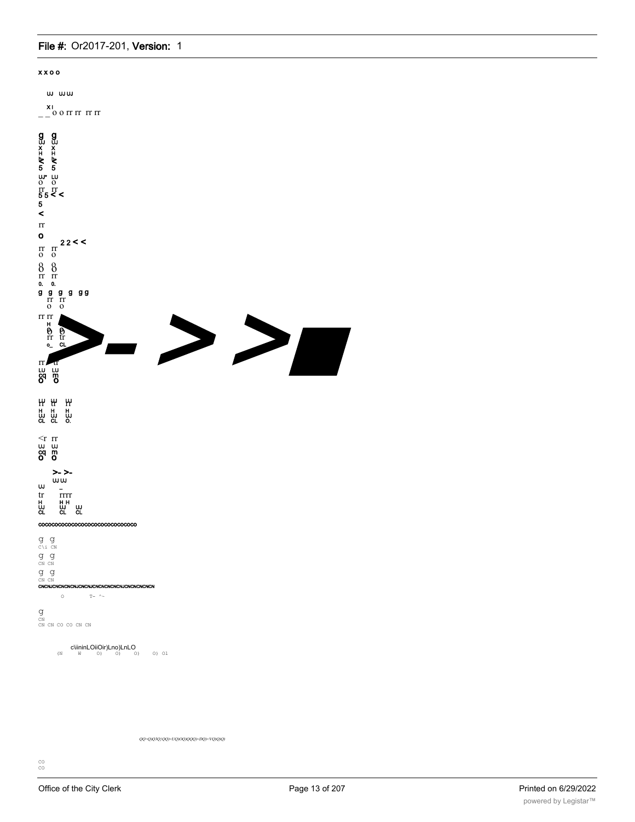

QQ>Q)Q3Q}QQ)<UQ)OQ)QQQ)<DQ)<VQ)Q)Q)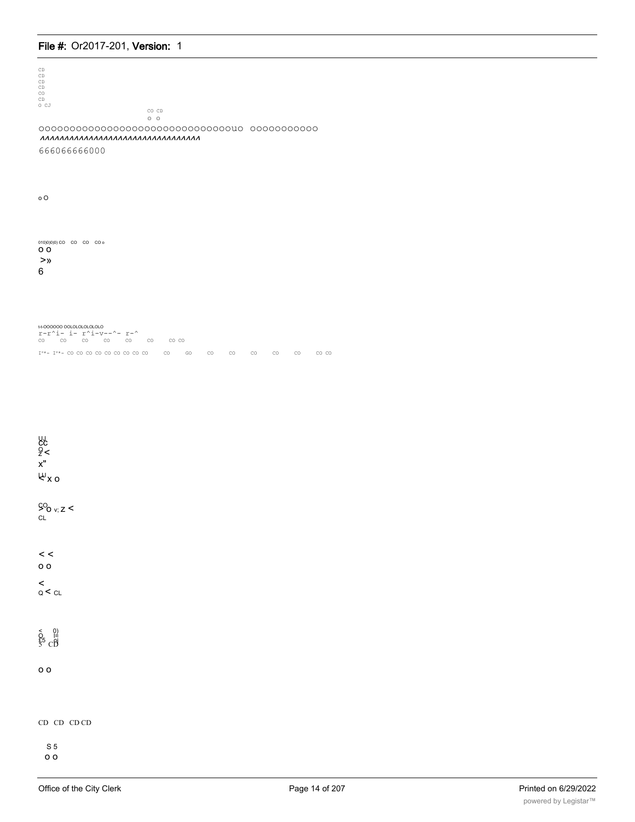| $_{\rm CD}$<br>$_{\rm CD}$<br>$_{\rm CD}$<br>$_{\rm CD}$<br>$_{\rm CO}$<br>$_{\text{CD}}$<br>$\circ\,$ cJ                          |                                            |    |    |    |             |    |       |
|------------------------------------------------------------------------------------------------------------------------------------|--------------------------------------------|----|----|----|-------------|----|-------|
|                                                                                                                                    | $_{\rm CO}$ $_{\rm CD}$<br>$\circ$ $\circ$ |    |    |    |             |    |       |
| <b>MAAAAAAAAAAAAAAAAAAAAAAAAAAAAA</b> A                                                                                            |                                            |    |    |    |             |    |       |
| 666066666000                                                                                                                       |                                            |    |    |    |             |    |       |
|                                                                                                                                    |                                            |    |    |    |             |    |       |
|                                                                                                                                    |                                            |    |    |    |             |    |       |
| o O                                                                                                                                |                                            |    |    |    |             |    |       |
|                                                                                                                                    |                                            |    |    |    |             |    |       |
|                                                                                                                                    |                                            |    |    |    |             |    |       |
| 010)0)0)0) CO CO CO CO o                                                                                                           |                                            |    |    |    |             |    |       |
| 00<br>$>$ »                                                                                                                        |                                            |    |    |    |             |    |       |
| 6                                                                                                                                  |                                            |    |    |    |             |    |       |
|                                                                                                                                    |                                            |    |    |    |             |    |       |
|                                                                                                                                    |                                            |    |    |    |             |    |       |
|                                                                                                                                    |                                            |    |    |    |             |    |       |
| t-t-000000 00L0L0L0L0L0L0L0<br>$\texttt{r-r^{\wedge}i-}\;\;\texttt{i-}\;\;\texttt{r^{\wedge}i-v--\wedge-}\;\;\texttt{r-^{\wedge}}$ |                                            |    |    |    |             |    |       |
| co co co co co co<br>CO<br>CO<br>$I^{s*}-I^{s*}-$ CO CO CO CO CO CO CO CO CO CO CO CO GO                                           |                                            | CO | CO | CO | $_{\rm CO}$ | CO | CO CO |
|                                                                                                                                    |                                            |    |    |    |             |    |       |
|                                                                                                                                    |                                            |    |    |    |             |    |       |
|                                                                                                                                    |                                            |    |    |    |             |    |       |
|                                                                                                                                    |                                            |    |    |    |             |    |       |
|                                                                                                                                    |                                            |    |    |    |             |    |       |
|                                                                                                                                    |                                            |    |    |    |             |    |       |
| 8k<br>양                                                                                                                            |                                            |    |    |    |             |    |       |
| x''                                                                                                                                |                                            |    |    |    |             |    |       |
| با<br>پا                                                                                                                           |                                            |    |    |    |             |    |       |
|                                                                                                                                    |                                            |    |    |    |             |    |       |
| 50 <sub>o y; Z</sub> <<br><b>CL</b>                                                                                                |                                            |    |    |    |             |    |       |
|                                                                                                                                    |                                            |    |    |    |             |    |       |
|                                                                                                                                    |                                            |    |    |    |             |    |       |
| $\,<$ $<$<br>$\circ$                                                                                                               |                                            |    |    |    |             |    |       |
|                                                                                                                                    |                                            |    |    |    |             |    |       |
| $<$ <sup>Q <math>&lt;</math> CL</sup>                                                                                              |                                            |    |    |    |             |    |       |
|                                                                                                                                    |                                            |    |    |    |             |    |       |
|                                                                                                                                    |                                            |    |    |    |             |    |       |
| $\begin{array}{cc}\n\delta & \frac{0}{1} \\ 5^5 & \text{C}\n\end{array}$                                                           |                                            |    |    |    |             |    |       |
|                                                                                                                                    |                                            |    |    |    |             |    |       |
| $\circ$                                                                                                                            |                                            |    |    |    |             |    |       |
|                                                                                                                                    |                                            |    |    |    |             |    |       |
|                                                                                                                                    |                                            |    |    |    |             |    |       |
|                                                                                                                                    |                                            |    |    |    |             |    |       |
| CD CD CD CD                                                                                                                        |                                            |    |    |    |             |    |       |
| $\ensuremath{\mathsf{S}}\xspace$ 5                                                                                                 |                                            |    |    |    |             |    |       |
| o o                                                                                                                                |                                            |    |    |    |             |    |       |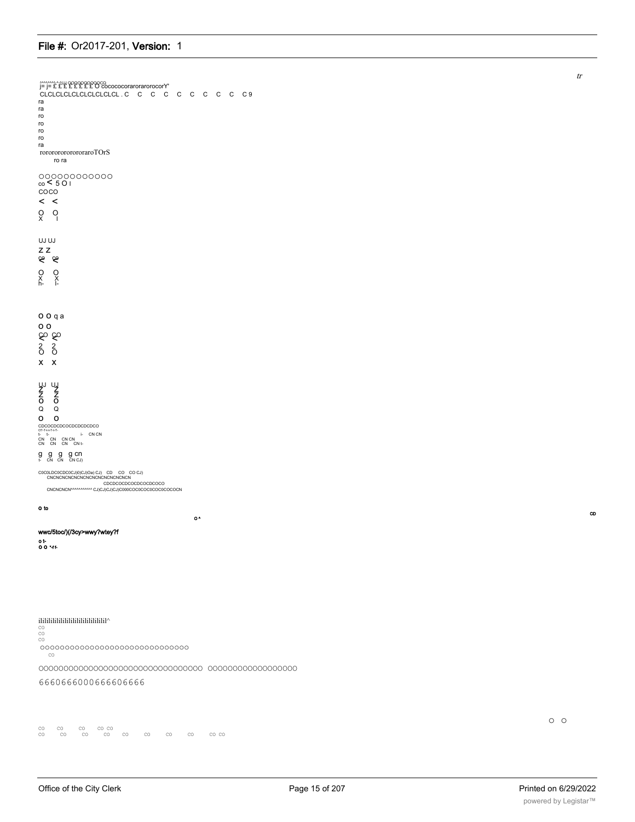| j="j="£"£"£"£"£"£"£"O cococorarorarorocorY'<br>CLCLCLCLCLCLCLCLCLCL.C<br>ra<br>ra<br>ro<br>ro<br>ro<br>ro<br>ra<br>rororororororaroTOrS<br>ro ra                                                                                                                                                                                                                               |                      | $\mathbf{C}$ | C | С | С | $\mathbf{C}$ |  | $C$ $C$ $C$ $C$ $9$ |
|--------------------------------------------------------------------------------------------------------------------------------------------------------------------------------------------------------------------------------------------------------------------------------------------------------------------------------------------------------------------------------|----------------------|--------------|---|---|---|--------------|--|---------------------|
| 00000000000<br>co < 501<br>COCO<br>$\,<\,$ $\,<$<br>$\frac{0}{x}$<br>$\overline{C}$                                                                                                                                                                                                                                                                                            |                      |              |   |   |   |              |  |                     |
| UJ UJ<br>ΖZ<br>ළ ළ<br>O<br>X<br>h-<br>o<br>X                                                                                                                                                                                                                                                                                                                                   |                      |              |   |   |   |              |  |                     |
| $O$ O q a<br>o o<br>60 60<br>$rac{2}{0}$ $rac{2}{0}$<br>x<br>X                                                                                                                                                                                                                                                                                                                 |                      |              |   |   |   |              |  |                     |
| y<br>Zc<br>لیا<br>So<br>Q<br>Q<br>o<br>o<br>CDCOCDCDCOCDCDCDCDCO<br>OT-T-t-t-T-t-T-<br>CN CN<br>j.<br>$t-t$<br>$C_N$<br>CN<br>CN CN<br>CN CN t-<br>CN<br>$_{\rm CN}^{\mathbf{g}}$<br>g cn<br>å<br>$_{\rm CN}^{\mathbf{g}}$<br>CN CJ)<br>COCOLDCOCDCOCJ)O)CJ)Oa) CJ) CD CO CO CJ)<br>CNCNCNCNCNCNCNCNCNCNCNCNCNCNCN<br>CNCNCNCN^^^^^^^^^^^ CJ)CJ)CJ)CJ)C000COC0COC0COC0COCOCOCO | CDCDCOCDCOCDCOCDCOCO |              |   |   |   |              |  |                     |

o to

wwc/5toc/)(/3cy>wwy?wtey?f

야<br>00 MF

 $\begin{array}{l} \text{iiiiiiiiiiiiiiiiiiiiiiiiiiiiiiiii} \\ \begin{array}{c} \text{co} \\ \text{co} \\ \text{co} \end{array} \end{array}$ 

 $\mathbf{o}$ 

6660666000666606666

co co coco<br>co co co co co co co co coco  $_{\rm CO}^{\rm CO}$ 

 $O$   $O$ 

co

Office of the City Clerk

 $\sqrt{t}$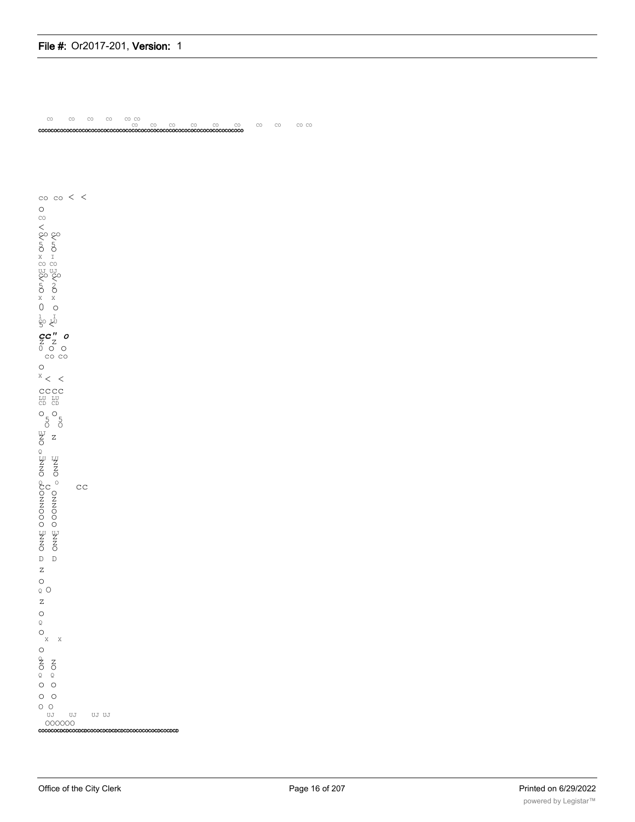CO CO CO CO CO CO CO CO CO CO COCOCOCOCOCOCOCOCOCOCOCOCOCOCOCOCOCOCOCOCOCOCOCOCOCOCOCOCOCOCOCOCO

CO CO CO CO CO CO

 $co co < <$ × ou vSE B × ou vS v BO<br>× ov vSE B = ou vS<br>× ov vSE B = ou vS 0 o 1 I<br>go <del>l</del>u *cc" o*<br> $\begin{smallmatrix} z & z \\ 0 & 0 \end{smallmatrix}$  o co co o  $\rm{^X} < ~<$ CCCC<br>LU LU<br>CD CD  $^{\circ}$ <sub>5</sub> $^{\circ}$ <sub>5</sub> UZO o UZ<br>C V UZ<br>C O V V ZO  $\begin{array}{ccc} 0 & 0 & 0 \\ 0 & 0 & 0 \\ 0 & 0 & 0 \\ 0 & 0 & 0 \end{array}$ LU UJ<br>Z Z<br>O O D D z o <sup>Q</sup> O z o  $\mathsf Q$  $\circ$ <sub>x</sub><sub>x</sub> o Q z z o o Q Q o o o o O OUJ UJ UJ UJ OOOOOO

COCOCOCDCDCOCDCDCOCOCDCDCDCDCDCOCOCOCOCDCOCDCD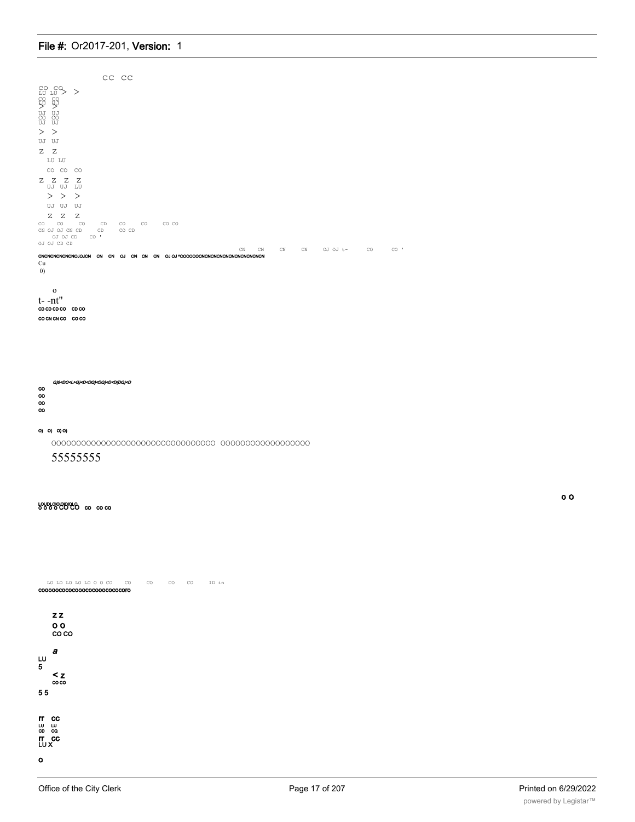| CC CC                                                                                                                                                        |                                                                                                                                                   |
|--------------------------------------------------------------------------------------------------------------------------------------------------------------|---------------------------------------------------------------------------------------------------------------------------------------------------|
| $_{LU}^{CO}$ $_{CQ}^{CO}$ $>$ $>$<br>영 양                                                                                                                     |                                                                                                                                                   |
| $\begin{matrix} 01 & 01 \\ 00 & 0 \\ 01 & 01 \end{matrix}$                                                                                                   |                                                                                                                                                   |
| $>$ $>$                                                                                                                                                      |                                                                                                                                                   |
| UJ UJ<br>ZZ<br>LU LU<br>CO CO<br>CO                                                                                                                          |                                                                                                                                                   |
| Z<br>$\mathbf{Z}$<br>Ζ<br>Ζ<br>UJ UJ<br>LU<br>$>$ > >                                                                                                        |                                                                                                                                                   |
| UJ UJ<br>UJ                                                                                                                                                  |                                                                                                                                                   |
| $\mathbf{Z}$<br>$\mathbf{z}$<br>$\mathbf{Z}$<br>$_{\rm CO}$<br>$_{\rm CO}$<br>CD<br>CO<br>CN OJ OJ CN CD<br>$_{\rm CD}$<br>OJ OJ CD<br>$CO-1$<br>OJ OJ CD CD | $_{\rm CO}$<br>$_{\rm CO}$<br>CO CO<br>CO CD<br>$\mathbb{C}\mathbb{N}$<br>$\mathbb{C}\mathbb{N}$<br>CN<br>OJ OJ t-<br>$CO-1$<br>$_{\rm CN}$<br>CO |
| Cu<br>(0)                                                                                                                                                    |                                                                                                                                                   |
| $\mathbf{o}$<br>$t$ - $nt$ "<br>CD CD CD CO CD CO<br>CO CN CN CO CO CO                                                                                       |                                                                                                                                                   |
|                                                                                                                                                              |                                                                                                                                                   |

Q)0<DO<L>Q)<D<DQ)<DQ)<D<D(DQ)<D co co co co

O) O) O) O)

OOOOOOOOOOOOOOOOOOOOOOOOOOOOOOOOO OOOOOOOOOOOOOOOOOO

55555555

LOUDLOlOlOlOlOLO o o o o CO CO co co co



o o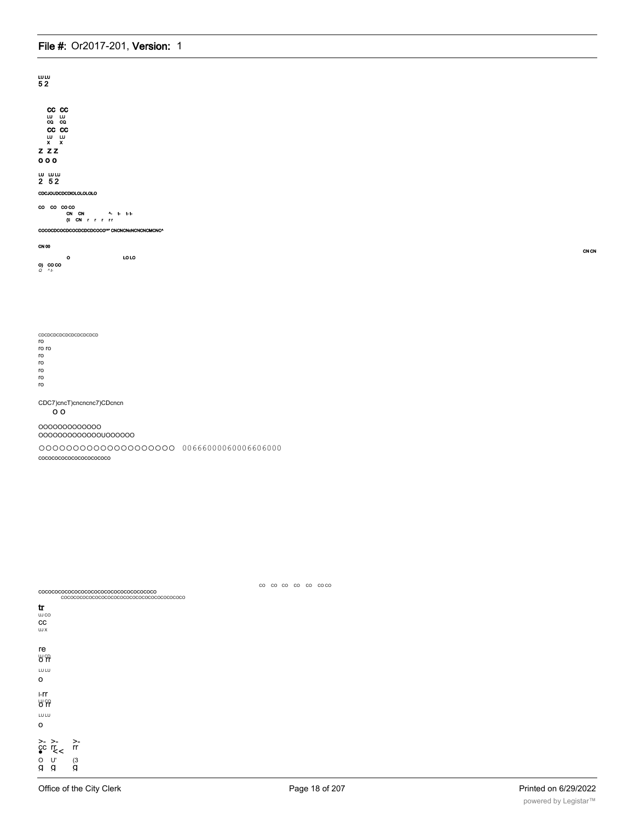# $\frac{10}{5}$

 $000$  $\begin{array}{c} 2 \quad \text{mm} \\ 2 \quad 52 \end{array}$ CDCJOUDCDCDIOLOLOLOLO  $\infty$   $\infty$   $\infty$ 

COCOCDCOCDCOCDCDCDCOCO<sup>AM</sup> CNCNCNGNCNCNCMCNC

### **CN 00**

ro<br>ro<br>ro<br>ro

**TO LO**  $\circ$  $\sum_{Q}^{O}$  coco

CDCDCDCDCDCDCDCDCDCD<br>ro<br>ro ro CDC7)cncT)cncncnc7)CDcncn  $\,$  o  $\,$ 

000000000000 00000000000000000000

 ${\tt cococococococococococococ}$ 

co co co co co coco

| COCOCOCOCOCOCOCOCOCOCOCOCOCOCOCOCOCO                                                          |  |
|-----------------------------------------------------------------------------------------------|--|
| tr<br>UJ CO<br>CC<br>UJ X                                                                     |  |
| re<br>ଞ ନ<br>LU LU                                                                            |  |
| o<br>ı-rr<br>୫ ଜ                                                                              |  |
| LU LU<br>O                                                                                    |  |
| >-<br>rr<br>$\tilde{\rm cc}$<br>>-<br>$\mathbf{r}$<br><<br>$\circ$<br>U<br>(3)<br>q<br>q<br>a |  |

**CN CN**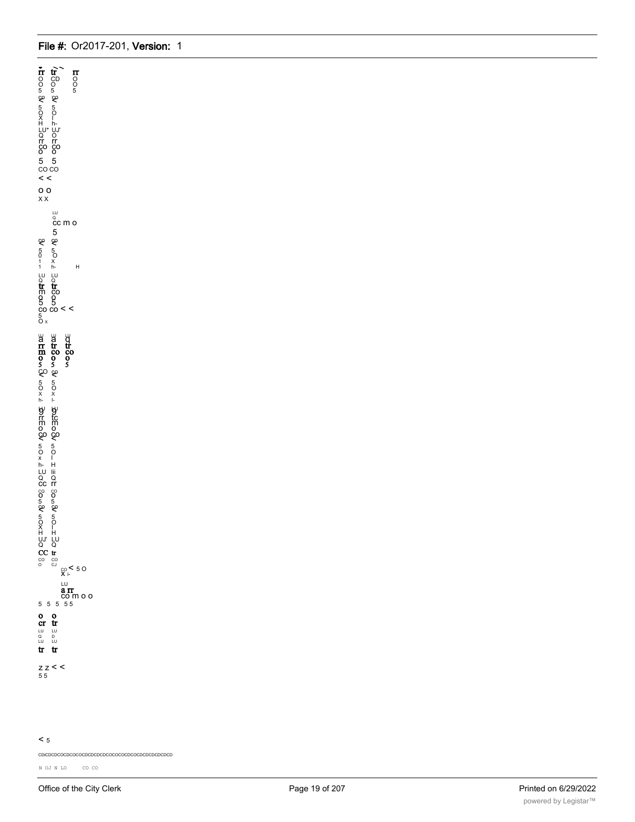

 $\leq$  5

CDiCDCDCOCDCOCOCDCDCDCDCOCOCOCDCOCDCDCDCDCDCD N OJ N LO CO CO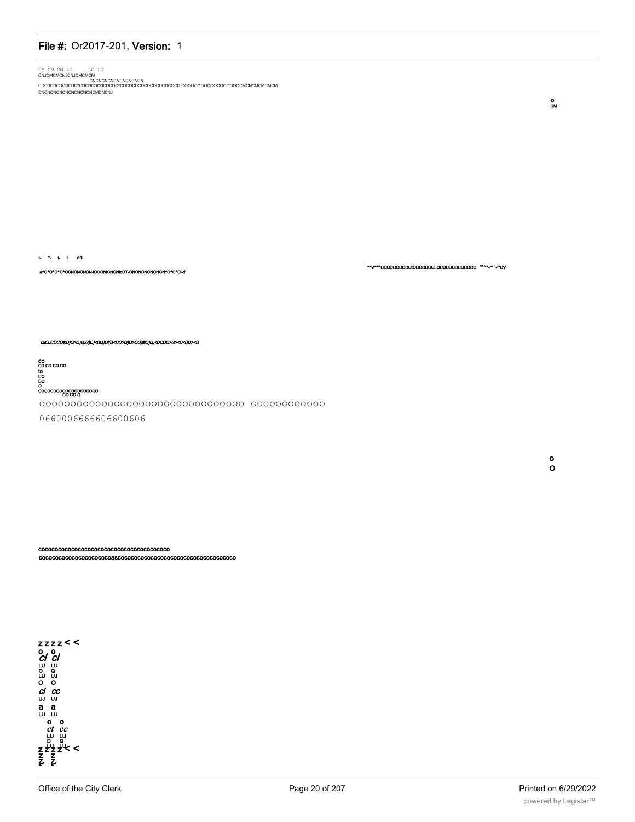${\tt CNCNCNCNCNCNCNCNCMCNCNCNS}$ 

 $\alpha$ 

 $\mathbf{r} = \mathbf{r}_0 - \mathbf{r}_1 - \mathbf{r}_2 - \mathbf{r}_3$ 

#^O^O^O^O^OCNCNCNCNJCOCNICNCNIcOT-CNCNCNCNCNCNCN^O^O^O'-tf

 $Q\vert COCOCO 8 O\vert Q \sim Q\vert G\vert Q \vert Q \vert O \sim O\vert Q \vert Q \sim Q \vert Q \sim Q \vert Q \vert Q \vert Q \vert Q \vert O \sim O \sim O \sim O \Phi \sim Q$ 

MPV \*\*\* COCDCOCOCOCOCOCDCNLOCDCDCDCOCOCO WUMA\_\*\*\* 1.J\*CV

0660006666606600606

 $\overset{o}{\circ}$ 

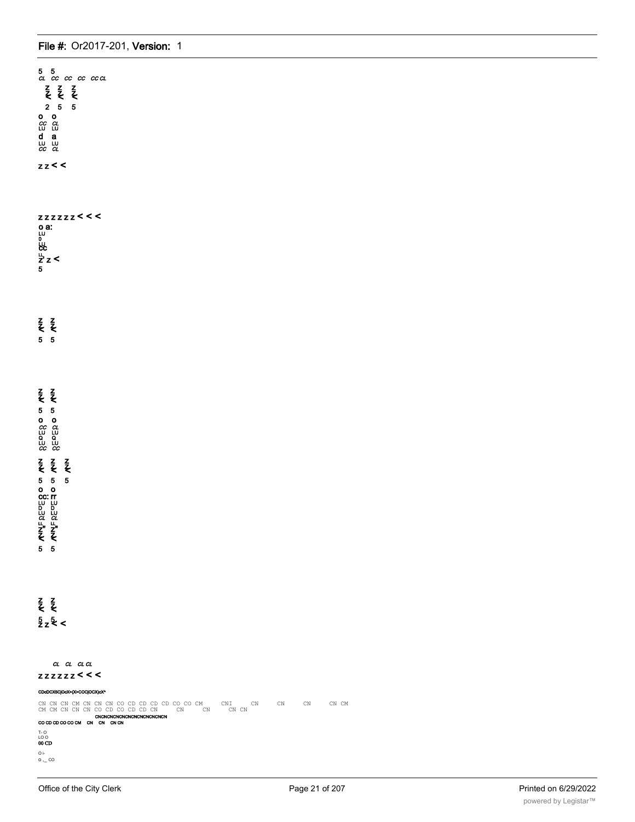| $\begin{smallmatrix} 5 & 5 \ 2 & 2 & 2 \end{smallmatrix}$ or $\begin{smallmatrix} 2 & 2 \ 2 & 2 \end{smallmatrix}$ |
|--------------------------------------------------------------------------------------------------------------------|
| <b>そそそ</b><br>2 5 5                                                                                                |
| 0 이 이 이 이 이 이 이 이<br>이 미 드로 이 기<br>이 미 드로 이 기                                                                      |
| $z \, z \leq$                                                                                                      |
|                                                                                                                    |
| zzzzzz<<<                                                                                                          |
|                                                                                                                    |
|                                                                                                                    |
|                                                                                                                    |
| $\begin{array}{c} Z \\ Z \\ 5 \end{array}$ $\begin{array}{c} Z \\ 5 \end{array}$                                   |
|                                                                                                                    |
|                                                                                                                    |
| NN in D83038<br><b>SEPERO OF</b>                                                                                   |
|                                                                                                                    |
| ן איען 2020<br>אין אין 2020<br>אין אין 2020 אין 2014                                                               |
|                                                                                                                    |
| 5 <sub>5</sub><br>$\sqrt{5}$                                                                                       |
|                                                                                                                    |
| そそ<br>$\frac{5}{2}$ z & <                                                                                          |
|                                                                                                                    |
| a a aa<br>zzzzzz<<<                                                                                                |
| CDcDCX5CjOcX>(X>COCjOCX)cX^                                                                                        |
| CNCNCNCNCNCNCNCNCNCNCNCNCN<br>COCDCDCOCOCM CN CN CNCN<br>$T - O$<br>LO O<br>00 CD                                  |
|                                                                                                                    |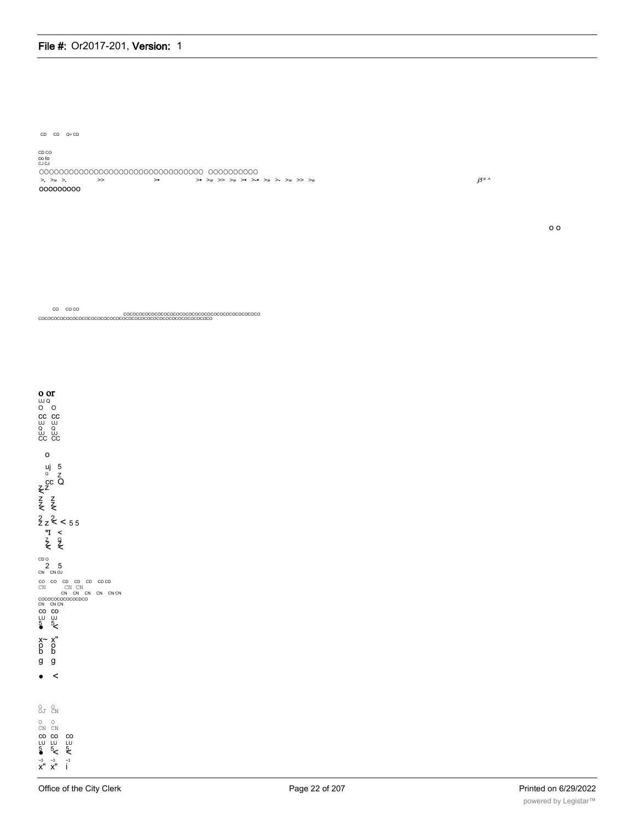CD CD Q> CD

CD CO co to CJ CJ

OOOOOOOOOOOOOOOOOOOOOOOOOOOOOOOOO OOOOOOOOOO *>. >» >. >> >• >• >» >> >» >• >-• >» >- >» >> >» j5\* ^* ooooooooo

o o

CO CO CO COCOCOCOCOCOCOCOCOCOCOCOCOCOCOCOCOCOCOCOCOCO COCOCOCOCOCOCOCOCOCOCOCOCOCOCOCOCOCOCOCOCOCOCOCOCOCOCOCO

o or<br><sup>UJ Q</sup> O cc<br>Cc Cc<br>Cc Cc<br>Cc Cc o  $\begin{array}{c}\n\text{u} & 5 \\
\text{c} & \text{c} \\
\text{c} & \text{Q}\n\end{array}$ z<br>Ę ź  $2$   $2 < 55$ "I <<br><sup>Z</sup> 온 CD O 2 5 CN CN OJ CO CO CD CD CD CD CD CN CN CN CN CN CN CN CN CN COCOCOCOCOCOCDCO CN CN CN s<br>co co<br>co co<br>co co  $\begin{smallmatrix} x \sim & x^* \ 0 & 0 \ 0 & b \end{smallmatrix}$ g g  $\bullet$  < <sup>O</sup> <sup>O</sup> OJ CN O O<br>
CN CN<br>
CO CO CO<br>
CO CO CO<br>
CO CO<br>
CO CO<br>
CO CO<br>
CO CO<br>
CO CO  $\vec{x}$ "  $\vec{x}$ " i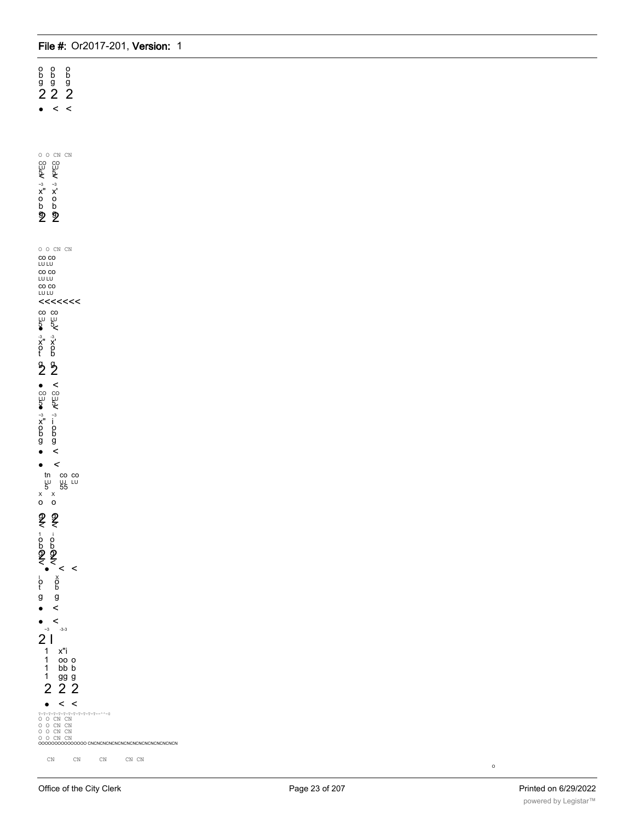| $\frac{1}{2}$<br>$\frac{6}{9}$<br>o<br>Po<br>$\overline{2}$<br>$\overline{2}$                                                                                                                                                                                                                                                                                                                                                                                                                                                                                                                                                                                                                                                                                                                                                       |         |
|-------------------------------------------------------------------------------------------------------------------------------------------------------------------------------------------------------------------------------------------------------------------------------------------------------------------------------------------------------------------------------------------------------------------------------------------------------------------------------------------------------------------------------------------------------------------------------------------------------------------------------------------------------------------------------------------------------------------------------------------------------------------------------------------------------------------------------------|---------|
| $\langle \ \ \times$<br>$\bullet$                                                                                                                                                                                                                                                                                                                                                                                                                                                                                                                                                                                                                                                                                                                                                                                                   |         |
| $\circ$ $\circ$ $\circ$ $\circ$ $\circ$ $\circ$ $\circ$<br><b>NO DO X &amp; NO ES</b><br>$\mathcal{R}^{\overline{\mathsf{CO}}}$<br>$\frac{3}{x}$<br>ob<br>$\boldsymbol{2}$                                                                                                                                                                                                                                                                                                                                                                                                                                                                                                                                                                                                                                                          |         |
| $\circ$ $\circ$ $\circ$ $\circ$ $\circ$ $\circ$ $\circ$<br>CO CO<br>LU LU<br>CO CO<br>$\cos$<br>LU LU<br><<<<<<                                                                                                                                                                                                                                                                                                                                                                                                                                                                                                                                                                                                                                                                                                                     |         |
| $\frac{1}{2}$ $\frac{1}{2}$ $\frac{1}{2}$<br>$\check{\check{\mathsf{x}}}^\mathsf{u}$<br>$\frac{3}{2}$<br>22                                                                                                                                                                                                                                                                                                                                                                                                                                                                                                                                                                                                                                                                                                                         |         |
| $\,<$<br>$\bullet$<br>834 7-028<br>1834 7-028<br>$\,<$<br>$\bullet$                                                                                                                                                                                                                                                                                                                                                                                                                                                                                                                                                                                                                                                                                                                                                                 |         |
| $\,<$<br>$\bullet$<br>tn<br>$\mathop{\cup}\limits_{x=x}^{t}$<br>CO CO<br>UJ LU<br>55<br>$\mathsf{o}$<br>$\mathsf{o}$<br><u>ହୁ ହ</u>                                                                                                                                                                                                                                                                                                                                                                                                                                                                                                                                                                                                                                                                                                 |         |
| MQDQDQ<br>$\langle \ \ \langle$<br>$\mathop{\rm {}^{\mathsf{X}}}\limits_{{\mathsf{D}}}$<br>$\mathop{\circ}_{t}$                                                                                                                                                                                                                                                                                                                                                                                                                                                                                                                                                                                                                                                                                                                     |         |
| g<br>g<br>$\,<$<br>$\bullet$<br>$\,<$<br>$\bullet$<br>$\sim$ 3<br>$-3-3$<br>$\overline{2}$<br>x"i<br>1                                                                                                                                                                                                                                                                                                                                                                                                                                                                                                                                                                                                                                                                                                                              |         |
| 1<br>000<br>bb b<br>1<br>1<br>gg g<br>$2\overline{2}2$<br>$\bullet$ < <<br>$\mathbb{T}\!-\!\mathbb{T}\!-\!\mathbb{T}\!-\!\mathbb{T}\!-\!\mathbb{T}\!-\!\mathbb{T}\!-\!\mathbb{T}\!-\!\mathbb{T}\!-\!\mathbb{T}\!-\!\mathbb{T}\!-\!\mathbb{T}\!-\!\mathbb{T}\!-\!\mathbb{T}\!-\!\mathbb{T}\!-\!\mathbb{T}\!-\!\mathbb{T}\!-\!\cdots\! \stackrel{\scriptscriptstyle\wedge}{\scriptscriptstyle\wedge}\!-\!0$<br>$\circ$ $\circ$ $\circ$ $\circ$ $\circ$ $\circ$ $\circ$                                                                                                                                                                                                                                                                                                                                                                |         |
| O O CN CN<br>$\circ$ $\circ$ $\circ$ $\circ$ $\circ$ $\circ$ $\circ$<br>$\begin{array}{ll} \circ & \circ & \circ \\ \circ & \circ & \circ \\ \circ & \circ & \circ & \circ \\ \circ & \circ & \circ & \circ \\ \circ & \circ & \circ & \circ \\ \circ & \circ & \circ & \circ \\ \circ & \circ & \circ & \circ \\ \circ & \circ & \circ & \circ \\ \circ & \circ & \circ & \circ \\ \circ & \circ & \circ & \circ \\ \circ & \circ & \circ & \circ \\ \circ & \circ & \circ & \circ \\ \circ & \circ & \circ & \circ \\ \circ & \circ & \circ & \circ \\ \circ & \circ & \circ & \circ & \circ \\ \circ & \circ & \circ & \circ & \circ \\ \circ & \circ & \circ & \circ & \circ \\ \circ & \circ &$<br>$\mathbb{C}\mathbb{N}$<br>$\mathbb{C}\mathbb{N}$<br>$\mathbb{C}\mathbb{N}$<br>$\mathbb{C}\mathbb{N}$ $\mathbb{C}\mathbb{N}$ |         |
|                                                                                                                                                                                                                                                                                                                                                                                                                                                                                                                                                                                                                                                                                                                                                                                                                                     | $\circ$ |

CO ^ CO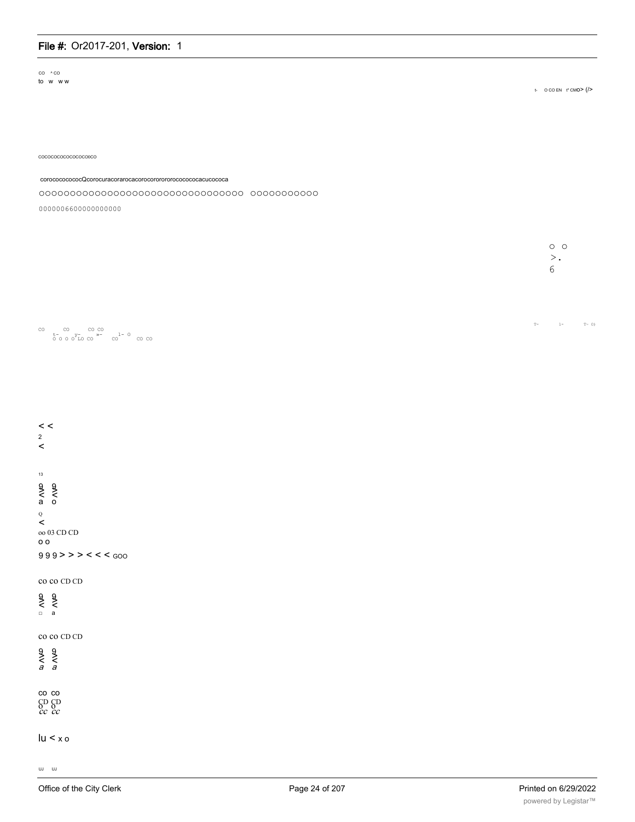co ^co<br>to w ww

 $t$ - OCOEN  $t$ <sup>\*</sup> CMO<sup>></sup> (/>

 ${\tt cocococococococococococ}$ 

### corocococococQcorocuracorarocacorocororororococococacucococa

0000006600000000000

 $O$   $O$  $>$  .  $\epsilon$ 

 $1 -$ 

 $\tau$ -

 $T \sim 0$ 





 $\begin{array}{c}\n\text{co} \\
\text{CD} \\
\text{CD} \\
\text{O} \\
\text{O} \\
\text{C}\n\end{array}$ 

 $|u < x_0$ 

 $\begin{array}{cc} U & U & \end{array}$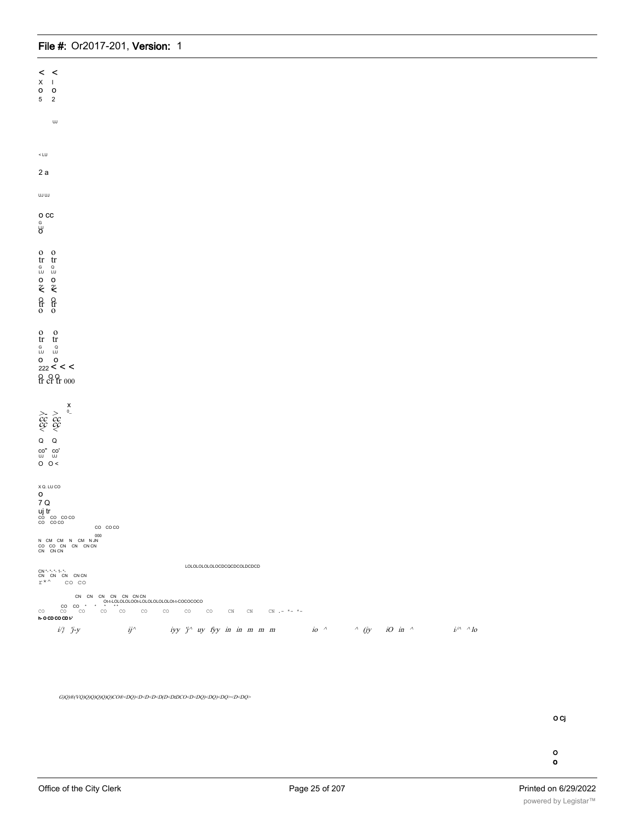| $\langle \ \rangle$<br>$\mathsf{X}-\mathsf{I}$<br>$0$ 0<br>5 <sub>2</sub>                                                                                                                                                                                                                                                                                                                                                                                                                                                                                                                   |
|---------------------------------------------------------------------------------------------------------------------------------------------------------------------------------------------------------------------------------------------------------------------------------------------------------------------------------------------------------------------------------------------------------------------------------------------------------------------------------------------------------------------------------------------------------------------------------------------|
| $\mathsf{U}\mathsf{J}$                                                                                                                                                                                                                                                                                                                                                                                                                                                                                                                                                                      |
| $<$ LU $\,$                                                                                                                                                                                                                                                                                                                                                                                                                                                                                                                                                                                 |
| 2a                                                                                                                                                                                                                                                                                                                                                                                                                                                                                                                                                                                          |
| UJ UJ                                                                                                                                                                                                                                                                                                                                                                                                                                                                                                                                                                                       |
| $\overset{\circ}{\mathbb{G}}$                                                                                                                                                                                                                                                                                                                                                                                                                                                                                                                                                               |
| $0\quad 0$                                                                                                                                                                                                                                                                                                                                                                                                                                                                                                                                                                                  |
| 0 0<br>tr tr<br>$\begin{array}{ccc} 0 & 0 & 0 \\ 0 & 0 & 0 \\ 222 & 0 & 0 \\ 0 & 0 & 0 \\ 0 & 0 & 0 \\ 0 & 0 & 0 \\ 0 & 0 & 0 \\ 0 & 0 & 0 \\ 0 & 0 & 0 \\ 0 & 0 & 0 \\ 0 & 0 & 0 \\ 0 & 0 & 0 \\ 0 & 0 & 0 \\ 0 & 0 & 0 \\ 0 & 0 & 0 \\ 0 & 0 & 0 \\ 0 & 0 & 0 \\ 0 & 0 & 0 \\ 0 & 0 & 0 \\ 0 & 0 & 0 \\ 0 & 0 & 0 \\ 0 & 0 & 0 \\ $                                                                                                                                                                                                                                                       |
| $\overset{\mathsf{X}}{\underset{0_{-}}{\mathsf{X}}}$<br>$\begin{array}{c}\n \geq c \\  cc \\  cc \\  \infty\n\end{array}$<br>$Q \qquad Q$<br>$\begin{array}{ccc} 0 & 0 & 0 \\ 0 & 0 & 0 \end{array}$                                                                                                                                                                                                                                                                                                                                                                                        |
| $CO$ $CO$ $CO$<br>000<br>N CM CM N CM N JN<br>CO CO CN CN CN CN<br>CN CN CN                                                                                                                                                                                                                                                                                                                                                                                                                                                                                                                 |
| LOLOLOLOLOCOCOCOCOCOLDCDCD<br>$CN^*$ - *- *- 1- *-<br>$\begin{tabular}{llll} \multicolumn{2}{l}{{\color{blue}\text{CN}}}& \multicolumn{2}{c}{\color{blue}\text{CN}}& \multicolumn{2}{c}{\color{blue}\text{CN}}& \multicolumn{2}{c}{\color{blue}\text{CN}}\\ \multicolumn{2}{l}{\color{blue}\text{CN}}& \multicolumn{2}{l}{\color{blue}\text{CN}}& \multicolumn{2}{l}{\color{blue}\text{CN}}& \multicolumn{2}{l}{\color{blue}\text{CN}}& \multicolumn{2}{l}{\color{blue}\text{CN}}\\ \multicolumn{2}{l}{\color{blue}\text{CN}}& \multicolumn{2}{l}{\color{blue}\text{CN}}& \$<br>$r^*$ co co |
| CO CN CN CN $\rightarrow$ *- *-<br>$CO$ $CO$<br>CO<br>h-OCDCOCDt/                                                                                                                                                                                                                                                                                                                                                                                                                                                                                                                           |
| $i'$ } 'j-y<br>$jj^{\wedge}$<br>iyy 'j^ uy fyy in in m m m<br><i>io</i> $\wedge$ <i>(iy iO in</i> $\wedge$<br>$i^{\wedge}$ ^ lo                                                                                                                                                                                                                                                                                                                                                                                                                                                             |

G)Q)®(VQ)Q)Q)Q)Q)Q)CO®<DQ)<D<D<D<D(D<DtDCO<D<DQ)<DQ)<DQ><D<DQ>

O Cj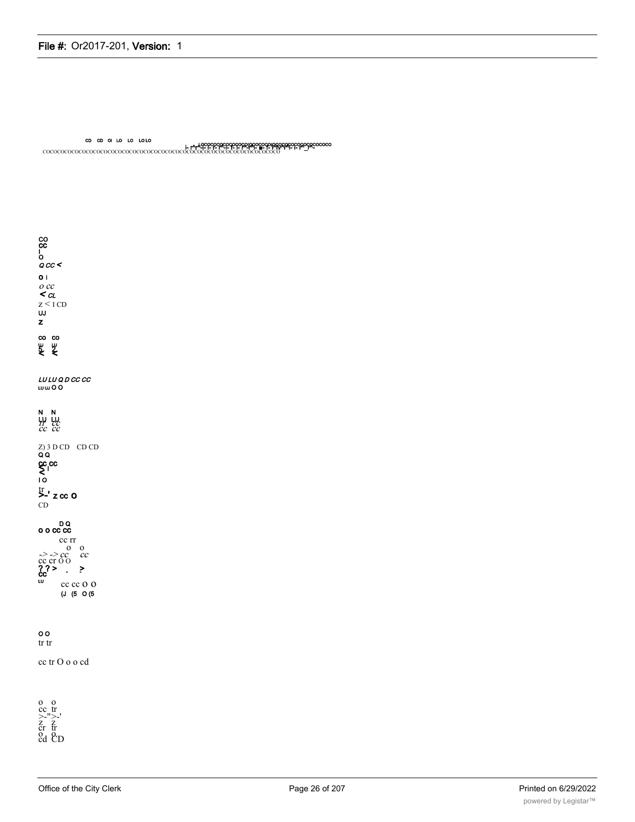CD CD Oi LO LO LO LO LOCOCOCOCOCOCOCO(OCOCOCO(OCOCOCOCOCOCOCOCOCO i- r^r^-i- i- r- r^-i- f- i- r^-r^i- ■- f- i^fv^r^i- i- r^\_r^- COCOCOCOCOCOCOCOCOCOCOCOCOCOCOCOCOCOCOCOCOCOCOCOCOCOCOCOCOCOCOCOCO



*LU LU Q D CC CC*<br>ພພ O O



Z) 3 D CD CD CD<br>**Q Q** cc<br>چ<br>آ cc



D Q<br>CC CC O O O

cc rr<br>  $\Rightarrow$   $\Rightarrow$   $\Rightarrow$   $\begin{array}{cc} 0 & 0 \\ 0 & c \end{array}$ <br>
cc cr O O ? ? > ><br>cc<br><sup>ม</sup> cc cc o o (J (5 O (5

### O O tr tr

cc tr O o o cd

 $\begin{matrix} 0 & 0 \\ cc & tr \end{matrix}$ >-">-'<br>z z<br>cr tr o<br>cd CD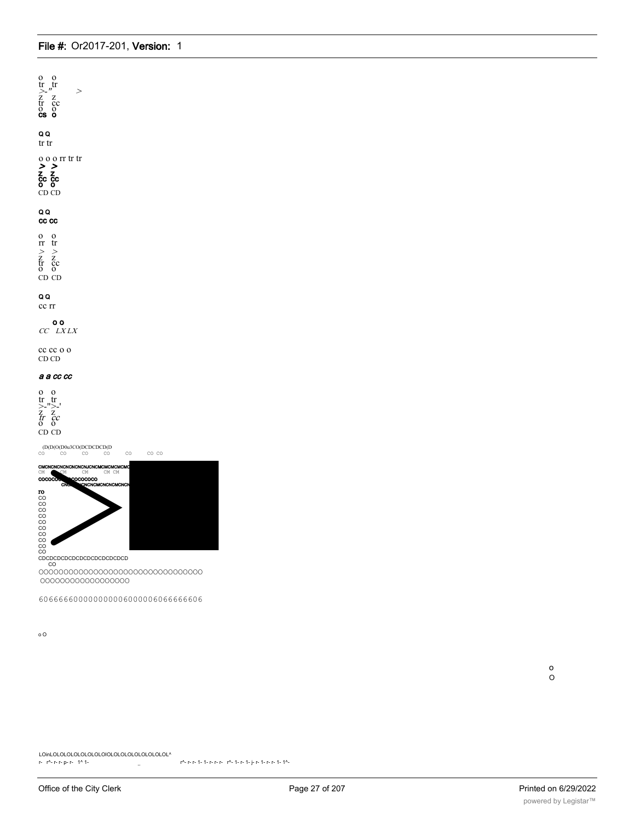

# cc rr

o o CC LXLX

cc cc o o CD CD

### a a cc cc

o o<br>tr tr 5-">-"<br>Z z z<br>o o o CD CD

(D(D(O(D0u3CO(DCDCDCD(D CO CO CO CO CO CO CO CMCNCNCNCNCNCNCNJCNCMCMCMCMCMCNCNCM CM CM CM CM CM cocococo cocococo CNCNJCNCNCNCMCNCNCMCNCNCNJCMCNCM ro CO CO CO CO CO CO CO CO CO CO CDCDCDCDCDCDCDCDCDCDCDCD CO >■

OOOOOOOOOOOOOOOOOOOOOOOOOOOOOOOOO OOOOOOOOOOOOOOOOOO

606666600000000006000006066666606

o O

o O

LOinLOLOLOLOLOLOLOLOIOLOLOLOLOLOLOLOLOL^

r- r^- r- r- p- r- 1^ 1- r^- r- r- 1- 1- r- r- r- r^- 1- r- 1- j- r- 1- r- r- 1- 1^- cocococooocococococococococococococottcocooocoro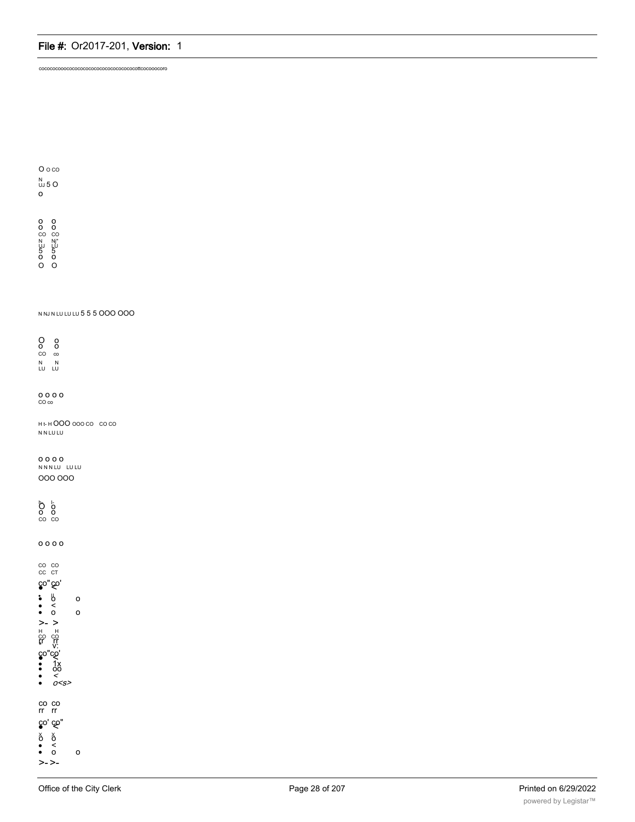| $\stackrel{N}{\cup}$ 5 O<br>Ω |                      |
|-------------------------------|----------------------|
| 8<br>CO<br>N<br>ųυ            | 8<br>CO<br>$\vec{F}$ |

 $O$  o co

 $\begin{matrix} 5 & 5 \\ 0 & 0 \\ 0 & 0 \end{matrix}$ 

N NJ N LU LU LU 5 5 5 000 000

| O<br>о<br>CO | o<br>о<br>co |  |
|--------------|--------------|--|
| N<br>LU      | N<br>LU      |  |

 $0000$ 

 $Ht-HOOO$  000 CO CO CO N N LU LU

OOOO<br>NNNLU LULU 000 000

 $0000$ 

| $\circ$<br>СC<br>$\ddot{\bullet}$<br>$\frac{1}{2}$<br>$\ddot{\bullet}$<br>c | $\circ$<br>C <sub>1</sub><br><b>ေ</b> " င္ရွာ'<br>ხ<<br>o<br>н<br>cc<br>!!<br>СÇ<br>$\frac{1}{20}$<br>o <s< th=""><th>о<br/>Ō</th></s<> | о<br>Ō |
|-----------------------------------------------------------------------------|-----------------------------------------------------------------------------------------------------------------------------------------|--------|
| co<br>rr<br>င္နွ၀<br>ð.                                                     | co<br>rr<br>ą<br>δ<br>o                                                                                                                 | ი      |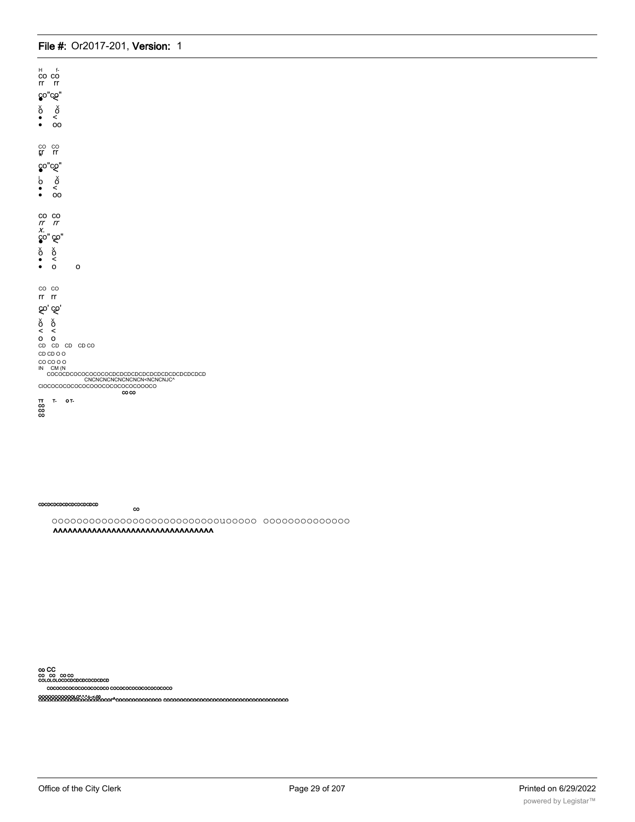| н<br>$f-$<br>co co<br>rr<br>rr     |                                                |
|------------------------------------|------------------------------------------------|
| co"co'                             |                                                |
| ŏ<br>ð<br>$\,<$<br>$\bullet$<br>OO |                                                |
| co<br>ព្<br>CO<br>rr               |                                                |
| co"co'                             |                                                |
| b<br>ð                             |                                                |
| $\,<$<br>oo                        |                                                |
| CO CO<br>rr<br>rr                  |                                                |
| <i>x.</i><br>ငွ•" ද∞"              |                                                |
| ŏ.<br>š                            |                                                |
| <<br>$\circ$                       | o                                              |
| CO CO<br>rr<br>rr                  |                                                |
| ණ, ති,                             |                                                |
| $\check{\circ}$<br>ŏ               |                                                |
| $\,<$<br>o<br>o                    |                                                |
| CD<br>CD CD OO                     | CD CD CD CO                                    |
| CO CO O O<br>CM (N<br>IN           |                                                |
|                                    | CNCNCNCNCNCNCNCN <ncncnjc^< td=""></ncncnjc^<> |
|                                    | CIOCOCOCOCOCOCOOOCOCOCOCOCOOOCO<br>CO CO       |
| T-<br>OT-<br>H<br>888              |                                                |

 $\infty$ 

 ${\tt CDCDCDCDCDCDCDCDCD}$ 

 $\label{eq:10} \begin{minipage}{0.03\textwidth} \begin{tabular}{l} \bf{0.4\textwidth} \bf{0.4\textwidth} \bf{0.4\textwidth} \bf{0.4\textwidth} \bf{0.4\textwidth} \bf{0.4\textwidth} \bf{0.4\textwidth} \bf{0.4\textwidth} \bf{0.4\textwidth} \bf{0.4\textwidth} \bf{0.4\textwidth} \bf{0.4\textwidth} \bf{0.4\textwidth} \bf{0.4\textwidth} \bf{0.4\textwidth} \bf{0.4\textwidth} \bf{0.4\textwidth} \bf{0.4\textwidth} \bf{0.4\textwidth$ 

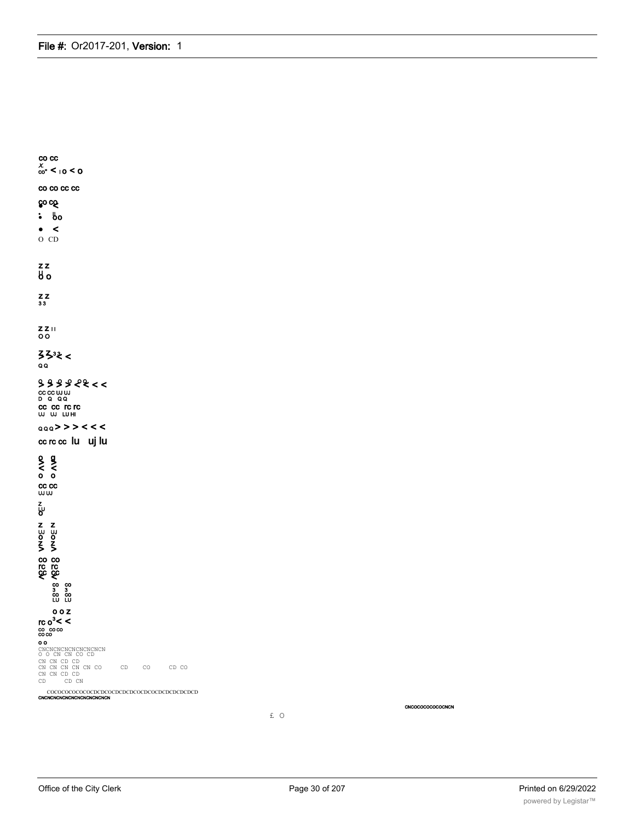

£ O

CNCOCOCOCOCOCNCN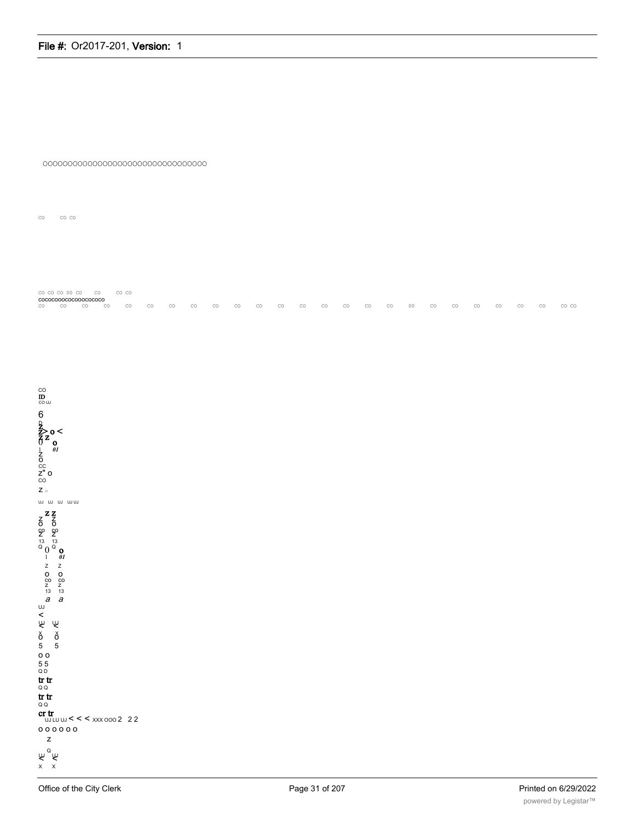OOOOOOOOOOOOOOOOOOOOOOOOOOOOOOOOO

CO CO CO

CO CO CO 00 CO CO CO CO cococooococooocococo CO CO CO CO CO CO CO CO CO CO CO CO CO CO CO CO CO 00 CO CO CO CO CO CO CO CO

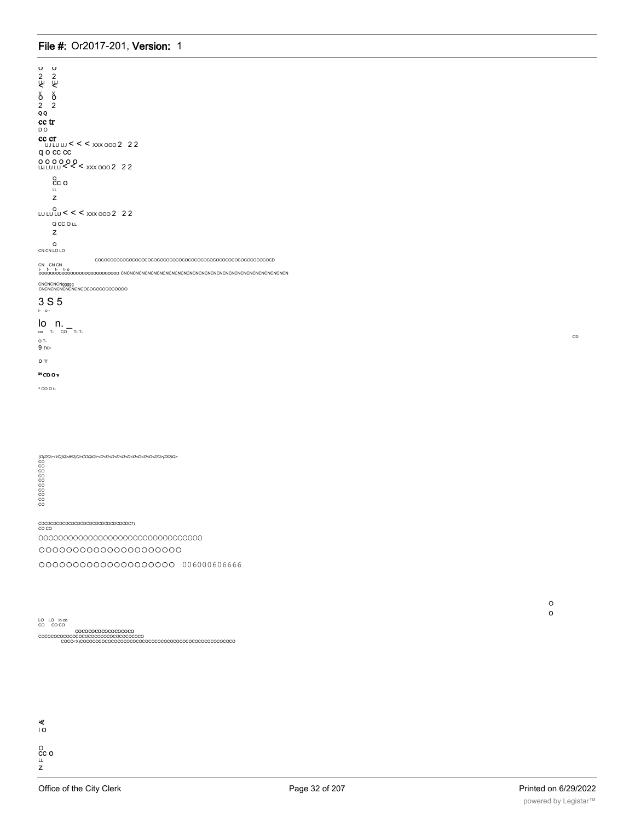| U<br>് ഗ<br>2<br>ليا<br>$\sqrt{2}$<br>ليا<br>ŏ<br>ð<br>$\overline{2}$<br>$\overline{2}$<br>QQ<br>cc tr<br>DO<br>cc cr<br>$\frac{1}{2}$ UJ LU UJ $\leq$ $\leq$ XXX 000 2 2 2<br>q o cc cc |
|------------------------------------------------------------------------------------------------------------------------------------------------------------------------------------------|
| 000000<br>WILULU<<< xxx 0002 22                                                                                                                                                          |
| င္လြင္ ဝ<br>LL.<br>Z                                                                                                                                                                     |
|                                                                                                                                                                                          |
| Q CC O LL<br>Z                                                                                                                                                                           |
| Q<br>CN CN LO LO                                                                                                                                                                         |
| CN CN CN<br>$f - t - t - 0$<br>$t-$                                                                                                                                                      |
| CNCNCNCNggggg<br>CNCNCNCNCNCNCNCOCOCOCOCOCOOOO                                                                                                                                           |
| 3 S 5<br>$\mathbf{i}$ 0 -                                                                                                                                                                |
| lo.<br>n.<br>T- CO T-T-<br>$\infty$                                                                                                                                                      |
| OT-<br>$9 - x -$                                                                                                                                                                         |
| O Tf                                                                                                                                                                                     |
| <sup>™</sup> COOv                                                                                                                                                                        |
| ^COOt-                                                                                                                                                                                   |
|                                                                                                                                                                                          |
|                                                                                                                                                                                          |
|                                                                                                                                                                                          |

*(D(DQ>-VO)Q>IIQ)Q>COQIQ>-D-D-D-D-D-D-D-D-D-D-D-D-D-D-D-D*<br>CO<br>CO<br>CO<br>CO<br>CO<br>CO<br>CO

00000000000000000000 00000000000000000000 006000606666

 $\begin{array}{cc} \text{LO} & \text{LO} & \text{loco} \\ \text{CO} & \text{CO CO} \end{array}$ 

 $\frac{1}{6}$  $\frac{0}{\mu}$ o<br>z  $CD$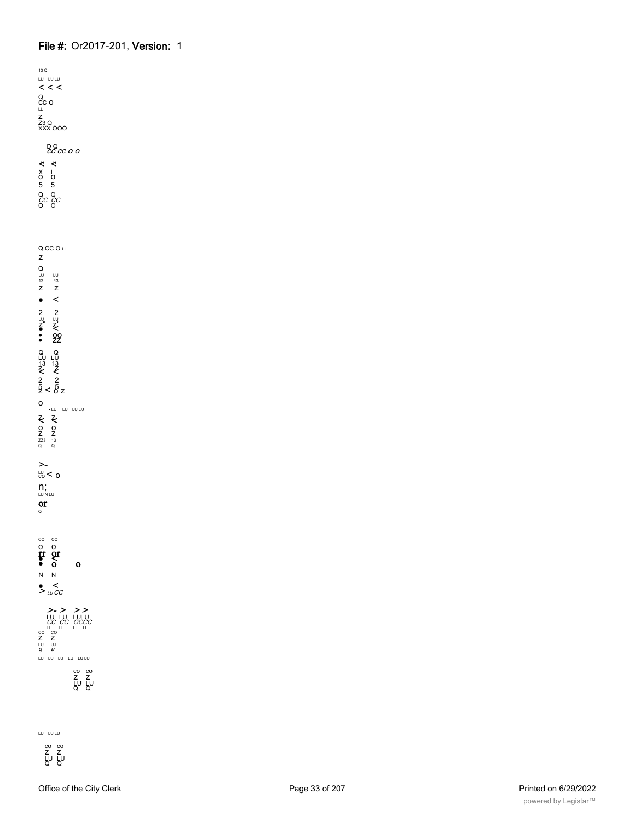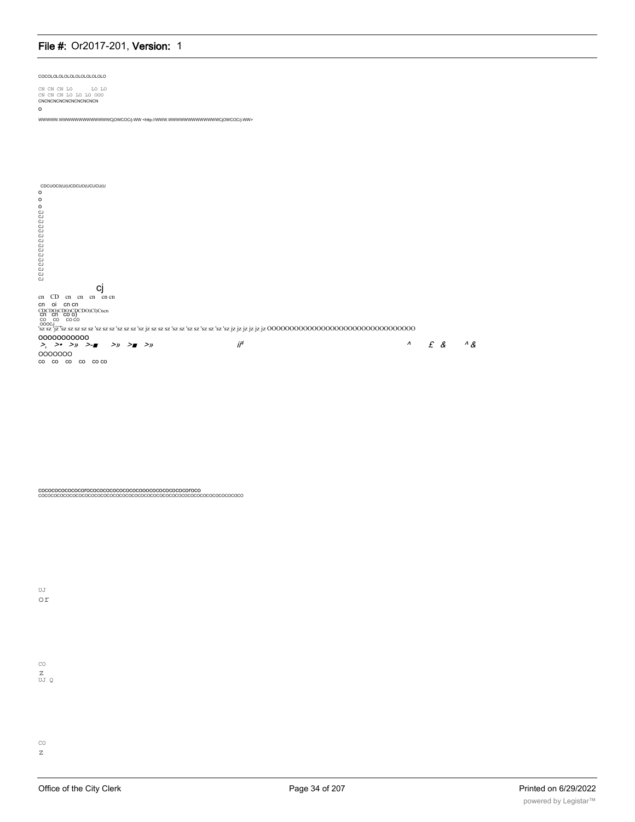COCOFOFOFOFOFOFOFOFOFO

CN CN CN LO LO LO LO<br>CN CN CN LO LO LO 000<br>**CNCNCNCNCNCNCNCNCNCN** 

 $\circ$ 

wwww.wwwwwwwwwwww.cjowcoc/j-ww <http://www.wwwwwwwwwwwwwcjowcoc/j-ww>

O<br>CDCNOC0(N(NCDCNO(NCNCN(N 0 0 3 3 3 3 3 3 3 3 3 3 3 3 3 3 3 3 4  $00000000000$ <br>  $> 0.000000000$ <br>  $> 0.0000000$  $\lambda$  $i^4$  $E R$  $A$  &  $>>$   $>$   $\rightarrow$   $>>$ co co co co co co

 ${\textcolor{red}{0}} {\textcolor{red}{0}} {\textcolor{red}{0}} {\textcolor{red}{0}} {\textcolor{red}{0}} {\textcolor{red}{0}} {\textcolor{red}{0}} {\textcolor{red}{0}} {\textcolor{red}{0}} {\textcolor{red}{0}} {\textcolor{red}{0}} {\textcolor{red}{0}} {\textcolor{red}{0}} {\textcolor{red}{0}} {\textcolor{red}{0}} {\textcolor{red}{0}} {\textcolor{red}{0}} {\textcolor{red}{0}} {\textcolor{red}{0}} {\textcolor{red}{0}} {\textcolor{red}{0}} {\textcolor{red}{0}} {\textcolor{red}{0}} {\textcolor{red}{0}} {\textcolor{red}{0}} {\textcolor{red}{0}} {\textcolor{red}{0}} {\textcolor{$ 

UJ  $\circ$ r

 $_{\rm CO}$  $\begin{bmatrix} Z \\ UJ & Q \end{bmatrix}$ 

 $\circ$ 

 $\rm{z}$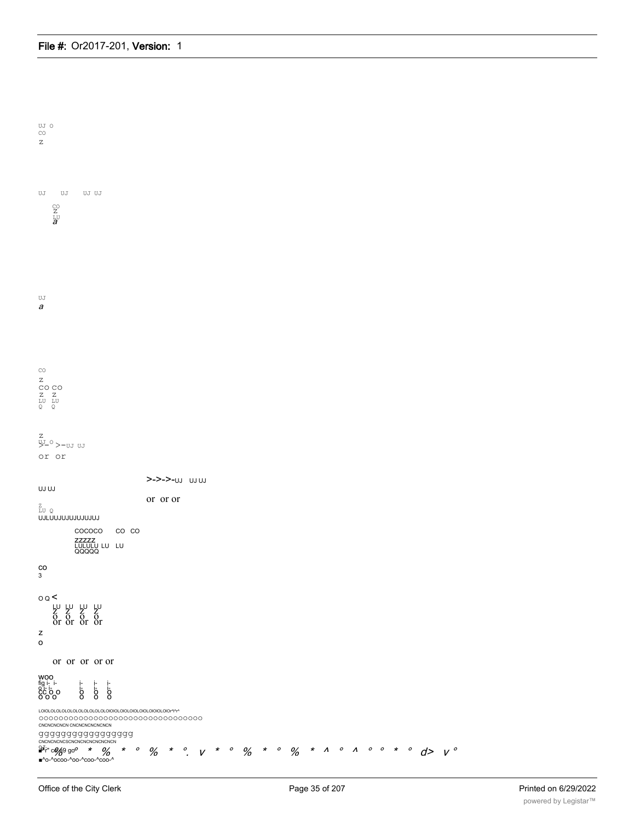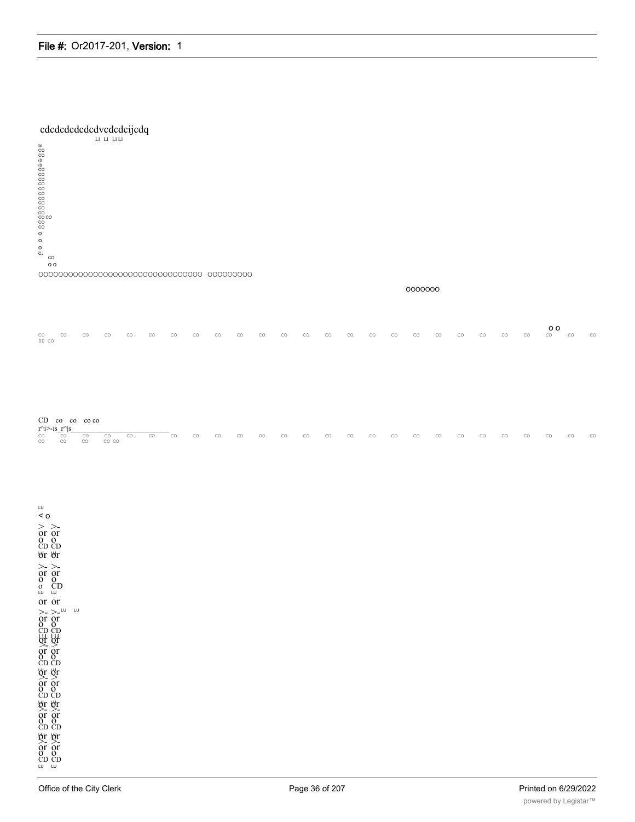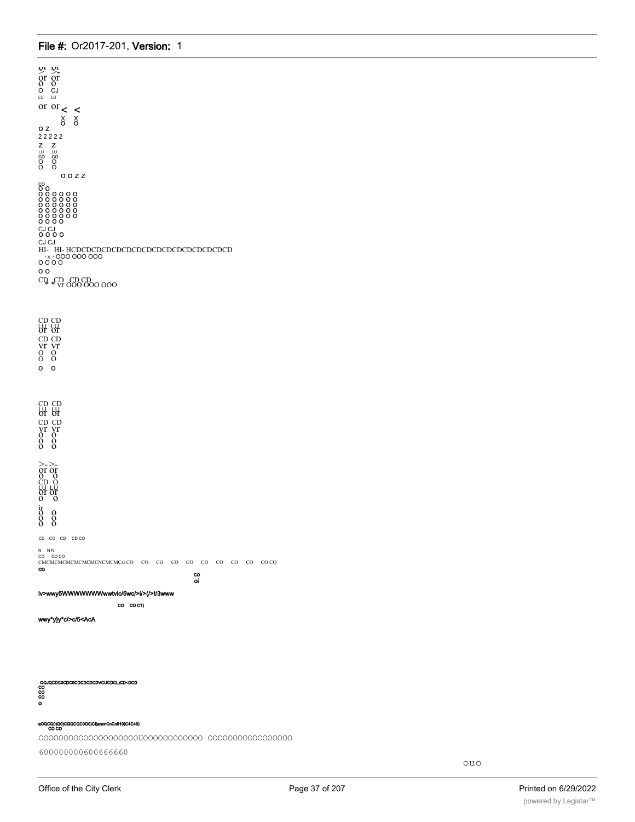| yı yı<br>or<br>or<br>0<br>$\mathbf o$<br>O<br>CJ<br>LU<br>LU<br>or $or <$<br><                                                                                                                                                                                                                                                                                                        |
|---------------------------------------------------------------------------------------------------------------------------------------------------------------------------------------------------------------------------------------------------------------------------------------------------------------------------------------------------------------------------------------|
| š<br>ŏ<br>o z<br>22222<br>Z<br>Z<br><b>DSCO</b><br>LU<br>oosi                                                                                                                                                                                                                                                                                                                         |
| 00Z<br>,000008<br>,00000<br>0000000<br>00000000<br>00000000<br>0000000<br>00000<br>0 0 0 0<br>C1 C1<br>CJ CJ<br>HI- HCDCDCDCDCDCDCDCDCDCDCDCDCDCDCDCD<br>HI-<br>$^{*}$ $\times$ $^{*}$ 000 000 000<br>0 0 0 0<br>0 <sub>0</sub><br>$\begin{array}{c} \text{CP} \\ \text{CP} \\ \text{CP} \end{array}$ $\begin{array}{c} \text{CD} \\ \text{CP} \\ \text{CP} \end{array}$ CD CD CD COO |
| CD <sub>CD</sub><br>₩₩<br>CD CD<br>vr vr<br>$^{\rm o}_{\rm o}$<br>O<br>O<br>o<br>o                                                                                                                                                                                                                                                                                                    |
| CD CD<br>₩₩<br>CD CD<br>$_{0}^{\mathrm{vr}}$<br>$_{0}^{\mathrm{0}}$<br>vr<br>$\overline{0}$<br>$0$                                                                                                                                                                                                                                                                                    |
| >->-<br>or or<br>0<br>0<br>CD<br>0<br>0<br>0<br>0<br>0<br>0<br>$\frac{1}{9}$                                                                                                                                                                                                                                                                                                          |
| $\stackrel{0}{\scriptstyle 0}$<br>$\Omega$<br>$\Omega$<br>CD CO CD CD CO                                                                                                                                                                                                                                                                                                              |
| N NN<br>CO COCO<br>CMCMCMCMCMCMCMCMCMCMCsICO CO CO CO CO CO CO CO CO CO COCO<br>œ<br>co<br>oi                                                                                                                                                                                                                                                                                         |
| iv>wwy5WWWWWWWwwtvic/5wc/>i/>(/>t/3www<br>co cocn)                                                                                                                                                                                                                                                                                                                                    |

wwy"y}y"c/>c/5<AcA



# aOQCQ0)Q0)CQQCQC0O0)Cl)anonCnCn010)C4C40)<br>COCO

600000000600666660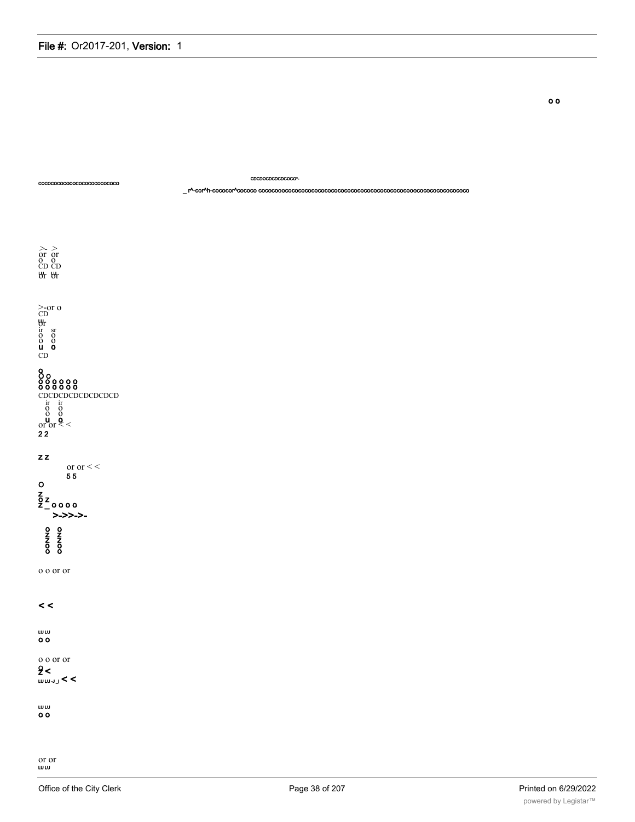

or or<br>ww

 $\mathbf{o} \mathbf{o}$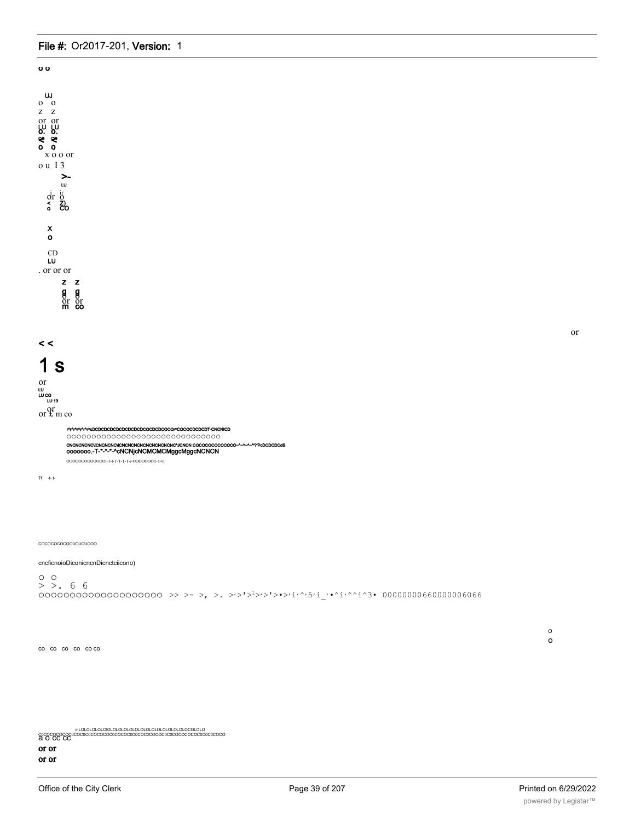

co co co co co co

 $\circ$  $\mathsf{o}$ 

 $\textit{\begin{tabular}{l}c@{0.5cm}c@{0.5cm}c@{0.5cm}c@{0.5cm}c@{0.5cm}c@{0.5cm}c@{0.5cm}c@{0.5cm}c@{0.5cm}c@{0.5cm}c@{0.5cm}c@{0.5cm}c@{0.5cm}c@{0.5cm}c@{0.5cm}c@{0.5cm}c@{0.5cm}c@{0.5cm}c@{0.5cm}c@{0.5cm}c@{0.5cm}c@{0.5cm}c@{0.5cm}c@{0.5cm}c@{0.5cm}c@{0.5cm}c$ or or or or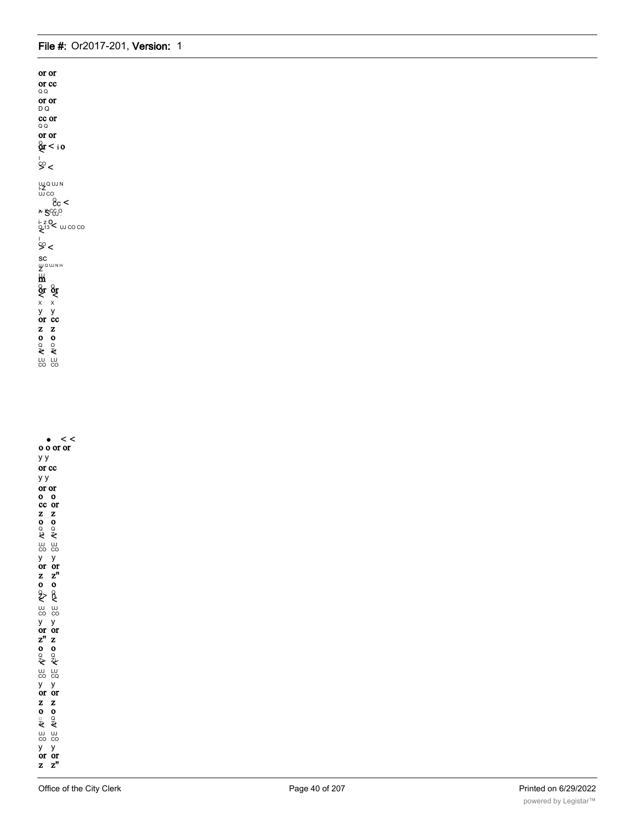| or or<br>or cc<br>QQ<br>or or<br>DQ<br>cc or<br>QQ<br>or or<br>$\frac{1}{2}$ $\frac{1}{2}$<br>ı<br>چ§                                                           |
|-----------------------------------------------------------------------------------------------------------------------------------------------------------------|
| <b>HZ</b> QUJN<br>UJ CO<br>$8c \le$<br>∗ §©ეი<br>$\frac{1}{2}$ i- z o co co co<br>ج ©ِ                                                                          |
| SC<br><b>A</b><br>Momun<br>Ш<br>dr dr<br>$\mathsf{x}$<br>X<br>$\begin{array}{c} y \\ \text{or} \\ cc \end{array}$<br>z z<br>$0$ 0<br>ू<br>≷ ≹<br>LU LU<br>CO CO |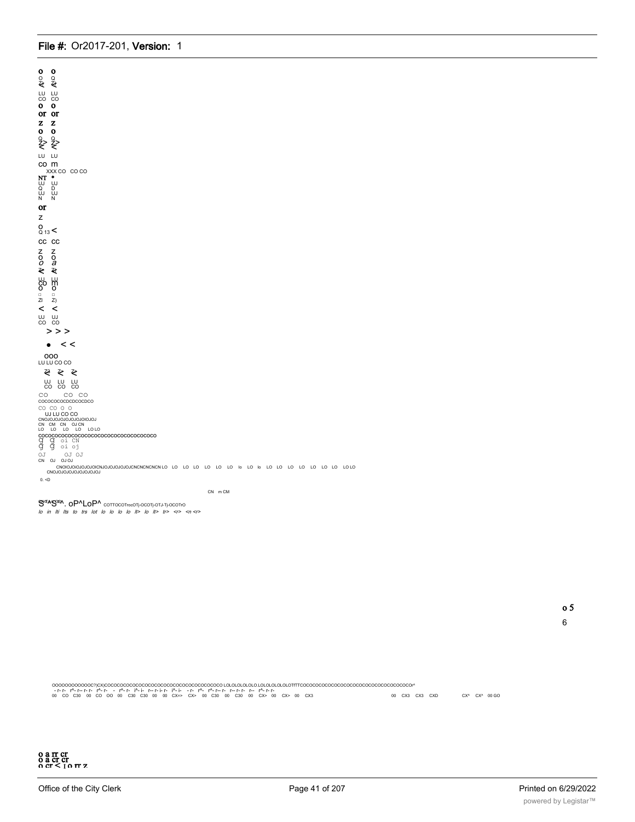| o<br>o<br>$\frac{0}{\mathcal{Q}}$<br>Q<br>₹<br>LU<br>LU<br>CO CO<br>0<br>0<br>or or<br>z<br>z                              |  |  |         |  |  |  |  |  |  |
|----------------------------------------------------------------------------------------------------------------------------|--|--|---------|--|--|--|--|--|--|
| o<br>o                                                                                                                     |  |  |         |  |  |  |  |  |  |
| ಕ್ಷಿ<br>₹<br>LU LU                                                                                                         |  |  |         |  |  |  |  |  |  |
| co m<br>XXX CO CO CO                                                                                                       |  |  |         |  |  |  |  |  |  |
| NT *<br>UJ<br>UJ                                                                                                           |  |  |         |  |  |  |  |  |  |
| a<br>UJ<br>D<br>UJ<br>N<br>N                                                                                               |  |  |         |  |  |  |  |  |  |
| or                                                                                                                         |  |  |         |  |  |  |  |  |  |
| z<br>$_{\tiny{\textrm{Q}}_{13} <$                                                                                          |  |  |         |  |  |  |  |  |  |
| cc cc                                                                                                                      |  |  |         |  |  |  |  |  |  |
| z<br>z<br>$\overline{8}$<br>$\overline{a}$                                                                                 |  |  |         |  |  |  |  |  |  |
| ≷<br>₹                                                                                                                     |  |  |         |  |  |  |  |  |  |
| ga<br>Co<br>₩                                                                                                              |  |  |         |  |  |  |  |  |  |
| $\Box$<br>$\Box$<br>ZI<br>Z)                                                                                               |  |  |         |  |  |  |  |  |  |
| $\,<$<br>$\,<$<br>co co                                                                                                    |  |  |         |  |  |  |  |  |  |
| $>$ $>$                                                                                                                    |  |  |         |  |  |  |  |  |  |
| $\prec$ $\prec$<br>٠                                                                                                       |  |  |         |  |  |  |  |  |  |
| 000<br>LU LU CO CO                                                                                                         |  |  |         |  |  |  |  |  |  |
| ₹<br>ぞ<br>_ হ                                                                                                              |  |  |         |  |  |  |  |  |  |
| UJ<br>CO<br>LU LU<br>CO CO                                                                                                 |  |  |         |  |  |  |  |  |  |
| COCO<br>CO.<br>COCOCOCOCDCDCOCDCO<br>CO CO O O<br>UJ LU CO CO<br>CNO10101010101010101<br>CN CM CN OJCN<br>LO LO LO LO LOLO |  |  |         |  |  |  |  |  |  |
| $cocococococococococococococococococococococococo$<br>g<br>goi CN<br>Goi oj                                                |  |  |         |  |  |  |  |  |  |
| OJ<br>OJ OJ                                                                                                                |  |  |         |  |  |  |  |  |  |
| CN OJ OJ OJ<br>CNO101010101010101                                                                                          |  |  |         |  |  |  |  |  |  |
| $0. < D$                                                                                                                   |  |  |         |  |  |  |  |  |  |
|                                                                                                                            |  |  | CN m CM |  |  |  |  |  |  |

 $S^{q*A}S^{sn}$ ,  $OP^{\Lambda}LOP^{\Lambda}$  cotrocotrosoty-ocoty-oty-picotro $\omega$  in this to tractor to to to to the the tell  $\omega$ 

 $0<sub>5</sub>$  $\,6\,$ 

LO LO

00 CX3 CX3 CXD CX^ CX^ 00 GO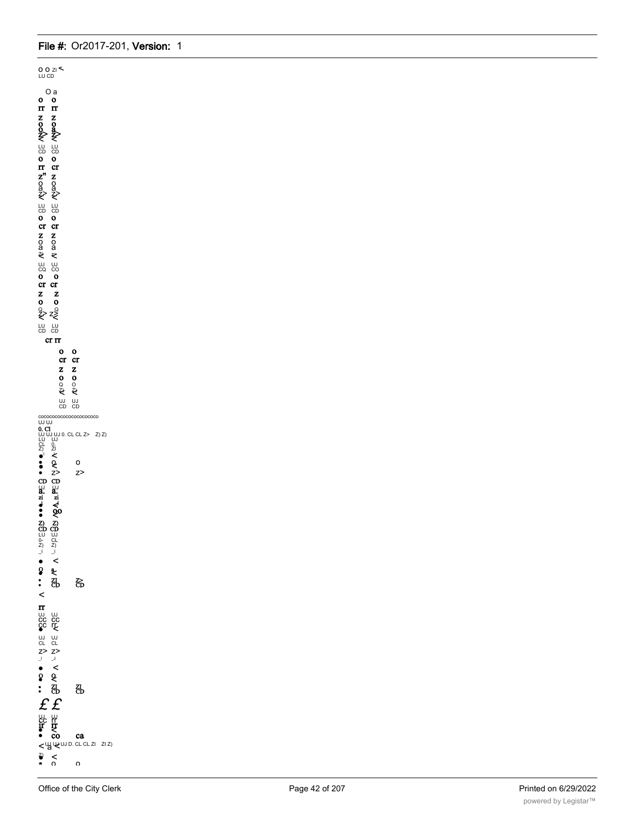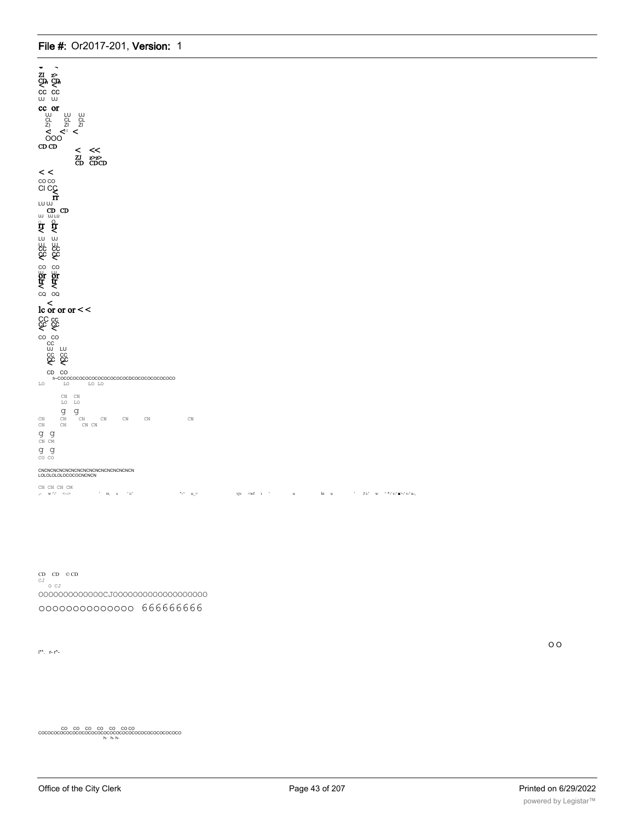

 $CD$   $CD$   $CD$  $\frac{1}{2}$ <br>c<sub>1</sub><br>c<sub>D</sub><br>c<sub>D</sub> 0000000000000 666666666

 $\hat{\mathbf{f}}^{*k}, \quad \mathbf{f} \in \hat{\mathbf{f}}^{k}$ 

 $\overline{O}$ 

 $h-h-h$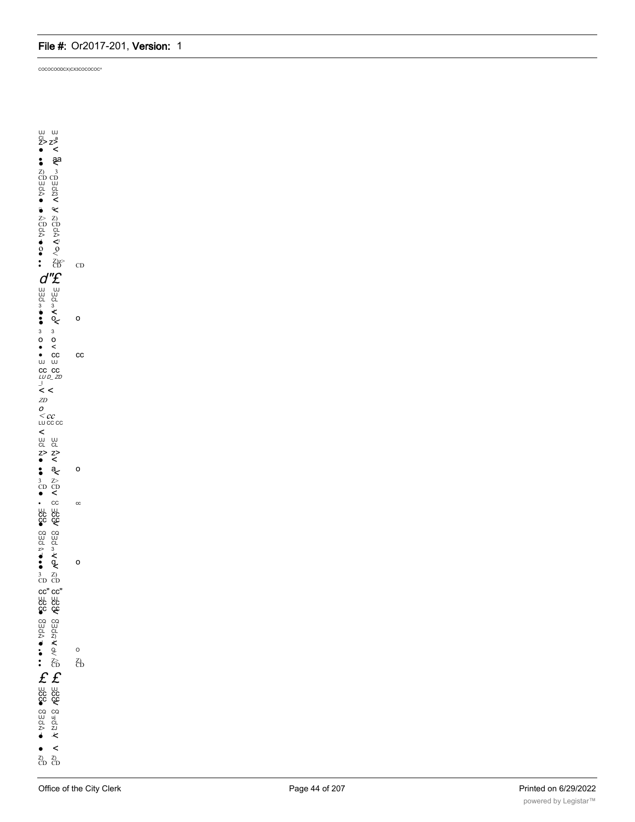cococoopcx)cx3cocococ^

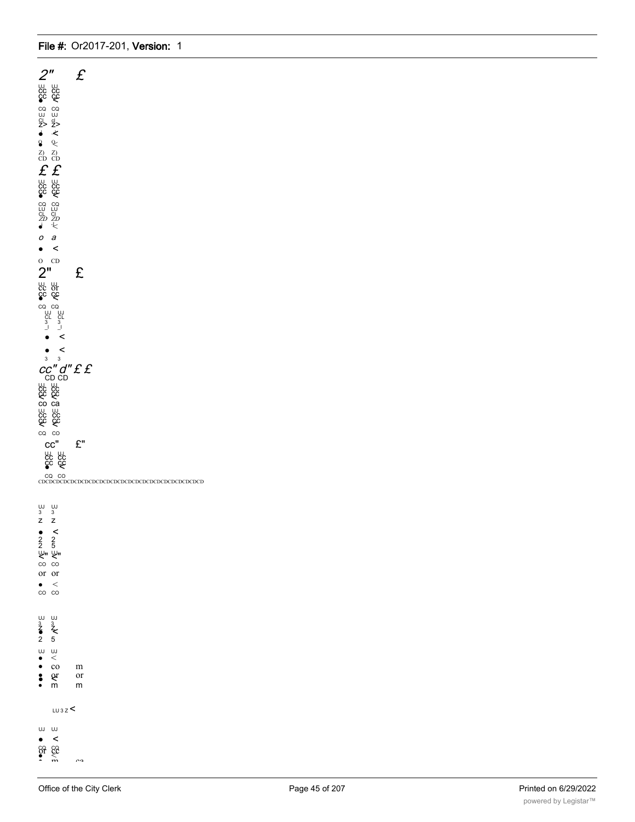

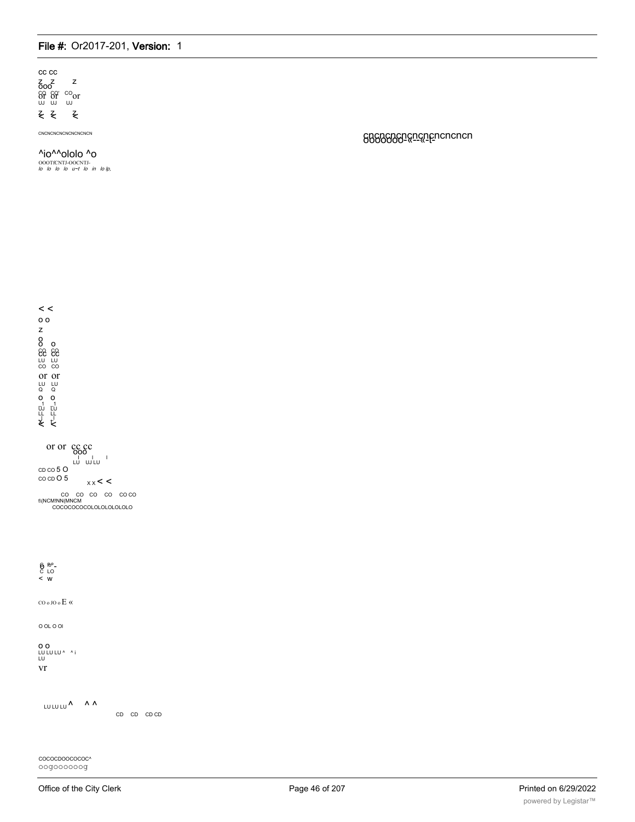| $\frac{Z}{000}$ |                    | 7                                 |
|-----------------|--------------------|-----------------------------------|
| UJ UJ           | 89 89 <sup>'</sup> | $\mathrm{co}_{\mathrm{or}}$<br>UJ |
| ξ ξ             |                    | F                                 |

CNCNCNCNCNCNCNCNCN

^io^^ololo ^o  $000TfCNTJ-OOCNTJ-$ <br>lo lo lo lo u~t lo in lo lp,

 $\mathsf z$ **⊮**−⊧දු - ං ං දු දු දි දි දි දි දි වි<br>″−−⊨දු - ං ං දු දි දි දි දි දි ද

 $\,<$   $<$  $\circ$   $\circ$ 



 $60^{\circ}$ <br>  $00^{\circ}$ <br>  $00^{\circ}$ 

 $_{\rm CO\,o\,JO\,o}\to$ <br/> $\ll$ 

 $0$  OL  $0$  OI

LU<br>LU LU LU ^ | ^ i<br>D O  $\mathbf{v}\mathbf{r}$ 

> LULULU<sup>A</sup> AA  $CD$   $CD$   $CD$   $CD$

cococpoocococ^ boooooood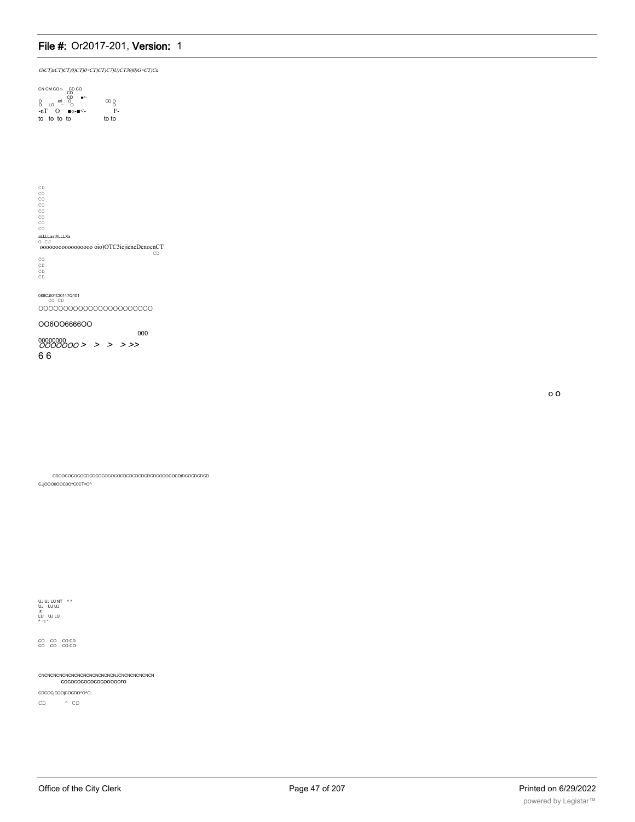GiCT)aCT)CT)0)CT)0>CT)CT)C7)U)CT30)0)G>CT)Cn

 $\begin{array}{c} \text{CD} \text{ O} \\ \text{O} \\ \text{I}^{\text{s}} \text{-} \\ \text{to to} \end{array}$ 

 $\infty$  $\begin{array}{c} {\rm CO} \\ {\rm CD} \\ {\rm CD} \\ {\rm CD} \\ {\rm CD} \end{array}$ 

000CJ01C00117Q101 00000000000000000000000

00600666600

66

 $\circ$   $\circ$ 

CJj000000C00^C0CT>0^

000

v if: <sub>\*</sub><br>rn mnn<br>mnnn<br>mnnnu vv

 $\begin{array}{ccc} \text{CO} & \text{CO} & \text{CO}\text{CO} \\ \text{CO} & \text{CO} & \text{CO}\text{CO} \end{array}$ 

 $\mathsf{CDCOC}$ j $\mathsf{COC}$ j $\mathsf{COC}$ D $\mathsf{O^{\wedge}O^{\wedge}O}};$  $_{\rm CD}$  $^\wedge$  CD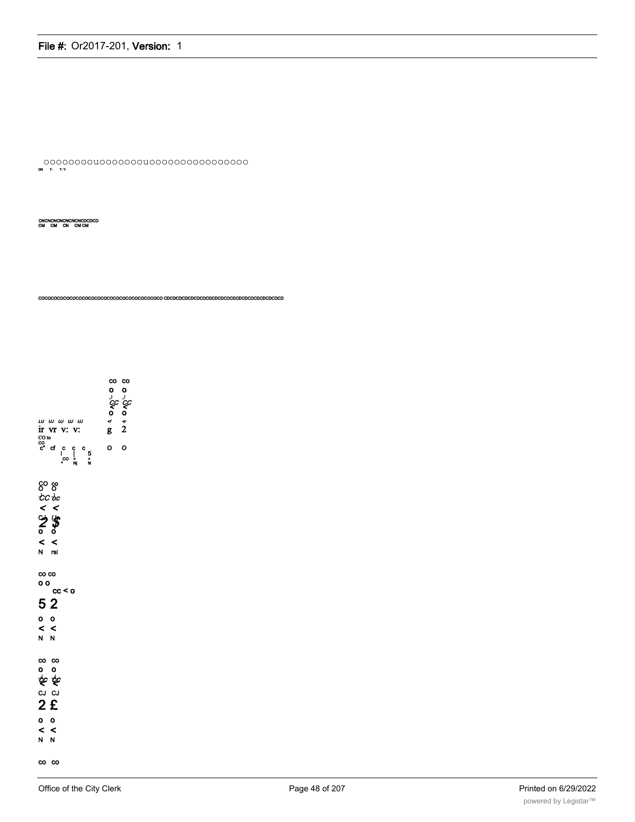CNCNCNCNCNCNCNCDCDCD<br>CM CM CN CM CM

8<br>၁၀-၁<br>၁၀-၁<br>၁၀-၁ "<br> **ir vr v**: v:<br>
2010<br>
2010<br>
2010<br>
2010<br>
2010  $\begin{array}{cc}\n\downarrow & \downarrow \\
\uparrow & \uparrow \\
g & 2\n\end{array}$  $\sum_{i=1}^{n}$  $0$  0  $\int_{0}^{c}$  $\begin{matrix} 1 & 1 \\ 2 & 5 \\ 5 & 6 \\ 1 & 1 \end{matrix}$ z A 9 \ S A 30 08<br>a A 9 0 \$ A 30 08  $\cos$  $\sum_{\text{oc} < \text{o}}$ 52  $\begin{array}{c} 0 & 0 \\ 0 & 0 \\ 0 & 0 \\ N & N \end{array}$ 2009000<br>190900  $0$  0  $<$ 

 $\cos$   $\cos$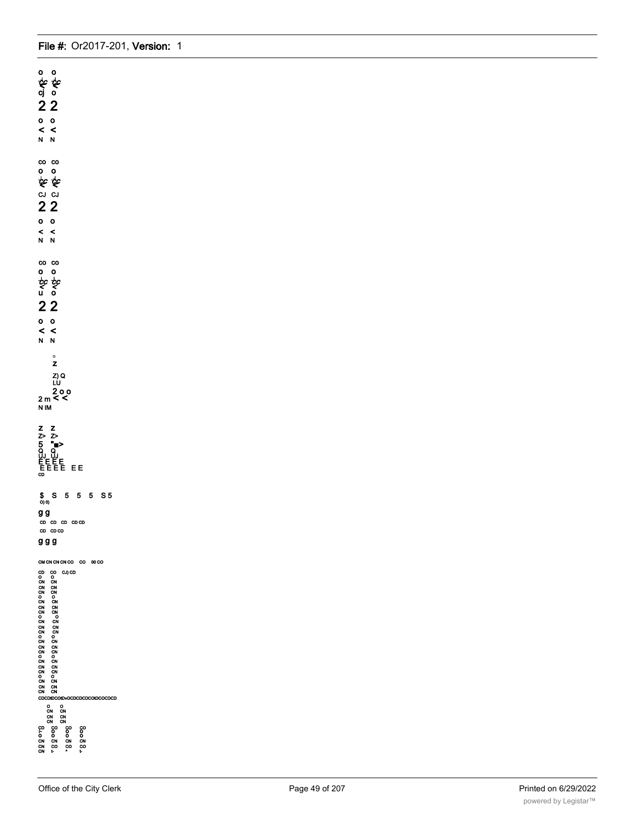

CO CO CO CO CO CO CO CO CO CO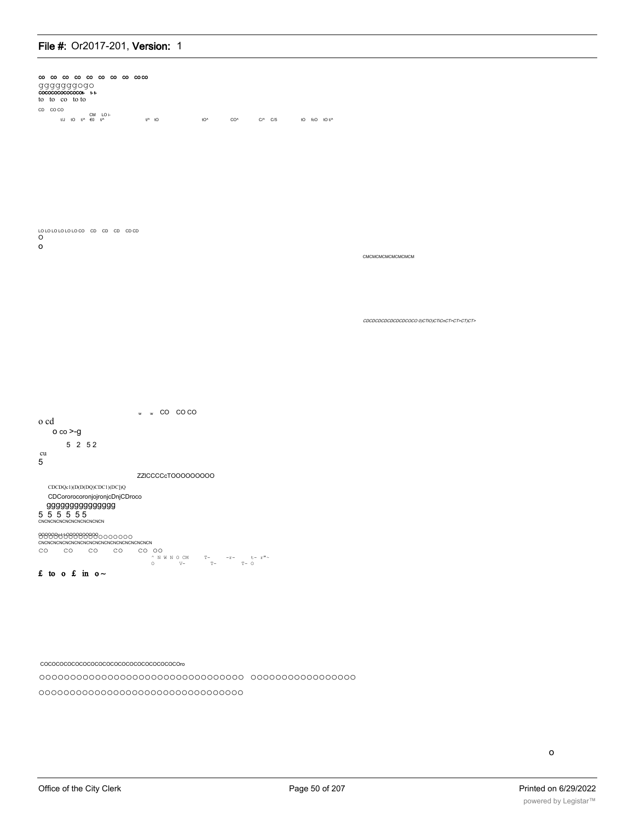| co co co co co co co co co coco<br>ddddddodo<br>COCOCOCOCOCOCO4- 1-1-<br>to to co to to<br>$CD$ $CO$ $CO$<br>CM LO <sub>i</sub> -                                                                                                                                                                                                                                                                                                                                                                                                                                                                                                                                 |                                             |
|-------------------------------------------------------------------------------------------------------------------------------------------------------------------------------------------------------------------------------------------------------------------------------------------------------------------------------------------------------------------------------------------------------------------------------------------------------------------------------------------------------------------------------------------------------------------------------------------------------------------------------------------------------------------|---------------------------------------------|
| $t/J \quad tO \quad t'^{\wedge} \quad \in \!0 \quad t'^{\wedge}$<br>$t/\wedge$ tO<br>tO <sup>^</sup><br>CO <sup>^</sup><br>$C/ C/5$<br>tO fcO tO t/^                                                                                                                                                                                                                                                                                                                                                                                                                                                                                                              |                                             |
| LOLOLOLOLOLOCO CD CD CD CDCD<br>O<br>$\mathsf{o}$                                                                                                                                                                                                                                                                                                                                                                                                                                                                                                                                                                                                                 |                                             |
|                                                                                                                                                                                                                                                                                                                                                                                                                                                                                                                                                                                                                                                                   | СМСМСМСМСМСМСМСМ                            |
|                                                                                                                                                                                                                                                                                                                                                                                                                                                                                                                                                                                                                                                                   | CDCDCDCDCDCDCDCOCO 0)CTIO)CTiCnCT>CT>CT)CT> |
|                                                                                                                                                                                                                                                                                                                                                                                                                                                                                                                                                                                                                                                                   |                                             |
| w w CO COCO<br>o cd<br>$o co$ >-g<br>5 2 5 2<br>cu<br>5<br>ZZICCCCcT000000000<br>CDCDQc1)(D(D(DQ)CDC1)(DC])Q<br>CDCororocoronjojronjcDnjCDroco<br>99999999999999<br>5 5 5 5 5 5<br>CNCNCNCNCNCNCNCNCNCNCN<br>88888988888880000000<br>co co co co co oo<br>$\begin{array}{ccccc} \wedge& {\mathbb{N}}& {\mathbb{N}}& {\mathbb{N}}& {\mathbb{O}}& {\mathbb{C}\mathbb{M}}\\ \mathbb{O}&&{\mathbb{V}}^-& &\mathbb{T}^-& &\mathbb{T}^-&{\mathbb{O}}\\ \end{array} \qquad \begin{array}{ccccc} \mathbb{T}^-& &-\mathbb{r}^-& &\mathbb{t}^-& \mathbb{r}^{\mathbb{T}}\sim\\ &\mathbb{T}^-&{\mathbb{O}}& &\mathbb{T}^-&{\mathbb{O}}\\ \end{array}$<br>£ to o £ in $o \sim$ |                                             |
|                                                                                                                                                                                                                                                                                                                                                                                                                                                                                                                                                                                                                                                                   |                                             |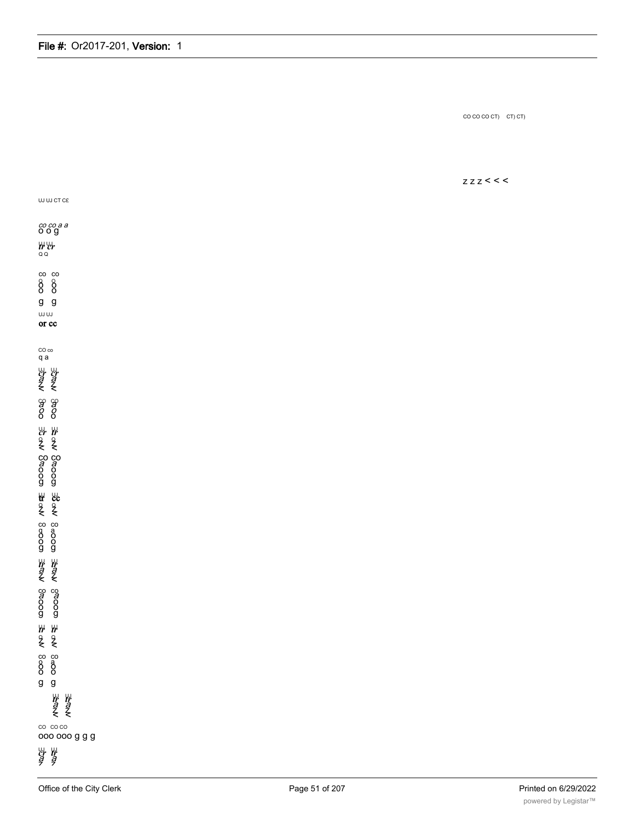UJ UJ CT C£

CO CO CO CT) CT) CT)

*co co a a*<br>O O g UJ UJ *tr cr* Q Q co co <sup>Q</sup> <sup>O</sup> o o o o g g UJ UJ or cc CO co q a UJ UJ *cr cr* <sup>a</sup> <sup>a</sup>  $z \overline{z}$ CO CO <sup>a</sup> <sup>a</sup> o o o o UJ UJ *cr tr* 2 z co co a a o o o o g g tt cc 2 z co co <sup>q</sup> <sup>a</sup> <sup>o</sup> <sup>o</sup> o o g g UJ UJ *tr tr* a a <sup>z</sup> <sup>z</sup> < < co co <sup>a</sup> <sup>a</sup> o o o o g g UJ UJ *tr tr* 2 z co co <sup>o</sup> <sup>a</sup> <sup>o</sup> <sup>o</sup> o o g g UJ UJ *tr tr* a a <sup>z</sup> <sup>z</sup> < < CO CO CO ooo ooo g g g UJ UJ *cr tr* a a z z

z z z < < <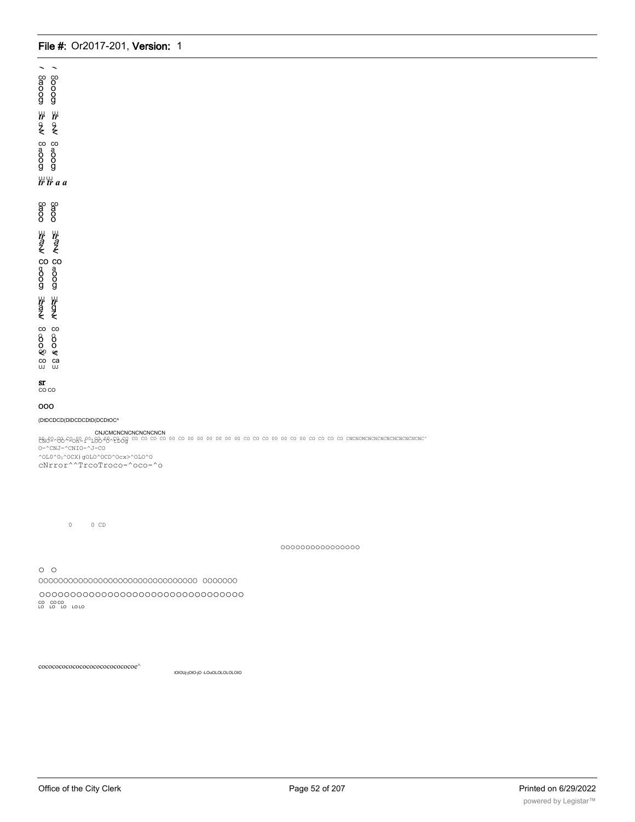| ∼<br>$\overline{\phantom{a}}$<br>Saoab<br>gooog<br>ゅう<br>$\mathcal{W}$<br>$\frac{9}{5}$<br>$H$ <sup><math>\forall</math></sup> <i>i</i> $a$ $a$                       |
|-----------------------------------------------------------------------------------------------------------------------------------------------------------------------|
| အဝေ<br>၁၀၀၀                                                                                                                                                           |
| ゆるく<br>Wag<br>K<br>မ<br>၁၀၀<br>၁၀၀<br>၁၀၀                                                                                                                             |
| M<br>Q<br><<br>ゆえく                                                                                                                                                    |
| $_{\rm CO}$<br>$_{\rm co}$<br>$8\,$<br>$\rm 8$<br>œ<br>œ<br>co ca<br>UJ<br>UJ                                                                                         |
| ${\bf S}{\bf r}$<br>co co                                                                                                                                             |
| 000                                                                                                                                                                   |
| (DtDCDCD(DIDCDCDtD(DCDtOC^                                                                                                                                            |
| 0-^CNJ-^CNIO-^J-CO<br>$^{\wedge}$ OL0 $^{\wedge}$ O $^{\wedge}$ OCX) gOLO $^{\wedge}$ OCD $^{\wedge}$ Ocx> $^{\wedge}$ OLO $^{\wedge}$ O<br>cNrror^^TrcoTroco-^oco-^o |

 $0$  CD  $\circ$ 

000000000000000

 $\circ\hspace{0.15cm}\circ$ 

 $\begin{array}{ccccc}\n\multicolumn{3}{c}\n\multicolumn{3}{c}\n\multicolumn{3}{c}\n\multicolumn{3}{c}\n\multicolumn{3}{c}\n\multicolumn{3}{c}\n\multicolumn{3}{c}\n\multicolumn{3}{c}\n\multicolumn{3}{c}\n\multicolumn{3}{c}\n\multicolumn{3}{c}\n\multicolumn{3}{c}\n\multicolumn{3}{c}\n\multicolumn{3}{c}\n\multicolumn{3}{c}\n\multicolumn{3}{c}\n\multicolumn{3}{c}\n\multicolumn{3}{c}\n\multicolumn{3}{c}\n\multicolumn{3}{c}\n\multicolumn{3}{c}\n\$ 

IOIOUj-jOIO-jO -LOuOLOLOLOLOIO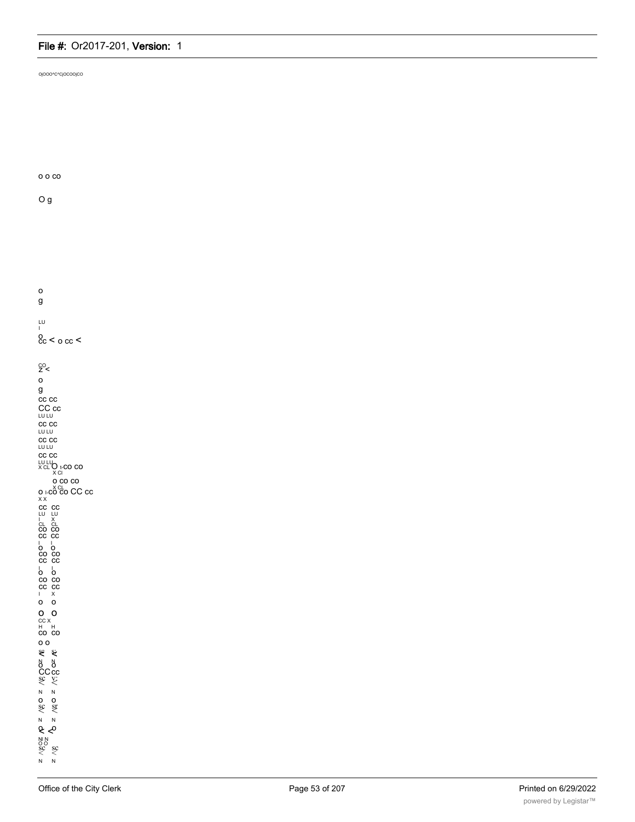0j000^C^Cj0C00jC0

 $000$ 

 $\hbox{O g}$ 

 $\circ$ 

 $\boldsymbol{g}$  $\frac{1}{2}$  $\frac{0}{c}$ co cc <  $\frac{5}{2}$  $\mathsf{o}$  $\frac{9}{2}$  cc cc<br>CC cc<br> $\frac{10}{2}$ LU LU<br>CC CC<br>LU LU<br>CC CC<br>LU LU  $\frac{8}{25}$ <br>  $\frac{8}{25}$ <br>  $\frac{8}{25}$ <br>  $\frac{8}{25}$ <br>  $\frac{8}{25}$ <br>  $\frac{8}{25}$ <br>  $\frac{8}{25}$ <br>  $\frac{8}{25}$ <br>  $\frac{8}{25}$ <br>  $\frac{8}{25}$ <br>  $\frac{8}{25}$ <br>  $\frac{8}{25}$ <br>  $\frac{8}{25}$ <br>  $\frac{8}{25}$ <br>  $\frac{8}{25}$ <br>  $\frac{8}{25}$ <br>  $\frac{8}{25}$ <br>  $\frac{8}{25}$ <br>  $\frac{8$  $cc$   $cc$  $\begin{array}{c}\n0 \\
0 \\
0 \\
0\n\end{array}$  $\circ$   $\circ$  $\mathbf{y}$  &  $\begin{array}{l} \mathcal{L} \subset \mathcal{L} \subset \mathcal{L} \subset \mathcal{L} \subset \mathcal{L} \subset \mathcal{L} \subset \mathcal{L} \subset \mathcal{L} \subset \mathcal{L} \subset \mathcal{L} \subset \mathcal{L} \subset \mathcal{L} \subset \mathcal{L} \subset \mathcal{L} \subset \mathcal{L} \subset \mathcal{L} \subset \mathcal{L} \subset \mathcal{L} \subset \mathcal{L} \subset \mathcal{L} \subset \mathcal{L} \subset \mathcal{L} \subset \mathcal{L} \subset \mathcal{L} \subset \mathcal{L} \subset \mathcal{L} \subset \mathcal{L$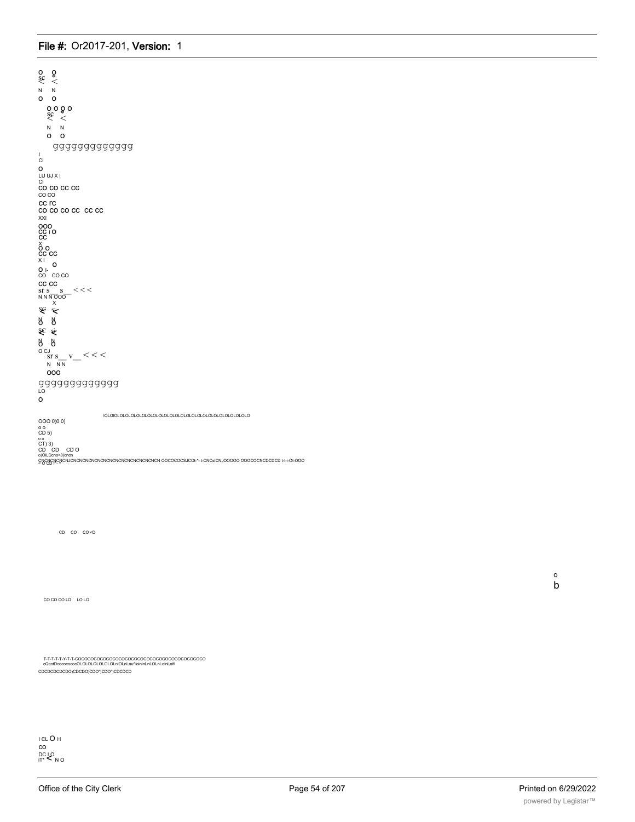| ò                                               |  |
|-------------------------------------------------|--|
| $\frac{0}{5}$<br>$\,<$                          |  |
| N<br>N                                          |  |
| o<br>o                                          |  |
| 0.0000<br>$\stackrel{\text{sc}}{\leq}$<br>$\,<$ |  |
| N<br>N                                          |  |
| o<br>o                                          |  |
| dddddddddddd                                    |  |
| $\mathbf{I}$<br>CI                              |  |
| о                                               |  |
| LU UJ X I<br><b>CI</b>                          |  |
| co co cc cc<br>CO <sub>CO</sub>                 |  |
| cc rc                                           |  |
| co co co cc cc cc<br>XXI                        |  |
| 000                                             |  |
| CC 10<br>CC                                     |  |
| δo                                              |  |
| cc cc<br>ΧI                                     |  |
| o<br>O <sub>1</sub>                             |  |
| CO COCO<br>CC CC                                |  |
| <<<br>sr s<br>$\mathbf{s}$<br>N N N OOO         |  |
| X<br>چې چ                                       |  |
| b<br>b                                          |  |
| چ⊙ sن                                           |  |
| b<br>b                                          |  |
| O CJ                                            |  |
| $v \leq$ < < <<br>sr s<br>N NN                  |  |
| 000                                             |  |
| dddddddddddd                                    |  |
| LO                                              |  |
| о                                               |  |
|                                                 |  |
| $OOO$ $0)0$ $0)$<br>0 <sub>0</sub>              |  |
| CD <sub>5</sub><br>$^{\circ}$                   |  |
| CT(3)<br>CD CD<br>CD O                          |  |
| o)OiLDcno>0)cncn                                |  |

 $CD$   $CO$   $CO < D$ 

CO CO CO LO LO LO

CDCDCDCDCDO)CDCDO)CDO")CDO")CDCDCD

 $\overset{\circ}{b}$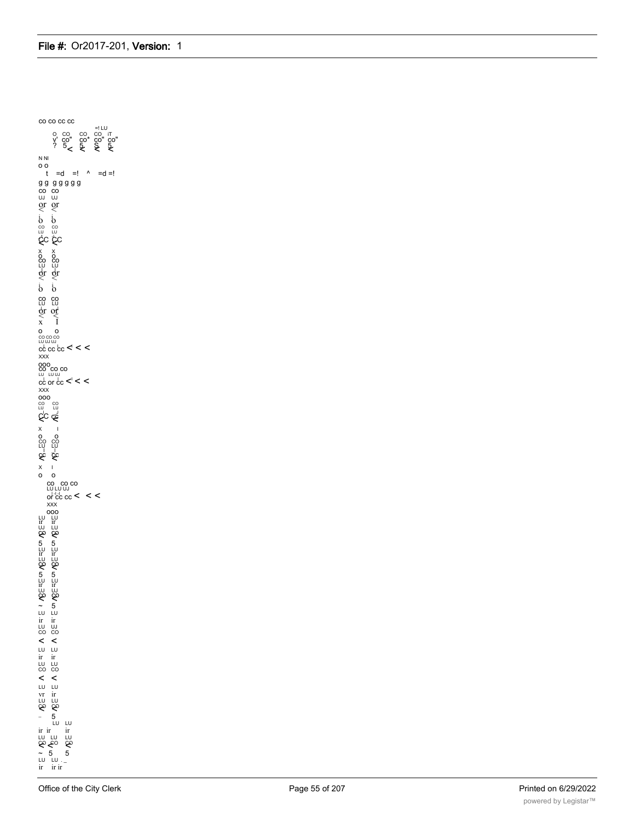$\cos$  co  $\cos$   $\cos$ N<sub>N</sub>  $\circ$  $=!$  ^  $=$ d =!  $t = d$ هـ. ۱<del>8 1</del>8<br>مـ. ۱<del>8 1</del>83 × 193<del>1م</del>.<br>مـ. ۱<del>8</del> 192  $\begin{array}{l} \times \times \times \rightarrow ^{0} \times \rightarrow ^{0} \times \rightarrow ^{0} \times \rightarrow ^{0} \times \rightarrow ^{0} \times \rightarrow ^{0} \times \rightarrow ^{0} \times \rightarrow ^{0} \times \rightarrow ^{0} \times \rightarrow ^{0} \times \rightarrow ^{0} \times \rightarrow ^{0} \times \rightarrow ^{0} \times \rightarrow ^{0} \times \rightarrow ^{0} \times \rightarrow ^{0} \times \rightarrow ^{0} \times \rightarrow ^{0} \times \rightarrow ^{0} \times \rightarrow ^{0} \times \rightarrow ^{0} \times \rightarrow ^{0} \times \rightarrow ^{0} \times \rightarrow ^{0} \times \rightarrow ^{0} \times \rightarrow ^{0} \$  $\begin{array}{l} 0 \times \sqrt{8} - \text{E} 80 \times \sqrt{8} - \text{E} 88 \times \text{E} 8 \\ \text{E} 8 \times \text{E} 8 \times \text{E} 8 \times \text{E} 8 \\ \text{E} 8 \times \text{E} 8 \times \text{E} 8 \times \text{E} 8 \\ \text{E} 8 \times \text{E} 8 \times \text{E} 8 \times \text{E} 8 \times \text{E} 8 \times \text{E} 8 \times \text{E} 8 \times \text{E} 8 \times \text{E} 8 \times \text{E} 8 \times \text{E} 8 \times$ V<br>SE <sub>L</sub>i E v 82 = E v 82 = E v 82 = E v 82 = E v 82 = E e 8 × 2 = E 8<br>SE Li E v 82 = E v 82 = E v 82 = E v 82 = E v 82 = E v 82 = E 8<br>22 = E v 82 = E v 82 = E v 82 = E v 82 = E v 82 = E v 82 = E 8<br>28 = E v 82 = E v 82 = E  $\begin{array}{c} \n\text{iv} \\ \n\text{iv} \\ \n\text{iv} \\ \n\text{iv} \\ \n\text{iv} \\ \n\text{iv} \\ \n\text{iv} \\ \n\text{iv} \\ \n\text{iv} \end{array}$ in 28<br>∂<br>5  $\overline{a}$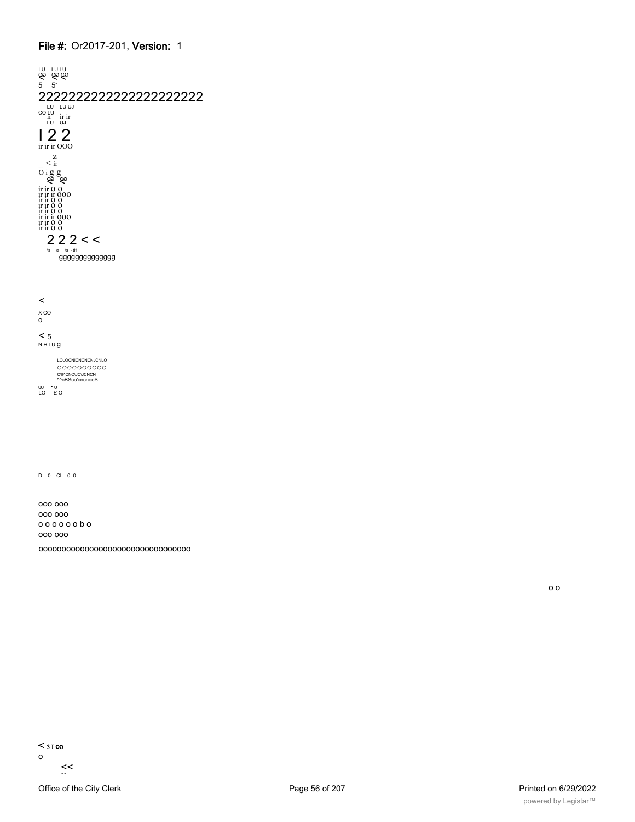

ooo ooo ooo ooo o o o o o o b o ooo ooo

ooooooooooooooooooooooooooooooooo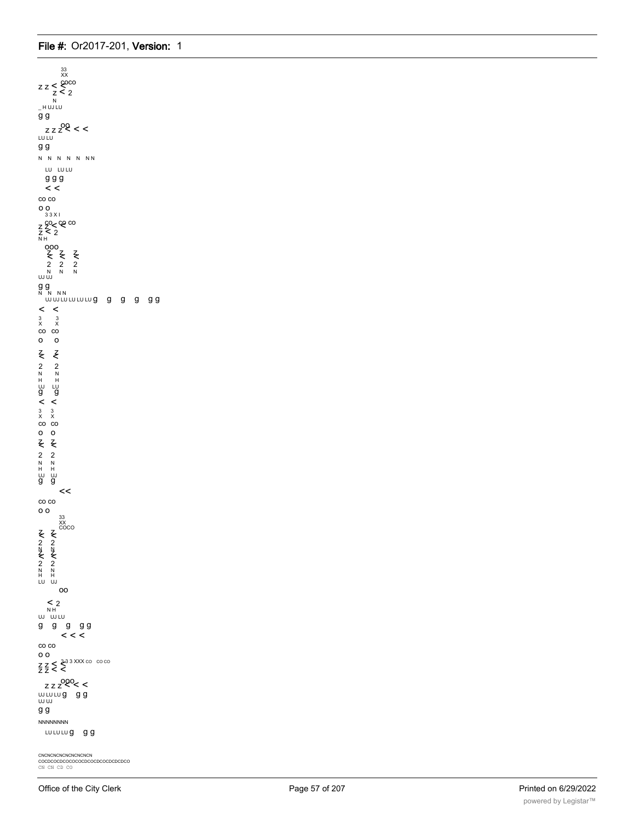

CNCNCNCNCNCNCNCNCNCN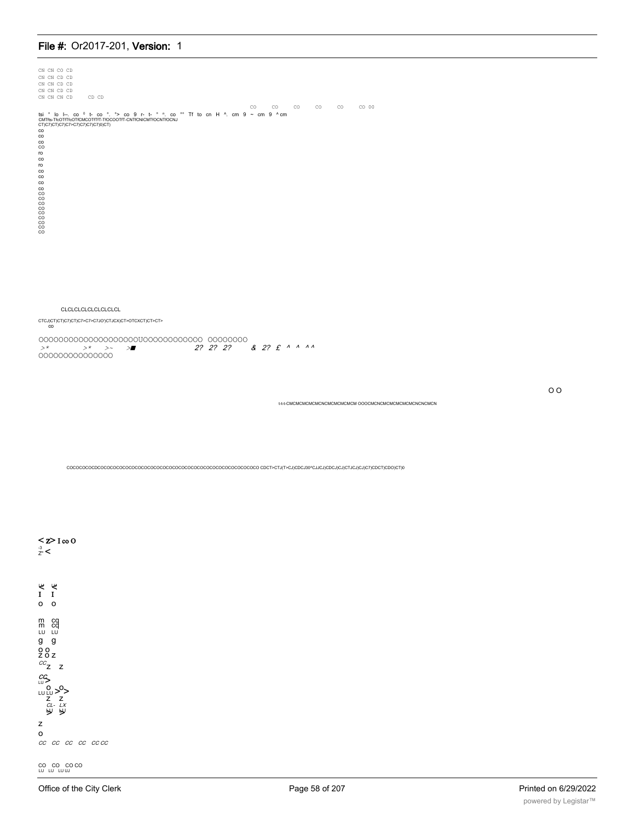

 $\overline{O}$ 



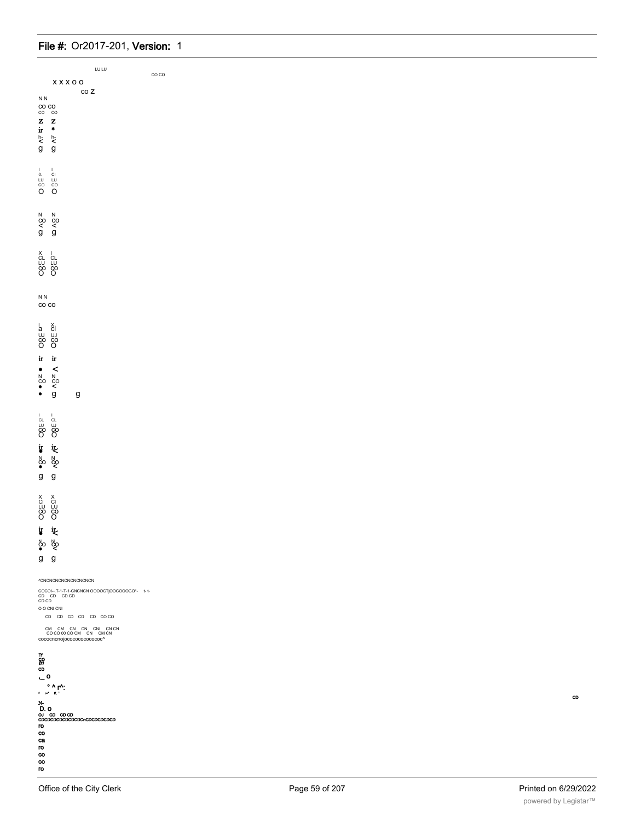

CM CM CN CN CNI CNCN<br>CO CO 00 CO CM CN CM CN<br>COCOCNCNOjOCOCOCOCOCOCOC^

7<br>co<br>,\_ o ° ^ r^: ^ r~\* if, <sup>1</sup> N-<br>D. O<br>OJ CD CDCDCDCDCDCDCDCDCDCDCDCD<br>ro<br>co<br>co<br>co<br>co

CD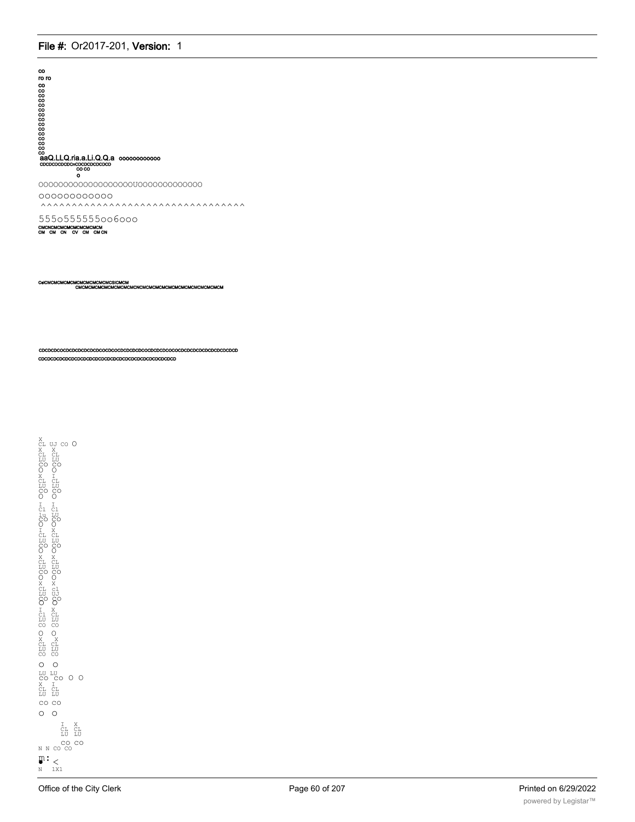

oooooooooooo  $\lambda$ 

555o555555oo6ooo CMCNCMCMCMCMCMCMCMCM CM CM CN CV CM CM CN

CslCMCMCMCMCMCMCMCMCMCMCSICMCM CMCMCMCMCMCMCMCMCMCNCMCMCMCMCMCMCMCMCMCMCMCMCM

CDCDCDCOCDCDCDCDCDCDCOCDCOCDCDCDCDCOCDCDCDCOCOCDCDCDCDCDCDCDCDCDCD CDCDCDCDCDCDCDCDCDCDCDCDCDCDCDCDCDCDCDCDCDCDCD

0<br>CC CO CO<br>CL CL CL<br>CL CL CL<br>CL UJ CO O<br>X X<br>X<br>CL UJ CO O I I Cl Cl lu LU co co O O I X CL CL LU LU co co O O X X CL CL LU LU co co O O X X CL cl LU UJ co co o o I X Cl CL LU LU CO CO O O<br>X X<br>CL CL<br>CL CL<br>CO CO  $\begin{array}{lcl} \texttt{O} & \texttt{O} \\ \texttt{O} & \texttt{CO} \end{array} \hspace{1mm} \begin{array}{lcl} \texttt{O} & \texttt{O} \\ \texttt{O} & \texttt{CO} \end{array}$ co co o o  $\begin{array}{cc} \Gamma \Gamma & \Gamma \Gamma \\ \Gamma \Gamma & \Gamma \Gamma \\ \Gamma \Gamma & \Gamma \Gamma \end{array}$ co co N N CO CO  $\displaystyle\mathop{\bullet}\limits_{\tiny{\rm N}}\vphantom{\Big\vert}_{\mathop{\rm N\infty}}$  :  $\displaystyle\mathop{<}\limits_{\tiny{\rm N\,1}}$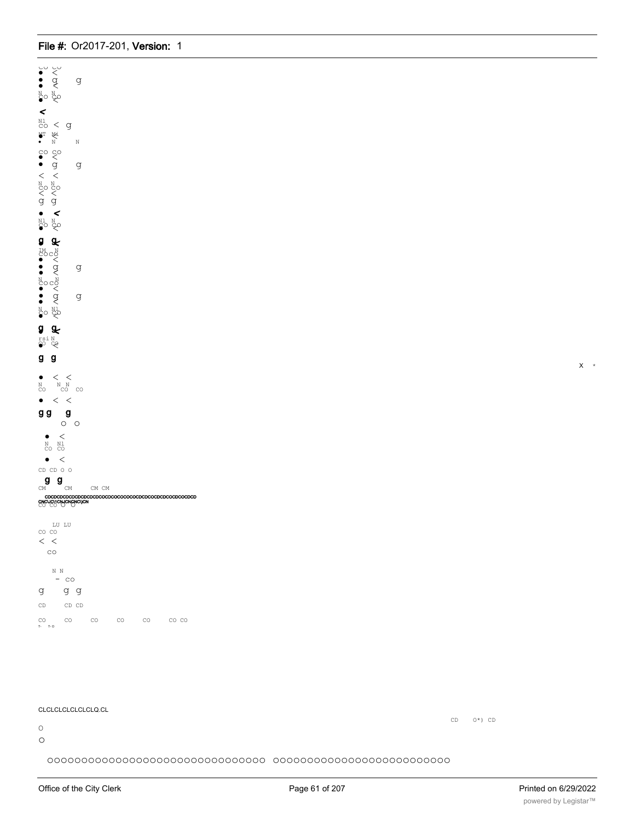

CLCLCLCLCLCLCLQ.CL

 $\circ$  $\circ$   $\texttt{CD} \qquad \texttt{O*)} \quad \texttt{CD}$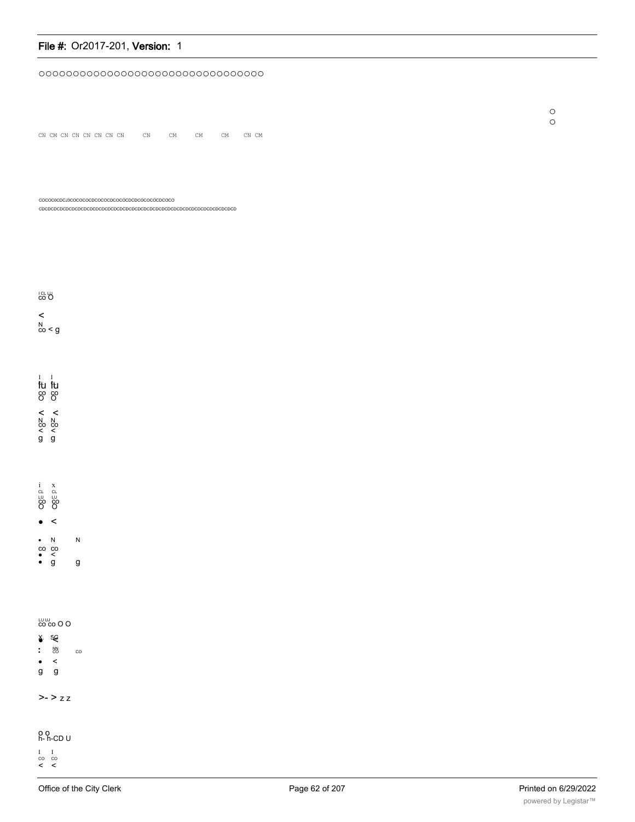#### 

CN CM CN CN CN CN CN CN  $\mathbb{C}\mathbb{N}$ CM CN CM  $CM$  $CM$ 

<sub>LCL</sub>以  $\,<$  $_{\text{co}}^{\text{N}}$  < g  $\frac{1}{1}$ itu fitu<br>60 00  $V \ge 2$ <br>a  $V \ge 2$ <br>a  $V \ge 2$  $\begin{array}{cc} i & x \\ \text{cl} & \text{cl} \\ \text{CO} & \text{CO} \\ \text{O} & \text{O} \end{array}$  $\bullet$  $\prec$  $\bullet$  N  ${\sf N}$  $\begin{array}{ccc} 0 & 0 \\ 0 & 0 \\ 0 & 0 \end{array}$  $\boldsymbol{g}$ 

#### $\frac{100}{100}$  O O

- ¥.  $5<sup>C</sup>$
- $\vdots$  $\frac{NN}{CO}$  $_{\rm co}$  $\,<$  $\bullet$
- g  $\boldsymbol{g}$
- 

 $>$   $>$   $z$   $z$ 

0 0<br>h- h-CD U

- $\begin{array}{ccc} I & I \\ \text{co} & \text{co} \\ < & < \end{array}$
- 

 $\circ$  $\circ$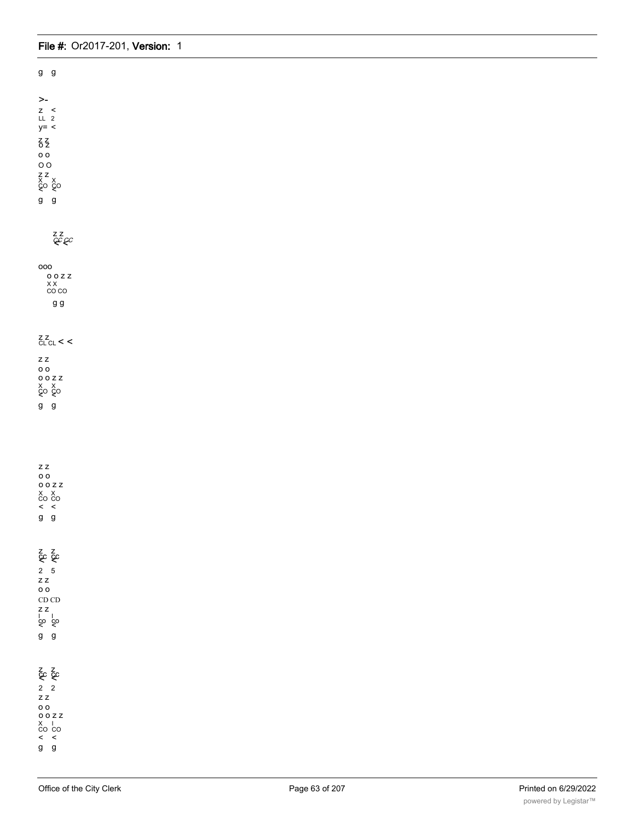| $g$ $g$                                                                                                                                                                                         |  |  |  |
|-------------------------------------------------------------------------------------------------------------------------------------------------------------------------------------------------|--|--|--|
| <b>PARTIES</b><br>2000<br>2000<br>2000<br>2000<br>2000<br>3000                                                                                                                                  |  |  |  |
| $\overset{\text{Z} \, \text{Z}}{\mathscr{C}\mathscr{C}}$                                                                                                                                        |  |  |  |
| 000<br>0 0 Z Z<br>X X<br>CO CO<br>g g                                                                                                                                                           |  |  |  |
| ${}^Z_\text{CLCL} <$ $<$<br>zz<br>oo<br>oozz<br>xo xo<br>go go<br>go go                                                                                                                         |  |  |  |
| $\mathsf{Z}\ \mathsf{Z}$<br>$00$<br>$00$ Z Z<br>$X_0$ X<br>$0$ C $\leq$<br>$g$ $g$                                                                                                              |  |  |  |
| $\begin{array}{c}\nZ & Z \\ Z & 5 \\ 2 & 5 \\ Z & 0\n\end{array}$<br>$\mathop{\rm CD}\nolimits$ $\mathop{\rm CD}\nolimits$<br>$\frac{77}{9}$<br>$\frac{1}{9}$<br>$\frac{1}{9}$<br>$\frac{1}{9}$ |  |  |  |
|                                                                                                                                                                                                 |  |  |  |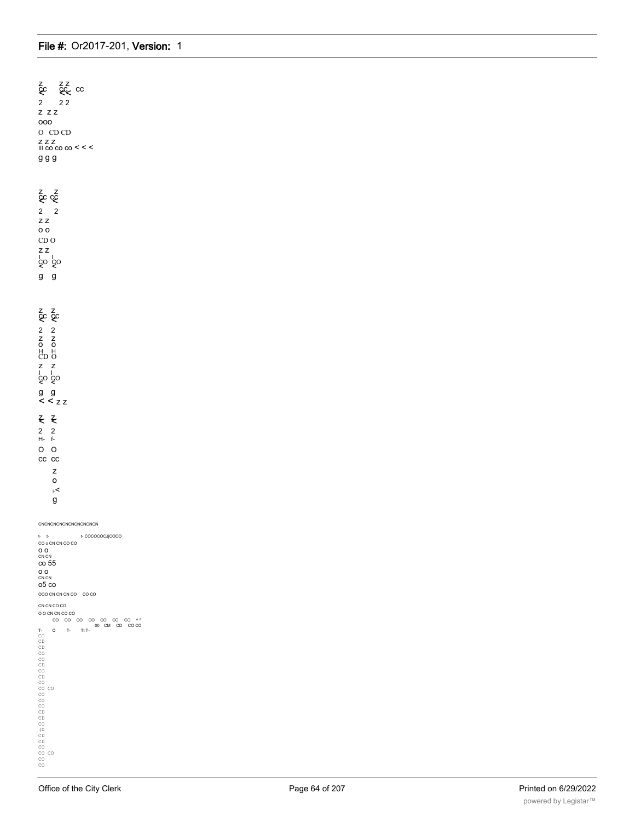| $\begin{array}{ccc} Z & & ZZ \\ \mathcal{L} & & \mathcal{L}Z \\ 2 & & 22 \end{array}$ cc<br>$Z$ $Z$ $Z$<br>000<br>O $CDCD$<br>$Z$ $Z$ $Z$<br>III co co co < < <<br>$\mathfrak g$ g g                                                                                                                                                                                                |  |  |  |
|-------------------------------------------------------------------------------------------------------------------------------------------------------------------------------------------------------------------------------------------------------------------------------------------------------------------------------------------------------------------------------------|--|--|--|
| $\frac{z}{\xi c}$ $c\overline{\xi}$<br>$2 \quad 2$<br>$\mathsf{Z}\ \mathsf{Z}$<br>$\circ$ $\circ$<br>CDO<br>$\begin{array}{c} 2Z \\   \\ Q0 \end{array}$<br>$g$ $g$                                                                                                                                                                                                                 |  |  |  |
| $\begin{array}{c} z & z \\ \downarrow & \downarrow \\ \zeta_0 & \zeta_0 \end{array}$<br>$\frac{g}{2}$ $\frac{g}{2}$                                                                                                                                                                                                                                                                 |  |  |  |
| $\xi$ $\xi$<br>$\begin{array}{cc} 2 & 2 \\ H - f - \end{array}$<br>$O$ $O$<br>$cc$ $cc$<br>$\mathsf z$<br>$\mathsf{o}$<br>$\mathbf{R}$<br>$\boldsymbol{g}$                                                                                                                                                                                                                          |  |  |  |
| CNCNCNCNCNCNCNCNCNCN<br>t-COCOCOCJjCOCO<br>$\mathbf{t}_\mathrm{t} = \mathbf{t}_\mathrm{t}$<br>CO o CN CN CO CO<br>0 <sub>0</sub><br>CN CN<br>co 55<br>0 <sub>0</sub><br>CN CN<br>o5 co<br>000 CN CN CN CO CO CO                                                                                                                                                                     |  |  |  |
| CN CN CO CO<br>O O CN CN CO CO<br>co co co co co co co ^^<br>$T$ - 0 $T$ - $T$ t $T$ - 00 CM CD COCO<br>CO<br>$_{\rm CD}$<br>$_{\rm CD}$<br>$_{\rm CO}$<br>$_{\rm CO}$<br>$_{\rm CD}$<br>CO<br>$_{\rm CD}$<br>$_{\rm CO}$<br>CO CO<br>CO<br>CO<br>$_{\rm CO}$<br>$_{\rm CD}$<br>$_{\rm CD}$<br>CO<br>(0)<br>$_{\rm CD}$<br>$_{\rm CD}$<br>CO<br>CO CO<br>$_{\rm CO}$<br>$_{\rm CO}$ |  |  |  |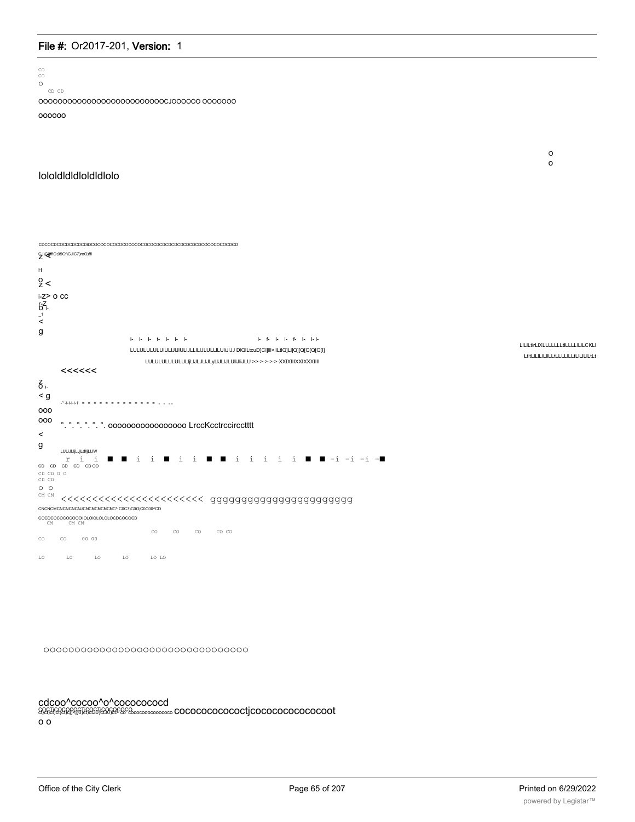$_{\rm co}^{\rm co}$  $\circ$ 

 $CD CD$ 

000000

#### lololdldldloldldlolo

CJ)CHffiO;05Cf)CJIC7)roO)ffl  $\mathsf{H}% _{\mathsf{H}}\left( \mathsf{H}_{1}\right)$  $\frac{0}{2}$  $i-Z$  O CC  $6^2$  $\frac{1}{\leq}$ g  $\mathbb{R}^2$  . In the fields of  $\mathbb{R}^2$  $\| \cdot \|_2 \leq \| \cdot \|_2 \leq \| \cdot \|_2 \leq \| \cdot \|_2 \leq \| \cdot \|_2 \leq \| \cdot \|_2 \leq \| \cdot \|_2$ LULULULULUIULIJJJULIJLLILIJLULLILUIJJJJ DIQILtcuDJCIJII<IILtIQ]LIJQ][Q[Q[Q[Q[]] LULULULULULULULIJLIJLIJLIJLIJLIJLIJLUIIJIiJLU >>->->->->-XXIXIIIXXIXXXIIII  $<<<<$  $\overline{6}$  i- $\leq$  g  $\mathcal{I} \text{-}\mathrm{H}\mathrm{H}\mathrm{H}\text{-}\mathrm{I} \text{-}\mathrm{I} \text{-}\mathrm{I} \text{-}\mathrm{I} \text{-}\mathrm{I} \text{-}\mathrm{I} \text{-}\mathrm{I} \text{-}\mathrm{I} \text{-}\mathrm{I} \text{-}\mathrm{I} \text{-}\mathrm{I} \text{-}\mathrm{I} \text{-}\mathrm{I} \text{-}\mathrm{I} \text{-}\mathrm{I} \text{-}\mathrm{I} \text{-}\mathrm{I} \text{-}\mathrm{I} \text{-}\mathrm{I} \text{-}\mathrm{I} \text{-}\mathrm{I} \text{-}\mathrm{I} \text{-}\mathrm{I} \text{-}\mathrm{I} \text{-}\mathrm{I$ 000 000 °. °. °. °. °. ooooooooooooooooo LrccKcctrccircctttt  $\,<$  $\boldsymbol{g}$ LULiJLIjLJjLdIIjLIJW  $\begin{array}{ccccc} & & \text{r} & \text{i} & \text{i} \\ \text{co} & \text{co} & \text{co} & \text{co} & \text{co} \text{co} \end{array}$  $\blacksquare$   $\blacksquare$  i  $\begin{array}{l} \texttt{CD} \texttt{ CD} \texttt{ O} \\ \texttt{CD} \texttt{ CD} \end{array}$  $\circ$   $\circ$ CM CM CNCNCMCNCNCNCNJCNCNCNCNCNCNC<sup>A</sup> C0C7)C0OjC0C00<sup>A</sup>CD  $\begin{array}{cc} \texttt{COCDCOCOCOCOCO} \\ \texttt{CM} & \texttt{CM} \end{array}$  $_{\rm CO}$  $CO$  $CO$   $CO$   $CO$   $CO$  $_{\rm CO}$ CO 00 00

 $\begin{tabular}{lllll} \multicolumn{2}{l}{{\footnotesize \text{LO}}} & \multicolumn{2}{l}{\footnotesize \text{LO}} & \multicolumn{2}{l}{\footnotesize \text{LO}} \\ & \multicolumn{2}{l}{\footnotesize \text{LO}} & \multicolumn{2}{l}{\footnotesize \text{LO}} & \multicolumn{2}{l}{\footnotesize \text{LO}} \\ \multicolumn{2}{l}{\footnotesize \text{LO}} & \multicolumn{2}{l}{\footnotesize \text{LO}} & \multicolumn{2}{l}{\footnotesize \text{LO}} \\ \multicolumn{2}{l}{\footnotesize \text{LO}} & \multicolumn{2}{l}{\footnotesize \text{LO}}$  $LO LO$  $L_{\Omega}$ 

 $0<sub>0</sub>$ 

 $\circ$  $\Omega$ 

**LILILtirLIXLLLLLLLLtlLLLLILICKLI** 

LtitLiLiLiLiLLtLLLLLLLtLlLlLiLtLt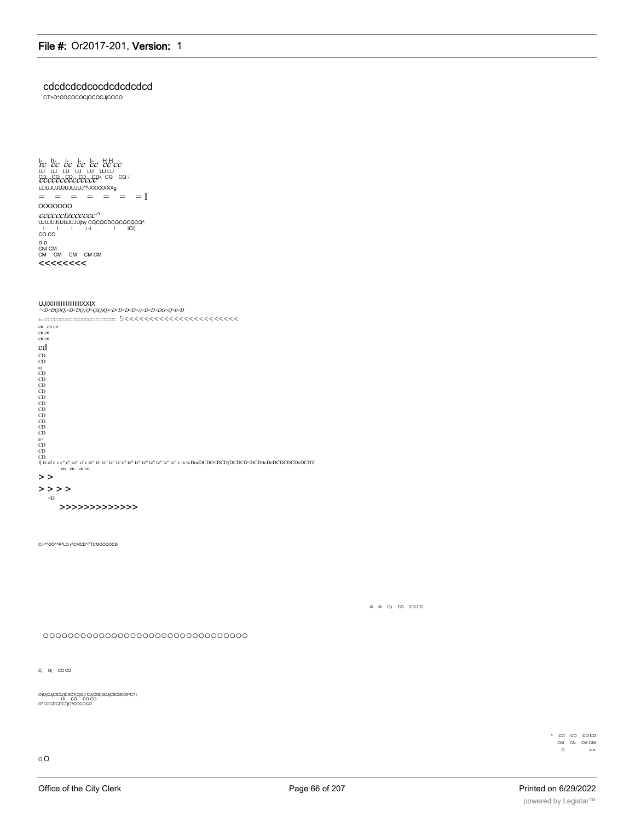cdcdcdcdcocdcdcdcdcd

CT>0^COCOCOCjOCOCJjCOCO

ic die die die die die eerstelender.<br>Een die die die die volgens<br>Een die die die die volgens van die volgens van die volgens van die volgens van die volgens van die volgens va LLIUJUJUJUJUJUJ<sup>k5</sup>-XXXXXXXg  $=$   $=$   $=$   $=$   $=$   $=$   $=$   $[$ 0000000 00<br>CNICM<br>CM CM CM CMCM  $<<<<<<$ 

**UJIXIIIIIIIIIIIIIIIIXXIX**<br>^~D~DQ3Q)<D~DQ}Q>QiQ)Q)<D~D~D~D~i)<D~D~DG>Q>0~D cn cn cn<br>cn cn<br>cn cn  $>$   $>$  $>$  > > >  $<\!\!D$ 

Cn'^^OO^^P^LO r^CMCD^TTCMCOCOCD

>>>>>>>>>>>>>>

 $Cj$   $Oj$   $CO CO$ 

O)OjCJjC0CJjC0C7jOjC0 CJ)C0C0CJjC0CD000^C7)<br>| CO CO CO<br>O^COCDCDCTjO^COCOCO

 $\circ$  O

 $\land$  co co co co co CM CN CM CNI  $\Omega$ 

 $t - r$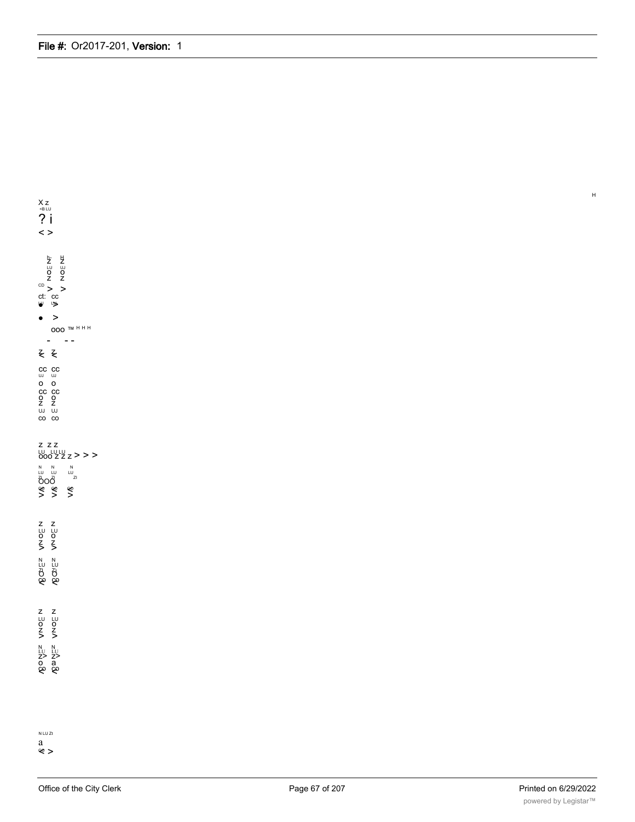

N LU Zt a<br> $\underset{\infty}{\approx}$   $\mathbf{H}$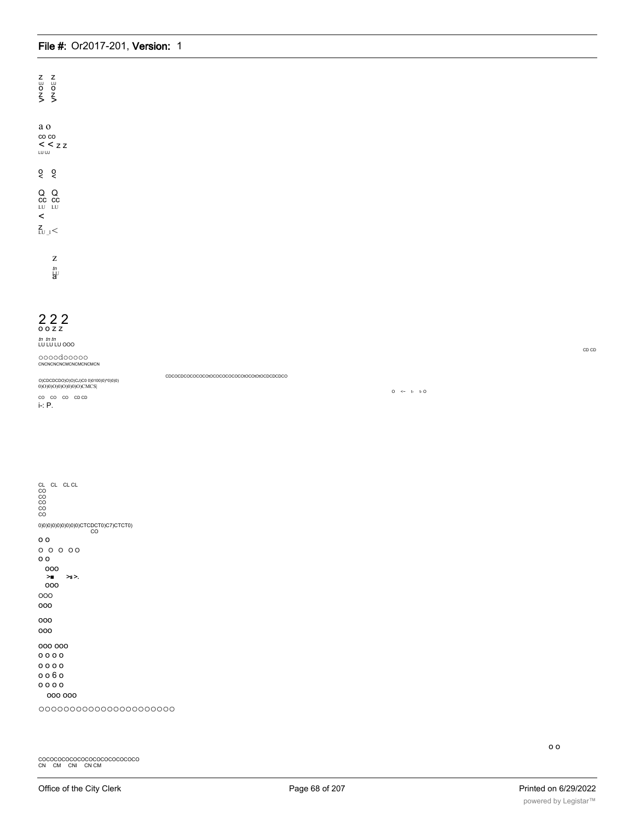| $\begin{array}{c} Z \\ 0 \\ 0 \\ Z \\ 5 \end{array}$                         |  |                                                       |           |
|------------------------------------------------------------------------------|--|-------------------------------------------------------|-----------|
|                                                                              |  |                                                       |           |
|                                                                              |  |                                                       |           |
|                                                                              |  |                                                       |           |
|                                                                              |  |                                                       |           |
| a o                                                                          |  |                                                       |           |
| co co                                                                        |  |                                                       |           |
|                                                                              |  |                                                       |           |
| LU UJ                                                                        |  |                                                       |           |
|                                                                              |  |                                                       |           |
|                                                                              |  |                                                       |           |
| o<br>S<br>S                                                                  |  |                                                       |           |
|                                                                              |  |                                                       |           |
| QQ                                                                           |  |                                                       |           |
| $cc$ $cc$                                                                    |  |                                                       |           |
| ${\rm LU-LU}$                                                                |  |                                                       |           |
| $\,<$                                                                        |  |                                                       |           |
|                                                                              |  |                                                       |           |
| $\frac{Z}{LU}$ $\frac{1}{AC}$                                                |  |                                                       |           |
|                                                                              |  |                                                       |           |
|                                                                              |  |                                                       |           |
|                                                                              |  |                                                       |           |
| $\mathbf{Z}% ^{T}=\mathbf{Z}^{T}\times\mathbf{Z}^{T}$                        |  |                                                       |           |
| $\overset{\scriptscriptstyle\textit{in}}{\mathtt{a}}$                        |  |                                                       |           |
|                                                                              |  |                                                       |           |
|                                                                              |  |                                                       |           |
|                                                                              |  |                                                       |           |
|                                                                              |  |                                                       |           |
|                                                                              |  |                                                       |           |
| 222                                                                          |  |                                                       |           |
|                                                                              |  |                                                       |           |
|                                                                              |  |                                                       |           |
| $\begin{array}{c} \hbox{\it{tn th}} \\ \hbox{\it{LU LU LU 000}} \end{array}$ |  |                                                       |           |
|                                                                              |  |                                                       | $CD$ $CD$ |
| oooodooooo                                                                   |  |                                                       |           |
| CNCNCNCNCMCNCMCNCMCN                                                         |  |                                                       |           |
|                                                                              |  |                                                       |           |
| O)CDCDCDO)O)O)CJ)C0 0)0100)0)^0)0)0)                                         |  |                                                       |           |
| 0)O)O)O)O)O)O)O)O)O)CMCS                                                     |  | $0 \quad \  \  \sim \quad \  t \quad \  \  t \cdot 0$ |           |
| CO CO CO CD CD                                                               |  |                                                       |           |
| i-: $P$ .                                                                    |  |                                                       |           |
|                                                                              |  |                                                       |           |
|                                                                              |  |                                                       |           |
|                                                                              |  |                                                       |           |
|                                                                              |  |                                                       |           |
|                                                                              |  |                                                       |           |
|                                                                              |  |                                                       |           |
|                                                                              |  |                                                       |           |
|                                                                              |  |                                                       |           |
|                                                                              |  |                                                       |           |
| CL CL CL CL<br>CO<br>CO<br>CO<br>CO<br>CO                                    |  |                                                       |           |
|                                                                              |  |                                                       |           |
|                                                                              |  |                                                       |           |
|                                                                              |  |                                                       |           |
|                                                                              |  |                                                       |           |
| 0)0)0)0)0)0)0)0)0)0)CTCDCT0)C7)CTCT0)<br>CO                                  |  |                                                       |           |
|                                                                              |  |                                                       |           |

o o O O O O O o o ooo  $>_s$ ooo OOO ooo ooo ooo ooo ooo o o o o o o o o o o 6 o o o o o

ooo ooo

oooooooooooooooooooooo

COCOCOCOCOCOCOCOCOCOCOCOCO CN CM CNI CN CM

o o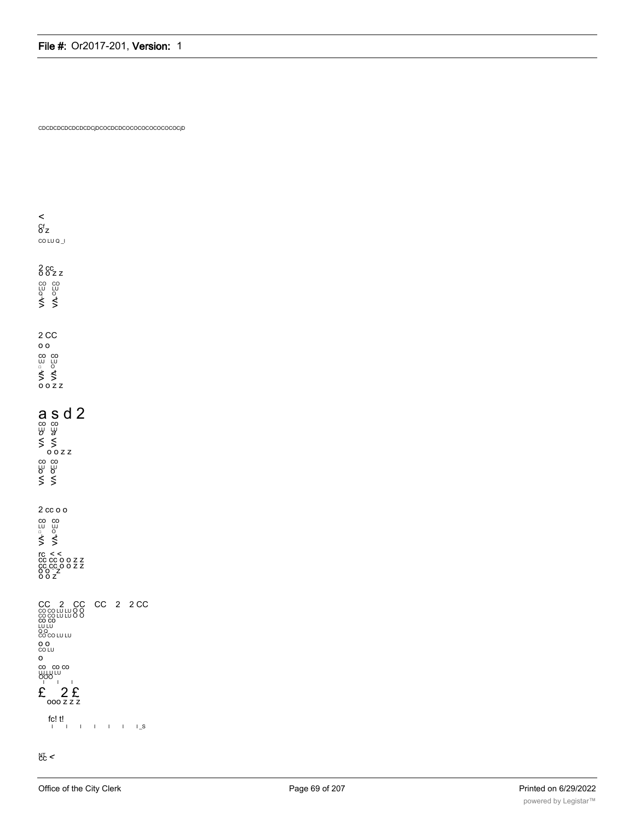CDCDCDCDCDCDCDCjDCOCDCDCOCOCOCOCOCOCOCjD

 $\,<$ Cf o z CO LU Q \_l 2 cc o o z z WAPES 2 CC o o co co UJ LU □ O \_l \_1 < < > > o o z z a s d 2 co co<br>Y Y  $\begin{array}{c} 5 \leq 5 \\ 0.027 \end{array}$ co co<br>V V  $\leqslant$   $\leqslant$ 2 cc o o co co LU UJ □ O \_l \_1 < < > > rc < < cc cc o o z z cc cc o o z z o o - <sup>z</sup> o o z CC 2 2 CC CO CO LU LU O O<br>CO CO<br>CO CO<br>CO CO<br>CO CO LU LU<br>CO CO LU LU o o CO LU o co co co<br>000<br>| | | |<br>**£ <sub>000 Z Z Z**</sub> fc! t!<br>| | | | | | | |

 $N_{\rm C}$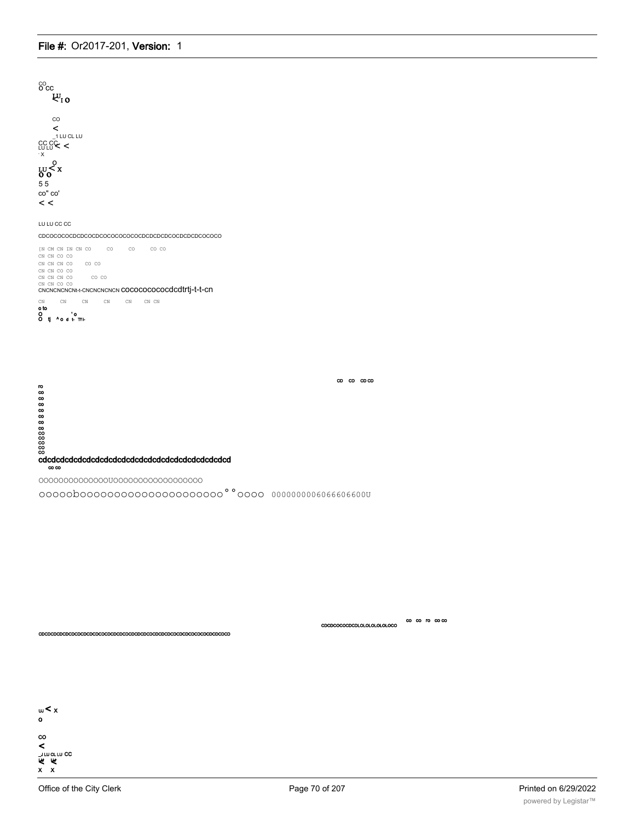| $8^\circ$ cc<br>$E_{I0}$                                                                                                                                                                                      |            |
|---------------------------------------------------------------------------------------------------------------------------------------------------------------------------------------------------------------|------------|
| $_{\rm CO}$<br>$\,<\,$<br>1 LU CL LU<br><u> ၉၄၉</u> <<br>· X<br>$w 0 x$<br>55<br>co" co'<br>$\lt$ $\lt$                                                                                                       |            |
| LU LU CC CC                                                                                                                                                                                                   |            |
| CDCOCOCOCDCDCOCDCOCOCOCOCOCDCDCDCDCOCDCDCDCOCOCOCO                                                                                                                                                            |            |
| IN CM CN IN CN CO<br>$_{\rm CO}$<br>$_{\rm CO}$<br>CO CO<br>CN CN CO CO<br>CN CN CN CO<br>CO CO<br>CN CN CO CO<br>COCO<br>CN CN CN CO<br>CN CN CO CO<br>CNCNCNCNCNL-t-CNCNCNCNCNCN COCOCOCOCOCOCOCOCTI-t-t-cn |            |
| CN<br>CN<br>CN<br>CN<br>$\mathbb{C}\mathbb{N}$<br>CN CN<br>o to<br>۰o<br>$\begin{smallmatrix} 0 & 1 \\ 0 & 0 \end{smallmatrix}$<br>$A$ o d t Tfl-                                                             |            |
|                                                                                                                                                                                                               |            |
|                                                                                                                                                                                                               |            |
| ro<br>co<br>co<br>co<br>co<br>co                                                                                                                                                                              | CD CD CDCD |
| $\infty$<br>88888<br><b>co co</b>                                                                                                                                                                             |            |

OOOOOOOOOOOOOOUOOOOOOOOOOOOOOOOOO

CDCDCDCDCDCDCDCDCDCDCDCDCDCDCDCDCDCDCDCDCDCDCDCDCDCDCDCDCDCDCDCD

ooooobooooooooooooooooooooo°°oooo 0000000006066606600U

co co ro co co CDCDCOCOCDCDLOLOLOLOLOLOCO

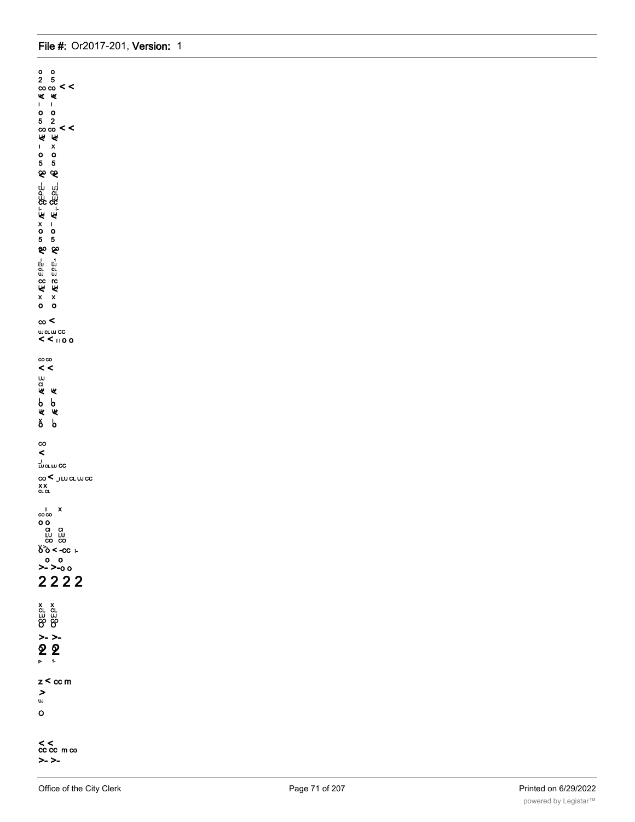| o<br>2<br>$\circ$<br>5<br><<br>⋖<br>000<br>Ч<br>ĸ<br>Ī.<br>L                                         |
|------------------------------------------------------------------------------------------------------|
| O<br>o<br>$52$<br>coco<br><<br>⋖<br>Æ<br>يي                                                          |
| $\mathbf I$<br>X<br>o<br>$\mathbf{o}$<br>5<br>දුලු <b>ල</b><br>5<br>œ                                |
| ູບ<br>J<br>ټټن<br><b>Sea Vea De Vea Sea</b><br>ر<br>پا<br>ĭ.<br>ο<br>5<br>ල                          |
| J.<br>ūJ<br>ci.<br>W<br>cc<br>rc<br>نیا<br>×<br>Ų<br>x<br>O<br>o                                     |
| $\infty$<br>wouw CC<br>$<$ 1100                                                                      |
| co co<br>≺<br>≺<br>w<br>ເດັນ<br>ຮັບ<br>k<br>b<br>b<br>بة<br>8<br>史<br>b                              |
| co<br><b>&lt;</b><br>ผ่นแcc<br>$\infty$<br><b>JLUCLUJCC</b><br>XX<br>CL CL                           |
| X<br>ı<br>co co<br>o<br>$\circ$<br>C.<br><sub>ជី</sub><br>នី នី នី<br>ដូច <<br>$\frac{1}{2222}$<br>2 |
| <b>P Y GEEX</b><br>P Y GEEX<br>$\frac{2}{2}$                                                         |
| z < cc m<br>><br>ω<br>O                                                                              |

 $\leq$   $\leq$   $\infty$  m  $\infty$  $> - > -$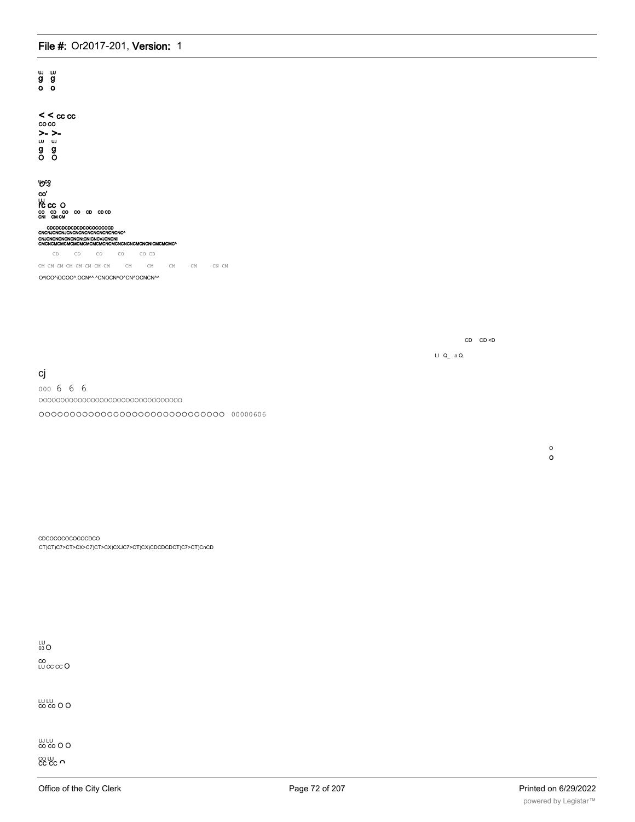| w<br><b>LU</b><br>g<br>g<br>$\mathbf{o}$<br>$\circ$                                                                                            |
|------------------------------------------------------------------------------------------------------------------------------------------------|
| CO CO<br>$> - > -$<br>LU W<br>g<br>$\frac{g}{O}$<br>O                                                                                          |
| ಲ್ತ್<br>co'<br>യ് ര<br>CO CD CO<br>CNI CM CM<br>co co co co                                                                                    |
| CDCDCDCDCDCDCOCOCOCOCD<br>CNCNJCNCNJCNCNCNCNCNCNCNCNCNCNC^<br>CNJCNCNCNCNCNCNICNICNCVJCNCNI<br>CMCNCMCMCMCMCMCMCMCMCNCMCNCNCNCNCMCMCNCMCMCMCMC |
| CD<br>$_{\rm CO}$<br>CO CD<br>CD<br>CO.<br>CM CM CM CM CM CM CM CM<br>CN CM<br>CM<br>CM<br>CM<br>CM                                            |
| O^ICO^IOCOO^.OCN^^ ^CNOCN^O^CN^OCNCN^^                                                                                                         |

CD CD <D

 $LI$  Q a Q.

cj <sup>000</sup> 6 6 6 OOOOOOOOOOOOOOOOOOOOOOOOOOOOOOOOO oooooooooooooooooooooooooooooo <sup>00000606</sup>

O o

CDCOCOCOCOCOCDCO CT)CT)C7>CT>CX>C7)CT>CX)CXJC7>CT)CX)CDCDCDCT)C7>CT)CnCD

LU<br>03 **O** co LU CC CC O

LU LU co co O O

UJ LU co co O O

CO UJ cc cc o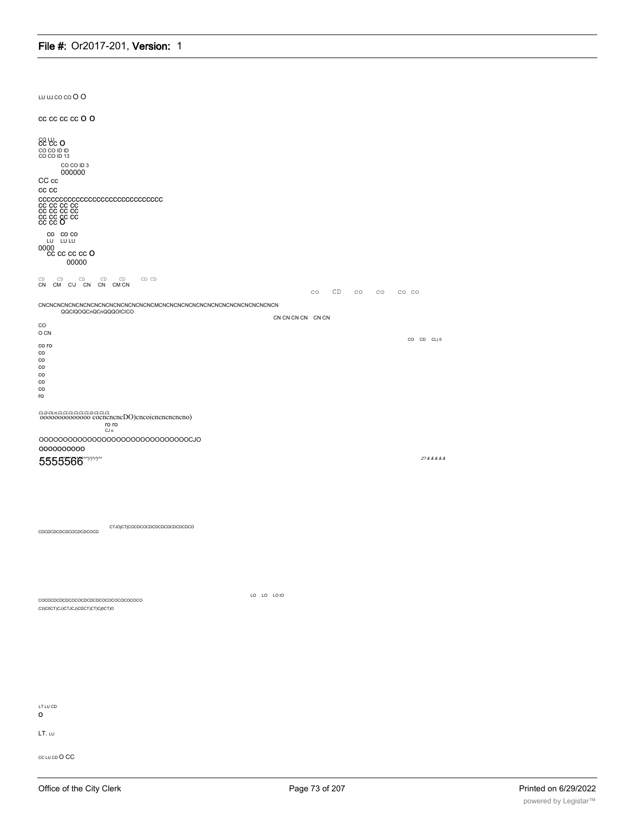LU UJ CO CO O O cc cc cc cc o o CO LU<sub>C</sub>O<br>CO CO ID ID<br>CO CO ID 13 CO CO ID 3 000000 CC cc cc cc cccccccccccccccccccccccccccccc cc cc cc cc cc cc cc cc cc cc cc cc cc cc o co co co LU LU LU  $\overline{0000}$  cc cc cc O 00000 CD CD CD CD CD CD CD CN CM C\J CN CN CM CN co CD co co co co CNCNCNCNCNCNCNCNCNCNCNCNCNCNCNCMCNCNCNCNCNCNCNCNCNCNCNCNCNCNCNCN QQClQOQCnQCnQQQOICICO CN CN CN CN CN CN CO O CN CO CD CL) 0 co ro co co co co co co ro CLQ-OLrLCLCLCLCLCLCLQ-CLCLCL oooooooooooooo cocncncncDO)cncoicncncncncno) ro ro CJ o OOOOOOOOOOOOOOOOOOOOOOOOOOOOOOOCJO oooooooooo  $555566$   $^{\circ}$   $^{\circ}$   $^{\circ}$   $^{\circ}$   $^{\circ}$   $^{\circ}$   $^{\circ}$   $^{\circ}$   $^{\circ}$   $^{\circ}$   $^{\circ}$   $^{\circ}$   $^{\circ}$   $^{\circ}$   $^{\circ}$   $^{\circ}$   $^{\circ}$   $^{\circ}$   $^{\circ}$   $^{\circ}$   $^{\circ}$   $^{\circ}$   $^{\circ}$   $^{\circ}$   $^{\circ}$   $^{\circ}$   $^{\circ}$   $^{\circ}$   $^{\circ}$   $^{\circ}$   $^$ 

CDCDCDCDCDCOCDCDCOCD

COCDCDCDCDCOCOCDCDCDCOCOCOCOCOCOCO C3)C0CT)CJ)CTJCJ)CDCT)CT)Cj0CT)O

CTJOjCTjCOCDCOCDCDCDCDCDCDCDCD

LT LU CD o

LT. LU

CC LU CD O CC

LO LO LO lO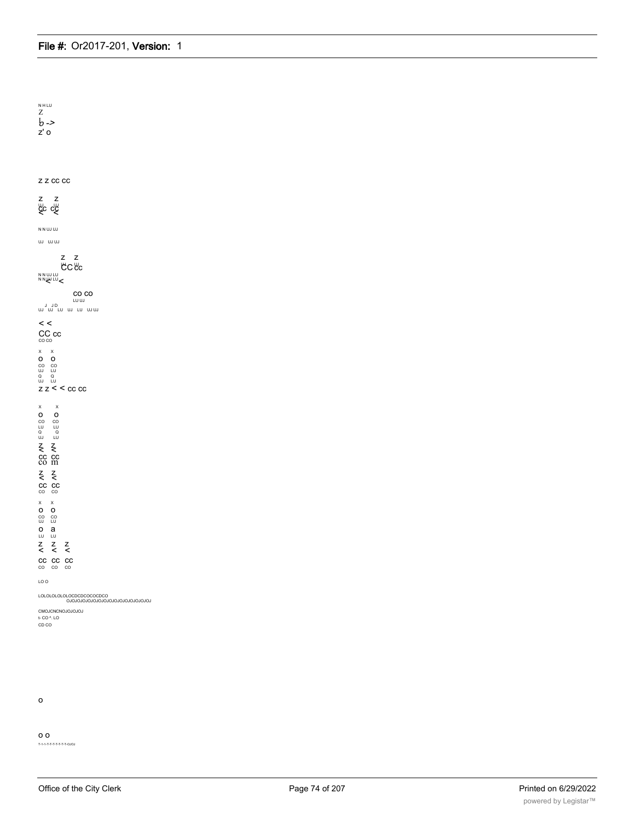

 $\mathsf{o}$ 

 $\circ$   $\circ$  $1444777777779000$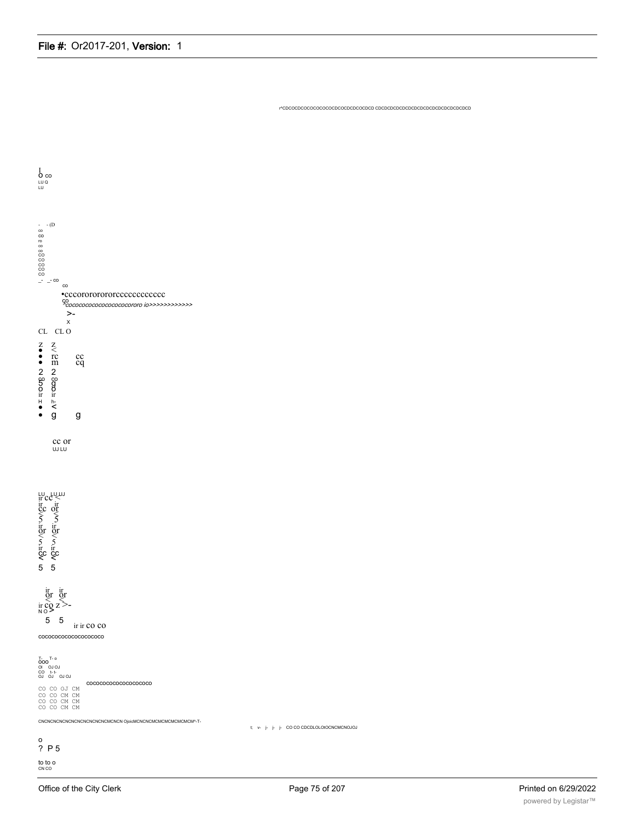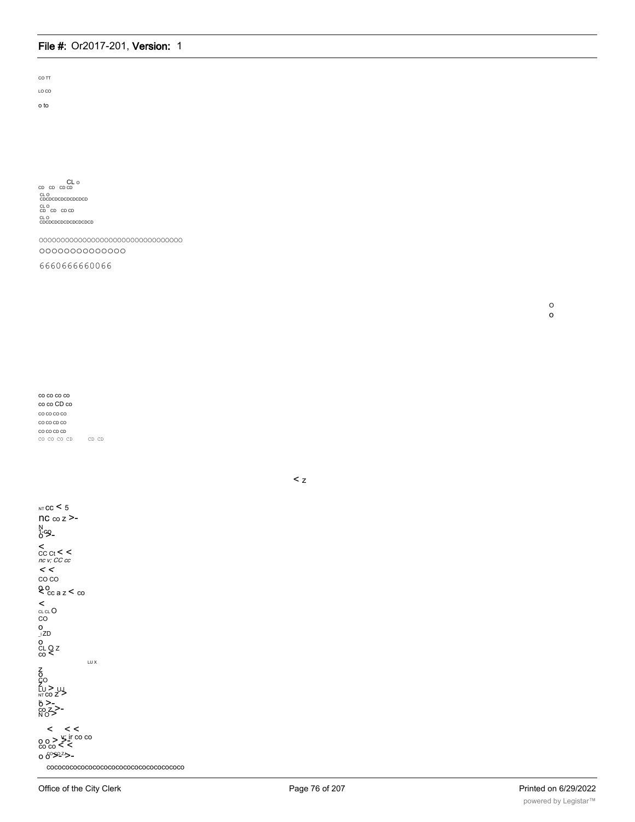CO TT

LO CO

o to

 $\begin{array}{cc} & \text{CL} \circ \\ \text{CD} & \text{CD} \circ \text{CD} \end{array}$ CLO<br>CLO<br>CDCDCDCDCDCDCDCD  $\begin{array}{ccc} {\tt CL}\ {\tt O} \\ {\tt CD}\ & {\tt CD}\ & {\tt CD}\ & {\tt CD}\ & {\tt CD}\ \end{array}$  ${\tt CL}$  O  ${\tt CO}$  CDCDCDCDCDCDCDCDCD

 ${\tt000000000000000000000000000000}$ 0000000000000

6660666660066

 $co co co co$  ${\rm co}$ co CD ${\rm co}$  $CO CO CO CO$  $CO CO$   $CD CO$ CO CO CD CD  $\begin{array}{ccc} \texttt{CO} & \texttt{CO} & \texttt{CO} & \texttt{CD} \end{array}$  $\mathbb{C}\mathbb{D}$   $\mathbb{C}\mathbb{D}$ 



 $\leq z$ 

 $\circ$  $\mathsf{o}$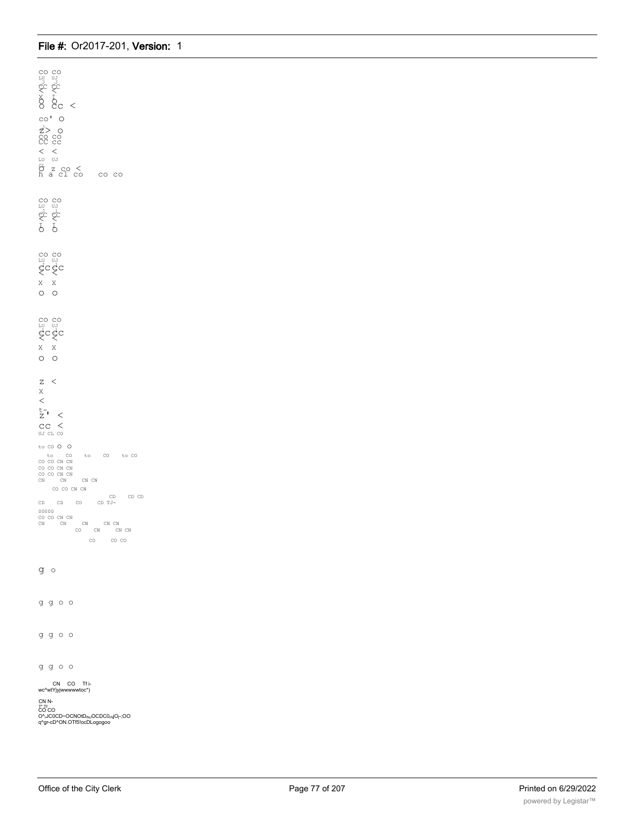| $\begin{array}{lcl} \mathbb{P} \text{CE} & \wedge & \text{CSDW} & \text{O} \text{O} \times \text{O} \text{CSD} \\ \mathbb{P} \text{CSD} & \text{CSD} & \text{O} & \text{O} \text{O} \text{CSD} \\ \text{O} & \text{O} & \text{O} & \text{O} \text{O} \text{CSD} \\ \text{O} & \text{O} & \text{O} & \text{O} \text{O} \text{CSD} \\ \text{O} & \text{O} & \text{O} & \text{O} \text{O} \text{CSD} \text{O} \text{O} \text{O} \text$                                            |
|--------------------------------------------------------------------------------------------------------------------------------------------------------------------------------------------------------------------------------------------------------------------------------------------------------------------------------------------------------------------------------------------------------------------------------------------------------------------------------|
|                                                                                                                                                                                                                                                                                                                                                                                                                                                                                |
| co co                                                                                                                                                                                                                                                                                                                                                                                                                                                                          |
|                                                                                                                                                                                                                                                                                                                                                                                                                                                                                |
| $800000$ exaction<br>$800000$ exaction<br>$80000$                                                                                                                                                                                                                                                                                                                                                                                                                              |
| $\begin{array}{ccc}\n & \text{co} & \text{co} & \text{co} \\  & \text{co} & \text{co} & \text{co} \\  & \text{co} & \text{co} & \text{co} \\  & \text{co} & \text{co} & \text{co} \\  & \text{co} & \text{co} & \text{co} & \text{co} \\  & \text{co} & \text{co} & \text{co} & \text{co} \\  & \text{co} & \text{co} & \text{co} & \text{co} & \text{co} \\  & \text{co} & \text{co} & \text{co} & \text{co} & \text{co} & \text{co} \\  & \text{co} & \text{co} & \text{co}$ |
| $\begin{array}{ccc}\nZ & < \\ X & < \\ & < \\ & < \\ & < \\ Z & &\n\end{array}$<br>$\leq$<br>$\frac{CC}{C}$ $\leq$                                                                                                                                                                                                                                                                                                                                                             |
| to COOOO                                                                                                                                                                                                                                                                                                                                                                                                                                                                       |
| to CO<br>to CO to CO<br>CO CO CN CN<br>CO CO CN CN<br>CO CO CN CN<br>${\rm CN}$ $\qquad \quad \, {\rm CN}$<br>CN CN<br>CO CO CN CN                                                                                                                                                                                                                                                                                                                                             |
| CD<br>CD CD<br>$CO$ $CD$ $TJ-$<br>CD<br>$_{\rm CD}$                                                                                                                                                                                                                                                                                                                                                                                                                            |
| 00000<br>CO CO CN CN<br>$_{\rm CN}$<br>CN<br>CN<br>CN CN                                                                                                                                                                                                                                                                                                                                                                                                                       |
| CO CO<br>CO                                                                                                                                                                                                                                                                                                                                                                                                                                                                    |
| g o                                                                                                                                                                                                                                                                                                                                                                                                                                                                            |
| ggoo                                                                                                                                                                                                                                                                                                                                                                                                                                                                           |
| ggoo                                                                                                                                                                                                                                                                                                                                                                                                                                                                           |
| ggoo                                                                                                                                                                                                                                                                                                                                                                                                                                                                           |
| CN CO Tfi-<br>wc^wtYjyjwwwwwtoc*)                                                                                                                                                                                                                                                                                                                                                                                                                                              |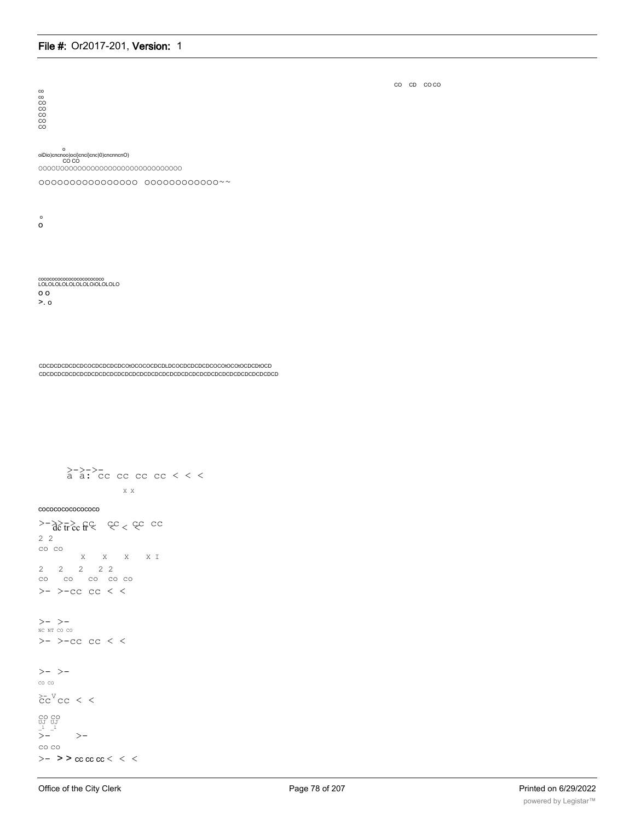888888

oiDio)cncnoo)oci}cnci}cnc)0)cncnncnO)<br>CO CO<br>0000U000000000000000000000000000000

 $\circ$  $\circ$ 

cocococococococococococo<br>LOLOLOLOLOLOLOLOIOLOLOLO  $\circ$   $\circ$  $> 0$ 

```
\ge ->->-<br>a a: cc cc cc cc < < <
                                      \bar{\mathbf{x}} \bar{\mathbf{x}}{\tt cococococococococ}>-\frac{2}{3}c tr cc fr \leq cc cc cc
2\overline{2}\circ \circ \circX I
                  \mathbf{X} \hspace{1.5cm} \mathbf{X} \hspace{1.5cm} \mathbf{X} \hspace{1.5cm}2 \qquad 2 \qquad 2 \qquad 2\sqrt{2}\cos \cos \cos\mathsf{co}> - > - cc cc < <
> - > \simNC NT CO CO
\rightarrow - \rightarrow -cc cc < <
> - > -co co\bar{c}c^{\vee}cc \leq \leq\begin{smallmatrix} & -1 & & -1\\ & 1 & & \\ & 1 & & \\ & & 1 & \\ & & & 1 \end{smallmatrix}> -> \!-\cos> - > > > cc cc cc < < <
```
Office of the City Clerk

CO CD COCO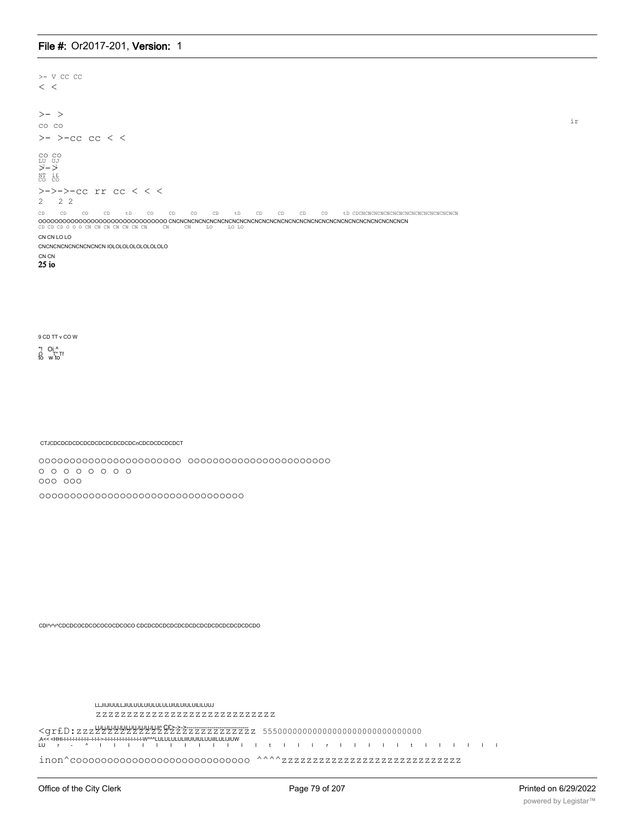LLJIIJIUULLJIULUULUIULULULUIULUIULUILILUUJ ZZZZZZZZZZZZZZZZZZZZZZZZZZZZZZZZ

 $0 0 0 0 0 0 0 0$ 000 000 

CTJCDCDCDCDCDCDCDCDCDCDCDCDCDCDCDCDCDCT

9 CD TT v CO W

" $\begin{matrix} 0 \\ 0 \\ 0 \\ 0 \end{matrix}$   $\begin{matrix} 0 \\ 0 \\ 0 \\ 0 \end{matrix}$   $\begin{matrix} 0 \\ 0 \\ 0 \\ 0 \end{matrix}$   $\begin{matrix} 0 \\ 0 \\ 0 \\ 0 \end{matrix}$ 

 $\rightarrow \rightarrow$  -cc cc < <  $\begin{array}{l} \text{CO} \text{ CO} \\ \text{LU} \text{ UJ} \\ \text{LU} \text{ UJ} \\ \text{VJ} \rightarrow \text{V} \\ \text{VJ} \rightarrow \text{V} \\ \text{VJ} \end{array}$  $\rightarrow$ - $\rightarrow$ - $\sim$ cc rr cc < < <  $\overline{2}$  $2<sub>2</sub>$  $\mathbb{C}\mathbb{D}$  $\texttt{tD}$   $\hspace{1.5mm}$   $\texttt{CD}$  $CD$   $CD$ tD CDCNCNCNCNCNCNCNCNCNCNCNCNCNCNCNCNCN  $_{\rm CD}$  $\mathbb{C}\mathbb{D}$  $_{\rm CO}$  $_{\rm CD}$  $\texttt{t} \, \texttt{D}$  $_{\rm CO}$  $_{\text{CD}}$  $_{\rm CO}$  $CO$ CN CN LO LO CNCNCNCNCNCNCNCNCN IOLOLOLOLOLOLOLOLO CN CN  $25$ io

ir

 $>$ - v cc cc  $\,<\,$   $\,<\,$ 

 $>->$ 

 $co co$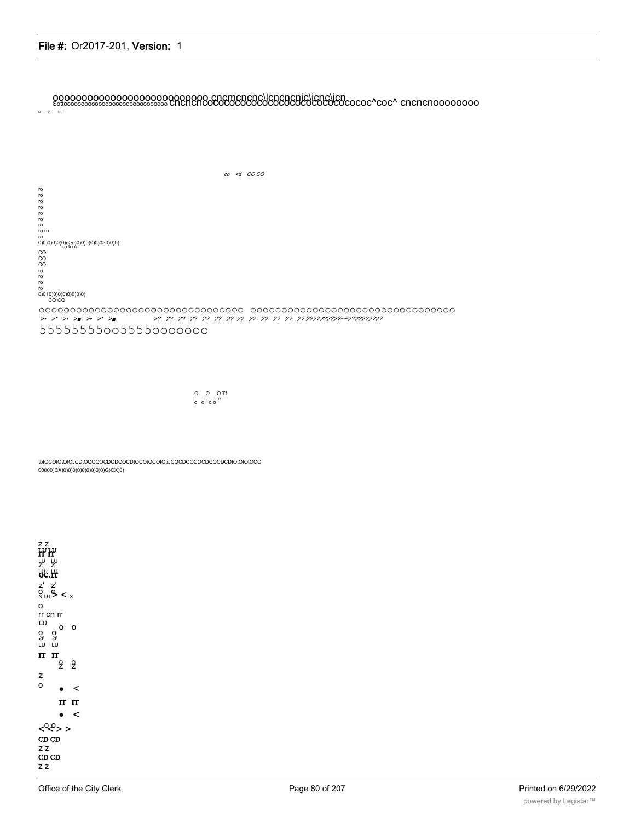$T/L$ 

ooooooooooooooooooooooooooo cncmcncnc\lcncncnjc\icnc\jcn Sottoooooooooooooooooooooooooooooo cncncncocococococococococococococococ^coc^ cncncnoooooooo



OOOTf<br>T-T-T-T<br>OOOO

tbtOCOtOtOtCJCDtOCOCOCDCDCOCDtOCOtOCOtOtiJCOCDCOCOCDCOCDCDtOtOtOtOCO 00000)CX)0)0)0)0)0)0)0)0)0)G)CX)0)

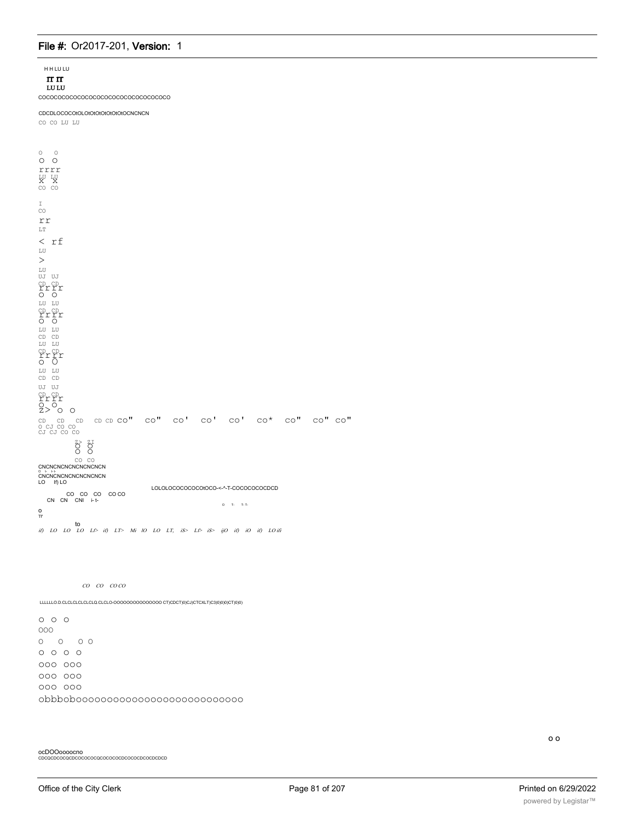## **HHLULU**  $\begin{array}{c} \mathbf{r}\mathbf{r} \\ \mathbf{r}\mathbf{r} \end{array}$

 ${\tt COCOCO COCO COCO CO CO CO CO CO CO CO CO CO CO}$ 

CDCDLOCOCOtOLOtOtOtOtOtOtOcOCNCNCN

CO CO LU LU

| $\circ$<br>$\circ$<br>$O$ $O$<br>rrrr<br>цŲ<br>ΗU<br>$CO$ $CO$                                                                                                                                   |                                           |  |  |  |  |
|--------------------------------------------------------------------------------------------------------------------------------------------------------------------------------------------------|-------------------------------------------|--|--|--|--|
| $\mathbbm{I}$<br>$_{\rm CO}$<br>$\mathtt{rr}$<br>$\rm L\,T$                                                                                                                                      |                                           |  |  |  |  |
| $\langle$ rf<br>${\rm LU}$<br>$\geq$<br>${\rm LU}$<br>UJ UJ<br>$\Pr^{\text{CD}}$<br>$O$ $O$                                                                                                      |                                           |  |  |  |  |
| $LU - LU$<br>$\Pr^{\text{CD}}$<br>$O$ $O$<br>${\tt LU-LU}$<br>$CD$ $CD$<br>$LU - LU$<br>$\mathop {\rm Tr}_{\mathcal O}^{\rm CP} \mathop {\rm Tr}_{\mathcal O}$                                   |                                           |  |  |  |  |
| ${\rm LU-LU}$<br>$CD$ $CD$<br>UJ UJ<br>$\begin{array}{l} \mathbb{C} \mathbb{P} \mathbb{r} \, \mathbb{C} \mathbb{P} \mathbb{r} \\ \mathbb{Q} > \mathbb{O} \\ \mathbb{Z} > \mathbb{O} \end{array}$ |                                           |  |  |  |  |
| $\circ$<br>$_{\rm CD}$<br>CD<br>$_{\rm CD}$<br>ch ch co co                                                                                                                                       | co co co" co" co' co' co' co* co" co" co" |  |  |  |  |
| 88<br>CO CO                                                                                                                                                                                      |                                           |  |  |  |  |

CNCNCNCNCNCNCNCNCNCN CNCNCNCNCNCNCNCNCN

| LO            | If) LO |                                  |  |  |  | LOLOLOCOCOCOCOtOCO-<-^-T-COCOCOCOCDCD |  |  |             |  |                                                                        |
|---------------|--------|----------------------------------|--|--|--|---------------------------------------|--|--|-------------|--|------------------------------------------------------------------------|
|               |        | CO CO CO CO CO<br>CN CN CNI i-t- |  |  |  |                                       |  |  | $0$ T. T.T. |  |                                                                        |
| $\circ$<br>Tf |        |                                  |  |  |  |                                       |  |  |             |  |                                                                        |
|               |        | to                               |  |  |  |                                       |  |  |             |  | if) LO LO LO Lf> if) LT> Mi lO LO LT, iS> Lf> iS> ijO if) iO if) LOifi |

 $CO\quad CO\quad CO\ CO$ 

LLLLLLO.D.CLCLCLCLCLCLQ.CLCLO-OOOOOOOOOOOOOOO CT)CDCT)0)CJ)CTCXLT)C3)0)0)0)CT)0)0)

 $O$   $O$   $O$  $_{\rm OOO}$  $\circ$  $0 0 0$  $\circ \circ \circ \circ \circ$ 000 000 000 000 000 000 

 $0<sub>0</sub>$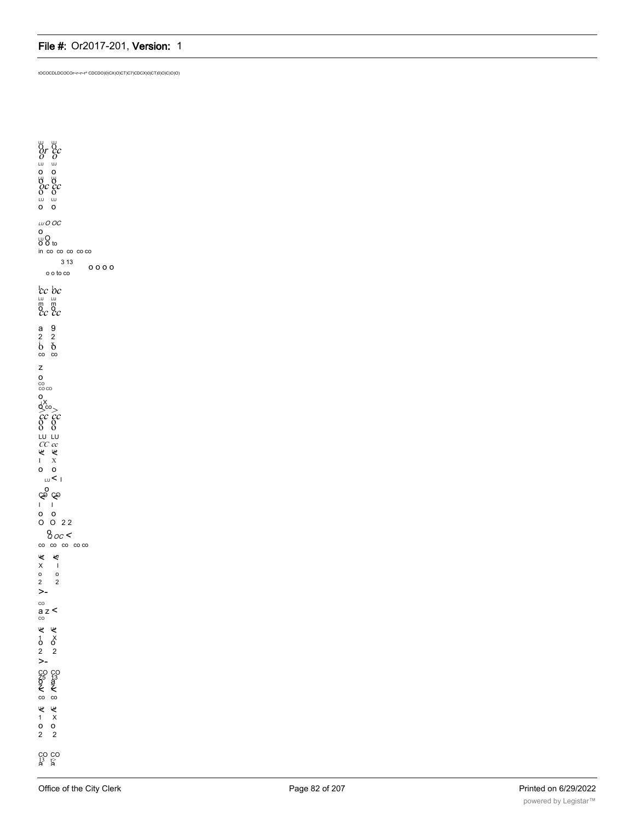tOCOCDLDCOCOr~r~r~r^ CDCDO)0)CX)O)CT)C7)CDCX)0)CT)0)O)C)O)O)

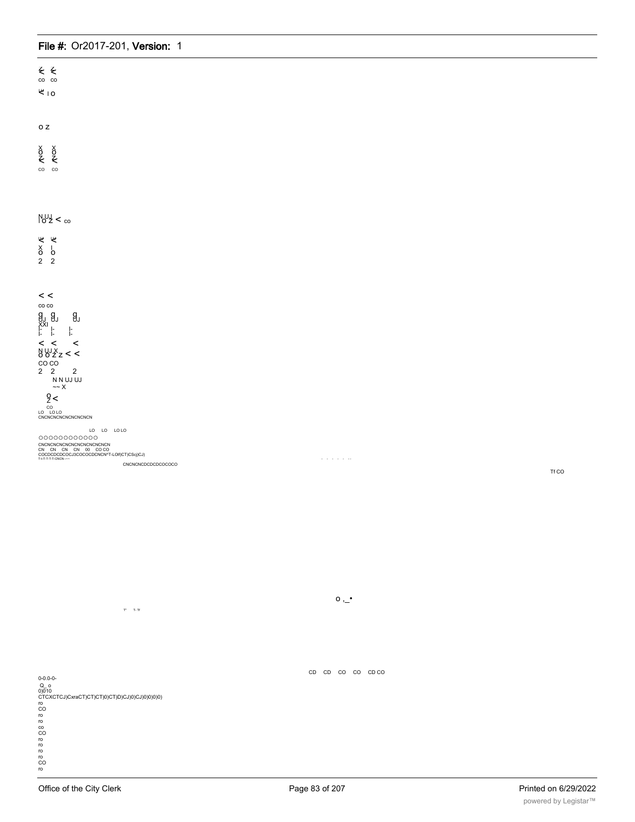| そそ                                                                                                          |       |
|-------------------------------------------------------------------------------------------------------------|-------|
|                                                                                                             |       |
| $\cos$ $\cos$                                                                                               |       |
|                                                                                                             |       |
| $R_{10}$                                                                                                    |       |
|                                                                                                             |       |
|                                                                                                             |       |
|                                                                                                             |       |
|                                                                                                             |       |
| o z                                                                                                         |       |
|                                                                                                             |       |
|                                                                                                             |       |
|                                                                                                             |       |
|                                                                                                             |       |
| $\overset{\times}{\mathsf{R}}$                                                                              |       |
| $\check{\mathrm{e}}$                                                                                        |       |
| $\cos$ $\cos$                                                                                               |       |
|                                                                                                             |       |
|                                                                                                             |       |
|                                                                                                             |       |
|                                                                                                             |       |
|                                                                                                             |       |
|                                                                                                             |       |
|                                                                                                             |       |
| $N_{\text{out}}^{\text{U}}$ < $_{\text{co}}$                                                                |       |
|                                                                                                             |       |
|                                                                                                             |       |
| 足 足                                                                                                         |       |
|                                                                                                             |       |
| $\rm \stackrel{X}{\rm o}$<br>$\frac{1}{\mathsf{O}}$                                                         |       |
|                                                                                                             |       |
| 2 <sub>2</sub>                                                                                              |       |
|                                                                                                             |       |
|                                                                                                             |       |
|                                                                                                             |       |
|                                                                                                             |       |
| $\,<$ $<$                                                                                                   |       |
|                                                                                                             |       |
| $\cos$ $\cos$                                                                                               |       |
|                                                                                                             |       |
| g,                                                                                                          |       |
| i<br>Kal<br>Gu                                                                                              |       |
| ŀ.                                                                                                          |       |
|                                                                                                             |       |
|                                                                                                             |       |
| $\begin{array}{ccc} 2 & 3 & 3 \\ 3 & 3 & 3 \\ 6 & 3 & 3 \\ 7 & 8 & 3 \\ 8 & 8 & 3 \\ 1 & 1 & 1 \end{array}$ |       |
|                                                                                                             |       |
| CO CO                                                                                                       |       |
| $2\quad 2$<br>$\overline{2}$                                                                                |       |
| N N UJ UJ                                                                                                   |       |
|                                                                                                             |       |
| $\sim$ X                                                                                                    |       |
| $\frac{9}{2}$                                                                                               |       |
|                                                                                                             |       |
|                                                                                                             |       |
| CO<br>LO LO LO<br>CNCNCNCNCNCNCNCNCNCN                                                                      |       |
|                                                                                                             |       |
|                                                                                                             |       |
| LO LO LOLO                                                                                                  |       |
| 00000000000                                                                                                 |       |
|                                                                                                             |       |
|                                                                                                             |       |
| and a series and                                                                                            |       |
| CNCNCNCDCDCDCOCOCO                                                                                          |       |
|                                                                                                             | Tf CO |
|                                                                                                             |       |

 $\mathsf{T}^* = \mathsf{T}_\mathsf{T} \mathsf{T} \mathsf{f}$ 

 $\circ$  ,\_•

0-0.0-0- Q\_ o 0)010 CTCXCTCJ)CxraCT)CT)CT)0)CT)D)CJ)0)CJ)0)0)0)0) ro CO ro ro co CO ro ro ro ro CO ro

CD CD CO CO CD CO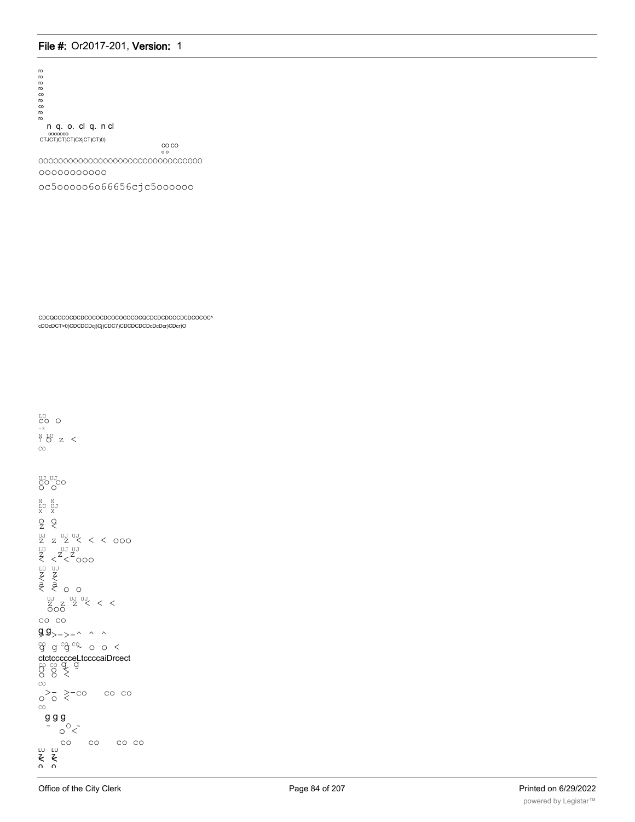900000000 n q. o. cl q. n cl CTJCT)CT)CT)CXjCT)CT)0)

 $\frac{100}{100}$ 00000000000

0c5000006066656cjc5000000

 ${\tt COCQCOCOCDCOCOCOCOCOCOCOCOCOCDCDCOCOCDCDCOCOCOC}^{\wedge}$  ${\tt cDOcDCT>0) CDCDCDcj) Cj (DCC7) CDCDCDCD CDCD cD cC} (CDCC)$ 

 $CO$  O  $\begin{smallmatrix} &\sim3\\ \mathbb{N}&\mathbb{L}\mathbb{U}&\\ &\mathbb{I}&\mathbb{O}&\mathbb{Z}&< \end{smallmatrix}$  $_{\rm CO}$  $\overset{0}{\overset{0}{\mathsf{C}}\circ} \overset{0}{\overset{0}{\mathsf{C}}\circ}$  $\begin{array}{cc} \mathbf{N} & \mathbf{N} \\ \mathbf{L}\mathbf{U} & \mathbf{U}\mathbf{J} \\ \mathbf{L}\mathbf{U} & \mathbf{U}\mathbf{J} \end{array}$  $\begin{array}{l} \mathcal{L}_{\text{S}} \geq 0 & \mathcal{L}_{\text{S}} \geq 0 \\ \mathcal{L}_{\text{S}} \geq 0 & \mathcal{L}_{\text{S}} \geq 0 \\ \mathcal{L}_{\text{S}} \geq 0 & \mathcal{L}_{\text{S}} \geq 0 \\ \mathcal{L}_{\text{S}} \geq 0 & \mathcal{L}_{\text{S}} \geq 0 \\ \mathcal{L}_{\text{S}} \geq 0 & \mathcal{L}_{\text{S}} \geq 0 \\ \mathcal{L}_{\text{S}} \geq 0 & \mathcal{L}_{\text{S}} \geq 0 \\ \mathcal{L}_{\text{$  $\circ \circ \circ$  $99$  ->-^ ^ ^ ^  $99900000000$ et<br>ctcccccel tccccaiDrcect<br>
∂ ⊘ <<br>
2 <<br>
2 <<br>
3 <<br>
2 <<br>
3 <<br>
4 <br/>
9 </><br>
5 </>
4 </>
6 </>
4 </>
6 </>
6 </>
6 </>
6 </>
6 </>
6 </>
6 </>
6 </>
6 </>
6 </>
6 </>
6 </>
6 </>
6 </>
6 </></>
6 </></></>
6 </></></></></>  $0.5 \ge 0.00$  $co co$  $\circ$ g g g  $\int_{0}^{\infty} 0 \leq$  $\circ$  $\circ$  $CO CO$ こく こく

Office of the City Clerk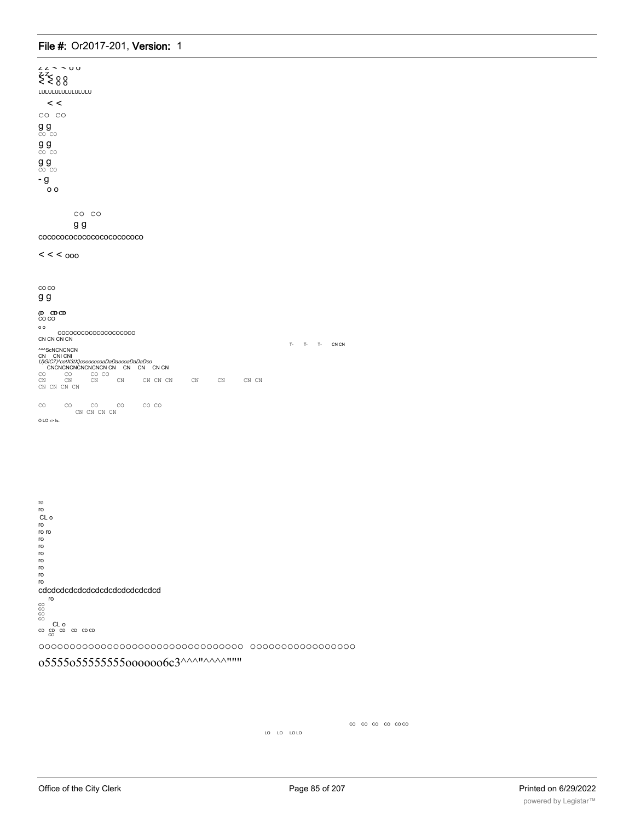| 22 > 00<br>₹88<br>LULULULULULULULU<br><<br>CO CO<br>g g<br>COCO<br>g g<br>CO CO<br>g g<br>CO CO<br>- g<br>0 <sub>0</sub>                                                                  |                      |
|-------------------------------------------------------------------------------------------------------------------------------------------------------------------------------------------|----------------------|
| CO CO                                                                                                                                                                                     |                      |
| g g                                                                                                                                                                                       |                      |
| COCOCOCOCOCOCOCOCOCOCOCO                                                                                                                                                                  |                      |
| $<<$ 000                                                                                                                                                                                  |                      |
|                                                                                                                                                                                           |                      |
|                                                                                                                                                                                           |                      |
| CO CO                                                                                                                                                                                     |                      |
| g g                                                                                                                                                                                       |                      |
| $(D$ $CDCD$<br>CO CO                                                                                                                                                                      |                      |
| 0 <sub>0</sub>                                                                                                                                                                            |                      |
| COCOCOCOCOCOCOCOCOCO<br>CN CN CN CN                                                                                                                                                       | т.<br>T- T-<br>CN CN |
| ^^^ScNCNCNCN<br>CN CNI CNI<br>U)GiC7)^cotX3tX}cooococoaDaDaocoaDaDaDco<br>CNCNCNCNCNCNCNCNCN CN CN CN CN CN                                                                               |                      |
| CO<br>CO<br>CO CO<br>$\,$ CN $\,$ CN $\,$ CN $\,$<br>$\mathbb{C}\mathbb{N}$<br>$_{\rm CN}$<br>$\mathbb{C}\mathbb{N}$<br>$\mathbb{C}\mathbb{N}$<br><b>CN</b><br>CN<br>CN CN<br>CN CN CN CN |                      |
| CO<br>$_{\rm CO}$<br>CO<br>CO<br>CO CO<br>CN CN CN CN<br>$O$ LO $\kappa$ > Is.                                                                                                            |                      |
|                                                                                                                                                                                           |                      |
|                                                                                                                                                                                           |                      |
|                                                                                                                                                                                           |                      |
|                                                                                                                                                                                           |                      |
|                                                                                                                                                                                           |                      |
|                                                                                                                                                                                           |                      |
| $_{\rm ro}$<br>ro                                                                                                                                                                         |                      |
| CL o                                                                                                                                                                                      |                      |

ro<br>ro ro<br>ro ro<br>ro<br>co<br>cdcdcdcdcdcdcdcdcdcdcdcdcdcd<br>co<br>co CO CO CO CO CL o CD CD CD CD CD CD CO

ooooooooooooooooooooooooooooooooo ooooooooooooooooo

## o5555o555555550oooooo6c3^^^"^^^^""""

CO CO CO CO CO CO LO LO LO LO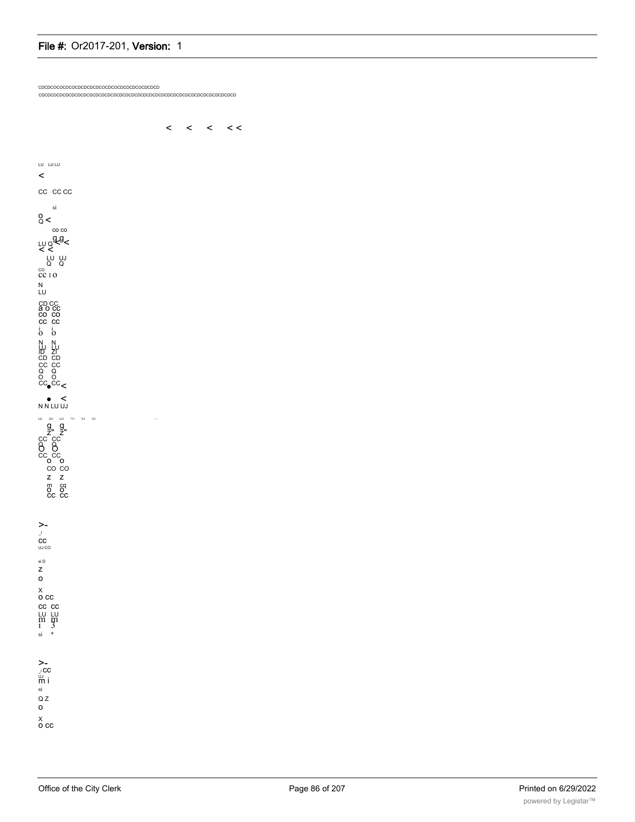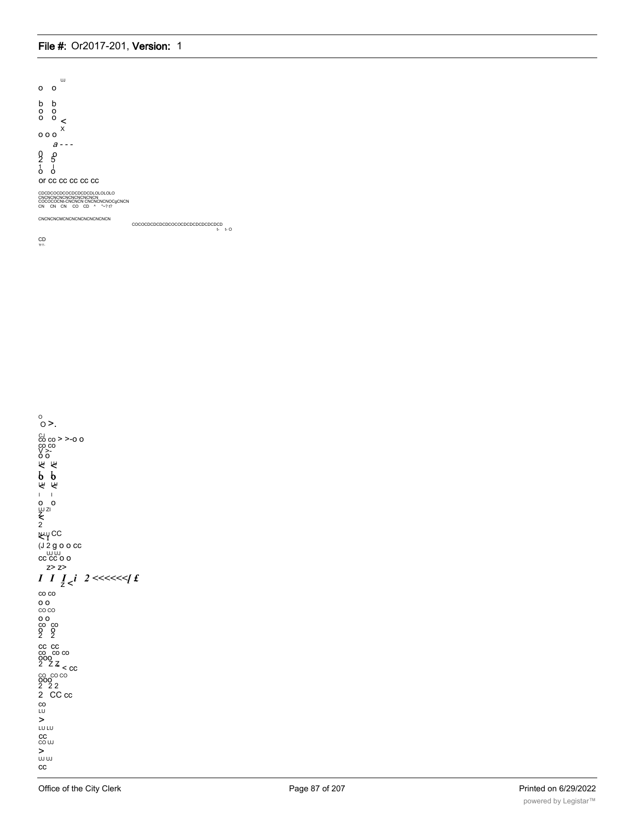$UJ$  $\mathsf{o}$  $\circ$  $\begin{array}{c} b & b \\ 0 & 0 \\ 0 & 0 \\ \end{array}$  $000 \times$  $a - \begin{matrix} 0 & 0 \\ 2 & 5 \\ 1 & 0 \\ 0 & 0 \end{matrix}$ or cc cc cc cc cc

CDCDCOCDCOCDCDCDCDLOLOLOLO<br>CNCNCNCNCNCNCNCNCNCN<br>COCOCOCNt-CNCNCN CNCNCNCNOCgCNCN<br>CN CN CN CO CD ^ "~? 1?

CNCNCNCMCNCNCNCNCNCNCNCN

 $\overset{\text{\normalsize CD}}{\scriptscriptstyle{W}^{\intercal}}$ 

 $\circ$   $\circ$ .  $\begin{array}{l} \tilde{\kappa} \, \circ \, \nu \, \tilde{\kappa} \, \circ \, - \, \kappa \, \text{d} \, \nu \, \text{d} \, \nu \, \text{d} \, \nu \, \text{d} \, \nu \, \text{d} \, \nu \, \text{d} \, \nu \, \text{d} \, \nu \, \text{d} \, \nu \, \text{d} \, \nu \, \text{d} \, \nu \, \text{d} \, \nu \, \text{d} \, \nu \, \text{d} \, \nu \, \text{d} \, \nu \, \text{d} \, \nu \, \text{d} \, \nu \$ **And CC**  $(32000)$  $Z > Z$  $I \, I \, I \, I \, I \, I \,$  2 <<<<<< < 2  $\cos$  $\frac{0}{\cos \alpha}$  $\begin{smallmatrix} 0&0\0&0\0&0\0&2\end{smallmatrix}$  $^{7}$   $^{7}$   $^{8}$   $^{0}$   $^{0}$   $^{0}$   $^{2}$   $^{2}$   $^{2}$   $^{2}$   $^{2}$   $^{2}$   $^{2}$   $^{2}$   $^{2}$   $^{2}$   $^{2}$   $^{2}$   $^{2}$   $^{2}$   $^{2}$   $^{2}$   $^{2}$   $^{2}$   $^{2}$   $^{2}$   $^{2}$   $^{2}$   $^{2}$   $^{2}$   $^{2}$   $^{2}$   $^{2}$   $^{2}$   $^{2}$   $^{2}$   $^{2}$ CO<br>LU  $\sum_{\mathsf{L}\cup\,\mathsf{L}\cup\,\mathsf{L}}$  $\frac{\text{cc}}{\text{co}}$  us  $\frac{1}{2}$  $cc$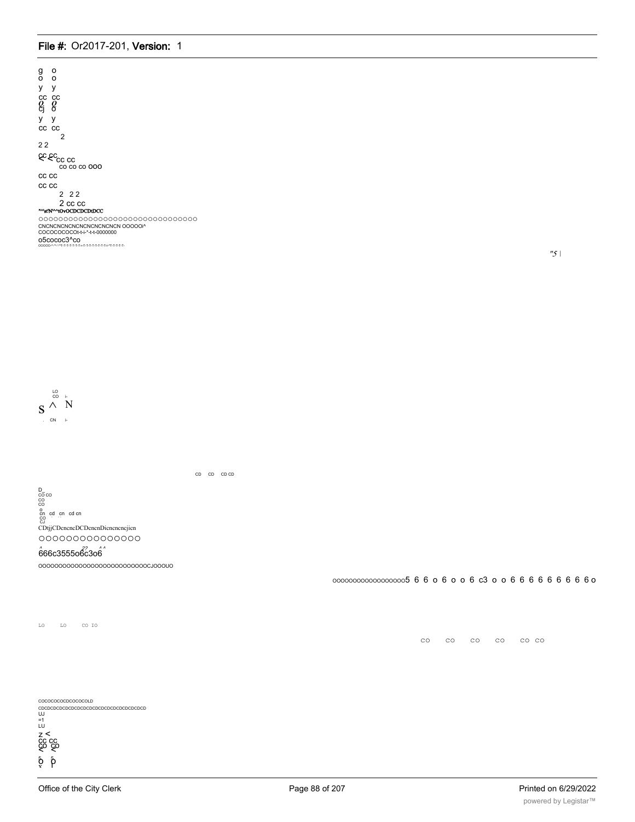$\begin{matrix} g & o \\ o & o \end{matrix}$  $\begin{array}{c} y \to 0 \\ y \to 0 \\ y \to 0 \\ y \to 0 \\ y \to 0 \end{array}$  $\overline{2}$  $22$  $\frac{1}{2}$  $\rm cc$   $\rm cc$  $2 \quad 2 \quad 2$ 2 CC CC<br>2 CC CC<br>wstNWt0v0CDCDCDdDCC 

 $"5$ 



 $CD$   $CD$   $CD$   $CD$ 

D<br>co<br>co<br>co<br>co a co co co<br>co co co<br>CDtjjCDcncncDCDcncnDicncncncjicn 00000000000000  $666c355506c306$ 

LO LO  $CO$   $IO$ 

> $_{\rm CO}$  $CO$  $CO$  $CO CO$  $CO$

 ${\tt COCOCOCOCOCO CO COCOLD}$ 

 $\mathring{\Phi}$   $\mathring{\rho}$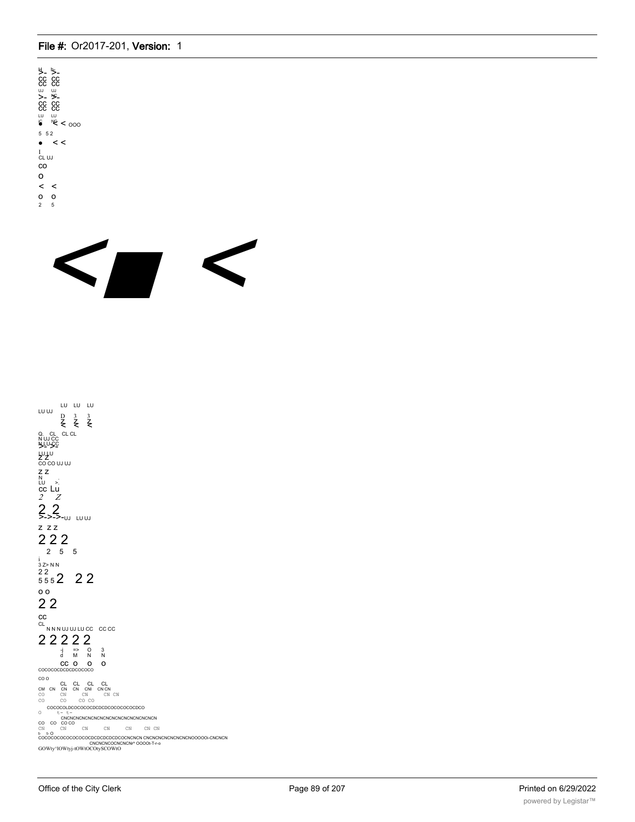



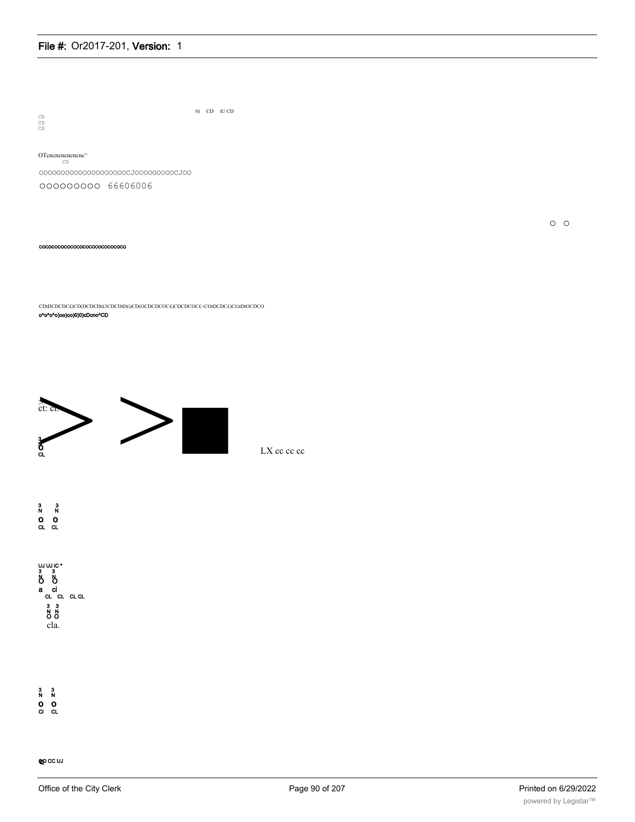$\begin{array}{c} CD \\ CD \\ CD \\ CD \end{array}$ 

0) CD tU CD

 ${O}{\color{red}\mathsf{Truncnencnencn}}^\wedge$   $\textcircled{c}\text{D}$ 

000000000 66606006

 $\circ$   $\circ$ 

### ${\tt cocococococococococococococococo}$

 $\texttt{CDtDCDCDCE}(\texttt{DCDCDCE3CDCDtD(i)CD}(\texttt{OCDCDCOCCE})\texttt{CDCDCCC}\texttt{C}-\texttt{C0tDCDCE})\texttt{C}\texttt{DtDCDCD}\texttt{C}\texttt{D}$ o^o^o^o)oo)oo)0)0)cDcno^CD



LX cc cc cc

 $\begin{array}{cc} 3 & 3 \\ \text{N} & \text{N} \\ \text{O} & \text{O} \\ \text{CL} & \text{CL} \end{array}$ 



 $\begin{array}{ccc} 3 & 3 \\ N & N \\ O & O \\ O & C L \end{array}$ 

60 cc m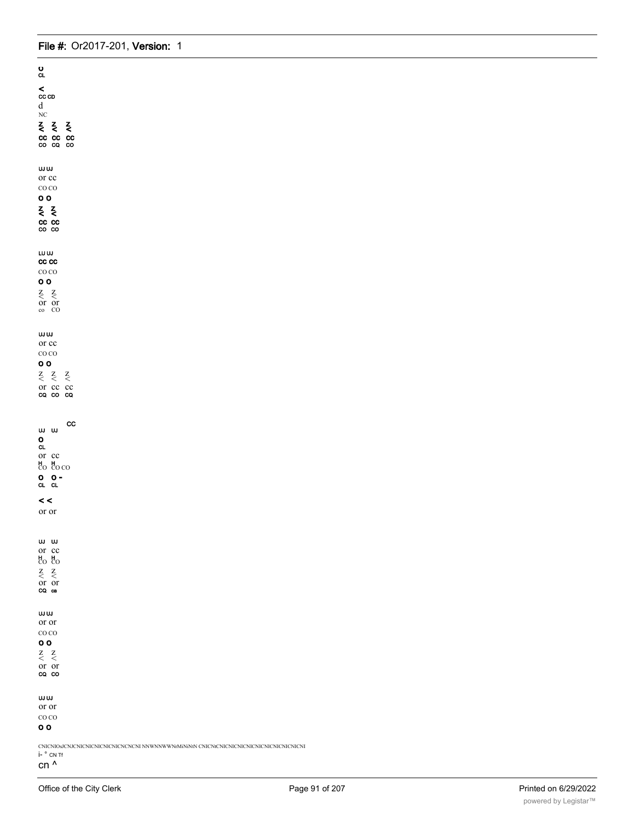| $\alpha$                                                                                                                    |
|-----------------------------------------------------------------------------------------------------------------------------|
| $\prec$<br>ccCD                                                                                                             |
| $\mathbf d$<br>$_{\mathrm{NC}}$                                                                                             |
| そそそ<br>$\frac{1}{20}$ $\frac{1}{20}$ $\frac{1}{20}$                                                                         |
|                                                                                                                             |
| นง นง<br>$\;$ or $\;$ cc $\;$                                                                                               |
| $_{\rm CO\ CO}$<br>0 <sub>0</sub>                                                                                           |
| $5888$<br>$588$                                                                                                             |
|                                                                                                                             |
| LU UJ<br>$cc$ $cc$                                                                                                          |
| $_{\rm CO\ CO}$<br>$\mathbf{o}\,\mathbf{o}$                                                                                 |
| $\begin{array}{ccc} Z & Z \\ \infty & \infty \\ \text{or} & \text{or} \\ \infty & \text{co} \end{array}$                    |
|                                                                                                                             |
| UJ UJ<br>or cc                                                                                                              |
| $_{\rm CO\ CO}$<br>$\mathbf{o}$                                                                                             |
| $\begin{array}{cc} \mathbf{Z} & \mathbf{Z} & \mathbf{Z} \\ < & < & < \\ \text{or } & \mathbf{CC} & \mathbf{CC} \end{array}$ |
| ca co ca                                                                                                                    |
| cc<br>$\mathsf{U}\mathsf{J}=\mathsf{U}\mathsf{J}$                                                                           |
| $\mathbf{o}$<br>${\tt CL}$                                                                                                  |
| $\begin{array}{l} {\rm or} ~~ {\rm cc} \\ {\rm H} \\ {\rm Co} ~~ {\rm Co}~ {\rm co} \end{array}$                            |
| $_{CL}^{O}$ $_{CL}^{O}$                                                                                                     |
| $\,<$<br>or or                                                                                                              |
|                                                                                                                             |
| uu uu<br>or cc                                                                                                              |
| $\frac{H}{CQ}$ $\frac{H}{CQ}$<br>$\overset{\mathbf{Z}}{\leqslant} \hspace{0.1cm} \overset{\mathbf{Z}}{\leqslant}$           |
| or or<br>$CO$ ca                                                                                                            |
| UJ UJ<br>or or                                                                                                              |
| $_{\rm CO}$ $_{\rm CO}$<br>0 <sub>0</sub>                                                                                   |
| $\begin{array}{ccc} Z & Z \\ < & < \end{array}$                                                                             |
| or or<br>$cc\ co$                                                                                                           |
| UJ UJ                                                                                                                       |
| or or<br>$_{\rm CO~CO}$                                                                                                     |
| 0 <sub>0</sub>                                                                                                              |
| i- ° CN Tf                                                                                                                  |

cn  $\wedge$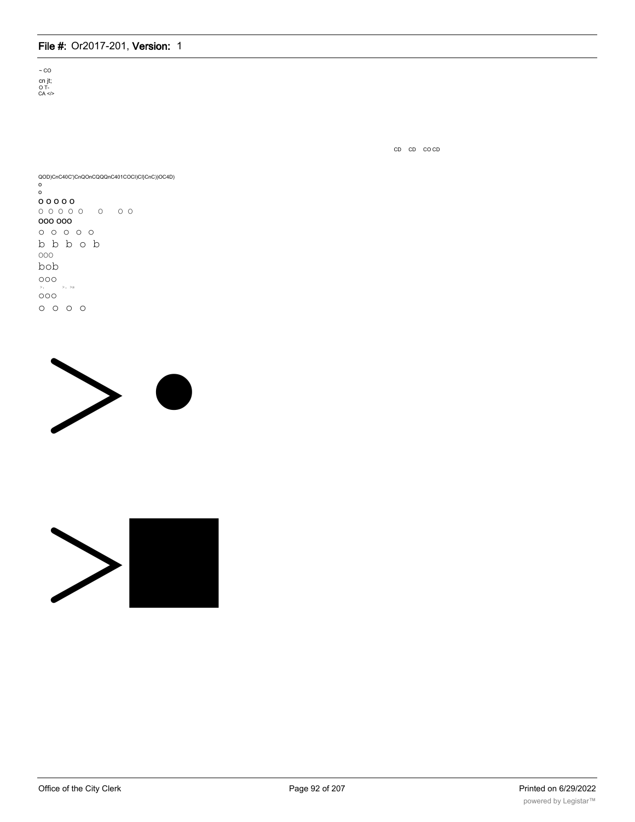$\sim$  CO cn jt; O T-CA </>

CD CD CO CD

QOD)CnC40C')CnQOnCQQQnC401COCI)CI}CnC))OC4D) o o o o o o o O O O O O O O O ooo ooo o o o o o b b b o b OOO bob ooo >. >. >s ooo o o o o



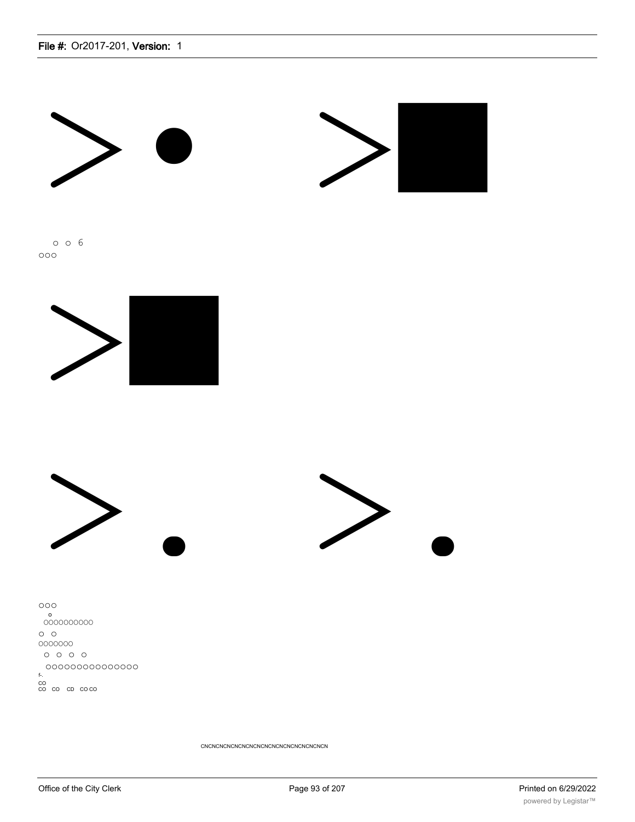

o o 6 ooo







oooo OOOOOOOOOO o o OOOOOOO o o o o ooooooooooooooo f-. CO CO CO CD CO CO

CNCNCNCNCNCNCNCNCNCNCNCNCNCNCNCNCN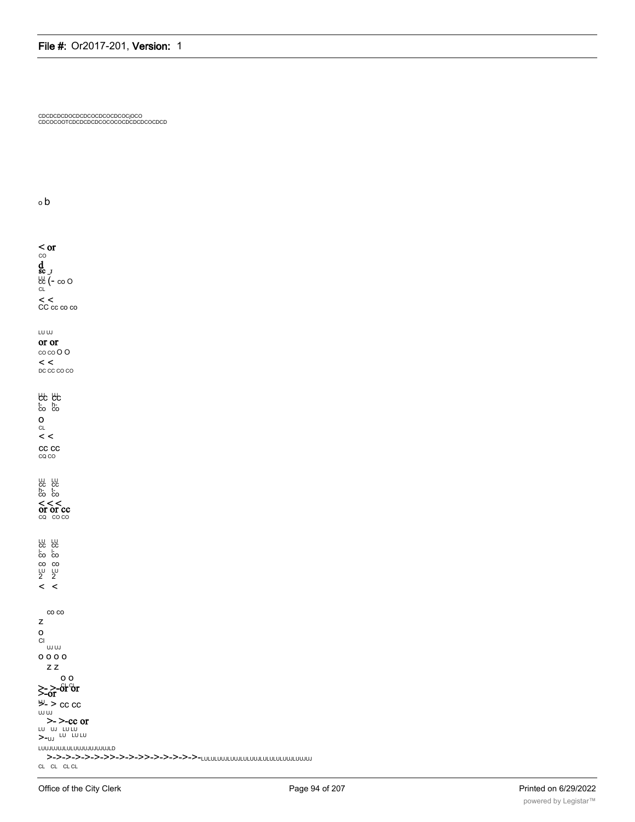CDCDCDCDCDCDCOCDCOCDCOCJOCO<br>CDCOCOOTCDCDCDCDCOCOCOCDCDCDCOCDCD

o b

 $\leq$  or  $Q_{\rm sc}^{\rm C}$  (- co O  $<<$ CC cc co co LU UJ or or  $\cos$   $\cos$   $\cos$  $\lt$   $\lt$ <br>DC CC CO CO  $\frac{1}{60}$  and  $\frac{1}{60}$  $\mathsf{o}$  $CL$  $\lt$  $\rm cc$   $\rm cc$  $_{\rm CO}$   $_{\rm CO}$  $25.85$ <br>  $25.85$ <br>  $25.85$ <br>  $25.85$ <br>  $25.85$  $\langle \ \ \langle$ co co  $\mathsf z$  $\mathsf{o}$  $\begin{array}{c}\nC \\
C\n\end{array}$  $0000$  $\mathsf{Z}\ \mathsf{Z}$  $0<sub>0</sub>$  $\geq$ - $\frac{5}{5}$ - $6r$  or  $\frac{1}{2}$  > cc cc UJ UJ  $>$ -<sup>01</sup> <sub>m</sub> mm<br>  $>$ -0<sup>1</sup> m mm<br>  $>$ -02 **ov LUUJUJUJLULUUJUJUJUJUJLD**  $CL \quad CL \quad CL \quad CL \quad CL$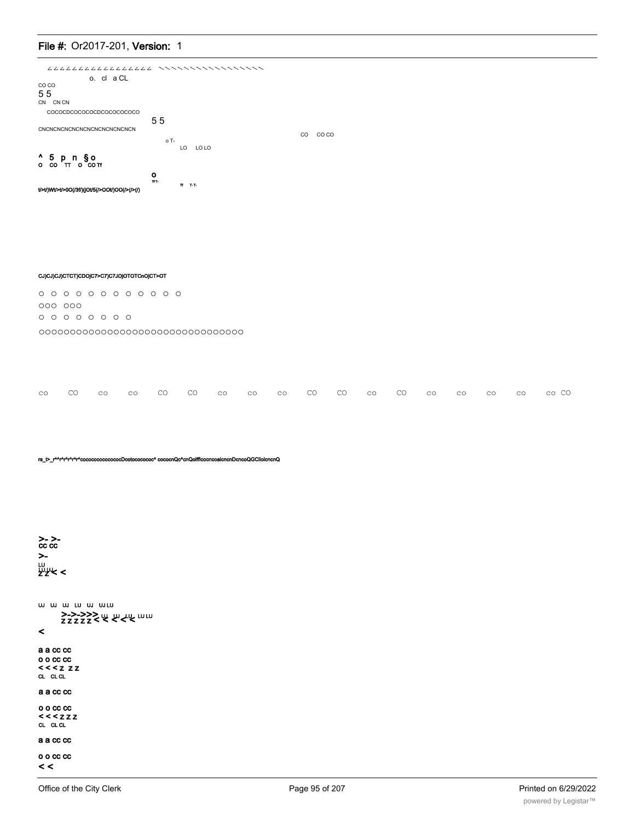

### CJ)CJ)CJ)CTCT)CDOJC7>C7)C7JOJOTOTCnOJCT>OT

 $0 0 0 0 0 0 0 0 0 0 0 0 0$ 000 000  $0 0 0 0 0 0 0 0 0$  ${\tt000000000000000000000000000000}$ 

|  |  |  |  |  |  |  |  |  |  |  |  |  |  |  |  |  | co CO co co CO CO co co co CO CO co CO co co co co co coCO |
|--|--|--|--|--|--|--|--|--|--|--|--|--|--|--|--|--|------------------------------------------------------------|
|--|--|--|--|--|--|--|--|--|--|--|--|--|--|--|--|--|------------------------------------------------------------|

Page 95 of 207

rs\_t>\_r^^r^r^r^r^cocococococococDcotocococo<sup>^</sup> cococnQc^cnQoifficocncoaicncnDcncoQGCiioicncnQ



Office of the City Clerk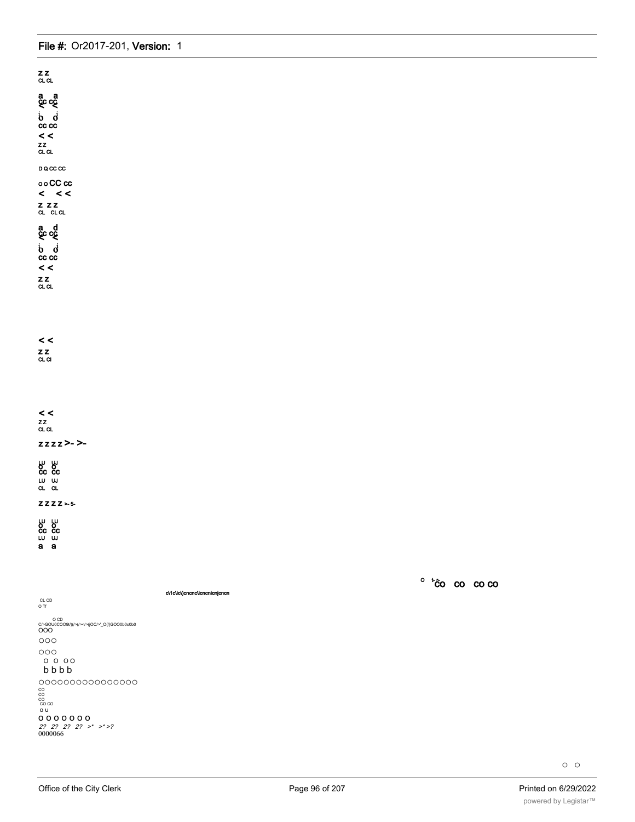| $Z$ $Z$<br>CLCL                                                                   |                              |                        |  |
|-----------------------------------------------------------------------------------|------------------------------|------------------------|--|
| 80<br>80<br>80<br>80<br>80<br>$\,<$ $<$<br>zz<br>CL CL                            |                              |                        |  |
| DQCCCC                                                                            |                              |                        |  |
| $\circ \circ \texttt{CC} \texttt{cc}$<br>$\langle \ \langle$<br>Z Z Z<br>CL CL CL |                              |                        |  |
| 80 ASA<br>80 ASA<br>$\,<$ $<$<br>$\frac{z}{c}$ . $\frac{z}{c}$                    |                              |                        |  |
| $\lt$<br>$\mathbf{z}\,\mathbf{z}$<br>CL <sub>CI</sub>                             |                              |                        |  |
|                                                                                   |                              |                        |  |
| $\lt$<br>zz<br>$CL$ $CL$                                                          |                              |                        |  |
| $zzzz \rightarrow -$                                                              |                              |                        |  |
| 80 00<br>00 00<br>cr cr                                                           |                              |                        |  |
| ZZZZ > 5                                                                          |                              |                        |  |
| 3<br>888<br>588<br>a a                                                            |                              |                        |  |
|                                                                                   |                              |                        |  |
|                                                                                   | c\1c\ic\)cncnc\icncnicnjcncn | $^{\circ}$ to co co co |  |
| CL CD<br>O Tf                                                                     |                              |                        |  |
| O CD<br>C/>GOU0COO9t/)(/>(/>(jOC/>'_O{/}GOO0b0o0b0<br>000<br>000                  |                              |                        |  |
| 000<br>0 0 0 0<br>bbbb                                                            |                              |                        |  |
| 000000000000000<br>$\frac{1}{200}$<br>o u                                         |                              |                        |  |
| 0000000<br>2? 2? 2? 2? >* >* >?<br>0000066                                        |                              |                        |  |

 $\circ$   $\circ$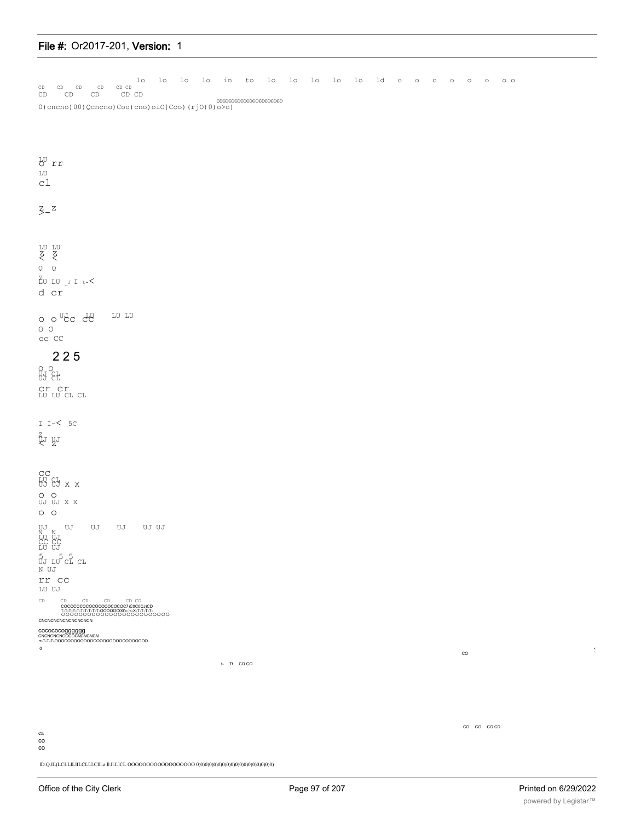| $\texttt{CD} \hspace{1.5cm} \texttt{CD} \hspace{1.5cm} \texttt{CD}$<br>$\mathbb{C}\mathbb{D}$<br>$CD$ $CD$<br>CD<br>0) cncno) 00) Qcncno) Coo) cno) oi0] Coo) $(rj0) 0) o >o$ )                                                                                           | $\mathbb{C}\mathbb{D}$ $\mathbb{C}\mathbb{D}$<br>CD CD | lo lo lo in to lo lo lo lo lo ld o o o o o o o o |  |            | CDCDCDCDCDCDCOCDCDCDCD |  |  |  |  |             |             |  |  |    |
|---------------------------------------------------------------------------------------------------------------------------------------------------------------------------------------------------------------------------------------------------------------------------|--------------------------------------------------------|--------------------------------------------------|--|------------|------------------------|--|--|--|--|-------------|-------------|--|--|----|
| $\Omega_{0}$ nt<br>$\mathbb{L}\mathbb{U}$<br>${\tt c1}$                                                                                                                                                                                                                   |                                                        |                                                  |  |            |                        |  |  |  |  |             |             |  |  |    |
| $\xi-$ z                                                                                                                                                                                                                                                                  |                                                        |                                                  |  |            |                        |  |  |  |  |             |             |  |  |    |
| $\begin{array}{cc} \text{LU} & \text{LU} \\ \text{Z} & \text{Z} \\ \text{Q} & \text{Q} \end{array}$<br>$\label{eq:2.1} \begin{array}{ccc} \mathbf{Z}_\mathbf{U} & \mathbf{L}\mathbf{U} & \mathbf{J} & \mathbf{I} & \mathbf{t} \text{-} \mathbf{<} \\ \end{array}$<br>d cr |                                                        |                                                  |  |            |                        |  |  |  |  |             |             |  |  |    |
| $95^{\circ}$ o $95^{\circ}$<br>$\circ\hspace{0.15cm}\circ$<br>$\rm cc$ $\rm CC$                                                                                                                                                                                           | LU LU                                                  |                                                  |  |            |                        |  |  |  |  |             |             |  |  |    |
| 225<br>an SF<br>On SF<br>$\begin{array}{ll} \mathtt{CT} & \mathtt{CT} \\ \mathtt{LU} & \mathtt{UU} & \mathtt{CL} \\ \mathtt{LU} & \mathtt{CU} & \mathtt{CL} \end{array}$                                                                                                  |                                                        |                                                  |  |            |                        |  |  |  |  |             |             |  |  |    |
| $I I - < 5C$<br>g<br>Vu yu                                                                                                                                                                                                                                                |                                                        |                                                  |  |            |                        |  |  |  |  |             |             |  |  |    |
| CC<br>LU CL<br>UJ UJ X X<br>$\begin{array}{ccccc} 0 & 0 & 0 \\ 0 & 0 & 0 \end{array}$<br>$\circ\hspace{0.15cm}\circ$<br>rn nn<br>CC CC<br>CC CC<br>In M<br>UJ UJ<br>$5\quad 5\quad 5\atop \text{UJ LU CL CL}$                                                             |                                                        | UJ UJ                                            |  |            |                        |  |  |  |  |             |             |  |  |    |
| N UJ<br>rr cc<br>LU UJ<br>$_{\rm CD}$<br>CD CD CD CD CO                                                                                                                                                                                                                   |                                                        |                                                  |  |            |                        |  |  |  |  |             |             |  |  |    |
| CNCNCNCNCNCNCNCNCN<br>COCOCOCOGJGJGJGJ<br>CNCNCNCNCOCOCNCNCNCN<br>T-T-T-T-O00000000000000000000000000000<br>$\mathbf 0$                                                                                                                                                   |                                                        |                                                  |  | t- Tf COCO |                        |  |  |  |  | $_{\rm co}$ |             |  |  | Ĭ. |
| $_{\rm ca}$<br>$_{\rm co}$<br>$_{\rm CO}$                                                                                                                                                                                                                                 |                                                        |                                                  |  |            |                        |  |  |  |  |             | CO CO CO CD |  |  |    |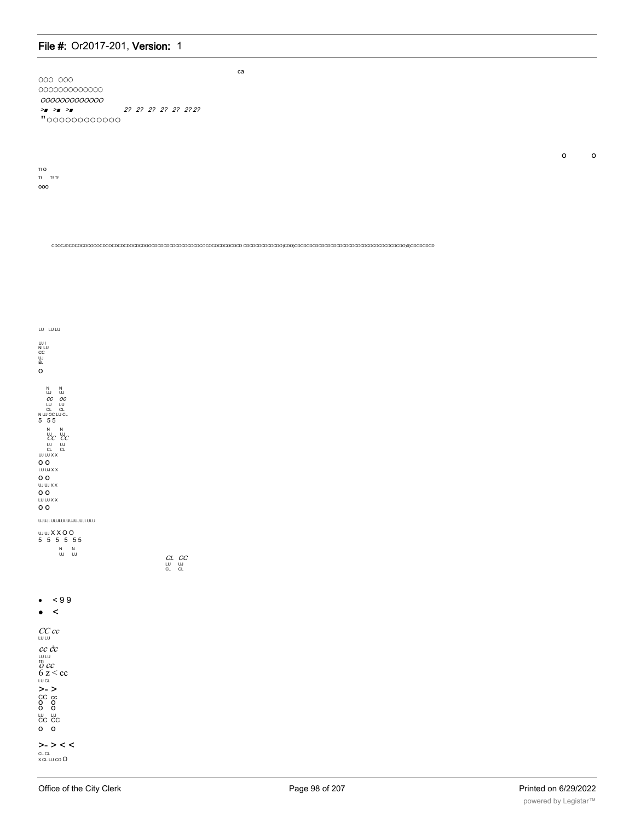000 000 000000000000 0000000000000  $>$   $>$   $>$   $>$   $>$   $>$   $>$   $\sim$ 27 27 27 27 27 27 27 27 "000000000000

ca

 $Tf$  O  $Tf = Tf Tf$ 000

 $\mathsf{o}$  $\circ$ 

LU LULU  $rac{1}{2}$ <br>  $rac{1}{2}$ <br>  $rac{1}{2}$ <br>  $rac{1}{2}$ <br>  $rac{1}{2}$ <br>  $rac{1}{2}$ <br>  $rac{1}{2}$ <br>  $rac{1}{2}$ <br>  $rac{1}{2}$ <br>  $rac{1}{2}$ <br>  $rac{1}{2}$ <br>  $rac{1}{2}$ <br>  $rac{1}{2}$ <br>  $rac{1}{2}$ <br>  $rac{1}{2}$ <br>  $rac{1}{2}$ <br>  $rac{1}{2}$  $\begin{array}{c}\nN & N \\
U & U \\
C & C\n\end{array}$   $\begin{array}{c}\nC & C \\
U & U \\
U & U \\
U & U \\
T & U\n\end{array}$  $\begin{array}{cccc}\n5 & 5 & 5 \\
& N & N \\
& U & U \\
& U & U \\
& U & U \\
& U & U\n\end{array}$ **00**<br>LU UJ X X  $00$ <br> $00$  $00$ <br>  $00$  $00$ **ORDIFOOTEDEDOROPTEDED** 0000XX00<br>5 5 5 5 5 5  $\begin{array}{cc} N & N \\ UJ & UJ \end{array}$  $< 9.9$  $\bullet$  $\prec$  $\bullet$  $\mathop{CC}\limits_{\text{LU}}$   $\mathop{cc}\limits_{\text{LU}}$  $\begin{array}{c} cc & \stackrel{\rightarrow}{cc} \\ \stackrel{\scriptscriptstyle{\text{UDU}}}{\scriptscriptstyle{\text{BD}}} \\ \stackrel{\scriptscriptstyle{\text{BD}}}{\scriptscriptstyle{\text{BC}}} & \\ \stackrel{\scriptscriptstyle{\text{BC}}}{\scriptscriptstyle{\text{BD}}} & & \\ \stackrel{\scriptscriptstyle{\text{UDU}}}{\scriptscriptstyle{\text{BD}}} & & \end{array}$ OC OOC V<br>CC OOC V<br>CC OOC V  $0$  0  $>$   $>$   $<$   $<$ x cl Lu co O

 $\begin{array}{cc} CL & CC \\ LU & U \\ CL & CL \end{array}$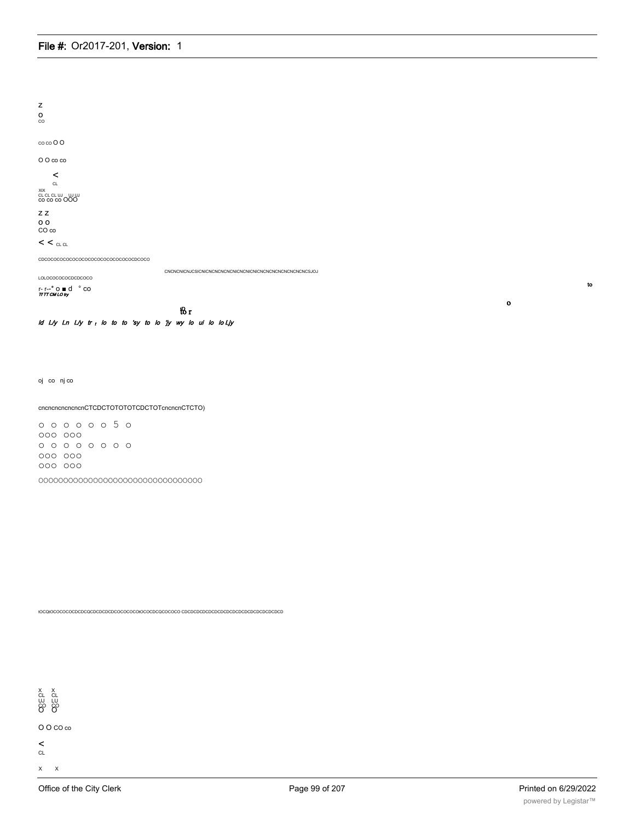| z                                                            |  |
|--------------------------------------------------------------|--|
| o<br>CO                                                      |  |
|                                                              |  |
| $\cos 00$                                                    |  |
| O O co co                                                    |  |
| <                                                            |  |
| CL<br>XIX                                                    |  |
| co co co OOO                                                 |  |
| ZZ                                                           |  |
| 0 <sub>0</sub><br>CO co                                      |  |
| $<$ $<$ $<$ $<$ $<$ $<$ $<$ $<$ $<$                          |  |
| CDCOCOCOCOCOCOCOCOCOCOCOCOCOCOCOCOCOCO                       |  |
|                                                              |  |
| LOLOCOCOCOCDCDCOCO                                           |  |
| $r-r-r^*$ o $\blacksquare$ d $^\circ$ co<br>$\pi\pi$ cM Loty |  |
| Rr                                                           |  |
| ld Lly Ln Lly tr , lo to to 'sy to lo 'jy wy lo ui lo lo Ljy |  |
|                                                              |  |
|                                                              |  |
|                                                              |  |
| oj co nj co                                                  |  |
|                                                              |  |
| cncncncncncncnCTCDCTOTOTOTCDCTOTcncncnCTCTO)                 |  |

 $00000050$ 000 000  $0\ \ 0\ \ 0\ \ 0\ \ 0\ \ 0\ \ 0$  $0000000$ 000 000



 $\mathbf{t}$ 

 $\mathbf{o}$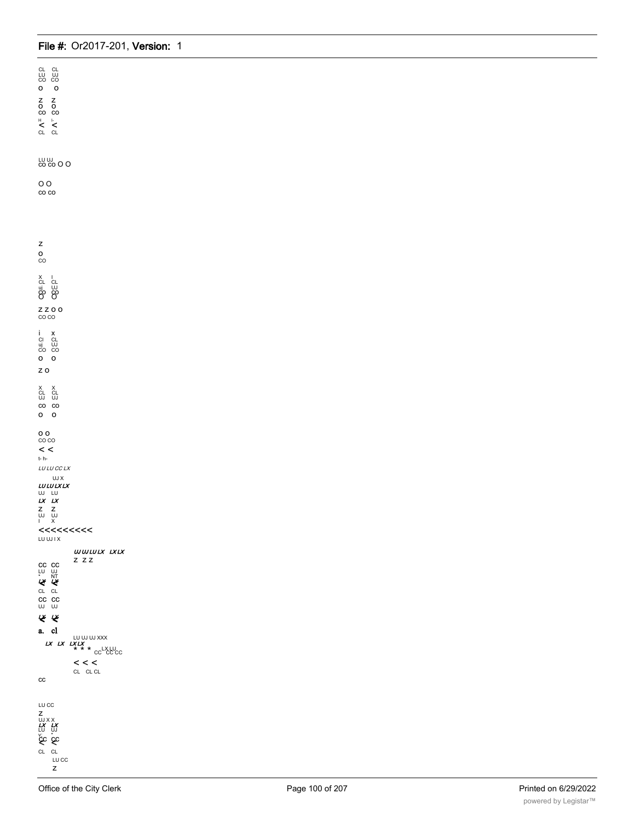| CL CL<br>LU UJ<br>CO CO<br>$0$ 0<br>$\begin{smallmatrix} Z & Z\\ 0 & 0\\ {\rm co} & {\rm co} \end{smallmatrix}$<br>$\begin{array}{ccc} \n & \rightarrow & \rightarrow & \rightarrow \\ \n & \rightarrow & \rightarrow & \rightarrow \\ \n & \rightarrow & \rightarrow & \rightarrow \end{array}$ |                               |  |
|--------------------------------------------------------------------------------------------------------------------------------------------------------------------------------------------------------------------------------------------------------------------------------------------------|-------------------------------|--|
|                                                                                                                                                                                                                                                                                                  |                               |  |
| $\circ$ $\circ$<br>$\cos$                                                                                                                                                                                                                                                                        |                               |  |
| $\mathsf z$<br>$\mathsf{o}$                                                                                                                                                                                                                                                                      |                               |  |
| $_{\rm CO}$                                                                                                                                                                                                                                                                                      |                               |  |
| $Z$ $Z$ 0 0<br>$CO$ $CO$                                                                                                                                                                                                                                                                         |                               |  |
| $\begin{array}{cc} i & \textbf{X} \\ \textbf{C}I & \textbf{C}L \\ \textbf{U}j & \textbf{UJ} \\ \textbf{CO} & \textbf{CO} \end{array}$<br>$0$ 0<br>Z O                                                                                                                                            |                               |  |
| $\begin{array}{ccc} X & X \\ C L & C L \\ U J & U J \\ U J & U J \end{array}$<br>$0$ 0                                                                                                                                                                                                           |                               |  |
| 0 <sub>0</sub><br>COCO<br>$\,<$ $<$<br>$t - h -$<br>$LU$ $LU$ $CC$ $L\!X$<br>UJ X<br>LULULXLX<br>$\mathsf{U}\mathsf{J}-\mathsf{L}\mathsf{U}$                                                                                                                                                     |                               |  |
| $\begin{array}{ccc} & \times & \times \\ & \times & \times \\ & \times & \times \\ & \times & \times \end{array}$<br>LU UJ I X                                                                                                                                                                   |                               |  |
|                                                                                                                                                                                                                                                                                                  | WWLULX LXLX<br>Z Z Z          |  |
| 安安                                                                                                                                                                                                                                                                                               |                               |  |
| a. cl                                                                                                                                                                                                                                                                                            |                               |  |
| cc                                                                                                                                                                                                                                                                                               | $\,<\,$ $<$<br>$CL$ $CL$ $CL$ |  |
| $\tt LU$ $\tt CC$<br><b>C KO<sub>C</sub>CKEX</b><br>$\mathsf{Z}% _{0}\left( \mathsf{Z}\right)$                                                                                                                                                                                                   | LU CC                         |  |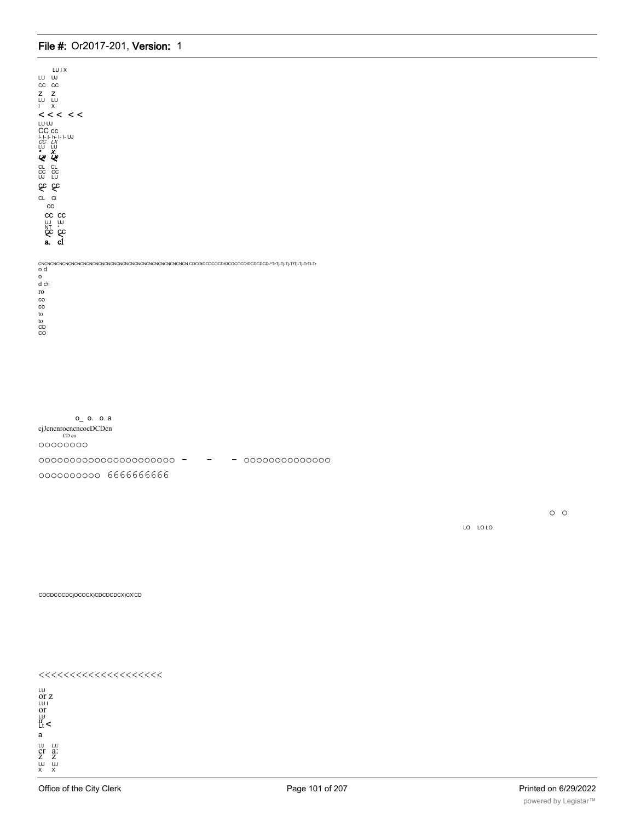| LU I X<br>LU UJ<br>СC<br>CC<br>z<br>z<br>LU<br>I<br>$\frac{L}{X}$ |
|-------------------------------------------------------------------|
| $<$ $<$ $<$                                                       |
| LU UJ<br>CC cc<br>LX<br>LU<br>X.<br>ĻÚ<br>ų<br>ų                  |
| CL<br>CC<br>UJ<br>$_{\rm CC}^{\rm CL}$<br>Ĥ                       |
| œ<br>δc                                                           |
| СL<br><b>CI</b>                                                   |
| СC                                                                |
| cс<br>cc<br>UJ<br>ŲJ<br>NT.<br>CC<br>c<br>a.                      |

 $0_$  0. 0. a  $c$ jJenenroeneneoeDCDen 00000000  $-$  - 000000000000000 0000000000 6666666666

 $\circ$   $\circ$ 

LO LOLO

 $\begin{aligned} &\iff \begin{minipage}{0.5\textwidth} \centering \end{minipage} \begin{minipage}{0.5\textwidth} \centering \begin{minipage}{0.5\textwidth} \centering \end{minipage} \begin{minipage}{0.5\textwidth} \centering \end{minipage} \begin{minipage}{0.5\textwidth} \centering \end{minipage} \begin{minipage}{0.5\textwidth} \centering \end{minipage} \begin{minipage}{0.5\textwidth} \centering \end{minipage} \begin{minipage}{0.5\textwidth} \centering \end{minipage} \begin{minipage}{0.5\textwidth} \centering \end{minipage} \begin{$ 

cocDcocDcjococx)cDcDcDcX)cx'cD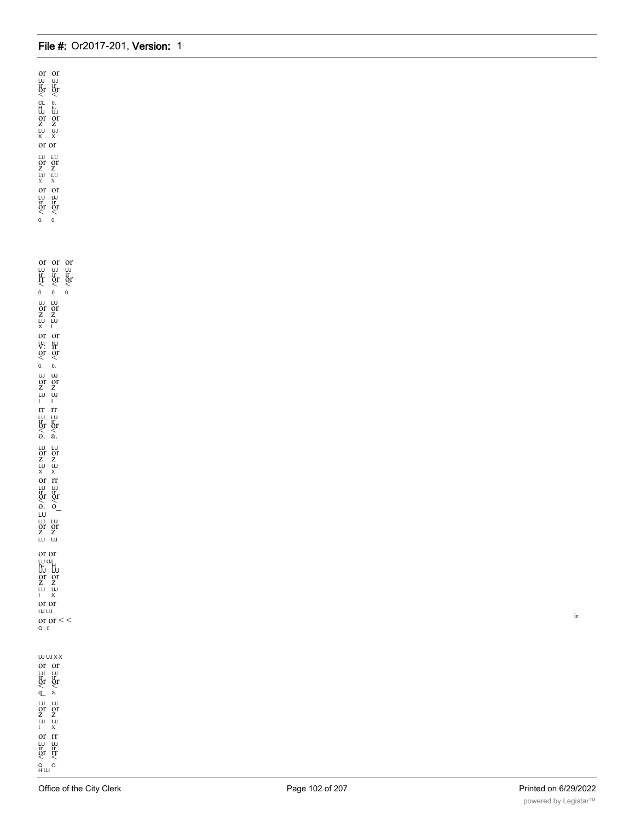|                                                                                                                                                                                                                                                                                                                                                                                                                                                                                                                                                                                                                                                                                                                                                                                                                                                                                                                                                                                                                                                                                                                                                                                                                                                                                                                                                                                                                                                                                                                                                                                                            | File #: Or2017-201, Version: 1 |
|------------------------------------------------------------------------------------------------------------------------------------------------------------------------------------------------------------------------------------------------------------------------------------------------------------------------------------------------------------------------------------------------------------------------------------------------------------------------------------------------------------------------------------------------------------------------------------------------------------------------------------------------------------------------------------------------------------------------------------------------------------------------------------------------------------------------------------------------------------------------------------------------------------------------------------------------------------------------------------------------------------------------------------------------------------------------------------------------------------------------------------------------------------------------------------------------------------------------------------------------------------------------------------------------------------------------------------------------------------------------------------------------------------------------------------------------------------------------------------------------------------------------------------------------------------------------------------------------------------|--------------------------------|
| <b>SACRAM</b><br>SACRAMA<br>SACRAMA<br>SACRAMA<br>SACRAMA<br>or or<br>$\begin{array}{ll} \text{LU} & \text{LU} \\ \text{or} & \text{Or} \\ \text{Z} & \text{Z} \\ \text{LU} & \text{LU} \\ \text{X} & \text{X} \end{array}$<br>$\begin{array}{ll} \mbox{or} & \mbox{or} \\ \mbox{\tiny L}{\rm U} & \mbox{\tiny L}{\rm U}\\ \mbox{\tiny d}{\rm r} & \mbox{\tiny d}{\rm r}\\ \mbox{\tiny d}{\rm r} & \mbox{\tiny d}{\rm r}\\ \mbox{\tiny c}{\rm r} & \mbox{\tiny c} \end{array}$<br>$0. \qquad 0.$                                                                                                                                                                                                                                                                                                                                                                                                                                                                                                                                                                                                                                                                                                                                                                                                                                                                                                                                                                                                                                                                                                           |                                |
| or or or<br>$\begin{array}{c} \mathop{\mathrm{tr}}\limits_{\mathop{\mathrm{tr}}\limits_{\mathop{\mathrm{tr}}\limits_{\mathop{\mathrm{tr}}\limits_{\mathop{\mathrm{tr}}\limits_{\mathop{\mathrm{tr}}\limits_{\mathop{\mathrm{tr}}\limits_{\mathop{\mathrm{tr}}\limits_{\mathop{\mathrm{tr}}\limits_{\mathop{\mathrm{tr}}\limits_{\mathop{\mathrm{tr}}\limits_{\mathop{\mathrm{tr}}\limits_{\mathop{\mathrm{tr}}\limits_{\mathop{\mathrm{tr}}\limits_{\mathop{\mathrm{tr}}\limits_{\mathop{\mathrm{tr}}\limits_{\mathop{\mathrm{tr}}\limits_{\mathop{\mathrm{tr}}\limits_{\mathop{\mathrm{tr}}\limits_{\mathop{\$<br>0. 0.<br>$\begin{array}{ll} \mathbb{U} & \mathbb{U} \\ \mathbb{O} \mathbf{r} & \mathbb{O} \mathbf{r} \\ \mathbb{Z} & \mathbb{Z} \\ \mathbb{U} & \mathbb{U} \\ \mathbb{X} & \mathbb{I} \end{array}$<br>or or<br>$\begin{array}{c} \mbox{\#} \\ \mbox{\#} \\ \mbox{\#} \\ \mbox{\#} \\ \mbox{\#} \end{array}$<br>$\mathbf{0.} \qquad \mathbf{0.}$<br>UJ UJ<br>$\begin{array}{c}\n\text{or} \\ \text{or} \\ \text{I} \\ \text{I} \\ \text{I} \\ \text{I} \\ \end{array}$<br>$\begin{array}{cc} \text{rr} & \text{rr} \\ \text{LU} & \text{LU} \\ \text{Or} & \text{Or} \\ \text{O.} & \text{a.} \end{array}$<br>$\begin{array}{ll} \text{LU} & \text{LU} \\ \text{or} & \text{Or} \\ \text{Z} & \text{Z} \\ \text{LU} & \text{UJ} \\ \text{X} & \text{X} \end{array}$<br>or rr<br>$\bigoplus\limits_{\alpha=1}^{n} \bigoplus\limits_{\alpha=1}^{n}$<br>$\begin{array}{c} 0.0 \ \text{LU} \ \text{LU} \ \text{or} \ \text{Z} \ \text{LU} \ \text{LU} \ \text{LU} \ \text{LU} \ \end{array}$ | $\mathsf{0}.$                  |
| or or<br>$\begin{bmatrix} 1 & 0 & 0 \\ 0 & 0 & 0 \\ 0 & 0 & 0 \\ 0 & 0 & 0 \\ 0 & 0 & 0 \\ 0 & 0 & 0 \\ 0 & 0 & 0 \\ 0 & 0 & 0 \\ 0 & 0 & 0 \\ 0 & 0 & 0 \\ 0 & 0 & 0 \\ 0 & 0 & 0 \\ 0 & 0 & 0 \\ 0 & 0 & 0 \\ 0 & 0 & 0 \\ 0 & 0 & 0 \\ 0 & 0 & 0 \\ 0 & 0 & 0 \\ 0 & 0 & 0 \\ 0 & 0 & 0 \\ 0 & 0 & 0 \\ 0 & 0 & 0 \\ 0 & 0 & 0 \\ 0 & 0 & $<br>or or<br>UJ UJ<br>or or $\leq$ $<$<br>$\mathsf{Q\_0}.$                                                                                                                                                                                                                                                                                                                                                                                                                                                                                                                                                                                                                                                                                                                                                                                                                                                                                                                                                                                                                                                                                                                                                                                                   | $\operatorname{ir}$            |
| UJ UJ X X<br>or or<br>$\mathop{\mathrm{tr}}_{\mathbf{r}}^{\mathbf{r}}$ $\mathop{\mathrm{tr}}_{\mathbf{r}}^{\mathbf{r}}$<br>$\mathop{\mathrm{tr}}_{\mathbf{r}}^{\mathbf{r}}$<br>$\mathop{\mathrm{er}}_{\mathbf{r}}^{\mathbf{r}}$<br>$\mathop{\mathrm{er}}_{\mathbf{r}}^{\mathbf{r}}$<br>$\begin{array}{ll} \n & \text{LU} & \text{LU} \\ \n & \text{Or} & \text{Or} \\ \n & \text{Z} & \text{Z} \\ \n & \text{LU} & \text{LU} \\ \n & \text{I} & \text{X} \n\end{array}$                                                                                                                                                                                                                                                                                                                                                                                                                                                                                                                                                                                                                                                                                                                                                                                                                                                                                                                                                                                                                                                                                                                                    |                                |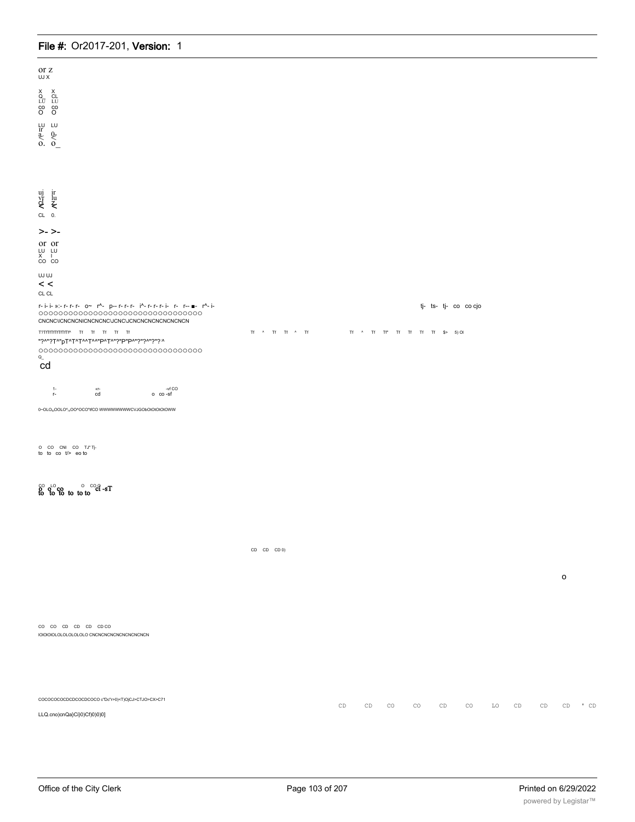| or z<br>UJ X                                                                                                                                           |                                                                 |  |
|--------------------------------------------------------------------------------------------------------------------------------------------------------|-----------------------------------------------------------------|--|
| $\begin{array}{cc} X & X \\ Q & CL \\ LU & LU \\ CO & CO \end{array}$                                                                                  |                                                                 |  |
| $\begin{array}{ccc} \mathbb{L} & \mathbb{L} & \mathbb{L} \\ \mathbb{I} & \mathbb{Q} \\ \mathbb{Q} & \mathbb{Q} \\ \mathbb{O} & \mathbb{O} \end{array}$ |                                                                 |  |
|                                                                                                                                                        |                                                                 |  |
| ir<br>と<br>uj<br>K<br>$CL$ 0.                                                                                                                          |                                                                 |  |
| $> - > -$                                                                                                                                              |                                                                 |  |
| or or<br>$\begin{array}{cc}\n1 & 1 \\ 1 & 1 \\ 1 & 1\n\end{array}$                                                                                     |                                                                 |  |
| UJ UJ                                                                                                                                                  |                                                                 |  |
| $\lt$<br>CL CL                                                                                                                                         |                                                                 |  |
|                                                                                                                                                        |                                                                 |  |
| reliefs wordereinen des inferienden einer inferenzeiten in ihrem in inferie<br>CNCNC\ICNCNCNICNCNCNC\JCNC\JCNCNCNCNCNCNCNCNCN                          | tj- ts- tj- co co cjo                                           |  |
| T?TfTfTfTfTfTff* Tf Tf Tf Tf Tf                                                                                                                        | Tf ^ Tf Tf ^ Tf $\land$ Tf $\land$ Tf Tf Tf Tf Tf Tf $\$>5)$ Ol |  |
| "?^"?T^"pT^T^T^^T^^"P^T^"?"P"P^"?"?^"?"?                                                                                                               |                                                                 |  |
| $\mathsf{Q}_-$<br>cd                                                                                                                                   |                                                                 |  |
| -vf CO<br>$1-$<br>$\alpha$ r-<br>cd<br>o co-sf<br>r-                                                                                                   |                                                                 |  |
| 0~OLO <sub>10</sub> OOLO^ <sub>11</sub> OO^OCO"tfCO WWWWWWWWCVJGObOtOtOtOtOWW                                                                          |                                                                 |  |
|                                                                                                                                                        |                                                                 |  |
| O CO CNI CO TJ"Tj-<br>to to co t/> eo to                                                                                                               |                                                                 |  |
|                                                                                                                                                        |                                                                 |  |

CO CO CD CD CD CDCO IOIOIOIOLOLOLOLOLOLO CNCNCNCNCNCNCNCNCNCNCN

 $CD$   $CD$   $CD$  0)

COCOCOCOCDCDCOCDCOCO c"Dc"r>0)<T)OjCJ>CTJO>CX>C71 CD CD CO CO CD CO LO CD CD CD 'CD LLQ.cno)cnQa}Ci}0)Cf)0)0)0]

 $\circ$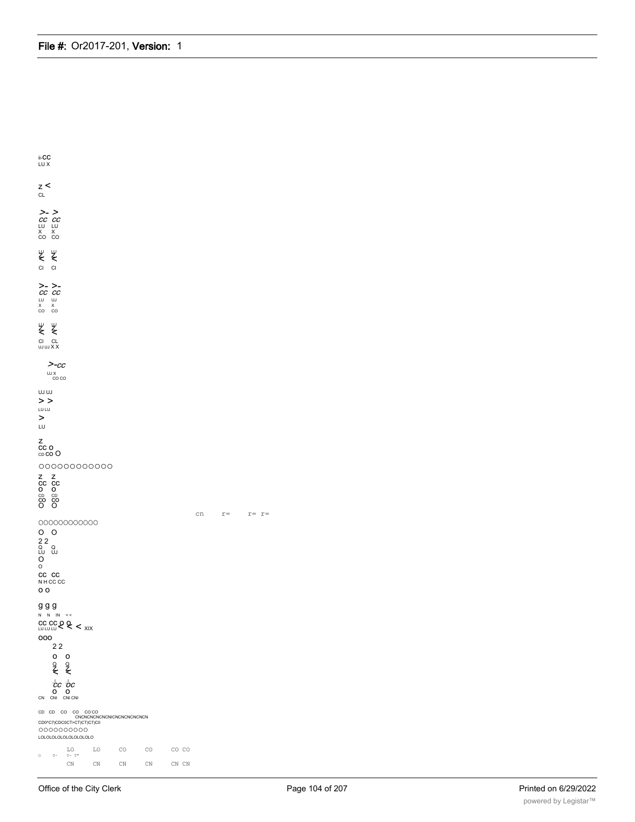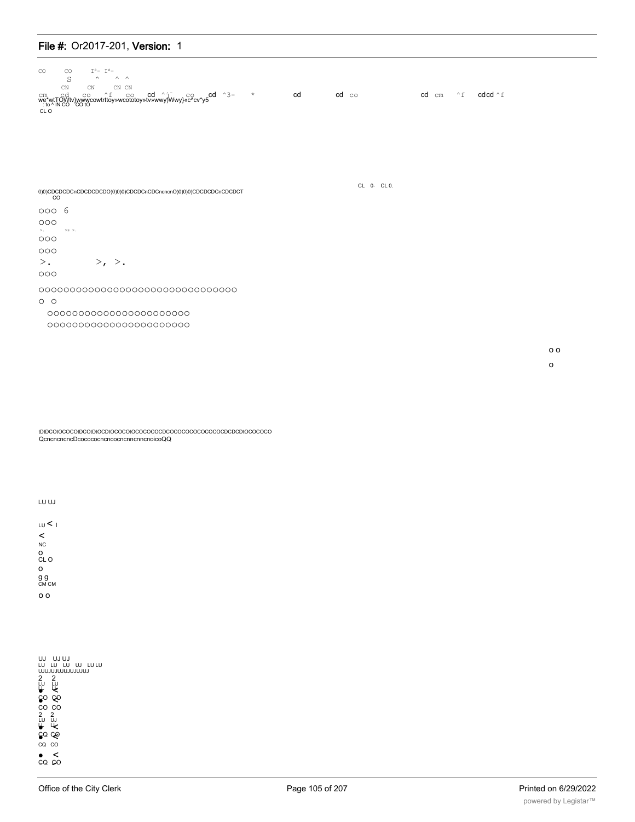| CO<br>CO<br>$I^s - I^s -$<br>S<br>$\land$<br>$\wedge\hspace{0.15cm}\wedge$<br>$_{\mbox{\tiny{CN}}}$<br>CN CN<br>CN<br>cd<br>$^\wedge$ f<br>$cd \quad \land \dagger$ $co$<br>cd $^{\wedge}3-$<br>cd<br>$\star$<br>$_{\rm CO}$<br>$_{\rm CO}$<br>cm<br>we*wtTOWtv}www.cowtrttoy»wcototoy»tv»wwyjWwy}«c <sup>x</sup> cv*y5<br>CL O | cd co       | $cd$ $cm$<br>$^{\wedge}$ £<br>cdcd $\wedge$ f |
|---------------------------------------------------------------------------------------------------------------------------------------------------------------------------------------------------------------------------------------------------------------------------------------------------------------------------------|-------------|-----------------------------------------------|
| 0)0)CDCDCDCnCDCDCDCDO)0)0)0)CDCDCnCDCncncnO)0)0)0)CDCDCDCnCDCDCT<br>$_{\rm CO}$                                                                                                                                                                                                                                                 | CL 0- CL 0. |                                               |
| 0006<br>000<br>$>s$ $>$ .<br>$>$ .<br>000<br>000<br>$>$ , $>$ .<br>$>$ .<br>000                                                                                                                                                                                                                                                 |             |                                               |
| $O$ $O$<br>0000000000000000000000<br>0000000000000000000000                                                                                                                                                                                                                                                                     |             | 0 <sub>o</sub>                                |

 $\mathsf{o}$ 

### LU UJ

| LU < 1         |  |  |  |
|----------------|--|--|--|
| $\,<$          |  |  |  |
| $_{\rm NC}$    |  |  |  |
| $\circ$        |  |  |  |
| CL O           |  |  |  |
| o              |  |  |  |
| $g g$<br>CM CM |  |  |  |

 $\circ$   $\circ$ 

| UJ<br>LU     | UJ UJ<br>LU<br><b>UJUJUJUJUJUJUJUJ</b> |  | LU UJ LULU |
|--------------|----------------------------------------|--|------------|
| 2<br>i∿<br>⊌ | 2<br>IJ<br>ىيا                         |  |            |
| O            |                                        |  |            |
| CO           | CO                                     |  |            |
| 2<br>L∪<br>⊌ | $\overline{\mathbf{c}}$<br>UJ          |  |            |
| ړ            |                                        |  |            |
| CQ           | CO                                     |  |            |
| e<br>CQ      |                                        |  |            |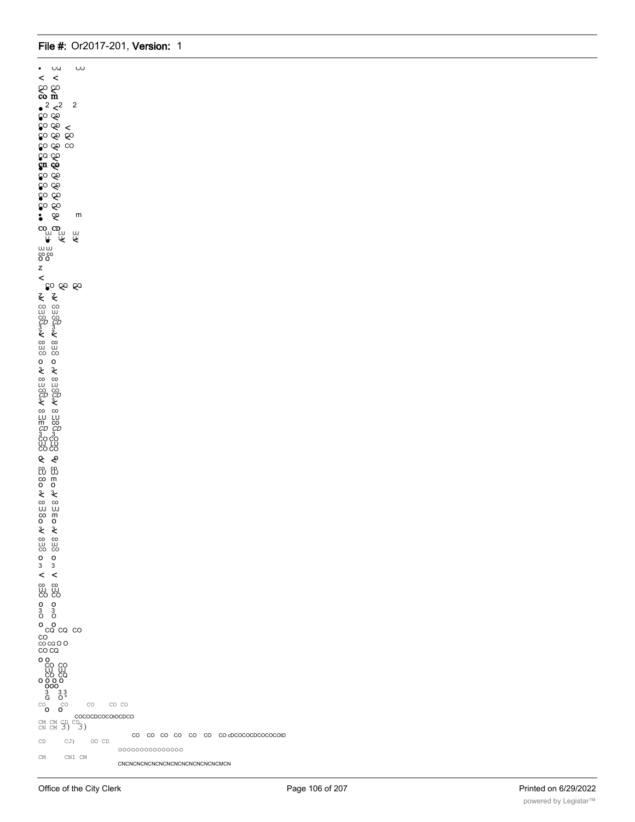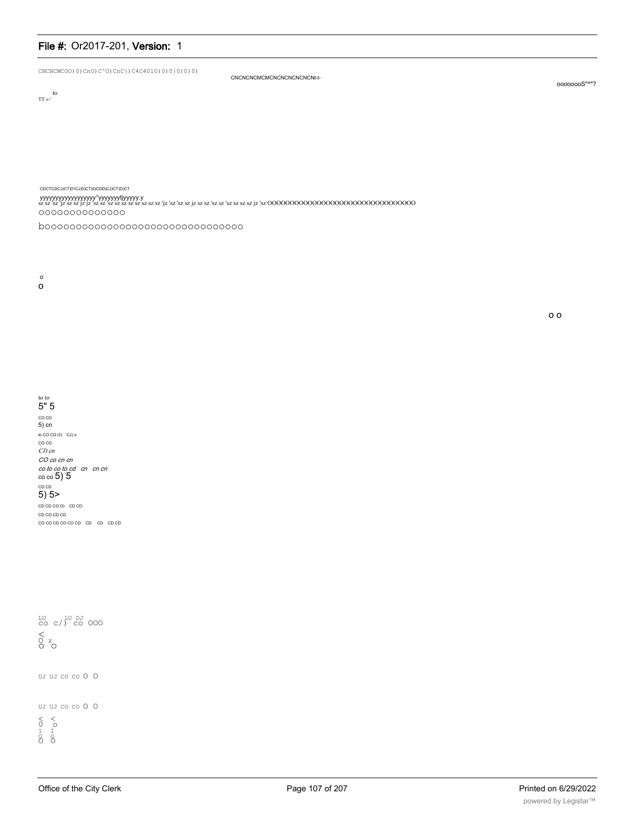CNCNCMCOO) 0) CnO) C^O) CnC} ) C4C4010 ) 0 ) 0 } 0 } 0 } 0 } 0 }

CNCNCNCMCMCNCNCNCNCNCNt-t-

0000000S"^"?

to  $\mbox{tr}$ 

CDCTCDCJ)CT)01CJ)0)CT)0)CDD)CJ)CT)D)CT 0000000000000

 $\circ$  $\circ$ 

 $\circ$ 

# $\overset{\scriptscriptstyle\rm{to}\,\scriptscriptstyle{\rm{to}}}{5}$ 5

co co<br>5) cn to CO CD O)  $CJ$ ) o  $\cos$  $CJ$ ) cn  $CO$  co cn cn  $\frac{1}{\cos 100}$  co to co to calculate co co 5) 5

# $\overset{\text{\tiny{CD CD}}}{5}$ ) 5>

 $CD$   $CD$   $CO$   $O$ )  $CD$   $CD$ CD CO CD CD  $\begin{array}{ccc} \texttt{CO}\ \texttt{CO}\ \texttt{CO}\ \texttt{CO}\ \texttt{CO}\ \texttt{CO} & \texttt{CD} & \texttt{CD} & \texttt{CD}\ \texttt{CD} \end{array}$ 

 $\begin{bmatrix} 10 & 0 \\ 0 & 0 \end{bmatrix}$   $\begin{bmatrix} 10 & 0 \\ 0 & 0 \\ 0 & 0 \end{bmatrix}$  $\begin{array}{c}\n0 \\
0 \\
0\n\end{array}$ 

uj uj co co 0 0

un nn co co 0 0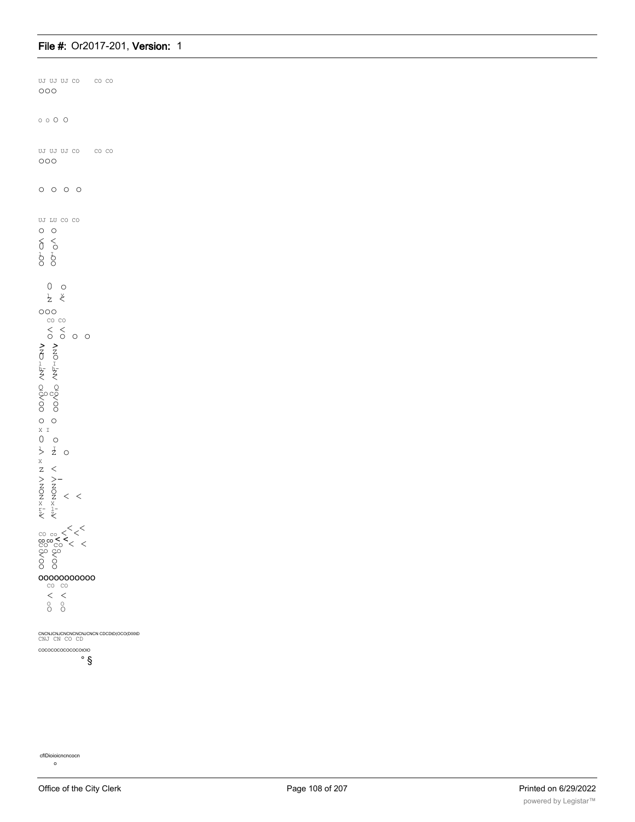| nn nn nn co<br>$_{\rm CO}$<br><b>CO</b><br>000                                                                                                                                                                                                                                |
|-------------------------------------------------------------------------------------------------------------------------------------------------------------------------------------------------------------------------------------------------------------------------------|
| 0000                                                                                                                                                                                                                                                                          |
| ni ni ni co<br>CO<br>CO<br>$\circ \circ \circ$                                                                                                                                                                                                                                |
| O<br>$\circ$<br>$\circ$<br>$\circ$                                                                                                                                                                                                                                            |
| UJ LU CO CO                                                                                                                                                                                                                                                                   |
| $\circ$<br>$\circ$<br>O<br>$\left\{ \begin{array}{l} 0 \leq k < k \leq k \leq k \leq k \leq k \leq k \leq k \end{array} \right.$<br>း<br>တို့တို့<br>၁၀၁<br>00 XOC<br>88<br>00000000000<br>$CO$ $CO$<br>$\langle \ \ \langle$<br>88<br>CNCNJCNJCNCNCNCNJCNCN CDCDtD(OCO(D00tD |

CNUMJUNUCNUNUNUNU

 ${\tt COCOCOCOCOCOCOO101O}$ 

 $\degree$  §

cflDioioicncncocn  $\circ$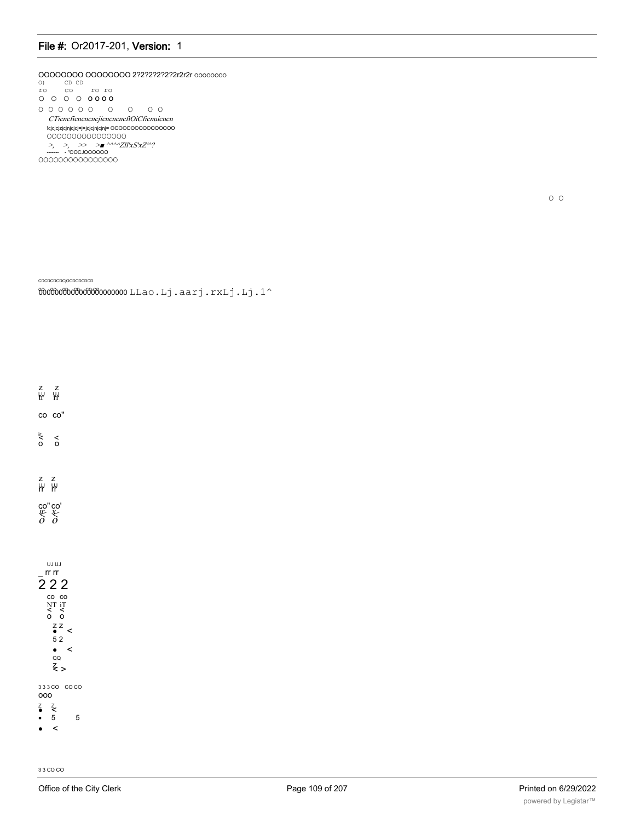00000000 00000000 2?2?2?2?2?2r2r2r 00000000  $\overline{O}$ CD CD  $0$   $0$   $0$   $0$   $0$   $0$   $0$   $0$   $0$  $0 0 0 0 0 0 0$  $\circ$  $O$   $O$  $\label{prop:cor:cor:con} C Ticncficncncnccicncnccfcficncincncncnccfcficncncncncnccfcfocncncncncnccfcfcncncncncnccfcfcncncncncnccfcfcncncncncnccfcfcncncncncnccfcfcircncncncnccfcfcircncncncnccfcfcircncncncnccfcfcircncncncnccfcfcircncncncnccfcfcircncncncnccfcfcircncncncnccfcfcircncncncnccfcfcircncncncnccfcfcircncncncnccfcfcircncncncnccfcfcircncncncnccfcfcircncncncnccfcfcircncncnccfcfcircncncnccfcfcircncncnccfcfcircncncnccfcfcircnc$ !cjcjcjzjcjnjcjcj=j=jcjcjnjcjnj= 0000000000000000 000000000000000 >, >, >> >■ <sup> $\frac{1}{2}$ </sup>  $XS'XZ''$ ?

 $0<sup>o</sup>$ 

CDCDCDCDCOCDCDCDCD

000000000000000





 $\begin{array}{cc} Z & Z \\ W & W \end{array}$  $\begin{array}{c} {\rm co}^{\rm o}{\rm co}^{\rm o}\\ {\rm i}\ll\ll\\ {\cal O}&{\cal O} \end{array}$ 

UJ UJ  $rr$ rr  $\overline{2}$  2 2  $\begin{array}{cc} \text{co} & \text{co} \\ \text{NT} & \text{i} \\ \text{c} & \text{c} \\ \text{O} & \text{O} \end{array}$  $\frac{ZZ}{6}$  <  $\bullet \quad <$  $QQ$  $\xi >$ 333 CO CO CO

000  $\begin{array}{cc} \frac{z}{\bullet} & \frac{z}{\epsilon} \\ \bullet & 5 \end{array}$  $\sqrt{5}$ 

 $\bullet$  $\,<$ 

3 3 CO CO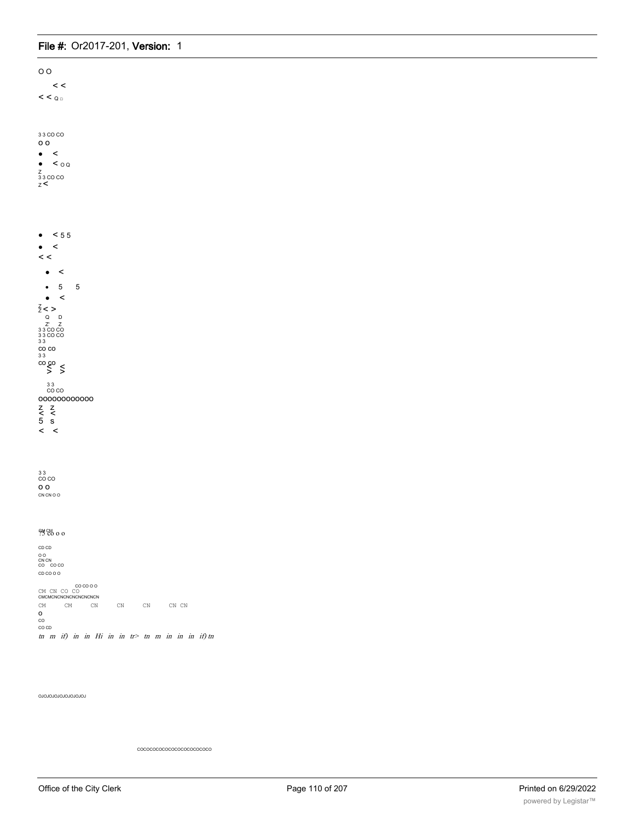| 0 <sub>0</sub>                                                                                                   |                                                                                                   |  |  |
|------------------------------------------------------------------------------------------------------------------|---------------------------------------------------------------------------------------------------|--|--|
| $\,<\,$ $<$                                                                                                      |                                                                                                   |  |  |
| $<$ $<$ $_{\mathrm{Q\,{\scriptscriptstyle\Box}}}$                                                                |                                                                                                   |  |  |
|                                                                                                                  |                                                                                                   |  |  |
|                                                                                                                  |                                                                                                   |  |  |
| 3 3 CO CO                                                                                                        |                                                                                                   |  |  |
| 0 <sub>0</sub><br>$\bullet$ <                                                                                    |                                                                                                   |  |  |
| $\bullet \quad <$ 00                                                                                             |                                                                                                   |  |  |
| $\frac{z}{330000}$                                                                                               |                                                                                                   |  |  |
|                                                                                                                  |                                                                                                   |  |  |
|                                                                                                                  |                                                                                                   |  |  |
|                                                                                                                  |                                                                                                   |  |  |
| $\bullet \quad 55$                                                                                               |                                                                                                   |  |  |
| $\,<$<br>$\bullet$                                                                                               |                                                                                                   |  |  |
| $\lt$ $\lt$                                                                                                      |                                                                                                   |  |  |
| $\prec$<br>٠                                                                                                     |                                                                                                   |  |  |
| $\,$ 5 $\,$<br>5<br>$\bullet$                                                                                    |                                                                                                   |  |  |
| $\prec$<br>$\bullet$                                                                                             |                                                                                                   |  |  |
| $\frac{z}{2}$ < >                                                                                                |                                                                                                   |  |  |
| $\mathsf Q$ $\quad$ D                                                                                            |                                                                                                   |  |  |
| 2<br>33COCO<br>33COCO<br>33                                                                                      |                                                                                                   |  |  |
| co co<br>33                                                                                                      |                                                                                                   |  |  |
| $\stackrel{\text{co}}{>}\stackrel{\text{co}}{>}\stackrel{\text{co}}{>}$                                          |                                                                                                   |  |  |
|                                                                                                                  |                                                                                                   |  |  |
| $\frac{33}{0000}$                                                                                                |                                                                                                   |  |  |
| 000000000000                                                                                                     |                                                                                                   |  |  |
| $\begin{array}{ccc} z & z \\ z & z \\ 5 & s \end{array}$                                                         |                                                                                                   |  |  |
| $\,<\,$ $\,<\,$                                                                                                  |                                                                                                   |  |  |
|                                                                                                                  |                                                                                                   |  |  |
|                                                                                                                  |                                                                                                   |  |  |
| $\overset{3}{\underset{\text{CO CO}}{3}}$                                                                        |                                                                                                   |  |  |
| $\circ$ $\circ$                                                                                                  |                                                                                                   |  |  |
| ${\sf CN}$ ${\sf CN}$ ${\sf O}$ ${\sf O}$                                                                        |                                                                                                   |  |  |
|                                                                                                                  |                                                                                                   |  |  |
| 95 Co o o                                                                                                        |                                                                                                   |  |  |
|                                                                                                                  |                                                                                                   |  |  |
| $_{\text{CD CD}}$                                                                                                |                                                                                                   |  |  |
| $\begin{array}{ll} 0.0 & \mbox{CNO} \\ \mbox{CNO} & \mbox{CNO} \\ \mbox{C0} & \mbox{C/O} \mbox{C/O} \end{array}$ |                                                                                                   |  |  |
| CD COOO<br>CO COOO                                                                                               |                                                                                                   |  |  |
| CM CN CO CO<br>CMCMCNCNCNCNCNCNCNCNCN                                                                            |                                                                                                   |  |  |
| $\mathbb{C}\mathbb{M}$<br>$\mathbb{C}\mathbb{M}$<br>$\mathbb{C}\mathbb{N}$                                       | $\mathbb{C}\mathbb{N}$<br>$\mathbb{C}\mathbb{N}$<br>$\mathbb{C}\mathbb{N}$ $\mathbb{C}\mathbb{N}$ |  |  |
| $\mathsf{o}$<br>$_{\rm CO}$                                                                                      |                                                                                                   |  |  |
| $_{\tt CO\,CD}$                                                                                                  | $tn$ m if) in in Hi in in $tr$ tn m in in in if) $tn$                                             |  |  |

ononononononono

 $cococococococococococococococo$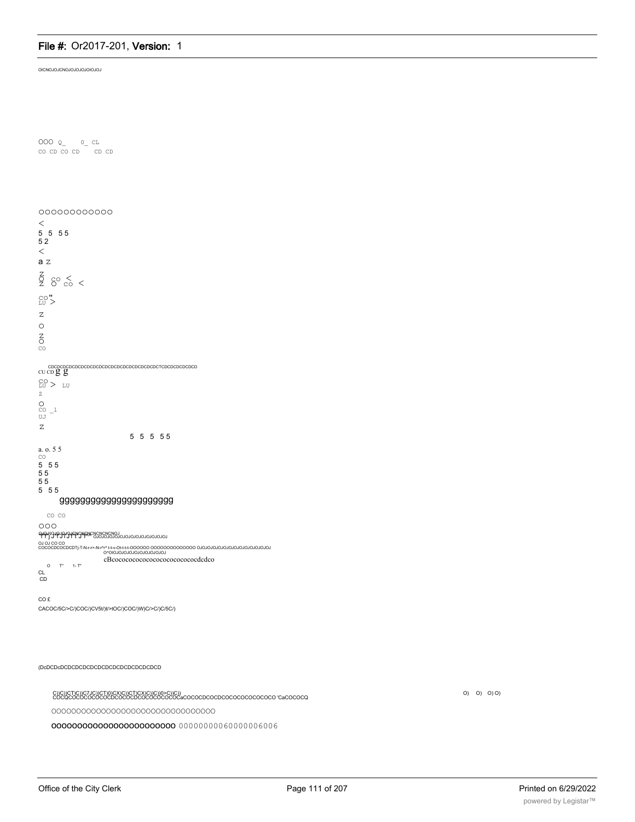OICNOJOJCNOJOJOJOJOIOJOJ

OOO Q\_ 0\_ CL CO CD CO CD CD CD

| 00000000000                                         |
|-----------------------------------------------------|
| $\,<\,$                                             |
| 5 5 5 5                                             |
| 52                                                  |
| $\,<$                                               |
| a z                                                 |
| $\frac{z}{2}$ so $\leq$ $\lt$                       |
|                                                     |
| $_{\text{LU}}^{\text{CO}}$                          |
| $\overline{z}$                                      |
| $\circ$                                             |
| $\overline{5}$                                      |
| CO                                                  |
|                                                     |
|                                                     |
| $_{\rm LU}^{\rm CO}$ $>$ $_{\rm LU}$                |
| Ζ                                                   |
| O<br>$\frac{0}{10}$<br>UJ                           |
| Z                                                   |
| 5 5 5 5 5                                           |
| a. o. 55<br>CO                                      |
| 5 5 5                                               |
| 55<br>55                                            |
| 5 5 5                                               |
| 999999999999999999999                               |
| CO CO                                               |
| 000                                                 |
| ANYGYPHAHAMPNENCROLOUOUOUOUOUOUOUOUOUO              |
|                                                     |
| cBcocococococococococococococdcdco<br>T"<br>$1 - T$ |
| $\circ$<br><b>CL</b><br>CD                          |
| CO <sub>£</sub>                                     |
| CACOC/5C/>C/)COC/)CV5t/)t/>tOC/)COC/)W)C/>C/)C/5C/) |

(DcDCDcDCDCDCDCDCDCDCDCDCDCDCDCDCD

C))C))CT)C))C7JC))CT)0)CX)C))CT)CX)C))C))0>C))C)) O) O) O) O) COCQCOCOCOCOCOCDCOCOCDCOCOCOCOCOCaCOCOCDCOCDCOCOCOCOCOCOCO 'CaCOCOCQ

OOOOOOOOOOOOOOOOOOOOOOOOOOOOOOOOO

oooooooooooooooooooooooo 00000000060000006006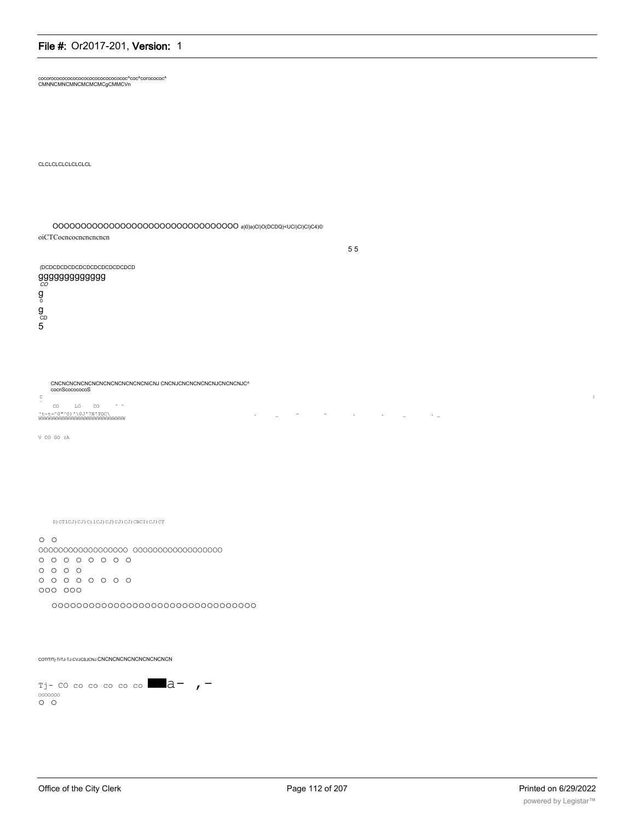$\epsilon$ 

#### File #: Or2017-201, Version: 1

cocorococococococococococococococ^coc^corocococ^ CMNNCMNCMNCMCMCMCgCMMCVn

CLCLCLCLCLCLCLCL

oiCTCocncocncncncncn

OOOOOOOOOOOOOOOOOOOOOOOOOOOOOOOOO a)0)a)Cl)O(DCDQ)<UCl)Cl)Cl)C4)©

(DCDCDCDCDCDCDCDCDCDCDCDCD  $\mathring{\mathrm{e}}$ ggaggggggggg g 0 g<br>5<br>5

CNCNCNCNCNCNCNCNCNCNCNCNCNiCNJ CNCNJCNCNCNCNCNJCNCNCNJC^ cocnScocococoS  $\rm _C$ <sup>J</sup> CO LO CO ^ ^ ^t-t-^0"^0)'\0J'7N'TOC\ . \_ - - . . \_ . \_ WWWWWWWWWWWWWWWWWWWWWWWWWWWW

V CO GO (A

o o OOOOOOOOOOOOOOOOOO OOOOOOOOOOOOOOOOOO o o o o o o o o o o o o

ooooooooooooooooooooooooooooooooo

o o o o o o o o ooo ooo

5 5

0)CT1CJ)CJ)C)1CJ)CJ)CJ)CJ)CBCI)CJ)CT

COTfTfTj-TrTJ-TJ-CVJCSJCNJ CNCNCNCNCNCNCNCNCNCN

Tj- CO co co co co co  $\blacksquare$ a-,-

OOOOOOO o o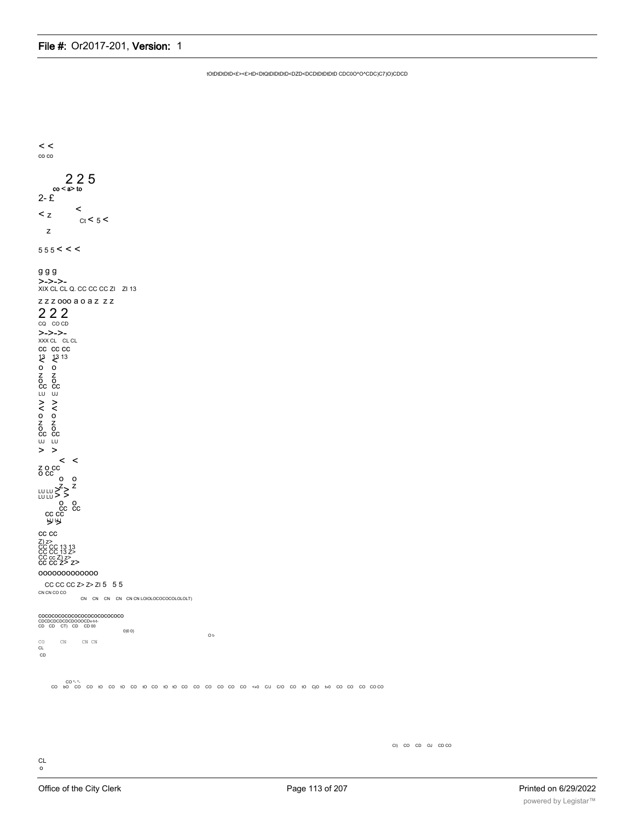tOtDtDtDtD<£><£>tD<DtQtDlDtDtD<DZD<DCDtDtDtDtD CDC00^O^CDC)C7)O)CDCD

 $\,<$   $<$  $\cos$  $225$  $2 - E$  $\,<$  $\,<$   $_{Z}$  $ct < 5 <$  $\overline{z}$  $555 < <$  $\mathfrak g$ g g >->->-<br>XIX CL CL Q. CC CC CC ZI ZI 13 zzzoooaoazzz 222 Y E Bono VN E Bono VS R X<br>A A E Bono VN E Bono R B D<br>V E Bono VN E Bono R B D<br>V A A A B D D D R B D D B  $CQ$   $COCD$  $rac{20}{60}$  $\prec$  $\circ$  $\mathsf{o}$  $\begin{array}{c} \varepsilon_{\text{EC}}\\ \varepsilon_{\text{SC}}\\ \varepsilon_{\text{SC}}\\ \varepsilon_{\text{SC}}\\ \varepsilon_{\text{SC}}\\ \varepsilon_{\text{SC}}\\ \varepsilon_{\text{SC}}\\ \varepsilon_{\text{SC}}\\ \varepsilon_{\text{SC}}\\ \varepsilon_{\text{SC}}\\ \varepsilon_{\text{SC}}\\ \varepsilon_{\text{SC}}\\ \varepsilon_{\text{SC}}\\ \varepsilon_{\text{SC}}\\ \varepsilon_{\text{SC}}\\ \varepsilon_{\text{SC}}\\ \varepsilon_{\text{SC}}\\ \varepsilon_{\text{SC}}\\ \varepsilon_{\text{SC}}\\ \varepsilon$  $cc$   $cc$ 2) 2><br>CC CC 13 13<br>CC CC 13 2><br>CC CC 2) 2><br>CC CC 2> 2> 0000000000000 CC CC CC Z> Z> ZI 5  $5$ CN CN CO CO CN CN CN CN CN CNCNLOIOLOCOCOCOLOLOLT) COCOCOCOCOCOCOCOCOCOCOCOCO<br>CDCDCDCDCDCDOOCDv-t-t-<br>CD CD CT) CD CD 00  $0)00)$  $\circ$  t- $_{\rm CL}^{\rm CO}$  $\begin{tabular}{llll} \multicolumn{2}{l} \textbf{CN} & \multicolumn{2}{l} \textbf{CN} & \multicolumn{2}{l} \textbf{CN} \\ \multicolumn{2}{l} \textbf{CN} & \multicolumn{2}{l} \textbf{CN} & \multicolumn{2}{l} \textbf{CN} \\ \multicolumn{2}{l} \end{tabular}$  $_{\text{CD}}$ 

CI) CO CD OJ CD CO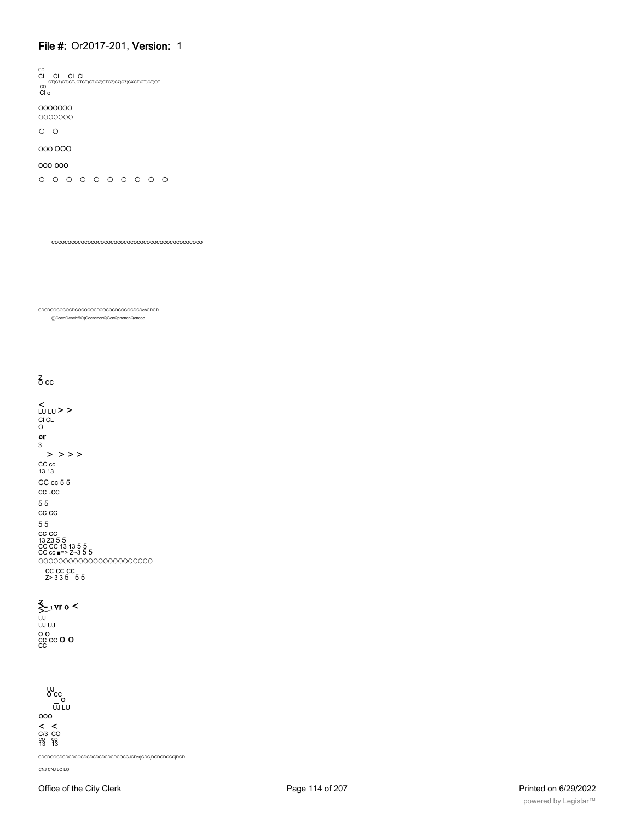| CO<br>CL.<br>CO<br>Cl o | CT)C7)CT)CTJCTCT)CT)C7)CTC7)C7)C7)CXCT)CT)CT)OT | CL CL CL |   |          |   |   |   |   |   |  |
|-------------------------|-------------------------------------------------|----------|---|----------|---|---|---|---|---|--|
|                         | 0000000<br>0000000                              |          |   |          |   |   |   |   |   |  |
| ∩                       | ∩                                               |          |   |          |   |   |   |   |   |  |
|                         | 000 000                                         |          |   |          |   |   |   |   |   |  |
|                         | 000 000                                         |          |   |          |   |   |   |   |   |  |
|                         |                                                 | ∩        | ∩ | $\Omega$ | ∩ | ∩ | ∩ | ∩ | ∩ |  |

 ${\tt COCOCO COCO COCO CO CO CO CO CO CO CO COCO CO COCO CO CO}$ ())CocnQcnchffiO)CocncncnQGcnQcncncnQcncoo

 $\frac{Z}{O}$  cc

 $\begin{array}{l} 1 & 0\\ \text{LU LU} > 0\\ \text{CICL} \end{array}$  $\frac{cr}{3}$  $>$  > > >  $CC \nccc$ <br>13 13  $CC$  cc  $55$  $\mathop{\rm cc}$  .cc 55  $cc$   $cc$  ${\bf 5}$   ${\bf 5}$ °C<br>1323 5 5<br>CC CC 13 13 5 5<br>CC cc => 2~3 5 5<br>0000000000000000000000000

 $CCCCCC$ <br>  $Z > 335555$ 



 $\sum_{\substack{U \text{ odd} \\ U \text{ odd}}}$ <br>  $\sum_{\substack{U \text{ odd} \\ U \text{ odd}}}$ <br>  $\sum_{\substack{U \text{ odd} \\ U \text{ odd}}}$ 

 $\begin{array}{c} \mathbb{C}^1 \\ \mathbb{C}^2 \\ \mathbb{C}^3 \\ \mathbb{C}^3 \end{array}$ 000  $< 2$ <br>
C/3 CO<br>  $^{12}$  CO<br>  $^{13}$   $^{13}$ CDCDCOCDCDCOCDCDCDCDCDCDCOCCJCDcrjCDCjDCDCDCCCjDCD

CNJ CNJ LO LO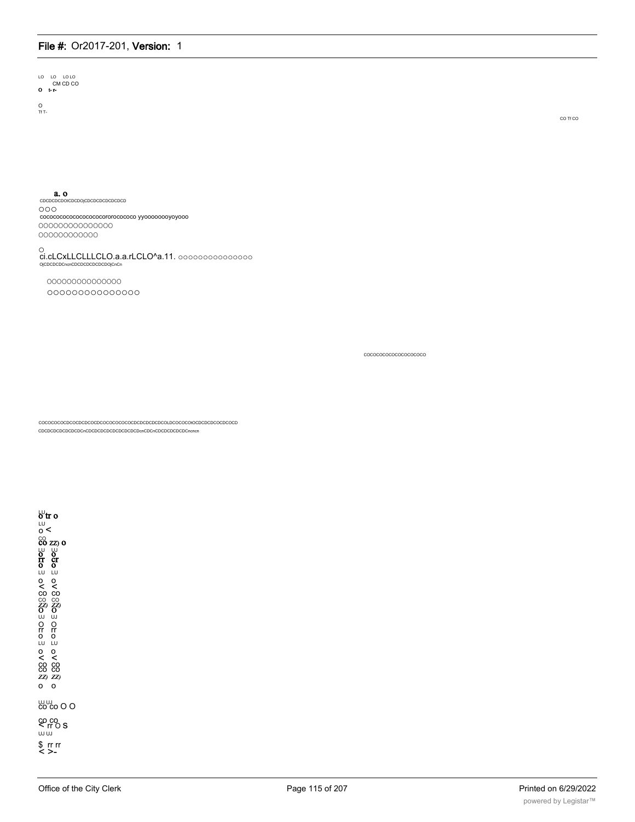$\begin{array}{ccccc}\n\text{LO} & \text{LO} & \text{LOLO} \\
\text{CM CD CO} & & \\
\text{O} & \text{L} & & \\
\end{array}$  $\frac{O}{Tf T}$ 

CO Tf CO

 $\mathbf{a}$ . O<br>  $\mathbf{c}$  ососребно сосребно сосребно сосребно сосребно сосребно сосребно сосребно сосребно сосребно сосребно сосребно сосребно сосребно сосребно сосребно сосребно сосребно сосребно сосребно сосребно сосребно

 $000$ cocococococococococororocococo yyoooooooyoyooo 00000000000000 00000000000

OjCDCDCDCncnCDCDCDCDCDCDOjCnCn

00000000000000 00000000000000

¤ 88 vo E 0⊐0 E 0%8 8 vo E **019∈ 8**8 o E 0<br>2 a 0 × 0 E 0⊐0 E 0%8 8 vo E **040∈ 8**<br>2 a 0 × 0 E 0⊐0 E 0%8 8 vo E **040∈ 8**  $\circ$   $\circ$ CO CO O O  $\mathcal{L}_{\rm n}^{\rm c}$  and  $\mathcal{L}_{\rm m}^{\rm c}$  $\xi$  or  $rr$ 

 $cocococococococococococo$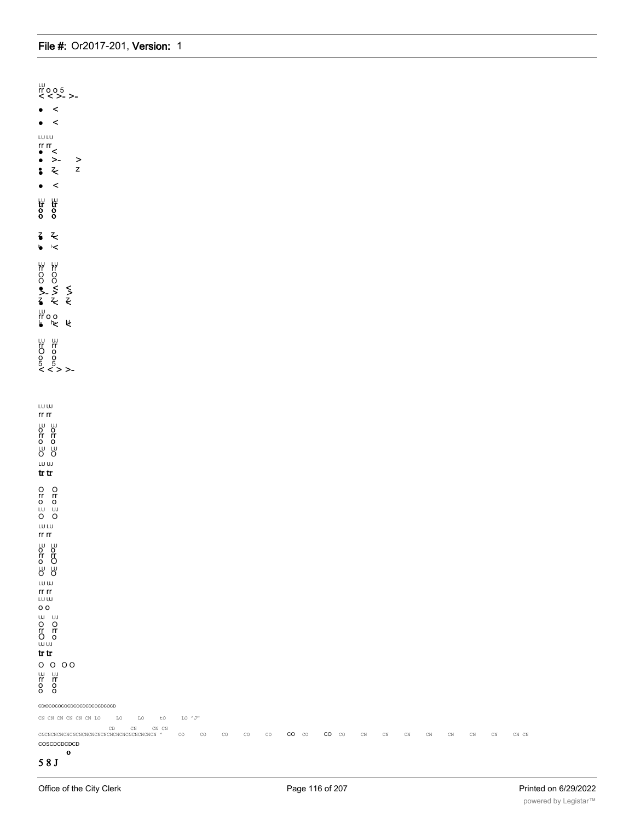

<sup>5 8</sup> J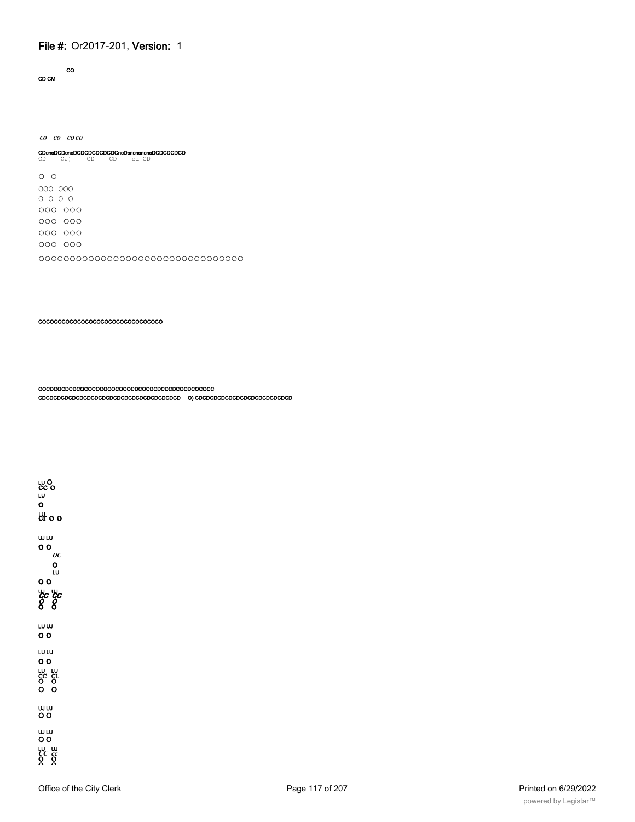# CD CM

CO

*CO CO CO CO*

| cd CD<br>CJ)<br>CD<br>CD<br>CD     |
|------------------------------------|
| റ റ                                |
| 000 000<br>0000                    |
| ooo ooo                            |
| ooo ooo                            |
| ooo ooo                            |
| ooo ooo                            |
| 0000000000000000000000000000000000 |

#### COCOCOCOCOCOCOCOCOCOCOCOCOCOCOCO

COCDCOCDCDCQCOCOCOCOCOCOCDCOCDCDCDCDCOCDCOCOCC

CDCDCDCDCDCDCDCDCDCDCDCDCDCDCDCDCDCDCD O) CDCDCDCDCDCDCDCDCDCDCDCDCD

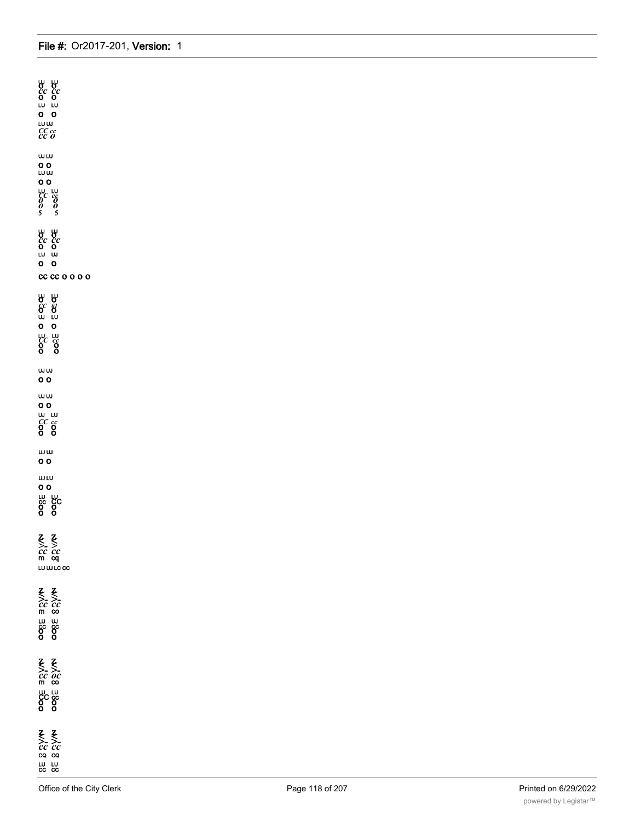| ա<br>2006<br>2006<br>2006<br>2006<br>2006                                   |  |  |  |
|-----------------------------------------------------------------------------|--|--|--|
| ບຸງ LU<br>---<br>00<br>00<br>00<br>00<br>5<br>5<br>5                        |  |  |  |
| $cc$ $cc$ $o$ $o$ $o$ $o$                                                   |  |  |  |
| ၁၁၁၁ ၁၁၀<br>၁၁၁၁ ၁၁<br>၁၁၁၁ ၁၁၀                                             |  |  |  |
| ພພ<br>$\overline{\mathbf{o}}$ o<br>ພພ<br>00<br>ື່<br><i>ແ</i><br>0 0<br>0 0 |  |  |  |
| ບບ ບບ<br>o o<br>ບ ດ<br>ທ ດ<br>မ္း<br>၁၁<br>၁၀                               |  |  |  |
|                                                                             |  |  |  |
| <b>AX</b><br>OORE BROWN<br>OORE 800                                         |  |  |  |
| <b>AX</b><br>SCC 88<br>OOC 88<br>OOC 88                                     |  |  |  |
|                                                                             |  |  |  |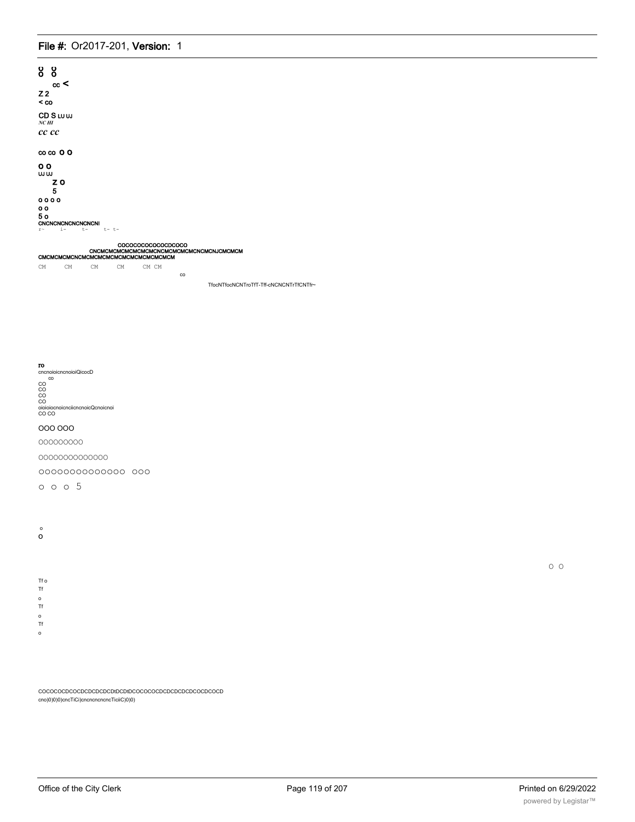| 8<br>Z <sub>2</sub><br>< 0 | 8<br>$\alpha$ < |                   |           |                                      |                                           |  |
|----------------------------|-----------------|-------------------|-----------|--------------------------------------|-------------------------------------------|--|
| NC HI                      | <b>CD S LUW</b> |                   |           |                                      |                                           |  |
| cc cc                      |                 |                   |           |                                      |                                           |  |
|                            | co co 00        |                   |           |                                      |                                           |  |
| o o<br>UJ UJ               | zο<br>5         |                   |           |                                      |                                           |  |
|                            | 0000            |                   |           |                                      |                                           |  |
| 0 <sub>0</sub>             |                 |                   |           |                                      |                                           |  |
| 5٥                         |                 | CNCNCNCNCNCNCNCNI |           |                                      |                                           |  |
| $r \sim$                   | $i -$           | $t -$             | t- t-     |                                      |                                           |  |
|                            |                 |                   |           | COCOCOCOCOCOCDCOCO                   |                                           |  |
|                            |                 |                   |           | CMCMCMCMCMCMCMCMCMCMCMCMCMCMCMCMCMCM | CNCMCMCMCMCMCMCMCNCMCMCMCMCMCNCMCNJCMCMCM |  |
| <b>CM</b>                  | CM              | <b>CM</b>         | <b>CM</b> | CM CM                                |                                           |  |

| 'M | <b>CM</b> | CM. | <b>CM</b> | CM CM |    |                                         |
|----|-----------|-----|-----------|-------|----|-----------------------------------------|
|    |           |     |           |       | CO |                                         |
|    |           |     |           |       |    | TfocNTfocNCNTroTfT-Tff-cNCNCNTrTfCNTfr~ |
|    |           |     |           |       |    |                                         |
|    |           |     |           |       |    |                                         |



0000000000000

0000000000000 000

 $0005$ 

 $\overset{\circ}{\mathsf{o}}$ 

|  |  | ۰. |  |
|--|--|----|--|
|  |  |    |  |
|  |  |    |  |
|  |  |    |  |
|  |  |    |  |
|  |  |    |  |
|  |  |    |  |

| Tf o      |  |  |  |
|-----------|--|--|--|
| <b>Tf</b> |  |  |  |
| $\circ$   |  |  |  |
| <b>Tf</b> |  |  |  |
| $\circ$   |  |  |  |

 $\mathsf{T}\mathsf{f}$  $\circ$ 

cno)0)0)0)cncTiCi)cncncncncncTiciiC)0)0)

 $O$   $O$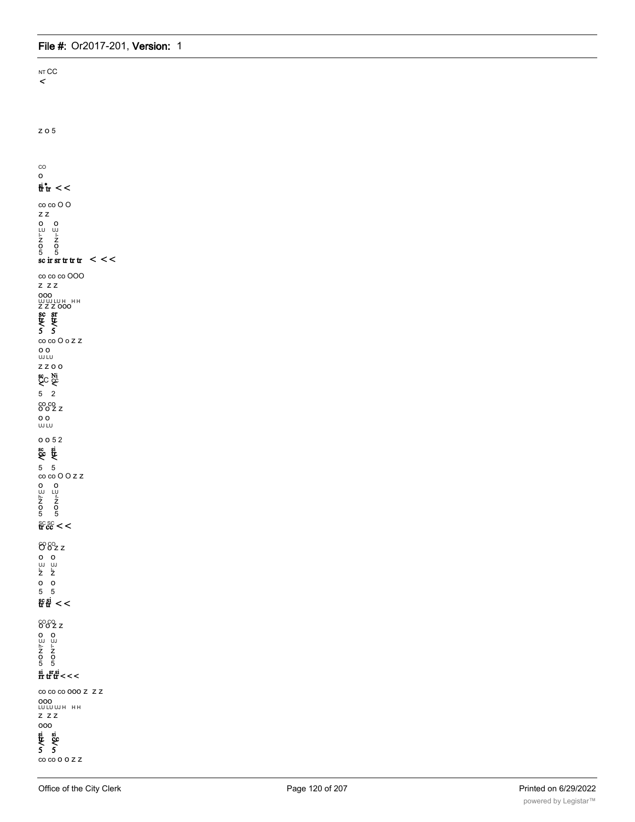NT CC < z o 5 CO<br>O  $\ddot{\textbf{t}}^*$  tr  $<<$ co co O O z z o o<br>L' U<br>Z z z<br>5 5<br>scirsttutur < <<<br>© 2 v co co co OOO z z z ooo<br>UJUJLU H HH<br>Z Z Z OOO<br>**sc sr<br><del>U</del> U**<br>5 5 co co O o z z o o UJ LU z z o o sc Ni CC cc <sup>&</sup>lt; <sup>&</sup>lt; 5 2 co co o o z z o o UJ LU o o 5 2 sc si cc tr <sup>&</sup>lt; <sup>&</sup>lt; 5 5 co co O O z z o o UJ LU h- f- z z o o 5 5  $\frac{SC}{C} \leqslant \frac{SC}{C}$  $682 z$ o o uj uj<br>Ż Ż o o 5 5  $_{\rm tr}^{\rm sc}$  si  $\,<\,$  $8062 z$ **o** D<br>D U<br>D D D D<br>D D D<br>D D D<br>D D D D  $\displaystyle \inf_{\mathbf{r}} \mathbf{r}^{\mathrm{sr}\, \mathrm{si}}_\mathbf{r} << 0$ co co co ooo z z z

ooo LU LU UJ H H H z z z ooo  $\frac{si}{\sqrt{2}}$   $\frac{si}{5}$ 

co co o o z z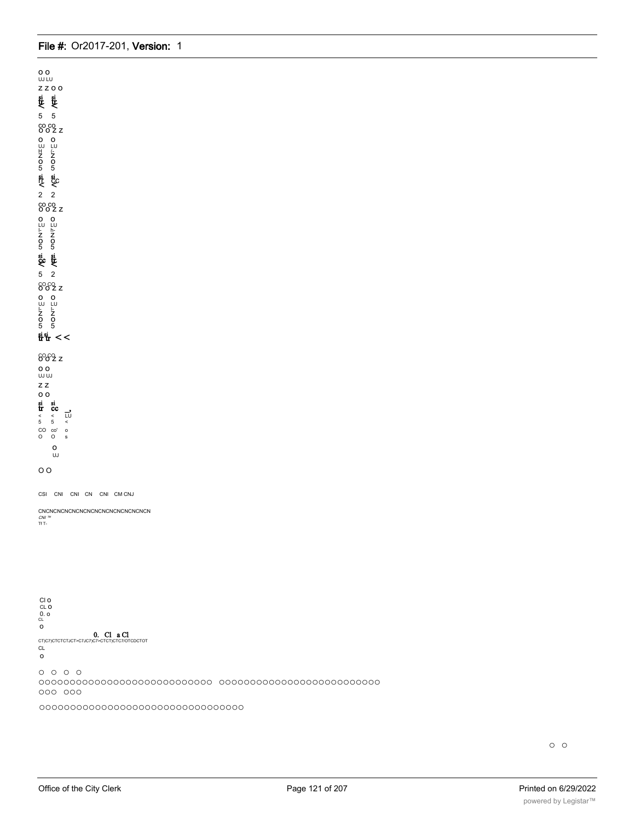| FERENCE OR OR MERIODINTER CRIMINAL SOLUTION CONTROL CRIMINAL CRIMINAL CRIMINAL CRIMINAL CRIMINAL CRIMINAL CRIMINAL CRIMINAL CRIMINAL CRIMINAL CRIMINAL CRIMINAL CRIMINAL CRIMINAL CRIMINAL CRIMINAL CRIMINAL CRIMINAL CRIMINAL<br>0 <sub>0</sub><br>gi<br>es<br>O<br>Z<br>J.<br>نز<br>ح<br>o<br>5<br>2<br>2<br>−<br>cg<br>Z<br>Ļυ<br>h-<br>Z<br>LOS sittle<br>2 2 2<br>$\circ$<br>LU<br>ī,<br>o<br>5 |  |
|------------------------------------------------------------------------------------------------------------------------------------------------------------------------------------------------------------------------------------------------------------------------------------------------------------------------------------------------------------------------------------------------------|--|
| ≺<br><                                                                                                                                                                                                                                                                                                                                                                                               |  |
| 8°62 z<br>si<br>cc<br>م <del>ل</del><br>$\overline{\phantom{a}}$<br>5<br>$\overline{\phantom{a}}$<br>co'<br>o<br>Ō<br>$\circ$<br>Ś<br>o<br>.<br>UJ                                                                                                                                                                                                                                                   |  |
| ОΟ                                                                                                                                                                                                                                                                                                                                                                                                   |  |

CSI CNI CNI CN CNI CM CNJ

CNCNCNCNCNCNCNCNCNCNCNCNCNCNCNCN  $CNI^m$ <br>Tf T-



 $O$   $O$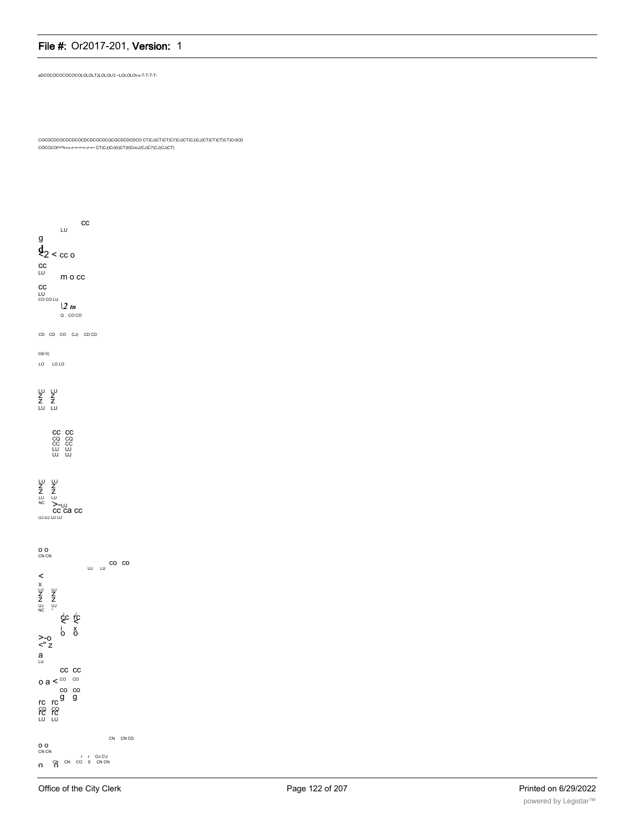aDCOCOCOCOCOCOLOLOLTJLOLOLO ~LOLOLOt-x-T-T-T-T-

COCDCDCOCDCDCOCDCDCOCDCQCQCDCDCDCO CT)CJ)CT)CT)C7)CJ)CT)CJ)CJ)CT)CT)CT)CT)Cr3CD COCOCOi^r^h-r»-r~r~r~r--r~r~ CT)CJ)Cr)G)CT)0)CncJ)CJ)C7)CJ)CJ)CT)

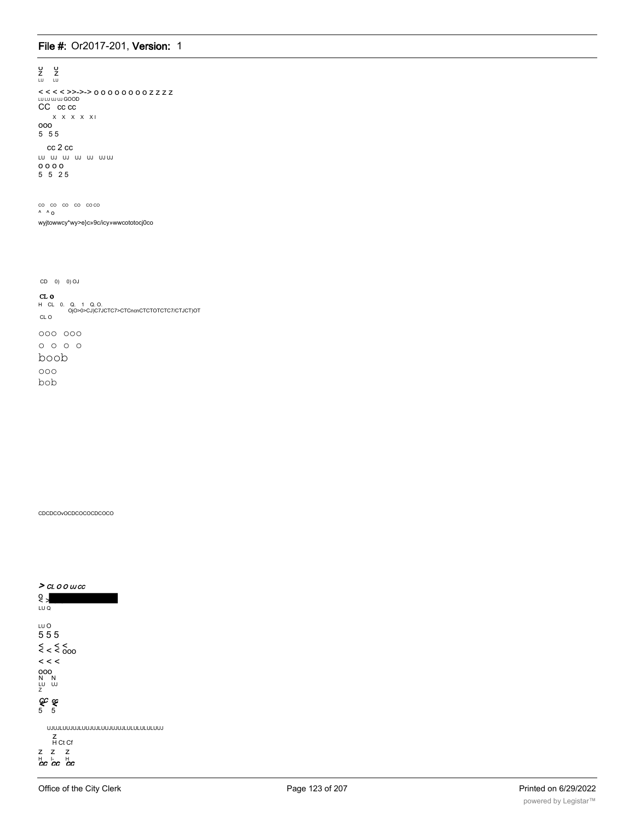$\begin{matrix} \textbf{U} & \textbf{U} \\ \textbf{Z} & \textbf{Z} \\ \textbf{U} & \textbf{U} \end{matrix}$  $<<$ <<<>>->-> 0 0 0 0 0 0 0 0 0 Z Z Z Z www.GOOD CC cc cc  $X$   $X$   $X$   $X$   $X$   $X$   $I$ 000  $5\ 5\ 5$ cc 2 cc LO ON ON ON ON ONON  $0000$ 5 5 2 5

co co co co coco<br>^ ^ o wyjtowwcy\*wy>e}c»9c/icy»wwcototocj0co

 $CD$  0) 0) OJ

#### $\rm CL$  o

H CL 0. Q. 1 Q.O.<br>OjO>0>CJ)C7JCTC7>CTCncnCTCTOTCTC7/CTJCTJOT  $CLO$ 000 000  $\circ \circ \circ \circ \circ$ boob  $000$ bob

CDCDCOvOCDCOCOCDCOCO

| > cL o o w cc                                        |
|------------------------------------------------------|
| Q,                                                   |
| LU Q                                                 |
| LU O                                                 |
| 555                                                  |
|                                                      |
| $\leq$ < $\leq$ $\leq$ $\infty$                      |
| $\lt$ $\lt$                                          |
| 000<br>Ν<br>N<br>LU<br>UJ<br>Z                       |
| <b>cc</b><br>55                                      |
| UJUJLUUJUJLUUJUJLUUJUJUJLULULULULUUJ<br>z<br>H Ct Cf |
| z<br>z<br>z                                          |
| Н<br>н<br>ı.<br>cc<br>œ<br>СC                        |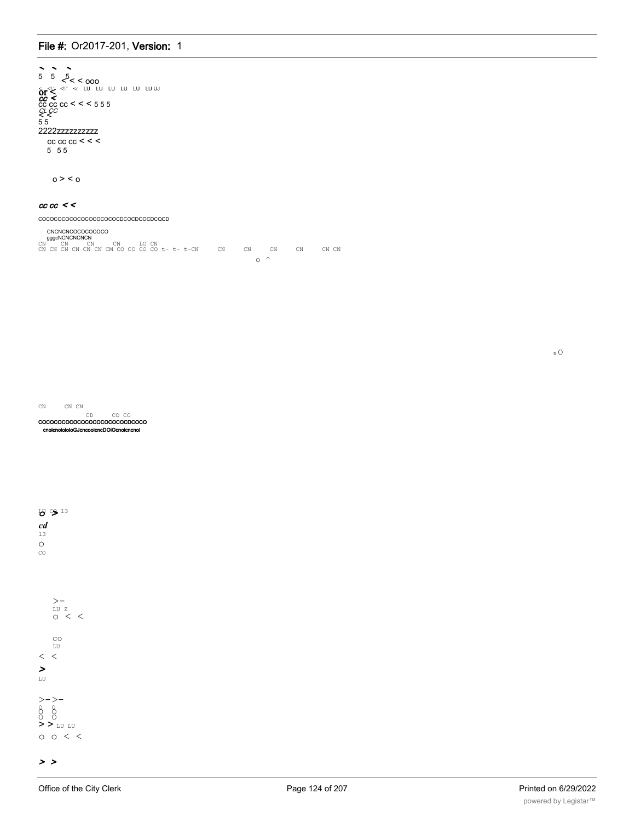$\sim$   $\sim$   $\sim$ 2222zzzzzzzzzz  $cc$   $cc$   $cc$   $cc$   $cc$   $cc$   $cc$   $cc$   $cc$   $cc$ 5 5 5

 $0 > 0$ 

#### $cc$   $cc$   $<<$

CNCNCNCOCOCOCOCO CN CN CN CN

 $\mathrm{CN}~\mathrm{CN}$  $\overline{\text{CN}}$  $\begin{array}{ccccc} & & & & & & & \text{co} & \text{co} & \text{co} & \text{co} & \text{co} & \text{co} & \text{co} & \text{co} & \text{co} & \text{co} & \text{co} & \text{co} & \text{co} & \text{co} & \text{co} & \text{co} & \text{co} & \text{co} & \text{co} & \text{co} & \text{co} & \text{co} & \text{co} & \text{co} & \text{co} & \text{co} & \text{co} & \text{co} & \text{co} & \text{co} & \text{co} & \text{co} & \text{co} & \text{co} & \$ 

cnoicnoioioioGJcncooicncDOiOcnoicncnoi







 $>$  >

 $\mathbb{C}\mathbb{N}$   $\mathbb{C}\mathbb{N}$ 

 $\circ$   $\circ$ 

 $\circ$  O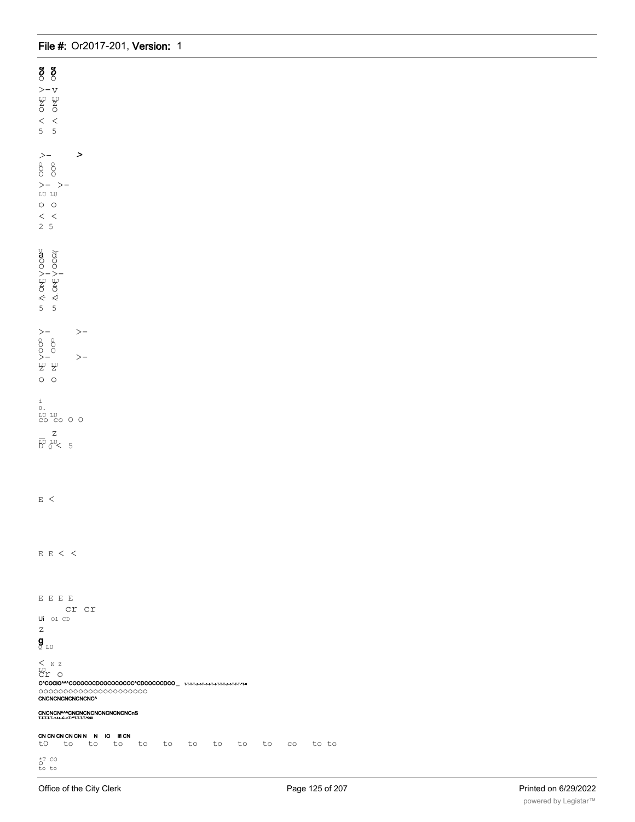| 800 > H20 < 5                                                                                           |
|---------------------------------------------------------------------------------------------------------|
|                                                                                                         |
|                                                                                                         |
| $\,>$                                                                                                   |
|                                                                                                         |
|                                                                                                         |
|                                                                                                         |
|                                                                                                         |
|                                                                                                         |
| $> -$                                                                                                   |
| $>$ $-$                                                                                                 |
|                                                                                                         |
| i<br>0.<br>LU LU<br>CO CO O O                                                                           |
|                                                                                                         |
| $rac{z}{b^0}$ $rac{1}{b^0}$ $\leq$ 5                                                                    |
|                                                                                                         |
| $_{\rm E}$ $<$                                                                                          |
|                                                                                                         |
|                                                                                                         |
| E E < <                                                                                                 |
|                                                                                                         |
| EEEE                                                                                                    |
| cr cr<br>Ui ol CD                                                                                       |
| Ζ<br>$\mathbf{g}_{\text{LU}}$                                                                           |
| $<~$ $_{\textrm{\tiny{N}}}$ $_{\textrm{\tiny{Z}}}$<br>čr o<br>000000000000000000000<br>CNCNCNCNCNCNCNC^ |
| CNCNCNAAACNCNCNCNCNCNCNCNCNCNGS                                                                         |
| CN CN CN CN CN N N IO IfiCN<br>to<br>to<br>to<br>to<br>to<br>to to<br>to<br>to<br>to co<br>to to        |
| $_{\bigcirc}^{*{\scriptscriptstyle\mathrm{T}}}$ co<br>to to                                             |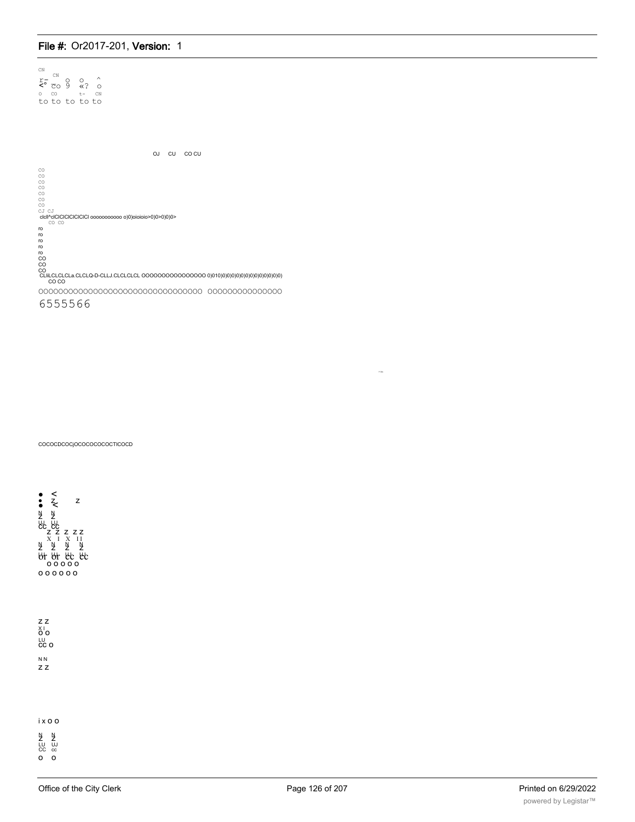

COCOCDCOCjOCOCOCOCOCTICOCD



 $Z$   $Z$  $\delta^{\scriptscriptstyle\mathsf{I}}$ o  $_{cc}^{<sub>U</sub>}$ N<sub>N</sub>

 $Z$   $Z$ 

ixoo

 $\begin{array}{c} \mathbf{M} \\ \mathbf{M} \\ \mathbf{M} \\ \mathbf{M} \\ \mathbf{M} \\ \mathbf{M} \\ \mathbf{M} \end{array}$  $0$  0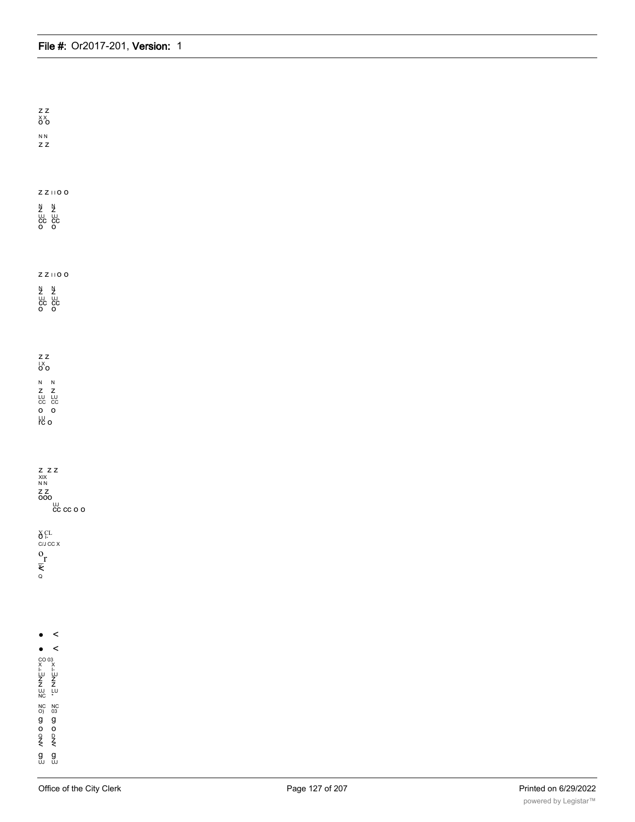| $\overset{\text{Z}}{\underset{\text{O}}{\times}}\overset{\text{Z}}{\underset{\text{O}}{\times}}$<br>${\sf N}$ ${\sf N}$<br>$\mathsf{Z}\ \mathsf{Z}$                                                                                                                           |  |  |  |
|-------------------------------------------------------------------------------------------------------------------------------------------------------------------------------------------------------------------------------------------------------------------------------|--|--|--|
| ZZ  00<br>$\begin{array}{c}\n 0 \\  0 \\  \hline\n 0 \\  \hline\n 0\n \end{array}$                                                                                                                                                                                            |  |  |  |
| ZZ  00<br>$\begin{array}{c}\n 0 \\  0 \\  \hline\n 0 \\  \hline\n 0\n \end{array}$                                                                                                                                                                                            |  |  |  |
| $\overset{\text{Z}}{\underset{\text{O}}{\times}}\overset{\text{Z}}{\circ}$<br>$\begin{array}{c} \nN & N \\ Z & Z \\ U & U \\ C & C \\ C & C \\ O & O \\ V & O\n\end{array}$                                                                                                   |  |  |  |
| $\begin{array}{lcl} Z & Z & Z \\ XIX & \\ N& N \end{array}$<br>$^{\tt ZZ}_{\tt000}$<br>$\frac{1}{100}$ CC CC O O<br>$\mathop{\delta}\limits_{\mathop{\vphantom{\delta}}\limits^{\circ}{\mathop{\hphantom{\delta}}\limits^{\circ}}{\mathop{\rm GL}}\nolimits}$<br>$C/J$ $CC X$ |  |  |  |
| $\frac{0}{\kappa}r$                                                                                                                                                                                                                                                           |  |  |  |
| $\bullet \quad \leq$<br>V<br>8 SANN 32 SS OD ONV<br>9 SX-ENN 32 SS OD ONV                                                                                                                                                                                                     |  |  |  |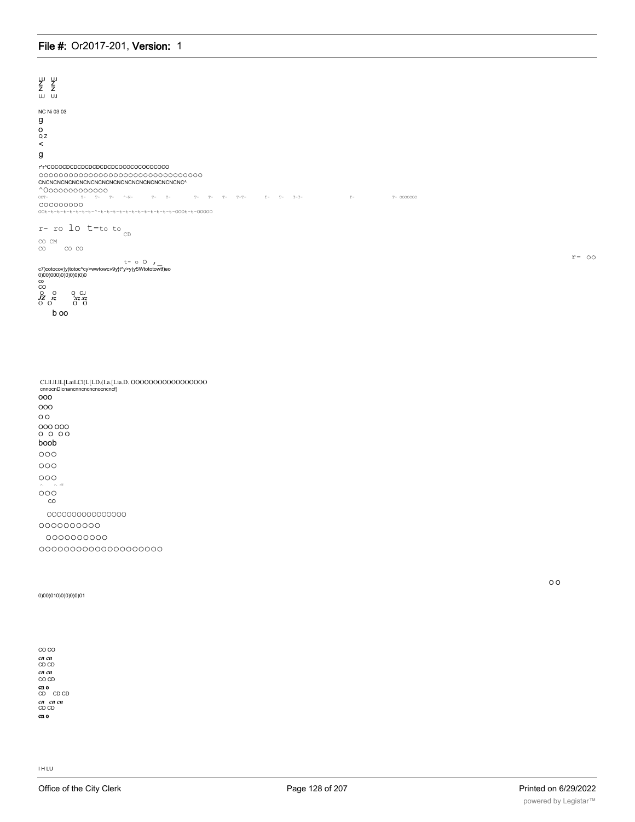U W<br>Z<br>U W NC Ni 03 03 g  $_{\mathsf{QZ}}^{\mathsf{O}}$  $\,<$ g  $\mathbf{T}^{\perp} \qquad \mathbf{T}^{\perp} \qquad \mathbf{T}^{\perp} \qquad \mathbf{T}^{\perp} \qquad \mathbf{T}^{\perp} \mathbf{T}^{\perp}$  $\mathbb{T}^{\perp} \qquad \mathbb{T}^{\perp} \qquad \mathbb{T}^{\perp} \mathbb{T}^{\perp}$  $_{\rm T}$  –  $T = 000$  $r$ - ro lo  $t$ -to to  $_{CD}$  $CO$   $CM$  $CO CO$  $_{\rm CO}$  $r-$  00 b oo CLII.II.IL[LaiLCl(L[LD.(I.a.[Lia.D. 000000000000000000<br>cnnocnDicnancnnencncencencf) 000

0000000000000000000

0)00)010)0)0)0)0)01

 $\circ$   $\circ$ 

 $\cos$  $cn cn$ <br>CD CD  $\frac{cn \, cn}{CO \, CD}$  $\frac{\text{cn o}}{\text{CD}}$  CD CD  $cn \ncn cn$ <br>CDCD  ${\rm cn}$ o

THEU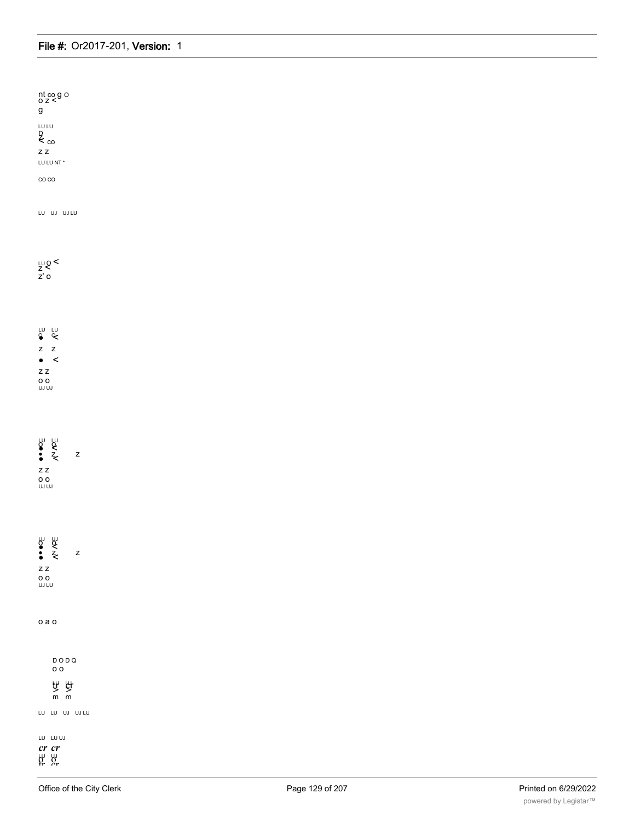| $\mathop{{\rm ord}}_{{\mathop{\rm O}} Z}^{\mathop{\rm rot}}$ g o<br>$\boldsymbol{g}$                                                                                                                                                                                                                                                                                                                                                                                                          |  |  |  |
|-----------------------------------------------------------------------------------------------------------------------------------------------------------------------------------------------------------------------------------------------------------------------------------------------------------------------------------------------------------------------------------------------------------------------------------------------------------------------------------------------|--|--|--|
| $\stackrel{\text{L}\text{U}\text{L}\text{U}}{Q}$ co<br>$\mathsf{z}\,\mathsf{z}$<br>$\textsf{LU} \, \textsf{LU} \, \textsf{NT} \, {}^*$                                                                                                                                                                                                                                                                                                                                                        |  |  |  |
| $\cos$                                                                                                                                                                                                                                                                                                                                                                                                                                                                                        |  |  |  |
| LU UJ UJLU                                                                                                                                                                                                                                                                                                                                                                                                                                                                                    |  |  |  |
| $\frac{10}{2}Q <$ z' o                                                                                                                                                                                                                                                                                                                                                                                                                                                                        |  |  |  |
| $\frac{1}{2}$ in $\frac{1}{2}$<br>$Z$ $Z$<br>$\bullet$ <<br>$\mathsf{Z}\ \mathsf{Z}$<br>$\begin{smallmatrix} 01 & 01 \\ 0 & 0 \end{smallmatrix}$                                                                                                                                                                                                                                                                                                                                              |  |  |  |
| $\begin{array}{c} \bullet \bullet \bullet \varepsilon \\ \bullet \bullet \bullet \end{array}$<br>$\mathsf z$<br>$Z$ $Z$<br>$\begin{smallmatrix} 01 & 01 \\ 0 & 0 \end{smallmatrix}$                                                                                                                                                                                                                                                                                                           |  |  |  |
| $rac{1}{\sqrt{2}}$<br>$\mathsf z$<br>$\mathsf{Z}\ \mathsf{Z}$<br>$0.0$<br>UJ LU                                                                                                                                                                                                                                                                                                                                                                                                               |  |  |  |
| $\circ$ a o                                                                                                                                                                                                                                                                                                                                                                                                                                                                                   |  |  |  |
| $\begin{array}{c} \texttt{DODQ} \\ \texttt{O.O} \end{array}$<br>$\begin{array}{c}\n\frac{11}{2} \\ \frac{11}{2} \\ \frac{11}{2} \\ \frac{11}{2} \\ \frac{11}{2} \\ \frac{11}{2} \\ \frac{11}{2} \\ \frac{11}{2} \\ \frac{11}{2} \\ \frac{11}{2} \\ \frac{11}{2} \\ \frac{11}{2} \\ \frac{11}{2} \\ \frac{11}{2} \\ \frac{11}{2} \\ \frac{11}{2} \\ \frac{11}{2} \\ \frac{11}{2} \\ \frac{11}{2} \\ \frac{11}{2} \\ \frac{11}{2} \\ \frac{11}{2} \\ \frac{11}{2} \\ \frac{11$<br>LU LU UJ UJLU |  |  |  |
| LU LU UJ<br>$\begin{array}{cc} cr & cr \\ \n\uplus & \n\downarrow \\ \n\uparrow & \n\downarrow \\ \nr & cr \n\end{array}$                                                                                                                                                                                                                                                                                                                                                                     |  |  |  |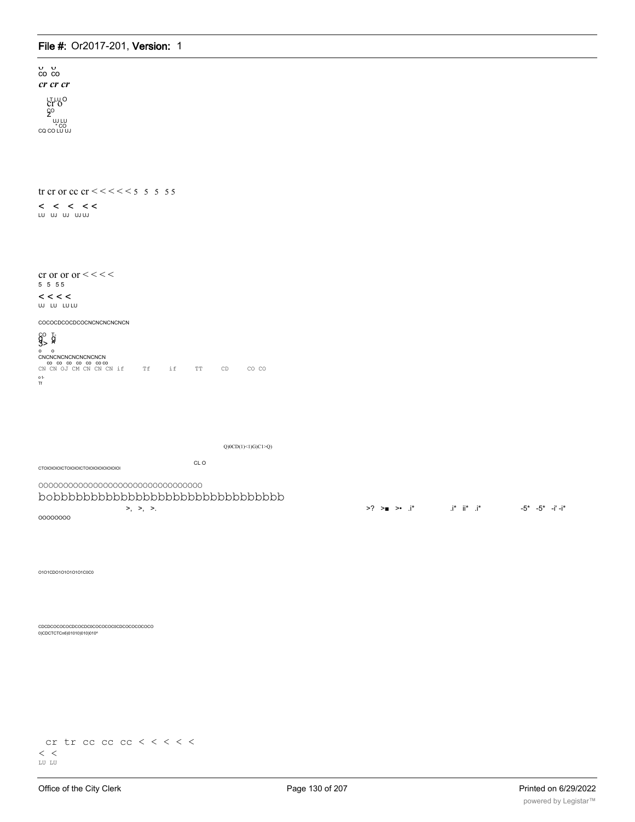| $\cup$ $\cup$<br>CO CO<br>cr cr cr<br><b>LTLUO</b><br>$\Sigma^{\rm O}$<br>co co rn m<br>CO<br>CO CO TO M                                                                                                                                                                                                                                                                                                                                                                                                                                                                                                                                                       |                       |                                                 |             |                            |
|----------------------------------------------------------------------------------------------------------------------------------------------------------------------------------------------------------------------------------------------------------------------------------------------------------------------------------------------------------------------------------------------------------------------------------------------------------------------------------------------------------------------------------------------------------------------------------------------------------------------------------------------------------------|-----------------------|-------------------------------------------------|-------------|----------------------------|
| tr cr or cc cr < < < < < $5\,$ 5 $\,$ 5 $\,$ 5 $\,$ 5 $\,$ 5 $\,$ 5 $\,$ 5 $\,$ 5 $\,$ 5 $\,$ 5 $\,$ 5 $\,$ 5 $\,$ 5 $\,$ 5 $\,$ 5 $\,$ 5 $\,$ 5 $\,$ 5 $\,$ 5 $\,$ 5 $\,$ 5 $\,$ 5 $\,$ 5 $\,$ 5 $\,$ 5 $\,$ 5 $\,$ 5 $\,$ 5                                                                                                                                                                                                                                                                                                                                                                                                                                  |                       |                                                 |             |                            |
| $<$ < < <<<br>LU UJ UJ UJUJ                                                                                                                                                                                                                                                                                                                                                                                                                                                                                                                                                                                                                                    |                       |                                                 |             |                            |
| cr or or or $<<$<br>5 5 5 5<br><<<br>UJ LU LULU                                                                                                                                                                                                                                                                                                                                                                                                                                                                                                                                                                                                                |                       |                                                 |             |                            |
| COCOCDCOCDCOCNCNCNCNCNCN<br>$\overset{\text{\tiny{CO}}}{g}{}^{\text{\tiny{C}}}$ $\overset{\text{\tiny{T}}}{g}$<br>$0$ 0<br>CNCNCNCNCNCNCNCNCN<br>$\begin{array}{cccccc} \text{co} & \text{co} & \text{co} & \text{co} & \text{co} & \text{co} & \text{co} & \text{co} & \text{co} & \text{co} & \text{co} & \text{co} & \text{co} & \text{co} & \text{co} & \text{co} & \text{co} & \text{co} & \text{co} & \text{co} & \text{co} & \text{co} & \text{co} & \text{co} & \text{co} & \text{co} & \text{co} & \text{co} & \text{co} & \text{co} & \text{co} & \text{co} & \text{co} & \text{co} & \text{co} & \text$<br>Tf<br>if<br>TT<br>CD<br>$\circ$ t-<br>Tf | CO CO                 |                                                 |             |                            |
|                                                                                                                                                                                                                                                                                                                                                                                                                                                                                                                                                                                                                                                                | $Q)$ 0CD(1)<1)G)C1>Q) |                                                 |             |                            |
| CL O<br>CTOIOIOIOICTOIOIOICTOIOIOIOIOIOIOI                                                                                                                                                                                                                                                                                                                                                                                                                                                                                                                                                                                                                     |                       |                                                 |             |                            |
| ddddddddddddddddddddddddddod<br>$>$ , $>$ , $>$ .<br>00000000                                                                                                                                                                                                                                                                                                                                                                                                                                                                                                                                                                                                  |                       | $>? > \blacksquare > \blacksquare$ <sup>*</sup> | .i* ii* .i* | $-5$ * $-5$ * $-i'$ $-i$ * |
| 0101CD0101010101C0C0                                                                                                                                                                                                                                                                                                                                                                                                                                                                                                                                                                                                                                           |                       |                                                 |             |                            |
| 0)CDCTCTCn6)01010)010)010^                                                                                                                                                                                                                                                                                                                                                                                                                                                                                                                                                                                                                                     |                       |                                                 |             |                            |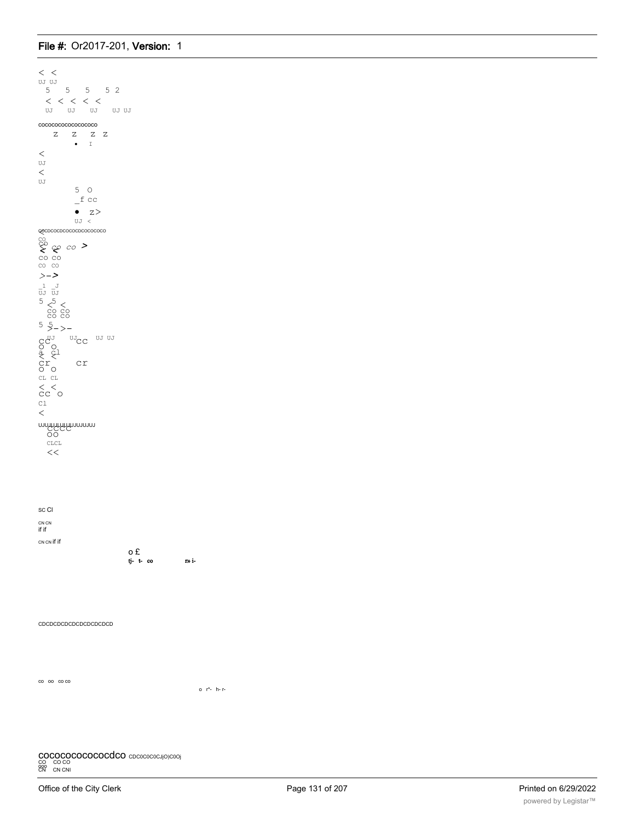

CN CN<br>if if

 $_{\text{CN CN}}$  if if

o£  $tj-t$  co  $\mathbf{D}$ i-

 $\cos$  00  $\cos$ 

 $o \rightharpoonup^*$  h-r-

COCOCOCOCOCOCOCICO cDC0C0C0CJJ0)C00j<br>CO COCO<br>CN CN CN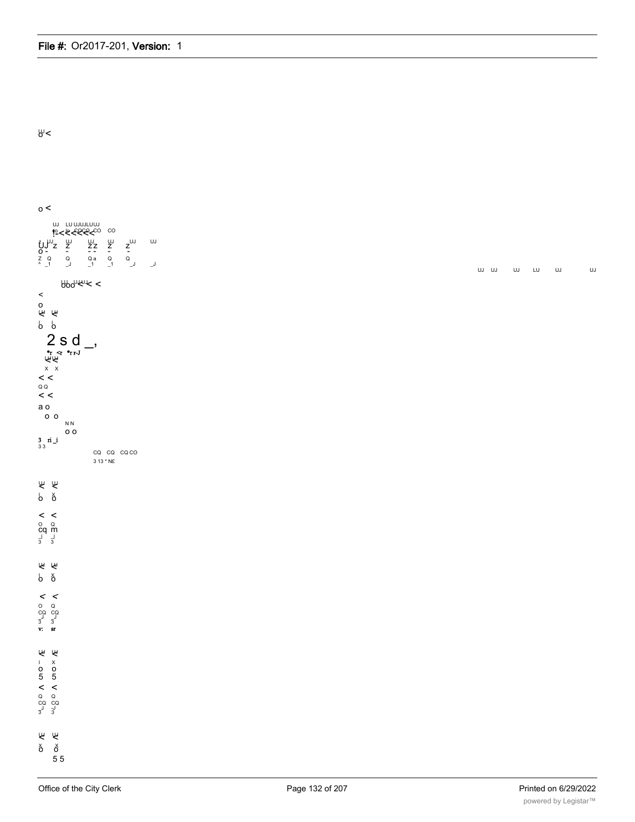$8<$ 

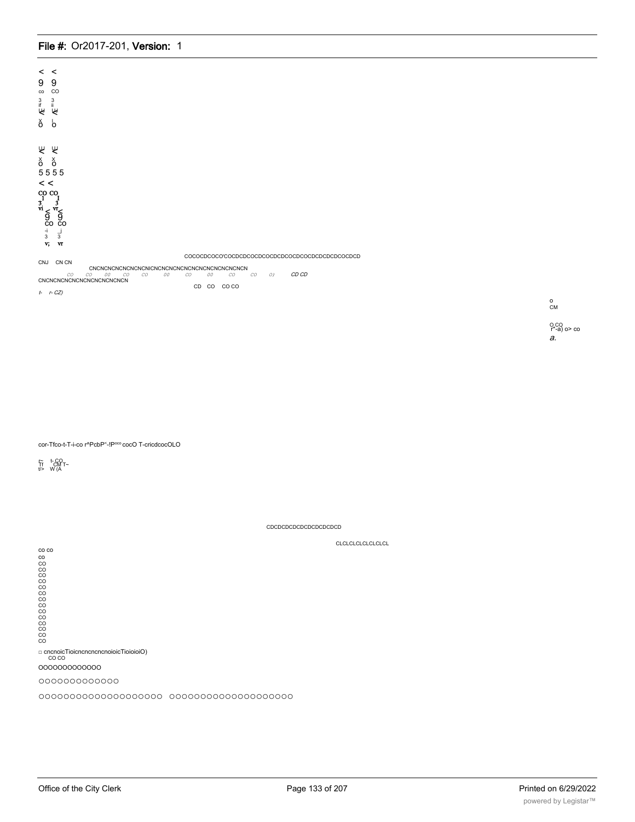

o<br>CM 0.CO<br>r\*-a) o> co  $\overline{a}$ .

cor-Tfco-t-T-i-co r^PcbP<sup><</sup>-!P<sup>oco</sup> cocO T-cricdcocOLO

 $\begin{array}{ll} \mathsf{r}^{\thicksim}_n & \mathsf{t}\text{-}\mathsf{CO} \\ \mathsf{T} \mathsf{f} & \mathsf{CM}\;\mathsf{T}^{\thicksim}_n \\ \mathsf{t} \mathsf{I}^{\thicksim}_n & \mathsf{W}\left(\mathsf{A}\right) \end{array}$ 

CDCDCDCDCDCDCDCDCDCD

**CLCLCLCLCLCLCLCL** 

888888888888888888  $\Box \,\, \text{cncnoi}.\overline{\text{Tioicncn}}. \overline{\text{Croioio}}. \overline{\text{Croioio}}. \overline{\text{Cro}}. \label{eq:1}$ 0000000000000 000000000000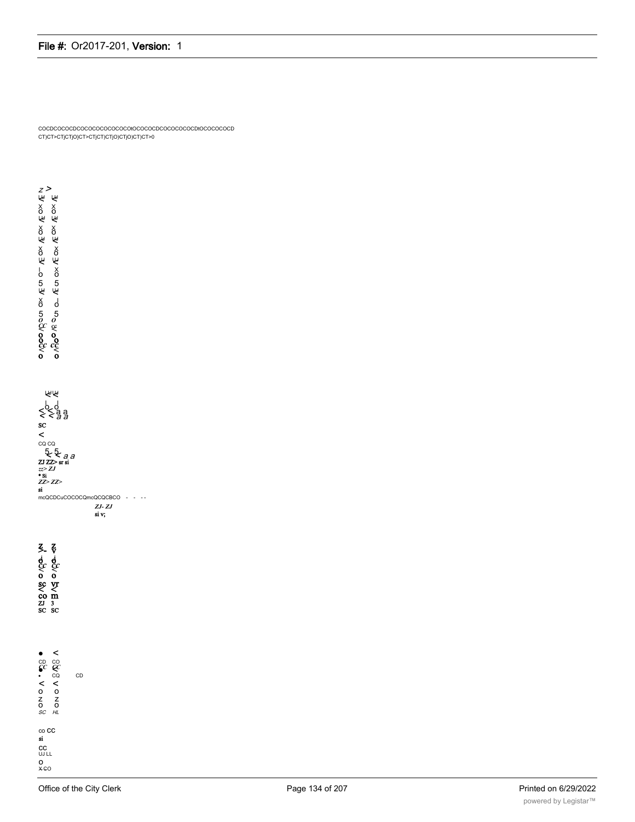CT)CT>CTjCTjO}CT>CTjCT)CTjO)CTjO)CT)CT>0

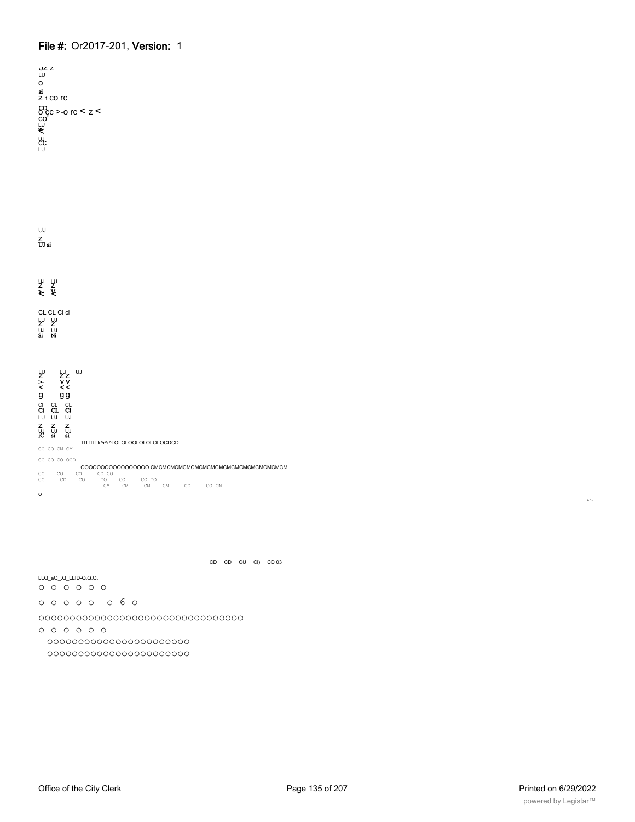

Office of the City Clerk

 $\mu$  to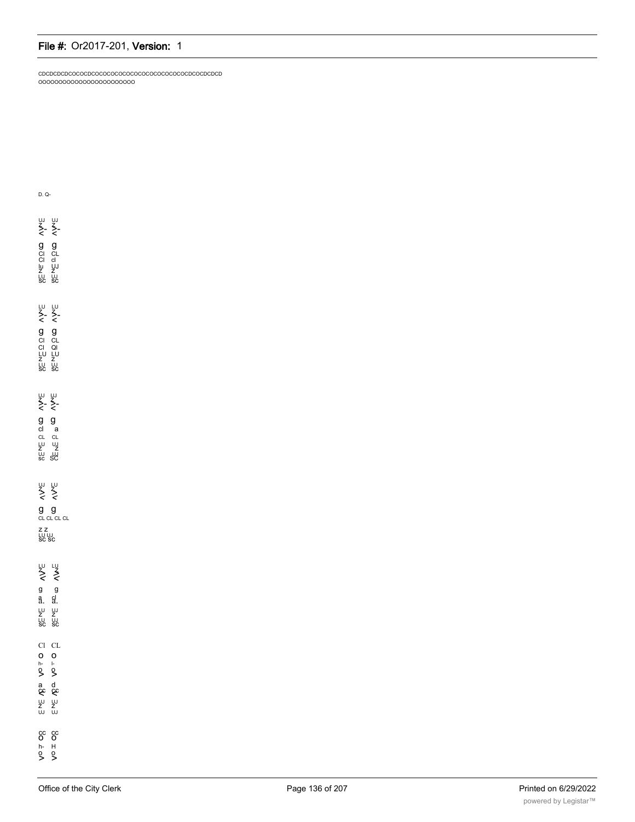000000000000000000000000

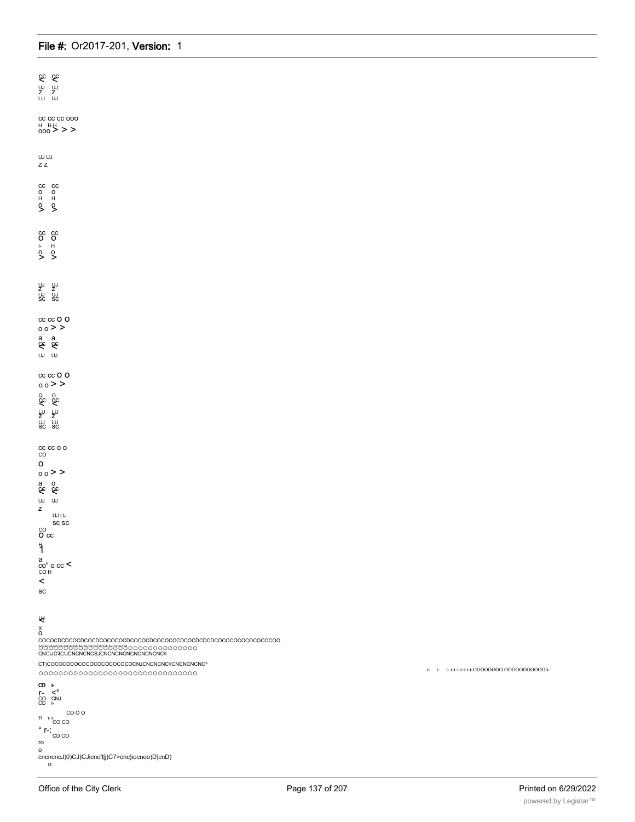|                                         | $_{000}^{+}$ + HH $_{000}^{+}$ > >                                          |
|-----------------------------------------|-----------------------------------------------------------------------------|
|                                         |                                                                             |
|                                         |                                                                             |
|                                         |                                                                             |
|                                         |                                                                             |
| UJ UJ                                   |                                                                             |
| zz                                      |                                                                             |
|                                         |                                                                             |
|                                         |                                                                             |
|                                         |                                                                             |
|                                         |                                                                             |
|                                         |                                                                             |
|                                         |                                                                             |
|                                         |                                                                             |
|                                         |                                                                             |
| 9° = 9°<br>9° = 9°<br>9° = 9°           |                                                                             |
|                                         |                                                                             |
|                                         |                                                                             |
|                                         |                                                                             |
|                                         |                                                                             |
|                                         |                                                                             |
|                                         |                                                                             |
| 80<br>50<br>50<br>50<br>50              |                                                                             |
|                                         |                                                                             |
|                                         |                                                                             |
|                                         |                                                                             |
|                                         | cc cc O O                                                                   |
|                                         | 00 >                                                                        |
|                                         |                                                                             |
|                                         |                                                                             |
|                                         |                                                                             |
|                                         |                                                                             |
|                                         |                                                                             |
|                                         | cc cc 0 0<br>o o > >                                                        |
|                                         |                                                                             |
|                                         |                                                                             |
|                                         |                                                                             |
|                                         |                                                                             |
|                                         |                                                                             |
|                                         |                                                                             |
|                                         |                                                                             |
|                                         |                                                                             |
| SENE<br>SENE<br>SENE KOO                |                                                                             |
|                                         |                                                                             |
|                                         |                                                                             |
|                                         |                                                                             |
|                                         |                                                                             |
|                                         |                                                                             |
|                                         |                                                                             |
|                                         |                                                                             |
|                                         |                                                                             |
| UJ UJ                                   |                                                                             |
| Z                                       |                                                                             |
|                                         | UJ UJ                                                                       |
|                                         | SC SC                                                                       |
| $_{\rm 0\,cc}^{\rm co}$                 |                                                                             |
|                                         |                                                                             |
|                                         |                                                                             |
|                                         |                                                                             |
|                                         |                                                                             |
|                                         | а<br>co" o cc <<br>co н                                                     |
|                                         |                                                                             |
|                                         |                                                                             |
|                                         |                                                                             |
|                                         |                                                                             |
|                                         |                                                                             |
|                                         |                                                                             |
| <sup>4</sup><br>$\,<\,$<br>SC<br>К<br>š |                                                                             |
|                                         |                                                                             |
|                                         |                                                                             |
|                                         |                                                                             |
|                                         | CT)COCOCOCOCOCOCOCOCOCOCOCONJCNCNCNCICNCNCNCNC^                             |
|                                         |                                                                             |
|                                         |                                                                             |
| $CD +$                                  |                                                                             |
|                                         |                                                                             |
|                                         | $\begin{array}{cc} r - 1 & 1 \\ \text{CO} & 1 \\ \text{CO} & 1 \end{array}$ |
|                                         | COOO                                                                        |
|                                         | $Tf$ t-t-<br>COCO                                                           |
|                                         |                                                                             |
|                                         |                                                                             |
| ro                                      | $\degree$ r-:<br>cp co                                                      |
| $\circ$                                 | cncncncJ)0)CJ)CJicncfl[j)C7>cnc}iocnoo)D]cnD)                               |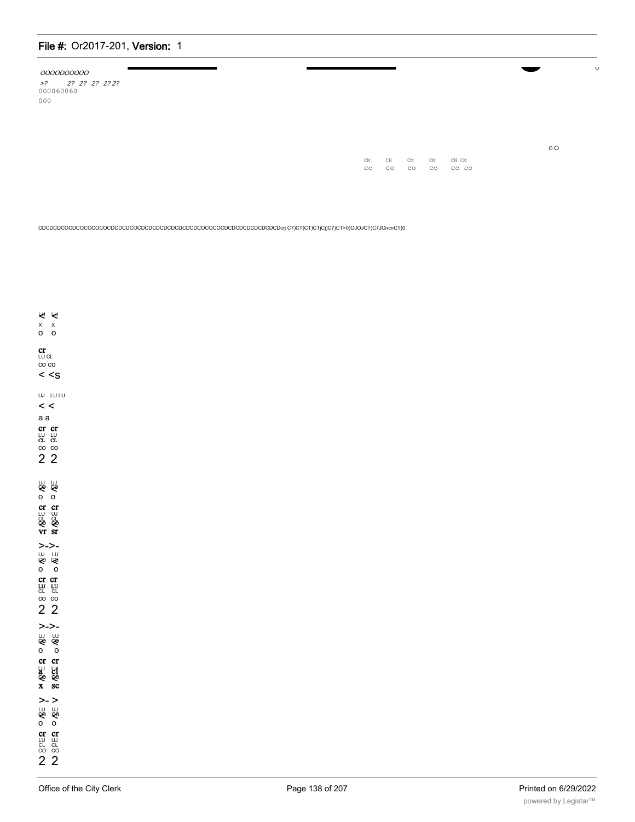0000000000  $\frac{1}{2}$ <br>000060060<br>000060060  $000\,$ 

> $\mathbb{C}\mathbb{M}$ CN CM  $CM$  $\mathbb{C}\mathbb{N}$  $\mathbb{C}\mathbb{M}$ CN CM  $COCO$  $_{\rm CO}$  $CO$

 $\circ$  O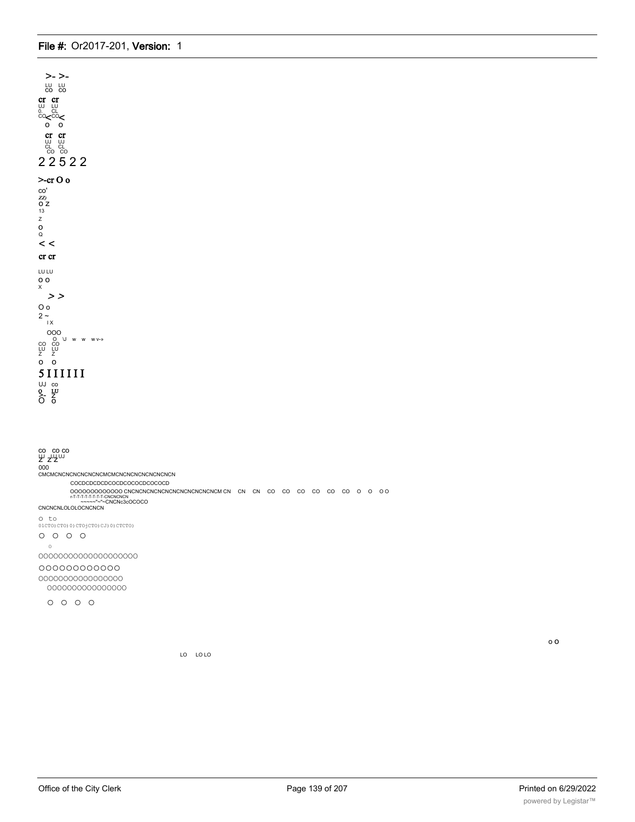| $> - > -$<br>LU LU<br>CO CO                                                                                                                                 |
|-------------------------------------------------------------------------------------------------------------------------------------------------------------|
| $\begin{array}{ll} {\rm cr} & {\rm cr} \\ {\rm ^{UL} } & {\rm ^{LU} } \\ {\rm ^{O}_C} & {\rm ^{CL} } \\ {\rm ^{CO}_C} & {\rm ^{CO}_C} \end{array}$<br>$0$ 0 |
| cr cr<br>22522                                                                                                                                              |
| $>$ -cr $O_0$                                                                                                                                               |
| co'<br>ZZ)                                                                                                                                                  |
| o z<br>13                                                                                                                                                   |
| Z<br>o                                                                                                                                                      |
| Q<br><                                                                                                                                                      |
| cr cr                                                                                                                                                       |
| LU LU                                                                                                                                                       |
| 0 <sub>0</sub><br>X                                                                                                                                         |
| > >                                                                                                                                                         |
| O o<br>$2 -$                                                                                                                                                |
| $1\,\mathrm{X}$<br>000                                                                                                                                      |
| $\begin{bmatrix} 0 & 0 & 0 \\ 0 & 0 & 0 \\ 0 & 0 & 0 \\ 0 & 0 & 0 \end{bmatrix}$<br>$\bigcup$ W W W V-»                                                     |
| $\circ$<br>$\circ$                                                                                                                                          |
| 5IIIIII                                                                                                                                                     |
| UJ co                                                                                                                                                       |
| $rac{6}{5}$ $rac{5}{5}$                                                                                                                                     |
|                                                                                                                                                             |
|                                                                                                                                                             |
| n Sn Sn<br>co co co                                                                                                                                         |
| 000                                                                                                                                                         |
| CMCMCNCNCNCNCNCNCMCMCNCNCNCNCNCNCNCNCN<br>COCDCDCDCDCOCDCOCCDCOCOCD                                                                                         |
| FI-T-T-T-T-T-T-CNCNCNCN                                                                                                                                     |
| CNCNCNLOLOLOCNCNCN                                                                                                                                          |
| o to<br>01СТО) СТО) 0) СТОЈСТО) СЈ) 0) СТСТО)                                                                                                               |
| $\circ \circ \circ \circ \circ$                                                                                                                             |

OOOOOOOOOOOOOOOOOOOO

#### oooooooooooo

 $\circ$ 

OOOOOOOOOOOOOOOOO OOOOOOOOOOOOOOOO

o o o o

LO LO LO

o o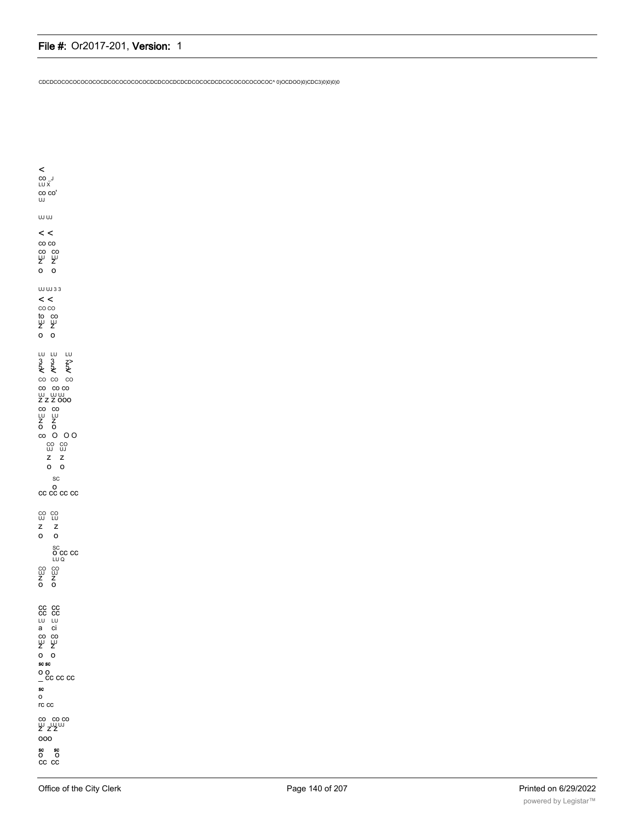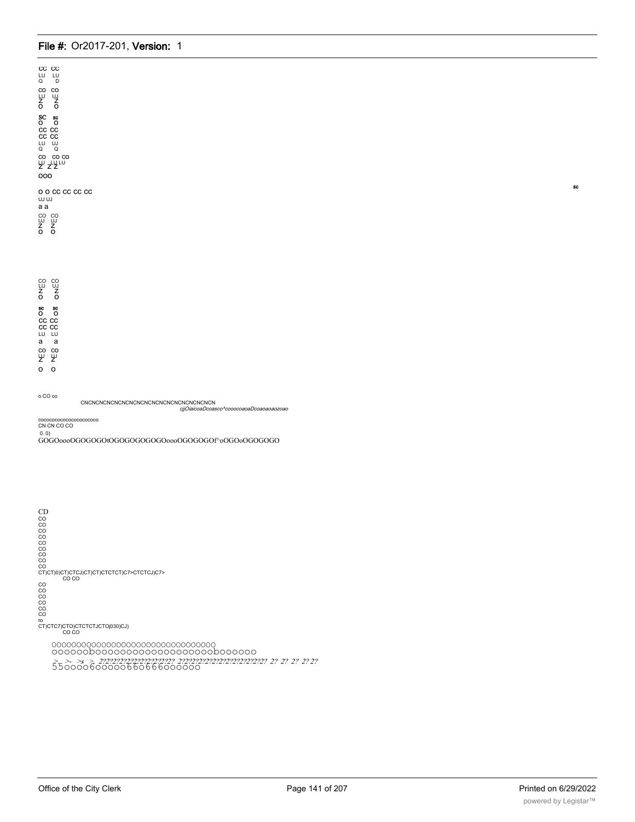| $cc$ $cc$<br>LU LU<br>Q D<br>$\cos$ co<br>$\frac{1}{2}$<br>$rac{1}{2}$<br>$\underset{\text{O}}{\text{SC}}$ sc<br>$\begin{array}{c}\n0 \\ 0 \\ 0\n\end{array}$<br>co co co<br>L <sup>y</sup> 212 <sup>LU</sup> |    |
|---------------------------------------------------------------------------------------------------------------------------------------------------------------------------------------------------------------|----|
| 000                                                                                                                                                                                                           | 8C |
| o o cc cc cc cc<br>UJ UJ<br>a a<br>$\begin{array}{c} {\rm CO} \\ {\rm CO} \\ {\rm Z} \\ {\rm Z} \\ {\rm O} \\ {\rm O} \end{array}$                                                                            |    |
|                                                                                                                                                                                                               |    |
|                                                                                                                                                                                                               |    |
| $\begin{array}{ccc} {\rm CO} & {\rm CO} \\ {\rm Z} & {\rm U} \\ {\rm Z} & {\rm Z} \\ {\rm O} & {\rm O} \end{array}$                                                                                           |    |
| $\begin{matrix} 8c & 8c \\ 0 & 0 \end{matrix}$<br>$\frac{cc}{cc}$ $\frac{cc}{cc}$                                                                                                                             |    |
| LU LU<br>a a                                                                                                                                                                                                  |    |
| co co<br>Y Y                                                                                                                                                                                                  |    |
| $0$ 0                                                                                                                                                                                                         |    |
| o CO co<br>CNCNCNCNCNCNCNCNCNCNCNCNCNCNCNCNCNCNCN                                                                                                                                                             |    |
| cjjOiaicoaDcoasco^cooocoaoaDcoaoaoaozoao<br>${\tt cocococococococococococococ}$                                                                                                                               |    |
| CN CN CO CO<br>0.0)<br>${\rm GOG0o}o0{\rm GOG0G0G0G0G0G0G0G0o}o0{\rm GOG0G0G0f}^{\wedge} o0{\rm GO}o0{\rm GOG0G0G0}$                                                                                          |    |
|                                                                                                                                                                                                               |    |
|                                                                                                                                                                                                               |    |
|                                                                                                                                                                                                               |    |
| $\mathop{\rm CD}$<br>$_{\rm CO}$<br>$_{\rm CO}$                                                                                                                                                               |    |
| $_{\rm CO}^{\rm CO}$<br>$_{\rm CO}$<br>$_{\rm CO}$<br>$_{\rm CO}$<br>$_{\rm CO}$<br>CO                                                                                                                        |    |
| CT)CT)0)CT)CTCJ)CT)CT)CTCTCTCT)C7>CTCTCJ)C7><br>CO CO<br>$_{\rm CO}$                                                                                                                                          |    |
| CO<br>CO<br>CO<br>$_{\rm CO}$                                                                                                                                                                                 |    |
| $\overline{co}$<br>ro<br>CT)CTC7)CTO)CTCTCTJCTOj030)CJ)<br>CO CO                                                                                                                                              |    |

OOOOOOOOOOOOOOOOOOOOOOOOOOOOOOOOO ooooooboooooooooooooooooooboooooo >. >- >s >, 2?2?2?2?2?2?2?2?2?2?2? 2?2?2?2?2?2?2?2?2?2?2?2?2? 2? 2? 2? 2? 2? 55oooo6ooooo66o666oooooo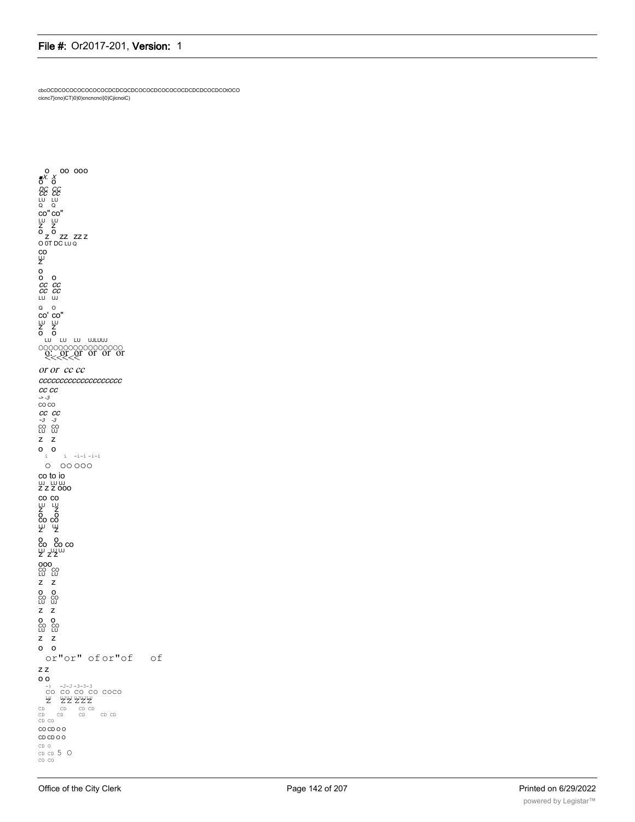cicnc7}cno)CT)0)0)cncncnci}0)CjicnoiC)

 $\sigma_{\rm C}$ <br>  $\sigma_{\rm C}$ <br>  $\sigma_{\rm C}$ <br>  $\sigma_{\rm C}$ <br>  $\sigma_{\rm C}$ <br>  $\sigma_{\rm C}$ <br>  $\sigma_{\rm C}$ <br>  $\sigma_{\rm C}$ <br>  $\sigma_{\rm C}$ <br>  $\sigma_{\rm C}$ <br>  $\sigma_{\rm C}$ <br>  $\sigma_{\rm C}$ <br>  $\sigma_{\rm C}$ <br>  $\sigma_{\rm C}$ <br>  $\sigma_{\rm C}$ <br>  $\sigma_{\rm C}$ <br>  $\sigma_{\rm C}$ <br>  $\sigma_{\rm C}$ <br>  $\sigma_{\rm C}$ <br>  $\sigma_{\rm C}$ <br>  $\frac{1}{2}$  $\begin{array}{l} \delta<\delta<\delta<\delta<\delta\\ \delta<\delta<\delta\\ \delta<\delta<\delta\\ \delta<\delta<\delta\\ \delta<\delta<\delta\\ \delta<\delta<\delta\\ \delta<\delta<\delta\\ \delta<\delta<\delta\\ \delta<\delta<\delta\\ \delta<\delta<\delta\\ \delta<\delta<\delta\\ \delta<\delta<\delta\\ \delta<\delta<\delta\\ \delta<\delta<\delta\\ \delta<\delta<\delta\\ \delta<\delta<\delta\\ \delta<\delta<\delta\\ \delta<\delta<\delta\\ \delta<\delta<\delta\\ \delta<\delta<\delta\\ \delta<\delta<\delta\\ \delta<\delta<\delta\\ \delta<\delta<\delta\\$ or or cc cc  $\mathop{cc}\limits_{\scriptstyle \sim\,3}\mathop{cc}\limits$  $\overline{CO}$   $\overline{CO}$  $\begin{array}{ccc} cc & cc\\ \n~ ^3 & \n~ ^3\\ CO & CO\\ CO & CO\\ CO & CO \end{array}$  $Z$   $Z$  $0$  0  $i - i - i - i - i$  $i$  i -i-i-i<br>0 00000 co to io **UJ LU UJ**<br>**Z Z Z 000** ႔<br>၁၀၀၀၀<br>၀၀၀၀၀ 000<br>CO CO N<br>C<br>C<br>C<br>C<br>C<br>C<br>C<br>C<br>C<br>C<br>C<br>C<br>C<br>C<br>C<br>C<br>I<br>I<br>I<br>I<br>I<br>I<br>I<br>I<br>I<br>I<br>I<br>I<br>I<br>I<br>I<br>I<br>I<br>I<br>I<br>I<br>I<br>  $\frac{z}{100}$   $\frac{z}{100}$  $Z$   $Z$  $0$  0 or"or" of or"of  $\circ f$  $ZZ$  $\circ$   $\circ$  $\begin{array}{ll} -1 & -J-J-3-3-3 \\ \text{CO} & \text{CO} & \text{CO} & \text{CO} \\ \text{C} & \text{C} & \text{C} & \text{C} \\ \text{D} & \text{D} & \text{D} & \text{D} \\ \end{array}$ CO CD O O CD CD O O  $\begin{array}{ccccc}\n\text{CD} & \text{O} & \text{O} & \text{O} \\
\text{CD} & \text{CD} & \text{O} & \text{O}\n\end{array}$  $CO CO$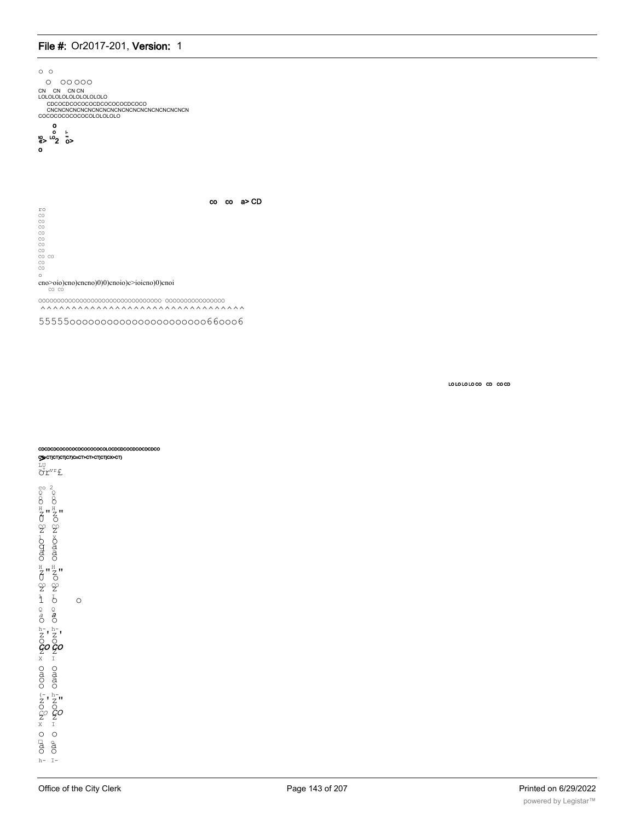

55555000000000000000000000660006

rorororoco co coco

| суэстјетјетјеленст>ст>стјетјех>ст)<br>qr <sub>at</sub> f<br>Tn |
|----------------------------------------------------------------|
| O<br>$h-$<br>$I -$                                             |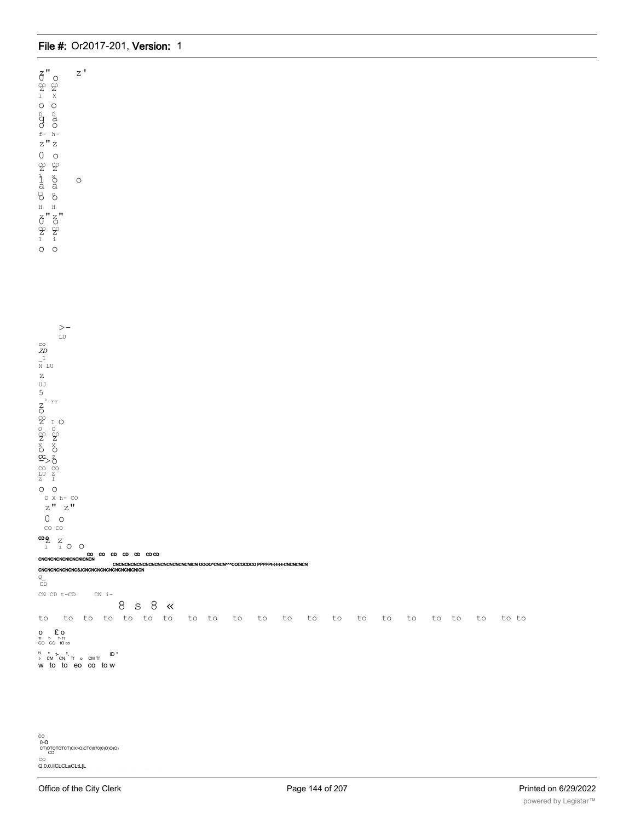

CO<br>0-**0**<br>CT)OTOTOTCT<sub>I</sub>CX>OJCT0)070)0)O)O)O<br>CO co<br>Q.0.0.IICLCLaCLtL[L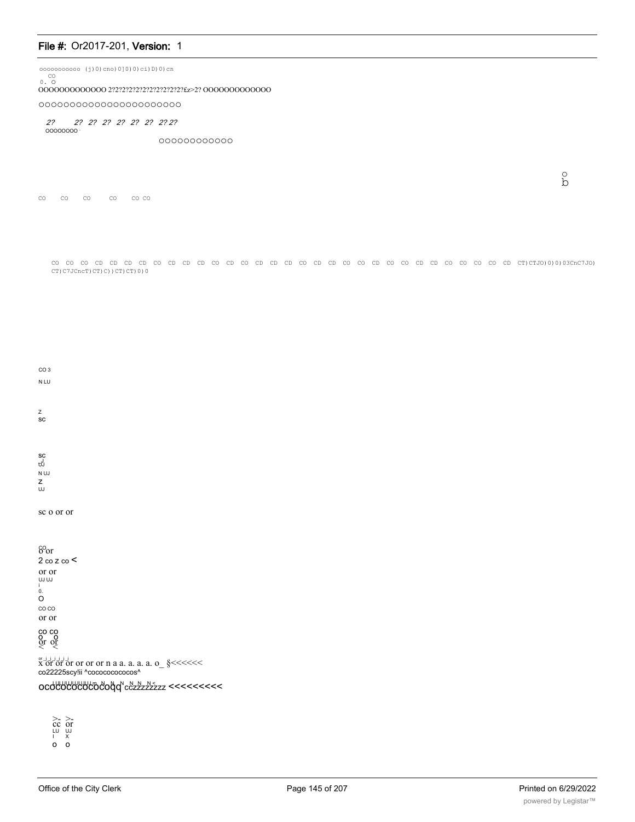00000000000 (j) 0) cno) 0] 0) 0) ci) D) 0) cn

 $\frac{1}{100}$ 

0000000000000000000000

2? 2? 2? 2? 2? 2? 2? 2? 2?  $2?$ 00000000

00000000000

 $CO$  $CO$  $CO$  $CO$  $CO CO$ 

> co co co cp cp cp cp co cp cp cp co cp co cp cp cp cp cp cp co cp co co cp co co cp cp co co co cp cr) crJo) 0) 03 chc7JO) CT) C7JCncT) CT) C) ) CT) CT) 0) 0



**NLU** 

Z sc

sc<br>ပါ

N UJ

 $\frac{Z}{UJ}$ 

sc o or or

 $8^\mathrm{o}\!\mathrm{or}$ 2 co z co  $<$ **or or**<br>ພິພ  $\overline{O}$  $\cos$ or or  $\begin{array}{c} 0 \\ 0 \\ 0 \\ 0 \\ 0 \end{array}$  co co

### 

 $\begin{array}{ccc}\n\sum_{c} & \sum_{c} \\
\text{cc} & \text{or} \\
\text{u} & \text{u}\n\end{array}$ <br>  $\begin{array}{ccc}\n1 & \text{u} & \text{u} \\
\text{u} & \text{u} & \text{v} \\
\text{u} & \text{v} & \text{v} \\
\text{o} & \text{o}\n\end{array}$ 

 $\stackrel{\circ}{b}$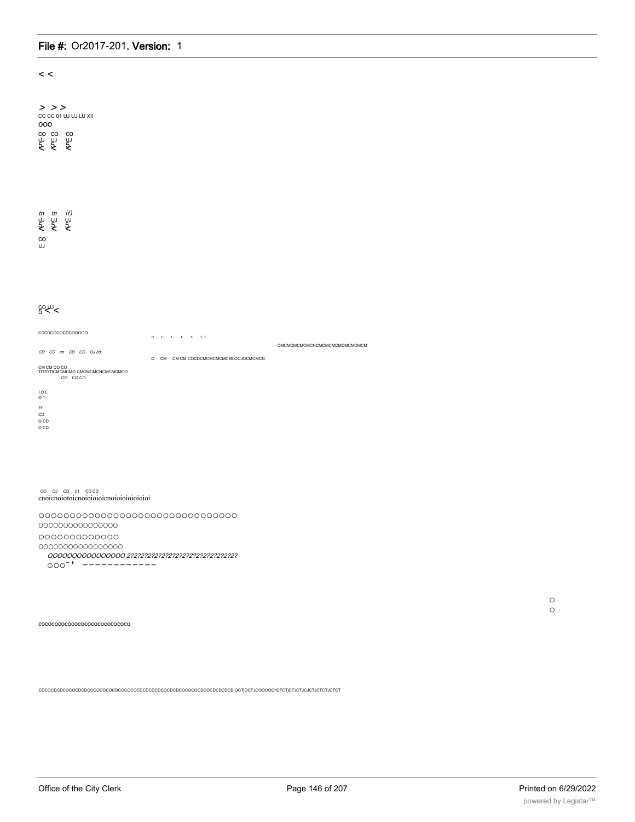| ۰. | ۹ |
|----|---|
| ٠  | v |
|    |   |
|    |   |
| ×  | × |
|    | w |
| ×  |   |
| w  | × |
|    | w |
|    |   |

| 000      | > >>        |          | CC CC 01 UJ UJ LU XII |  |  |
|----------|-------------|----------|-----------------------|--|--|
| پر<br>پا | CO CO<br>y. | CO<br>y. |                       |  |  |
|          |             |          |                       |  |  |
|          |             |          |                       |  |  |
|          |             |          |                       |  |  |

 $\begin{array}{ccc} \hbox{\tiny{th}} & \hbox{\tiny{th}} & \hbox{\tiny{it}})\\ \hbox{\tiny{th}} & \hbox{\tiny{th}} & \hbox{\tiny{th}}\\ \hbox{\tiny{th}} & \hbox{\tiny{th}} & \hbox{\tiny{th}}\\ \hbox{\tiny{th}} & \hbox{\tiny{th}} & \hbox{\tiny{th}}\\ \hbox{\tiny{th}} & \hbox{\tiny{th}} & \hbox{\tiny{th}}\\ \hbox{\tiny{th}} & \hbox{\tiny{th}} & \hbox{\tiny{th}}\\ \hbox{\tiny{th}} & \hbox{\tiny{th}} & \hbox{\tiny{th}}\\ \hbox{\tiny{th}} & \hbox{\tiny{th}} & \hbox{\tiny$ 

 $60 + 16$ 

CDCDCOCOCDCOOOOO

CD CD cn CD CD OJ cd

O CM CM CM COCDCMCMCMCMCMLOCJOCMCMCN

 $\mathbf{0} = \mathbf{T}_0 = \mathbf{T}_0 = \mathbf{T}_0 = \mathbf{T}_0 = \mathbf{T}_0 \mathbf{T}_0$ 

CM CM CO CO<br>TITITITICMCMCMO CMCMCMCMCMCMCMCO<br>CO CO CO

 $\frac{\text{LO E}}{\text{O T}}$ 

 $\operatorname{\mathsf{Tr}}$ 

 $\begin{array}{c} \text{CD} \\ \text{O CD} \\ \text{O CD} \end{array}$ 

CO OJ CD 01 CD CD  $cnoiconoiotoiconoioioioioioioioioioioio$ 

000000000000000 000000000000 0000000000000000 000<sup>-1</sup> ------------

 $\circ$  $\circ$ 

смемемемемемемемемемемемем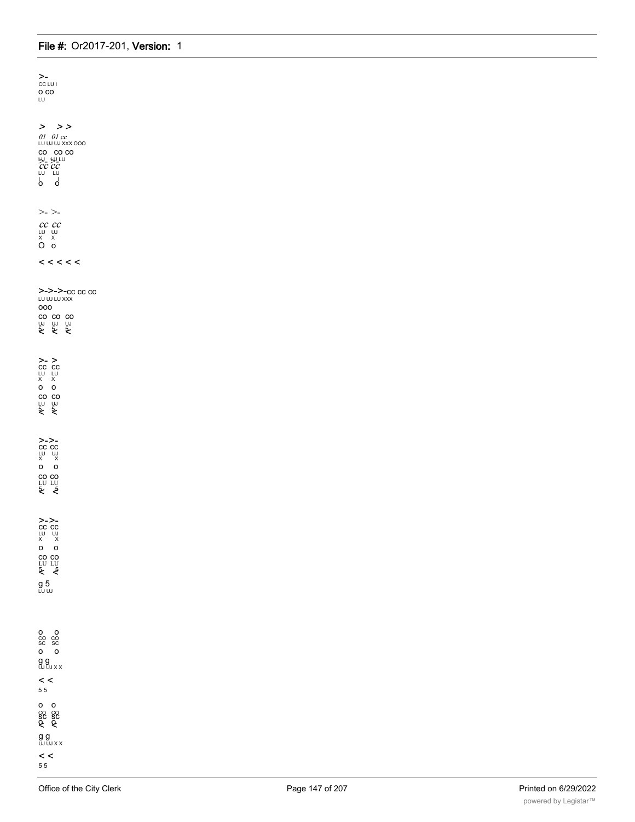| >-<br>CC LU I<br>0 <sub>c</sub><br>${\sf LU}$                                                                                                                                                                                                                                                                                |  |  |
|------------------------------------------------------------------------------------------------------------------------------------------------------------------------------------------------------------------------------------------------------------------------------------------------------------------------------|--|--|
| $>$ >><br>01 01 $cc$<br>LU UJ UJ XXX 000<br>CO CO CO<br>$\begin{array}{c}\n\mathbb{N} & \mathbb{N} \text{LU} \\ \text{CC} & \text{CC} \\ \text{LU} & \text{LU}\n\end{array}$<br>$\begin{matrix} 1 & 1 \\ 0 & 0 \end{matrix}$                                                                                                 |  |  |
| $>$ $>$                                                                                                                                                                                                                                                                                                                      |  |  |
| cc cc<br>$\begin{array}{cc} \text{LU} & \text{UJ} \\ \text{X} & \text{X} \end{array}$<br>O <sub>o</sub>                                                                                                                                                                                                                      |  |  |
| <<<<                                                                                                                                                                                                                                                                                                                         |  |  |
| $>>->-cc$ cc cc cc<br>LU UJ LU XXX<br>000<br>co co co<br>E E E                                                                                                                                                                                                                                                               |  |  |
| $\begin{array}{cc}\n\sum_{\substack{c \subset c \\ c \subset c}} \sum_{\substack{c \subset c \\ c \subset c}} \end{array}$<br>$0$ 0<br>$\begin{matrix} 50 & 50 \\ 50 & 50 \\ 50 & 50 \end{matrix}$                                                                                                                           |  |  |
| >->-<br>$cc$ $cc$<br>$\begin{array}{cc} \text{LU} & \text{UJ} \\ \text{X} & \text{X} \end{array}$<br>$0$ 0<br>co co<br>$rac{10}{5}$ $rac{10}{5}$                                                                                                                                                                             |  |  |
| >->-<br>cc cc<br>$\overline{5}$ and $\overline{6}$ consider $\overline{6}$ consider $\overline{6}$ consider $\overline{6}$ consider $\overline{6}$ consider $\overline{6}$ consider $\overline{6}$ consider $\overline{6}$ consider $\overline{6}$ consider $\overline{6}$ consider $\overline{6}$ consider $\overline{6}$ c |  |  |
| $<$ $<$ $<$ $_{5\,5}$                                                                                                                                                                                                                                                                                                        |  |  |
| $\begin{bmatrix} 2 & 0 & 0 \\ 0 & 0 & 0 \\ 0 & 0 & 0 \end{bmatrix}$                                                                                                                                                                                                                                                          |  |  |
| $<$ $<$ $<$ $_{5\,5}$                                                                                                                                                                                                                                                                                                        |  |  |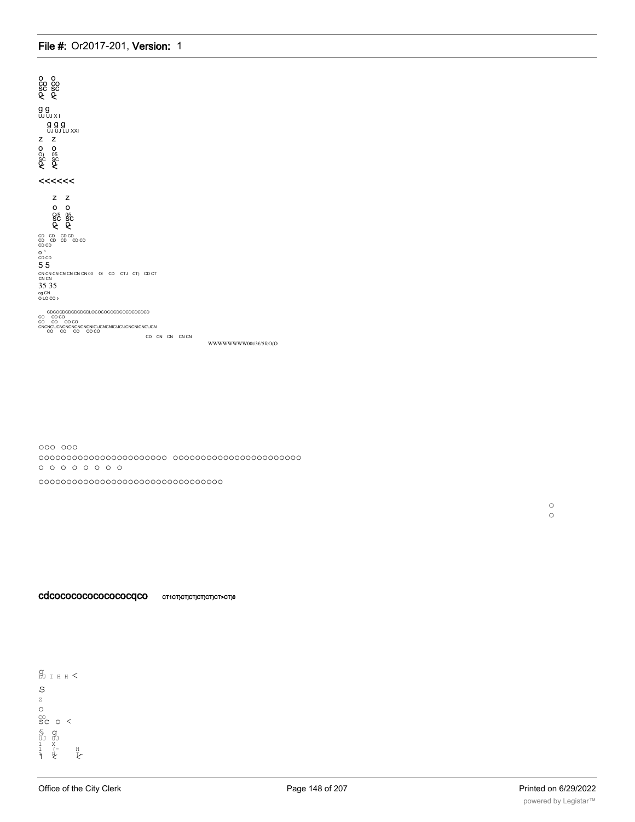

ooo ooo ooooooooooooooooooooooo ooooooooooooooooooooooo o o o o o o o o

ooooooooooooooooooooooooooooooooo

cdcocococococococqco CT1CT}CTjCTjCT)CT)CT>CT)0



o o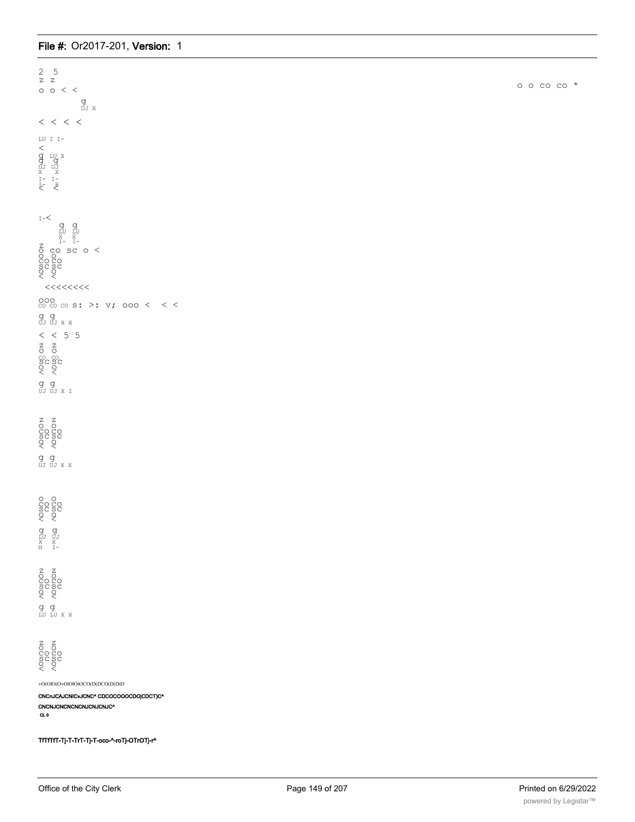| $\begin{array}{ccc} 2 & 5 \\ z & z \end{array}$<br>$\circ$ $\circ$ $\lt$ $\lt$<br>$_{01~x}^{3}$<br>$<~<~<~<$<br>$LU = I -$                                                                                                                                                                                                                                                                                                                                                                                                                 |  | 0 0 0 0 0 0 |  |
|--------------------------------------------------------------------------------------------------------------------------------------------------------------------------------------------------------------------------------------------------------------------------------------------------------------------------------------------------------------------------------------------------------------------------------------------------------------------------------------------------------------------------------------------|--|-------------|--|
|                                                                                                                                                                                                                                                                                                                                                                                                                                                                                                                                            |  |             |  |
| 1-<<br>$\begin{array}{cc} \mathbf{Q} & \mathbf{Q} \\ \mathbf{L} \mathbf{U} & \mathbf{L} \mathbf{U} \\ \mathbf{X} & \mathbf{X} \\ \mathbf{X} & \mathbf{X} \\ \mathbf{I} - \mathbf{I} \end{array}$<br>$\begin{array}{l} \begin{array}{l} \mathbf{z} \\ \mathbf{z} \\ \mathbf{z} \\ \mathbf{z} \\ \mathbf{z} \\ \mathbf{z} \\ \mathbf{z} \end{array} \\ \mathbf{z} \\ \mathbf{z} \\ \mathbf{z} \end{array} \end{array}$<br>$\begin{array}{c} \begin{array}{c} \texttt{<<}\texttt{<<}\texttt{<<}\texttt{<<}\texttt{<<}\end{array} \end{array}$ |  |             |  |
| 000 $\cos$ s: >: $\sin$ 000 <<br>$\alpha$ $\alpha$ $\beta$<br>$\begin{array}{ccccc}\n\text{or} & \text{or} & \text{x} & \text{x}\n\end{array}$<br>$\begin{array}{c} 25 & 5 \\ 25 & 2 \\ 20 & 2 \\ 20 & 2 \\ 20 & 2 \\ 20 & 2 \\ 20 & 2 \\ 20 & 2 \\ 20 & 2 \\ 20 & 2 \\ 20 & 2 \\ 20 & 2 \\ 20 & 2 \\ 20 & 2 \\ 20 & 2 \\ 20 & 2 \\ 20 & 2 \\ 20 & 2 \\ 20 & 2 \\ 20 & 2 \\ 20 & 2 \\ 20 & 2 \\ 20 & 2 \\ 20 & 2 \\ 20 & 2 \\ 20 & 2 \\ 20 & 2 \\ 20 & 2 \\ 20 & 2 \\ 20 & 2 \\ 20$                                                        |  |             |  |
| nn nn x 1<br>a d<br>$\begin{smallmatrix} 01 & 01 & x & x \\ 0 & 0 & \end{smallmatrix}$                                                                                                                                                                                                                                                                                                                                                                                                                                                     |  |             |  |
| $\begin{array}{c} 0 \\ 0 \\ 0 \\ 0 \\ 0 \\ 0 \\ 0 \\ \end{array}$<br>$\begin{array}{cc} H & I-\\ X & X\\ \Gamma\cap & \Omega\Gamma\\ \Gamma\cap & \Gamma\Gamma \end{array}$                                                                                                                                                                                                                                                                                                                                                                |  |             |  |
| $\lim_{\text{LU}} \lim_{\text{LU}} x$ x                                                                                                                                                                                                                                                                                                                                                                                                                                                                                                    |  |             |  |
| vO(OIO(OvOIOIOtOCO(D(DCO(D(DtD<br>CNCrJCAJCNICVJCNC^ CDCOCOOOCDOJCDCT)C^<br>CNCNJCNCNCNCNJCNJCNJC^<br>CL 0                                                                                                                                                                                                                                                                                                                                                                                                                                 |  |             |  |
| TfTfTfT-Tj-T-TrT-Tj-T-oco-^-roTj-OTrOTj-r^                                                                                                                                                                                                                                                                                                                                                                                                                                                                                                 |  |             |  |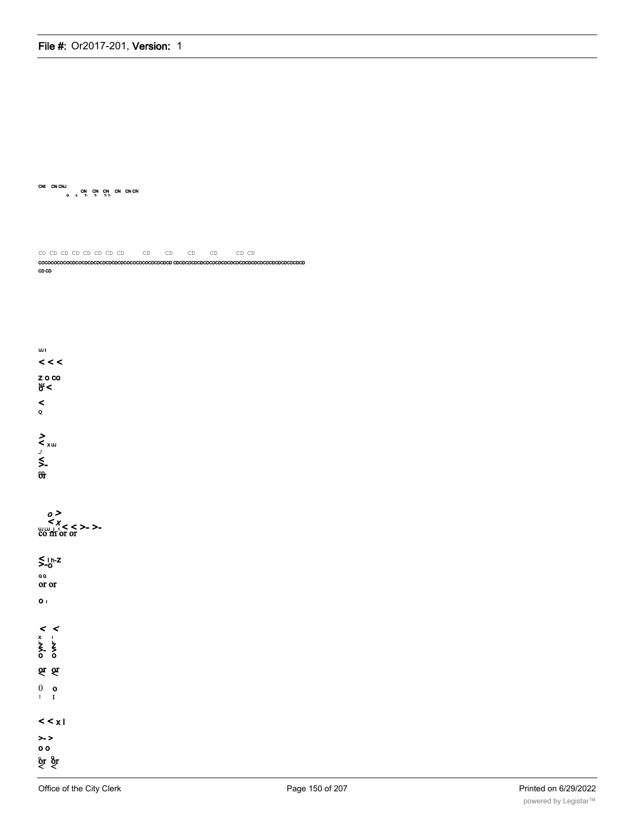## CNI CNCNJ<br>CN CN CN CN CN CN CNCN<br>CNI CNCNJ

| CO CD CD CD CD CD CD CD CD |  |  |  | CD | CD | CD | CD CD |  |
|----------------------------|--|--|--|----|----|----|-------|--|
|                            |  |  |  |    |    |    |       |  |
| CD CD                      |  |  |  |    |    |    |       |  |
|                            |  |  |  |    |    |    |       |  |
|                            |  |  |  |    |    |    |       |  |
|                            |  |  |  |    |    |    |       |  |
|                            |  |  |  |    |    |    |       |  |
|                            |  |  |  |    |    |    |       |  |
|                            |  |  |  |    |    |    |       |  |

UJ I  $\lt$   $\lt$   $\lt$ z o co N£o <

< Q

><br>< <sub>x w</sub><br>≶-

 $^{\rm a}$ 

*o* ><br>
∠ *x*<br>
∞ √ *x* < >- >-<br>co m or or

 $\sum_{0}^{1}h-Z$ aa<br>Of Of

o <sup>I</sup>

< <<br>x<br>x<br>0<br>0<br>0<br>0

or or < <

 $\begin{matrix} 0 & \mathbf{0} \\ 1 & \mathbf{I} \end{matrix}$ 

 $\langle \langle x |$ 

 $>$   $>$ 

o o

or &<br>gr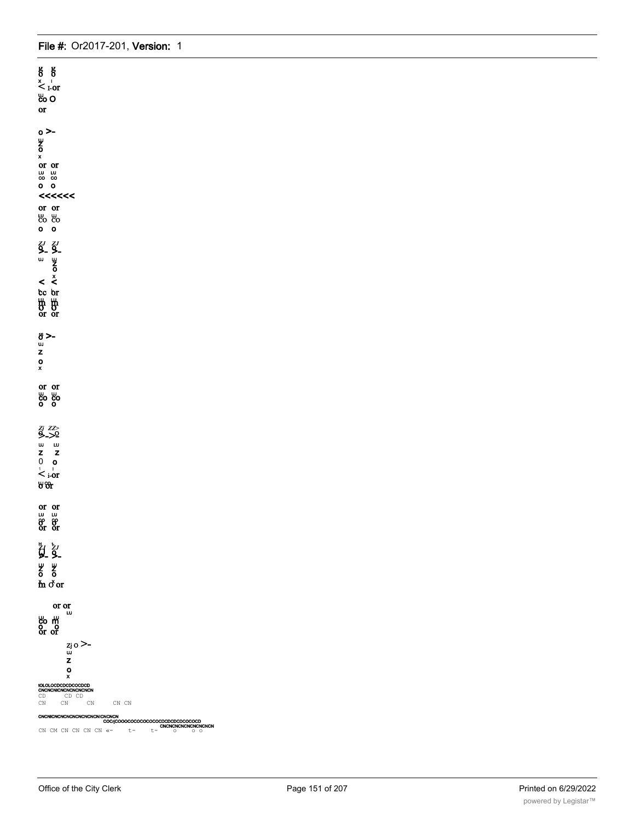| $\overline{\phantom{0}}$                                                                                                                                                                                                                                                                                                                                                                                                      |  |
|-------------------------------------------------------------------------------------------------------------------------------------------------------------------------------------------------------------------------------------------------------------------------------------------------------------------------------------------------------------------------------------------------------------------------------|--|
| $\overset{8}{\underset{\smile}{\times}}\overset{8}{\underset{\smile}{\text{for}}}$                                                                                                                                                                                                                                                                                                                                            |  |
|                                                                                                                                                                                                                                                                                                                                                                                                                               |  |
| ത് O                                                                                                                                                                                                                                                                                                                                                                                                                          |  |
|                                                                                                                                                                                                                                                                                                                                                                                                                               |  |
| $\mathbf{or}$                                                                                                                                                                                                                                                                                                                                                                                                                 |  |
|                                                                                                                                                                                                                                                                                                                                                                                                                               |  |
| $\frac{1}{2}$<br>$\frac{1}{2}$                                                                                                                                                                                                                                                                                                                                                                                                |  |
|                                                                                                                                                                                                                                                                                                                                                                                                                               |  |
|                                                                                                                                                                                                                                                                                                                                                                                                                               |  |
|                                                                                                                                                                                                                                                                                                                                                                                                                               |  |
|                                                                                                                                                                                                                                                                                                                                                                                                                               |  |
| or or<br>$\begin{array}{c} 0 & 0 \\ 0 & 0 \\ 0 & 0 \\ 0 & 0 \end{array}$                                                                                                                                                                                                                                                                                                                                                      |  |
|                                                                                                                                                                                                                                                                                                                                                                                                                               |  |
| $\begin{array}{c} or \\co \to \infty \\ co \to 0 \end{array}$                                                                                                                                                                                                                                                                                                                                                                 |  |
|                                                                                                                                                                                                                                                                                                                                                                                                                               |  |
|                                                                                                                                                                                                                                                                                                                                                                                                                               |  |
|                                                                                                                                                                                                                                                                                                                                                                                                                               |  |
|                                                                                                                                                                                                                                                                                                                                                                                                                               |  |
|                                                                                                                                                                                                                                                                                                                                                                                                                               |  |
|                                                                                                                                                                                                                                                                                                                                                                                                                               |  |
|                                                                                                                                                                                                                                                                                                                                                                                                                               |  |
|                                                                                                                                                                                                                                                                                                                                                                                                                               |  |
|                                                                                                                                                                                                                                                                                                                                                                                                                               |  |
| <b>SOBER A SEPPE</b>                                                                                                                                                                                                                                                                                                                                                                                                          |  |
|                                                                                                                                                                                                                                                                                                                                                                                                                               |  |
| $\frac{\delta}{\delta}$<br>$\frac{z}{z}$<br>$\frac{z}{z}$                                                                                                                                                                                                                                                                                                                                                                     |  |
|                                                                                                                                                                                                                                                                                                                                                                                                                               |  |
|                                                                                                                                                                                                                                                                                                                                                                                                                               |  |
|                                                                                                                                                                                                                                                                                                                                                                                                                               |  |
|                                                                                                                                                                                                                                                                                                                                                                                                                               |  |
|                                                                                                                                                                                                                                                                                                                                                                                                                               |  |
| $\begin{smallmatrix}0&0\0&0\0&0\end{smallmatrix}$                                                                                                                                                                                                                                                                                                                                                                             |  |
|                                                                                                                                                                                                                                                                                                                                                                                                                               |  |
|                                                                                                                                                                                                                                                                                                                                                                                                                               |  |
| $\frac{z_j}{9} \frac{z_z}{9}$                                                                                                                                                                                                                                                                                                                                                                                                 |  |
| $\dot{u}$ $\dot{u}$                                                                                                                                                                                                                                                                                                                                                                                                           |  |
| $\overline{z}$ $\overline{z}$<br>0 0<br>$\overline{z}$<br>$\overline{z}$<br>$\overline{z}$<br>$\overline{z}$                                                                                                                                                                                                                                                                                                                  |  |
|                                                                                                                                                                                                                                                                                                                                                                                                                               |  |
|                                                                                                                                                                                                                                                                                                                                                                                                                               |  |
| $\pmb{\theta} \pmb{\vartheta} \pmb{\hat{r}}$                                                                                                                                                                                                                                                                                                                                                                                  |  |
|                                                                                                                                                                                                                                                                                                                                                                                                                               |  |
|                                                                                                                                                                                                                                                                                                                                                                                                                               |  |
|                                                                                                                                                                                                                                                                                                                                                                                                                               |  |
| $\begin{array}{ccc} or & or \\ \omega & \omega \\ go & go \\ or & or \end{array}$                                                                                                                                                                                                                                                                                                                                             |  |
|                                                                                                                                                                                                                                                                                                                                                                                                                               |  |
|                                                                                                                                                                                                                                                                                                                                                                                                                               |  |
|                                                                                                                                                                                                                                                                                                                                                                                                                               |  |
|                                                                                                                                                                                                                                                                                                                                                                                                                               |  |
| <b>ELET</b><br>BUSE<br>To So<br>The Sor                                                                                                                                                                                                                                                                                                                                                                                       |  |
|                                                                                                                                                                                                                                                                                                                                                                                                                               |  |
|                                                                                                                                                                                                                                                                                                                                                                                                                               |  |
|                                                                                                                                                                                                                                                                                                                                                                                                                               |  |
|                                                                                                                                                                                                                                                                                                                                                                                                                               |  |
|                                                                                                                                                                                                                                                                                                                                                                                                                               |  |
| $\frac{z_j}{\omega}$<br>z<br>o                                                                                                                                                                                                                                                                                                                                                                                                |  |
|                                                                                                                                                                                                                                                                                                                                                                                                                               |  |
|                                                                                                                                                                                                                                                                                                                                                                                                                               |  |
| $\pmb{\mathsf{x}}$                                                                                                                                                                                                                                                                                                                                                                                                            |  |
| tOLOLOCDCDCDCOCDCD<br>CNCNCNICNCNCNCNCNCN<br>$\mathbb{C}\mathbb{D}$<br>$CD$ $CD$                                                                                                                                                                                                                                                                                                                                              |  |
| $\mathbb{C}\mathbb{N}$<br>$\mathbb{C}\mathbb{N}$<br>CN<br>$\mathbb{C}\mathbb{N}$ $\mathbb{C}\mathbb{N}$                                                                                                                                                                                                                                                                                                                       |  |
| ${\begin{array}{l} \textbf{COO} \textbf{COO} \textbf{COO} \textbf{COO} \textbf{COO} \textbf{O} \textbf{COO} \textbf{O} \textbf{O} \textbf{O} \textbf{O} \textbf{O} \textbf{O} \textbf{O} \textbf{O} \textbf{O} \textbf{O} \textbf{O} \textbf{O} \textbf{O} \textbf{O} \textbf{O} \textbf{O} \textbf{O} \textbf{O} \textbf{O} \textbf{O} \textbf{O} \textbf{O} \textbf{O} \textbf{O} \textbf{O} \textbf{O} \textbf{O} \textbf$ |  |
|                                                                                                                                                                                                                                                                                                                                                                                                                               |  |
|                                                                                                                                                                                                                                                                                                                                                                                                                               |  |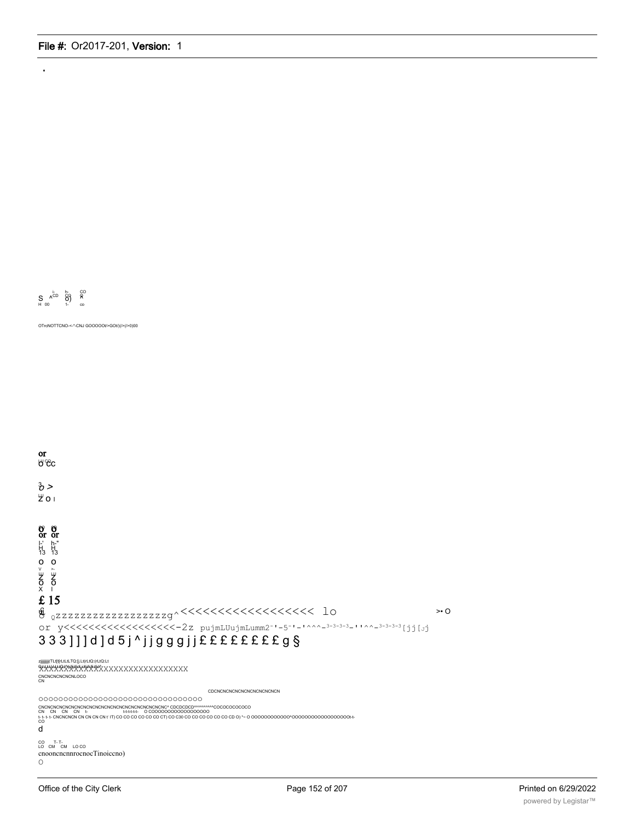$\rightarrow$  0

 $\mathsf d$ 

CDCNCNCNCNCNCNCNCNCNCNCN  ${\begin{array}{l} \begin{array}{l} \text{CNOT} \end{array}} \begin{array}{l} \begin{array}{l} \text{CNOT} \end{array} \begin{array}{l} \text{CNOT} \end{array} \begin{array}{l} \text{CNOT} \end{array} \begin{array}{l} \text{CNOT} \end{array} \begin{array}{l} \text{CNOT} \end{array} \begin{array}{l} \text{CNOT} \end{array} \begin{array}{l} \text{CNOT} \end{array} \begin{array}{l} \text{CNOT} \end{array} \begin{array}{l} \text{CNOT} \end{array} \begin{array}{l} \text{CNOT} \end{array} \begin{array}{l} \$ 

333]]]d]d5j^jjgggjj££££££££g§

zjjjjjjjjj(TLt[t[rLtLtLTQ:[j.Lt(rLtQ:(rLtQ:Lt WAXXXXXXXXXXXXXXXXXXXXXXXXXXXXX CNCNCNCNCNCNLOCO<br>CN

File #: Or2017-201, Version: 1

 $\ddot{\phantom{0}}$ 

 $\begin{matrix} S & \xrightarrow{\hspace*{1cm}} \xrightarrow{\hspace*{1cm}} \xrightarrow{\hspace*{1cm}} \xrightarrow{\hspace*{1cm}} \xrightarrow{\hspace*{1cm}} \xrightarrow{\hspace*{1cm}} \xrightarrow{\hspace*{1cm}} \xrightarrow{\hspace*{1cm}} \xrightarrow{\hspace*{1cm}} \xrightarrow{\hspace*{1cm}} \xrightarrow{\hspace*{1cm}} \xrightarrow{\hspace*{1cm}} \xrightarrow{\hspace*{1cm}} \xrightarrow{\hspace*{1cm}} \xrightarrow{\hspace*{1cm}} \xrightarrow{\hspace*{1cm}} \xrightarrow{\hspace*{1cm}} \xrightarrow{\hspace*{1cm}} \xrightarrow{\hspace*{1cm}} \xrightarrow{\$ OTrcNOTTCNO-<-\*-CNJ GOOOOO0/>GOt/)(/>(/>0)00

or უზო

 $\delta$ yoı

 $\begin{matrix} 0 \\ or \\ \vdots \\ 0 \\ 13 \end{matrix}$  or  $\begin{matrix} 0 \\ or \\ 1 \\ 13 \end{matrix}$ 

£15

CO T-T-<br>LOCM CM LOCO enoonenennroenoeTinoiceno)  $\Omega$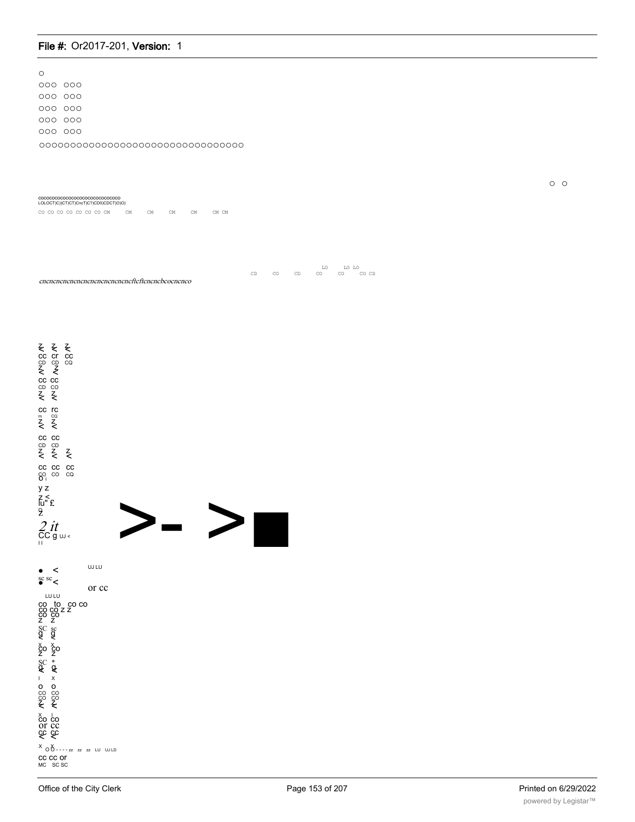$\circ$ 000 000 000 000 000 000 000 000 000 000 

 $\circ$   $\circ$ 

### cocococococococococococococococo<br>LOLOCT)C))CT)CT)CricT)C?)CD0)CDCT)O)O)

CO CO CO CO CO CO CO CM CM  $\mathbb{C}\mathbb{M}$ CM CM  $CM$   $CM$ 

 $\label{thm:non-ent}encnon-encenence one method can choose a cone.$ 



CC CC OT<br>MC SC SC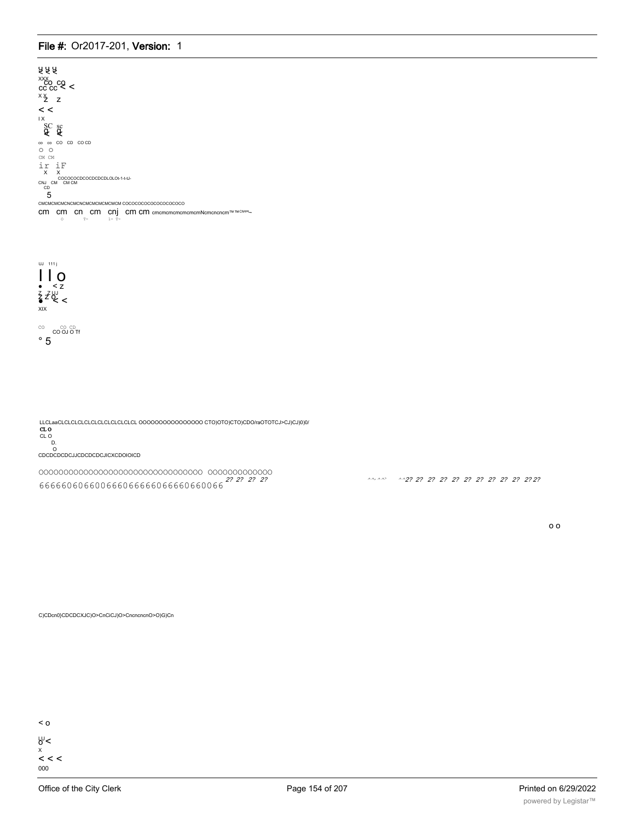



 $^{CO}$   $^{CO}$   $^{CD}$   $^{CO}$   $^{CD}$  Tf  $^{\circ}$  5

D.

 $CLO$ <br> $CLO$ 

### O<br>CDCDCDCJJCDCDCDCJICXCDOIOICD

AALAN AA27 27 27 27 27 27 27 27 27 27 27 27 27

 $\circ$ 

C)CDcn0}CDCDCXJC)O>CnCiCJ)O>CncncncnO>O)G)Cn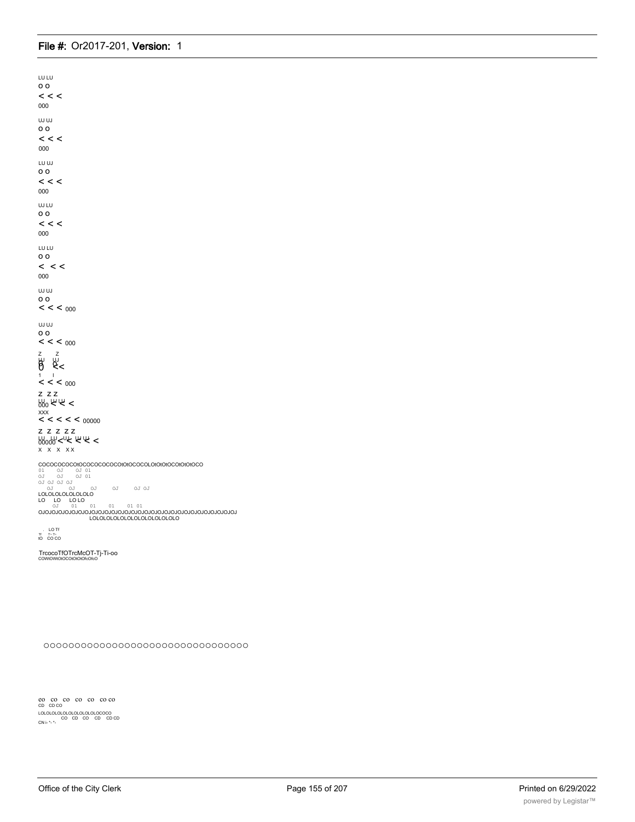| LU LU<br>00<br><<<br>000                                                                                  |
|-----------------------------------------------------------------------------------------------------------|
| UJ UJ<br>o o<br>$<$ $<$ $<$<br>000                                                                        |
| LU UJ<br>o o<br>$<$ $<$ $<$<br>000                                                                        |
| UJ LU<br>00<br>$<$ $<$ $<$<br>000                                                                         |
| LU LU<br>o o<br>$<$ $<$ $<$<br>000                                                                        |
| UJ UJ<br>o o<br><< 000                                                                                    |
| UJ UJ<br>o o<br>$\lt$ < $\lt$ 000                                                                         |
| Ζ<br>z<br>þ<br>IJ<br>ই<<br>ı<br>1<br><< 000                                                               |
| Z Z Z<br>bbo 썬 K<br><b>XXX</b><br><< < < 00000                                                            |
| Z Z Z Z Z<br>bbody <vk <<br="" खप्स="">x x x x x</vk>                                                     |
| COCOCOCOCOtOCOCOCOCOCOtOtOCOCOLOtOtOtOCOtOtOtOCO<br>01<br>OJ<br>OJ 01<br>OJ<br>OJ 01<br>ОJ<br>OJ OJ OJ OJ |

 $\begin{array}{cc}\n & LO \text{ Tf} \\
 & T \sim T \sim \\
\text{LO CO CO}\n\end{array}$ 

TrcocoTfOTrcMcOT-Tj-Ti-oo<br>cowtowtotocototototcotco

eo co co co co co co co<br>co co co co co co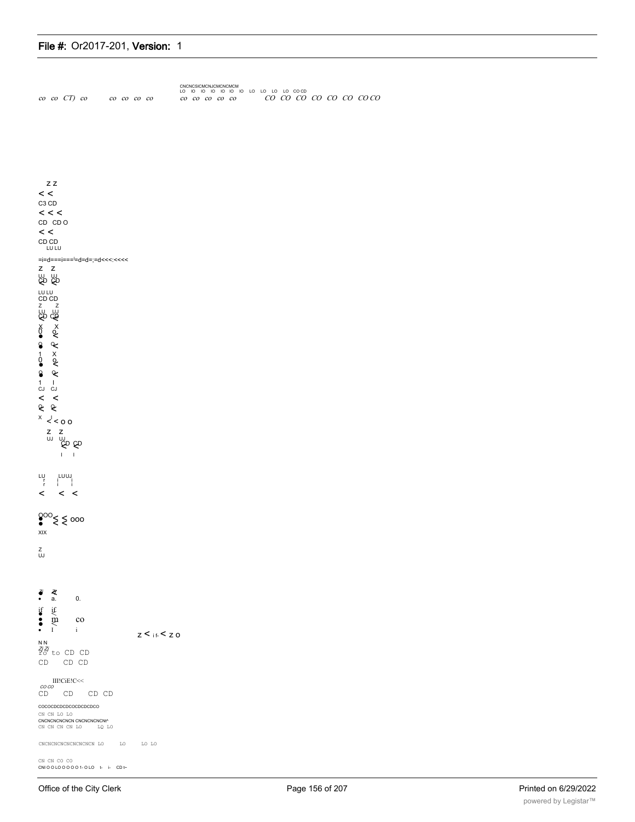| $co$ $co$ $CT$ ) $co$<br>co co co co                                                                                                                                                                                                                                                                             | CNCNCSICMCNJCMCNCMCM<br>LO 10 10 10 10 10 10 LO LO LO LO COCD<br>co co co co co | CO CO CO CO CO CO CO CO |  |
|------------------------------------------------------------------------------------------------------------------------------------------------------------------------------------------------------------------------------------------------------------------------------------------------------------------|---------------------------------------------------------------------------------|-------------------------|--|
|                                                                                                                                                                                                                                                                                                                  |                                                                                 |                         |  |
| Z Z<br>$\lt$<br>C <sub>3</sub> C <sub>D</sub><br>$\,<\,$ $\,<$<br>CD CD O<br>$\,<$<br>CD CD<br>LU LU                                                                                                                                                                                                             |                                                                                 |                         |  |
| =i=d===i=== <sup>i</sup> =d=d=;=d<<<:<<<<<br>$Z$ $Z$<br>& &<br>LU LU<br>CD CD<br>.<br>A Aox ASENGE<br>GENGEN<br>$\begin{matrix} 1 \\ 0 \\ 0 \end{matrix}$<br>$x^{\infty}$<br>$\bullet$<br>$\infty$<br>$\mathbf{1}$<br>$\mathbf{I}$<br>C1 C1<br>$\,<\,$<br>$\prec$<br>९ ९<br>x < 00<br>Z Z<br><sub>იი</sub> რა რა |                                                                                 |                         |  |
| $\Gamma = \Gamma$<br>$\begin{array}{c}\nLU \\ \uparrow \\ \uparrow\n\end{array}$<br>LUUJ.<br>$\vert \ \ \vert$<br>$\,<$<br>$\lt$ $\lt$<br>90055000                                                                                                                                                               |                                                                                 |                         |  |

 $\leq$  $\bullet$  $X\,$ 

Z<br>UJ

 $\mathbf{0}$ .  $_{\rm co}$  $\mathbf{i}$  $z < i$ f- $< z<sub>0</sub>$ NN<br>*ZjZj*<br>roto CD CD<br>CD CD CD  $\begin{array}{ccc}\n& \text{III:CEIC} \ll \\
& \text{co}\ \text{co} & \\
\text{CD} & \text{CD} & \text{CD} & \text{CD} & \\
\end{array}$  ${\tt COCOCDCDCOCDCDCDCOC}$  ${\tt CNCNCNCNCNCNCNCNCNCN\_LO} \qquad {\tt LO}$  $_{\rm LO}$   $_{\rm LO}$ CN CN CO CO<br>CNIO O LO O O O O 1 - O LO t- i-CD t-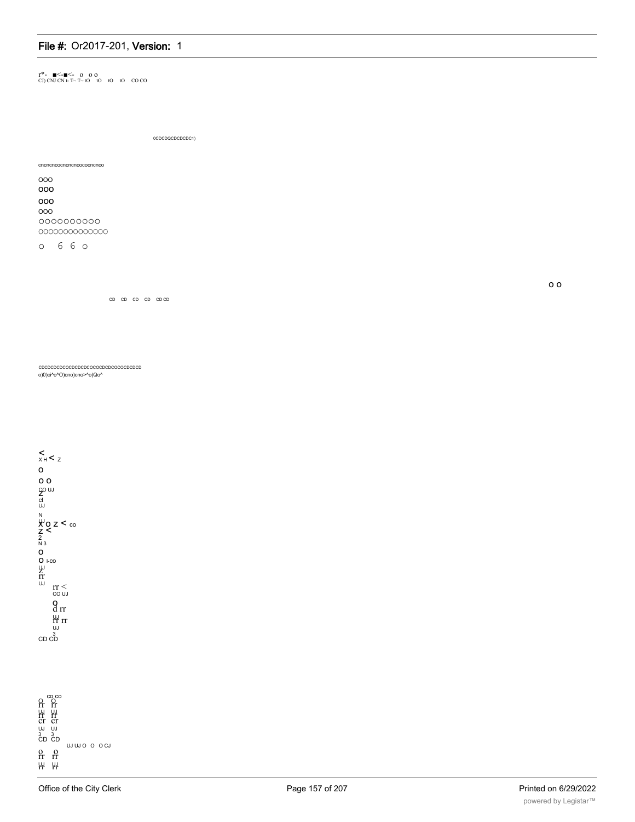0CDCDQCDCDCDC1)

cncncncocncncncococncnco

000 000 000 000 0000000000 0000000000000

660  $\circ$ 

CD CD CD CD CD CD

 ${\tt COCOCOCOCOCO COCOCO COCO COCOCOCO CO}$ 

o)0)ci^o^O)cno)cno>^o)Qo^

 $\underset{x \, \text{H}}{\texttt{<}}$   $\texttt{<}$  z  $\mathsf{o}$  $\text{rr} <$ co uu  $\int d\mathbf{r}$ ₩ rr UJ CD  $\overset{3}{\text{CD}}$ 

 $\begin{array}{l} \mathbf{p} \\ \mathbf{p} \\ \mathbf{p} \\ \mathbf{p} \\ \mathbf{p} \\ \mathbf{p} \\ \mathbf{p} \\ \mathbf{p} \\ \mathbf{p} \\ \mathbf{p} \\ \mathbf{p} \\ \mathbf{p} \\ \mathbf{p} \\ \mathbf{p} \\ \mathbf{p} \\ \mathbf{p} \\ \mathbf{p} \\ \mathbf{p} \\ \mathbf{p} \\ \mathbf{p} \\ \mathbf{p} \\ \mathbf{p} \\ \mathbf{p} \\ \mathbf{p} \\ \mathbf{p} \\ \mathbf{p} \\ \mathbf{p} \\ \mathbf{p} \\ \mathbf{p} \\ \mathbf{p} \\ \mathbf$ mnno o ocn  $r \frac{1}{2}$ W W

 $\circ$   $\circ$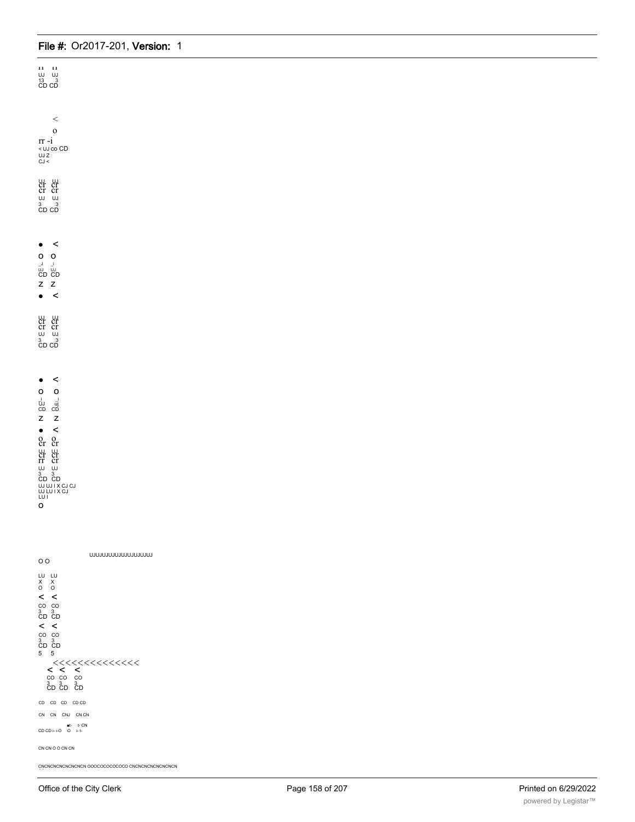| $11$ $11$<br>UJ UJ<br>$13$ $3$<br>CD CD                                                                                                                                                                                                                                                                                      |                        |  |  |
|------------------------------------------------------------------------------------------------------------------------------------------------------------------------------------------------------------------------------------------------------------------------------------------------------------------------------|------------------------|--|--|
| $\,<$<br>${\bf O}$<br>$rr - i$<br>$CJ <$<br>CJ <                                                                                                                                                                                                                                                                             |                        |  |  |
| $\begin{array}{ll} \mbox{C1} & \mbox{C1} \\ \mbox{C1} & \mbox{C1} \\ \mbox{C1} & \mbox{C1} \\ \mbox{S1} & \mbox{S2} \\ \mbox{C1} & \mbox{C2} \\ \mbox{C2} & \mbox{C3} \end{array}$                                                                                                                                           |                        |  |  |
| $\prec$<br>$\bullet$<br>$O$ $O$<br>$\begin{array}{ccc} \mathbb{C}\mathsf{D} & \mathbb{C}\mathsf{D} \\ \mathbb{C}\mathsf{D} & \mathbb{C}\mathsf{D} \end{array}$<br>$Z$ $Z$<br>$\prec$<br>$\bullet$                                                                                                                            |                        |  |  |
| $\begin{array}{ll} \mathbb{C} & \mathbb{C} \\ \mathbb{C} & \mathbb{C} \\ \mathbb{U} & \mathbb{U} \\ \mathbb{U} & \mathbb{U} \\ \mathbb{3} & \mathbb{3} \\ \mathbb{C} \mathbb{D} & \mathbb{C} \mathbb{D} \end{array}$                                                                                                         |                        |  |  |
| $\,<\,$<br>$\bullet$<br>$\mathsf{o}$<br>$\mathsf{o}\,$<br>$\stackrel{\tiny \begin{array}{c}\parallel\\U\cup\\CD&CD\end{array}}{CD}$<br>$\mathsf{Z}% _{M_{1},M_{2}}^{\alpha,\beta}(\mathbb{R}^{N})$<br>$\mathsf{Z}% _{0}^{\prime}=\mathsf{Z}_{0}^{\prime}$<br>$\,<$<br>$\bullet$<br>$_{cr}^0$ $_{cr}^0$<br>$\mathsf{o}$       |                        |  |  |
| 0 <sub>0</sub><br>$\begin{array}{ccc} LU & LU \\ X & X \\ O & O \end{array}$<br>$\langle \ \ \langle$<br>$\overset{\text{CO}}{3} \overset{\text{CO}}{3}$ $\overset{\text{CO}}{CD}$<br>$\,<\,$ $\,<\,$<br>$\begin{array}{cc} \text{co} & \text{co} \\ \text{3} & \text{3} \\ \text{CD} & \text{CD} \end{array}$<br>$5\quad 5$ | UJUJUJUJUJUJUJUJUJUJUJ |  |  |
| CN CN CNJ CN CN<br>$t-t$ - CN<br>$CD CD i-i-O$ $O$ $i-t$                                                                                                                                                                                                                                                                     |                        |  |  |
| CN CN O O CN CN<br>CNCNCNCNCNCNCNCNCN 000COCOCOCOCOCO CNCNCNCNCNCNCNCNCN                                                                                                                                                                                                                                                     |                        |  |  |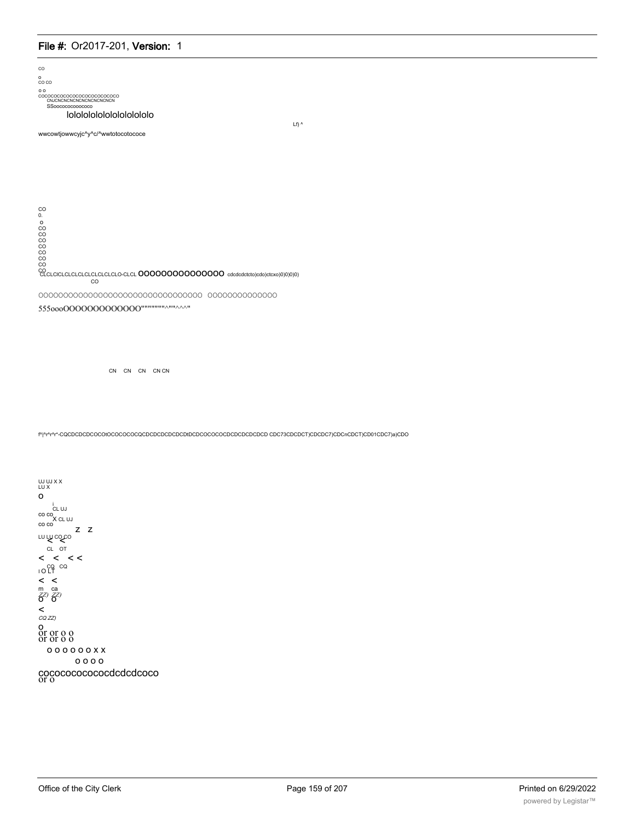$_{\rm co}$  $\frac{0}{C}$ 

lololololololololololo Lf)  $\wedge$ wwcowtjowwcyjc^y^c/^wwtotocotococe 0<br>0<br>00<br>00<br>00<br>00<br>Concinent Concinent Correct Correct Correct Correct Correct Correct Correct Correct Correct Correct Correct Co  $CO$ 555000OOOOOOOOOOOOO """"""""""""^^^"

CN CN CN CN CN

LU X<br>UJ UJ X X  $\mathsf{o}$  $\frac{1}{\cos \alpha}$ <br>  $\frac{1}{\cos \alpha}$ <br>  $\frac{1}{\cos \alpha}$  $Z$   $Z$  $\begin{array}{c}\n10 \text{ F1} \\
\text{C5} \\
\text{C6} \\
\text{C7} \\
\text{C8} \\
\text{C8} \\
\text{C9} \\
\text{C0} \\
\text{C0} \\
\text{C1} \\
\text{C1} \\
\text{C1} \\
\text{C1} \\
\text{C1} \\
\text{C1} \\
\text{C1} \\
\text{C1} \\
\text{C1} \\
\text{C1} \\
\text{C1} \\
\text{C1} \\
\text{C1} \\
\text{C1} \\
\text{C1} \\
\text{C1} \\
\text{C1} \\
\text{C1} \\
\text{C1} \\
\text{C1} \\
\text{C1} \\$  $\frac{1}{5}$ <br>  $\frac{1}{2}$ <br>  $\frac{1}{2}$ <br>  $\frac{1}{2}$ <br>  $\frac{1}{2}$ <br>  $\frac{1}{2}$ <br>  $\frac{1}{2}$ <br>  $\frac{1}{2}$ <br>  $\frac{1}{2}$ <br>  $\frac{1}{2}$ <br>  $\frac{1}{2}$  $<$ ca zz)  $\begin{smallmatrix}\n0\\ \text{or} \text{ or } \text{o} \\ \text{or} \text{ or } \text{o} \end{smallmatrix}$  $0000$  ${\rm c}o$ cococococococdcdcdcoco ${\rm or}$ or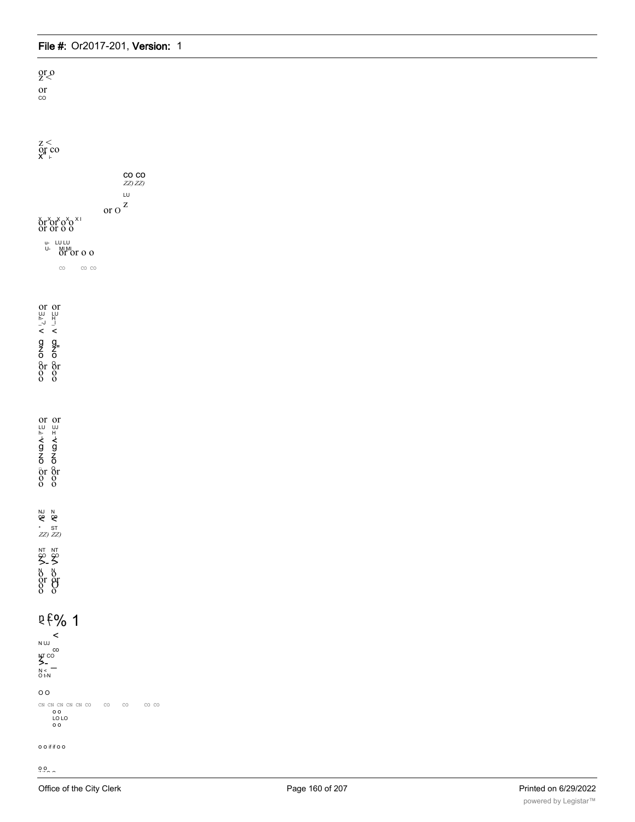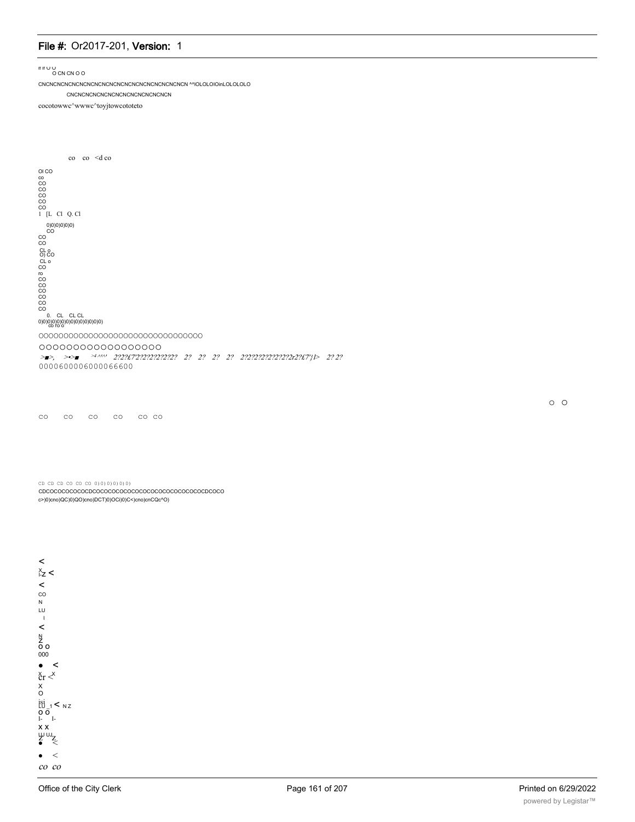$\begin{array}{c}\n\text{if if } \text{U} \cup \\ \text{O} \text{ C} \text{N} \text{ C} \text{N} \text{ O} \text{O}\n\end{array}$ 

CNCNCNCNCNCNCNCNCNCNCNCNCNCNCN

cocotowwc^wwwc^toyjtowcototeto



 $_{\rm CO}$  $_{\rm CO}$  $\circ$  $\circ$  $CO CO$ 

 $CD CD CD CO CO CO (0) 0) 0) 0) 0)$ c>)0)cno)QC)0)QO)cno)DCT)0)OCi)0)C<)cno)cnCQc^O)



 $O$   $O$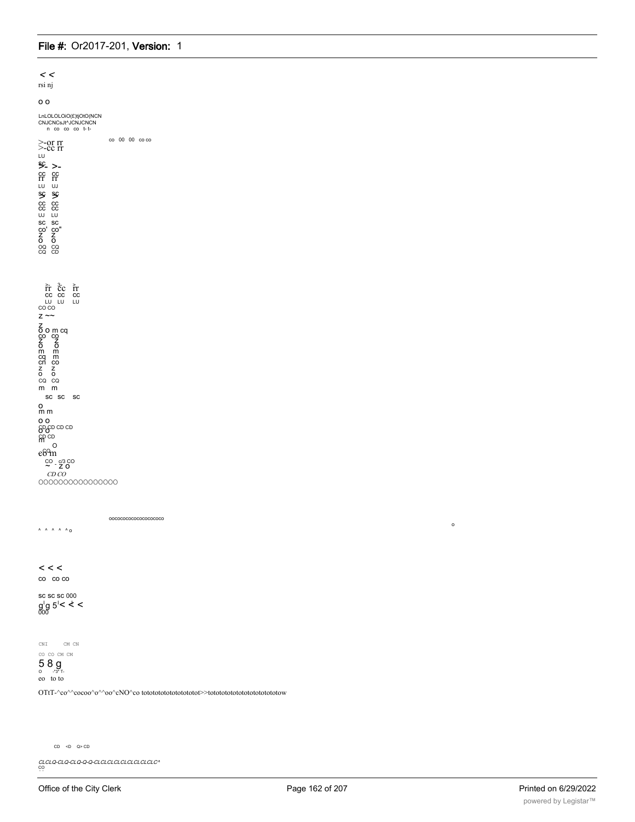| $\lt$                                                                                                                                                                                                                             |
|-----------------------------------------------------------------------------------------------------------------------------------------------------------------------------------------------------------------------------------|
| rsi nj                                                                                                                                                                                                                            |
| 0 <sub>0</sub>                                                                                                                                                                                                                    |
| LnLOLOLOiO(£)tjOtO(NCN<br>CNJCNCsJt^JCNJCNCN<br>n co co co t-t-                                                                                                                                                                   |
| co 00 00 co co<br>>-or rr<br>>-cc rr<br>LU<br>SC_ >-<br>cc cc<br>rr rr<br>LU UJ<br>ŞÇ<br>عو<br>cc<br>cc<br>$_{cc}^{cc}$<br>UJ<br>LU<br>SC SC<br>$\begin{matrix} 2 & 3 & 3 \ 2 & 2 & 2 \ 0 & 0 & 0 \end{matrix}$<br>OQ CQ<br>CQ CD |
| $\begin{array}{ccc}\n\stackrel{\text{def}}{\text{irr}} & \stackrel{\text{3}}{\text{c}}c \\ cc & cc \\ \downarrow U & \downarrow U\n\end{array}$<br>$\tilde{r}$<br>CC<br>LU<br>CO CO<br>$z \sim$                                   |
| $\begin{array}{c}\n 2 & 0 & \text{cm} \\  0 & 0 & \text{cm} \\  2 & 0 & \text{cm} \\  0 & 0 & \text{cm}\n\end{array}$<br>m<br>m<br>cq<br>m<br>cri<br>Z<br>CO<br>z<br>0<br>$\circ$<br>CQ CQ<br>m m<br>SC SC<br>sc                  |
| о<br>m m<br>00<br>CD CD CD CD<br>$\begin{matrix} 60 & CD \\ 1 & 0 \end{matrix}$                                                                                                                                                   |
| e69m<br>$^{CO}_{~}$ - $^{c/3}_{Z}$ CO<br>CD CO                                                                                                                                                                                    |
| 000000000000000                                                                                                                                                                                                                   |
| 000000000000000000                                                                                                                                                                                                                |
| $\lambda$ $\lambda$ $\lambda$ $\lambda$ $\lambda$                                                                                                                                                                                 |
| $<$ $<$ $<$                                                                                                                                                                                                                       |
| co co co                                                                                                                                                                                                                          |
| sc sc sc 000<br>$g_{00}^{1} g 5^{1} < 6 <$                                                                                                                                                                                        |
| $\texttt{CNI} \qquad \quad \texttt{CM} \ \texttt{CN}$                                                                                                                                                                             |
| CO CO CM CM                                                                                                                                                                                                                       |
| 58g                                                                                                                                                                                                                               |
| eo to to                                                                                                                                                                                                                          |
|                                                                                                                                                                                                                                   |

 $CD < 0$   $Q > CD$ 

| CLCLQ-CLQ-CLQ-Q-Q-CLCLCLCLCLCLCLCLCLC |  |
|---------------------------------------|--|
| CΟ                                    |  |

 $\circ$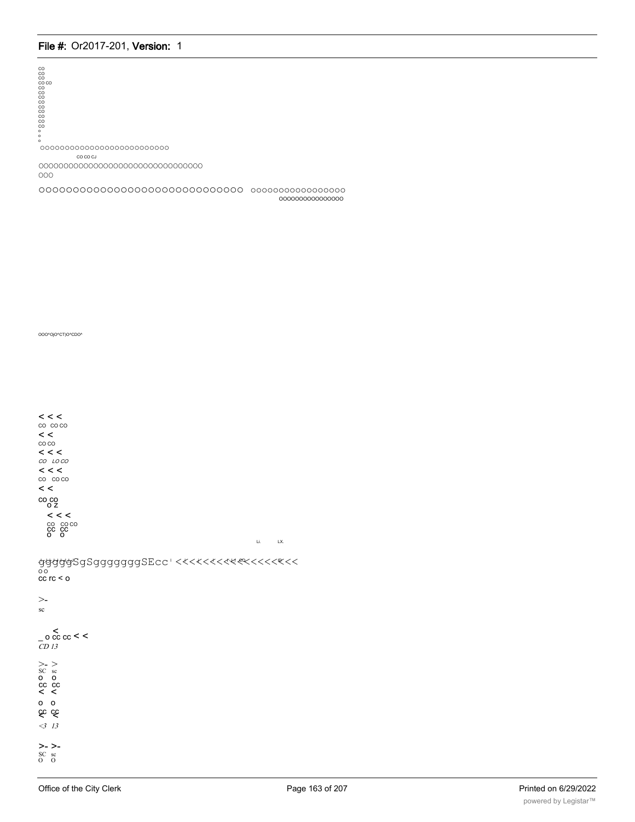CO CO CO CO CO CO CO CO CO CO CO CO CO CO o o o oooooooooooooooooooooooooo CO CO CJ OOOOOOOOOOOOOOOOOOOOOOOOOOOOOOOOO

OOO

oooooooooooooooooooooooooooooo ooooooooooooooooo OOOOOOOOOOOOOOOO

OOO^OjO^CT)O^CDO^

| $\lt$ $\lt$ $\lt$                                                          |     |     |
|----------------------------------------------------------------------------|-----|-----|
| CO CO CO                                                                   |     |     |
| $\lt$<br>CO CO                                                             |     |     |
| $\lt$ $\lt$ $\lt$                                                          |     |     |
| CO LOCO                                                                    |     |     |
| $\lt$ $\lt$ $\lt$                                                          |     |     |
| CO CO CO                                                                   |     |     |
| $\lt$                                                                      |     |     |
| co co<br>o z                                                               |     |     |
| $\lt$ $\lt$ $\lt$                                                          |     |     |
| $_{cc}^{co}$ $_{cc}^{co}$ $_{cc}$                                          |     |     |
| o<br>о                                                                     |     |     |
|                                                                            | Li. | LX. |
| gggggSgSgggggggSEcc'<<<<<<<<<<<<<<<<<<<<br>0 <sup>0</sup><br>$cc$ rc $<$ o |     |     |
| >-                                                                         |     |     |
| sc                                                                         |     |     |
|                                                                            |     |     |
| $\frac{5}{0}$ cc cc < <<br>CD13                                            |     |     |
| ><br>>−<br>SC sc                                                           |     |     |

o o<br>cc cc  $\langle$   $\langle$ 

o o cc cc < <

<3 13

 $5C$  sc o O O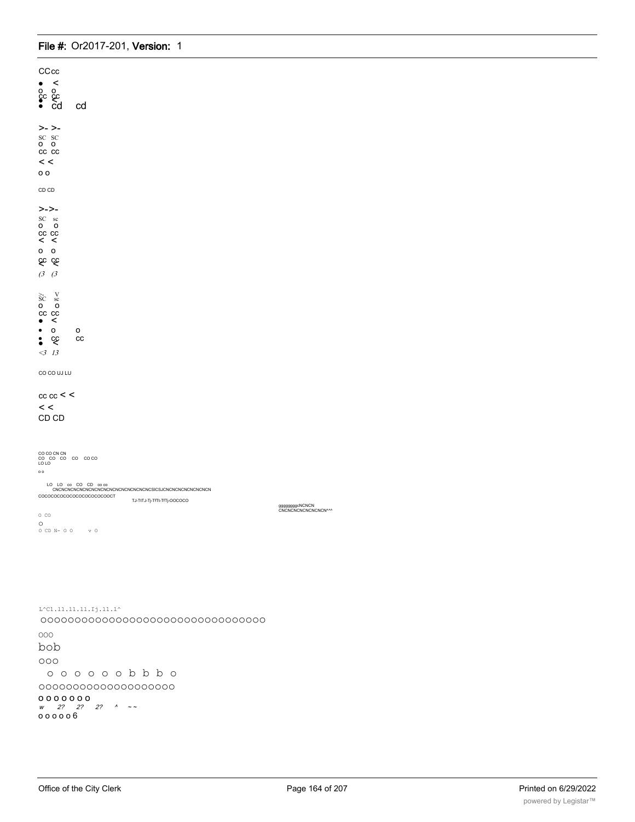| CCcc<br>$\prec$<br>$\bullet$<br>$rac{6}{3}$ $rac{6}{3}$ $rac{6}{3}$<br>cd                                                                                                                                                                                                                                                     |                                         |
|-------------------------------------------------------------------------------------------------------------------------------------------------------------------------------------------------------------------------------------------------------------------------------------------------------------------------------|-----------------------------------------|
| $> - > -$<br>SC SC<br>$0\quad 0$<br>cc cc<br>$\lt$ $<$<br>0 <sub>0</sub>                                                                                                                                                                                                                                                      |                                         |
| CD CD                                                                                                                                                                                                                                                                                                                         |                                         |
| >->-<br>$SC$ sc<br>$0\quad 0$<br>cc cc<br>$\langle \ \ \langle$<br>$0$ 0<br>ණ රු<br>(3)(3)                                                                                                                                                                                                                                    |                                         |
| $\mathbf{V}$<br>$\mathsf{o}\,$<br>$\circ$<br>cc cc<br>$\,<\,$<br>$\bullet$<br>$\mathsf{o}$<br>$\bullet$<br>$\circ$<br>ę<br>cc<br>$\bullet$<br>$\langle 3 \rangle$ 13                                                                                                                                                          |                                         |
| CO CO UJ LU                                                                                                                                                                                                                                                                                                                   |                                         |
| $\rm_{ccc}$ $\rm_{cc}$ $\rm_{<}$ $\rm_{<}$<br>$\lt$ $\lt$<br>CD CD                                                                                                                                                                                                                                                            |                                         |
| COCOCNCN<br>COCOCOCOCOCOCOCO<br>LOLO<br>00                                                                                                                                                                                                                                                                                    |                                         |
| $\begin{array}{cccc} \text{LO} & \text{LO} & \text{co} & \text{CO} & \text{CD} & \text{co} & \text{co} \\ \text{CNCNCNCNCNCNCNCNCNCNCNCNCNCNCNCNCNCNCNCSCSCNCNCNCNCNCNCNC\\ \end{array}$<br>${\tt COCOCO COCO CO CO CO CO CO CO CO~O C}$<br>TJ-TtTJ-Tj-TfTt-TfTj-OOCOCO<br>$\circ$ $\circ\circ$<br>$\circ$<br>0 CD N- 0 0 v 0 | ggggggggcNCNCN<br>CNCNCNCNCNCNCNCNCN^^^ |
|                                                                                                                                                                                                                                                                                                                               |                                         |
| L^C1.11.11.11.Ij.11.1^<br>$_{\sf OOO}$<br>bob<br>$\circ \circ \circ$<br>$000000$ b b b o<br>0000000000000000000                                                                                                                                                                                                               |                                         |
| 0000000<br>$w$ 2? 2? 2? $\wedge$ $\sim$<br>000006                                                                                                                                                                                                                                                                             |                                         |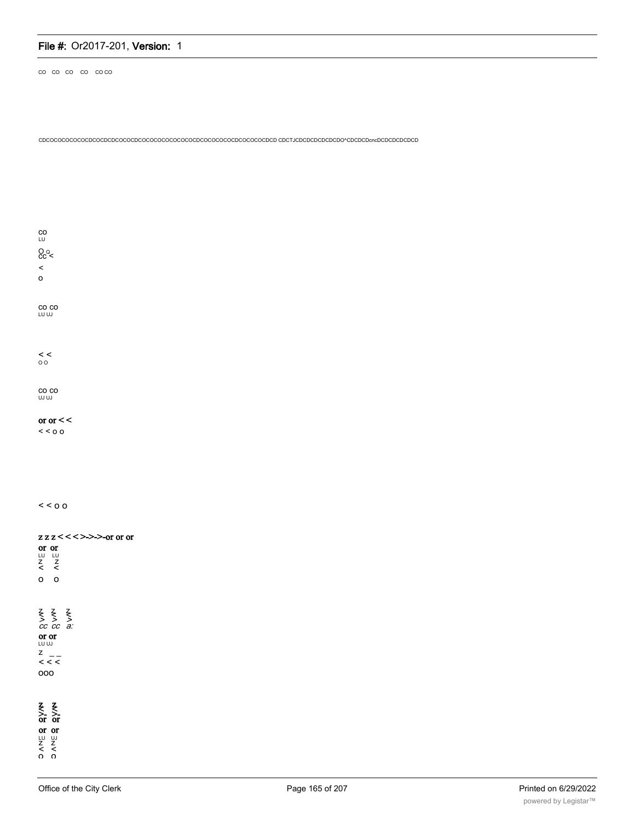$\cos$  co  $\cos$  co  $\cos$ 



 $\overset{\text{CO}}{\phantom{\text{EU}}\text{CO}}$ 

# $\frac{2}{00}$

nnn<br>Co Co

### or or  $<<$

 $\leq$  0 0

 $<$   $<$   $\circ$   $\circ$ 

|                                       |                                                                                                         | $z \, z \, z \, << \, >> \, > \text{-or or or}$ |
|---------------------------------------|---------------------------------------------------------------------------------------------------------|-------------------------------------------------|
|                                       | or or<br>$\begin{array}{ccc} 1 & 0 & 0 \\ 0 & 0 & 0 \\ 0 & 0 & 0 \\ 0 & 0 & 0 \\ 0 & 0 & 0 \end{array}$ |                                                 |
| o                                     | o                                                                                                       |                                                 |
|                                       | z<br>><br>cc cc                                                                                         | $\frac{2}{a}$                                   |
| or or<br>LU UJ                        | z<br><<<                                                                                                |                                                 |
| ooo                                   |                                                                                                         |                                                 |
| $\sum_{\text{or}}^{\text{Z}}$         | $\frac{z}{\delta r}$                                                                                    |                                                 |
| 000<br>UU UU<br>V V V<br>V V V<br>O O | $\alpha$                                                                                                |                                                 |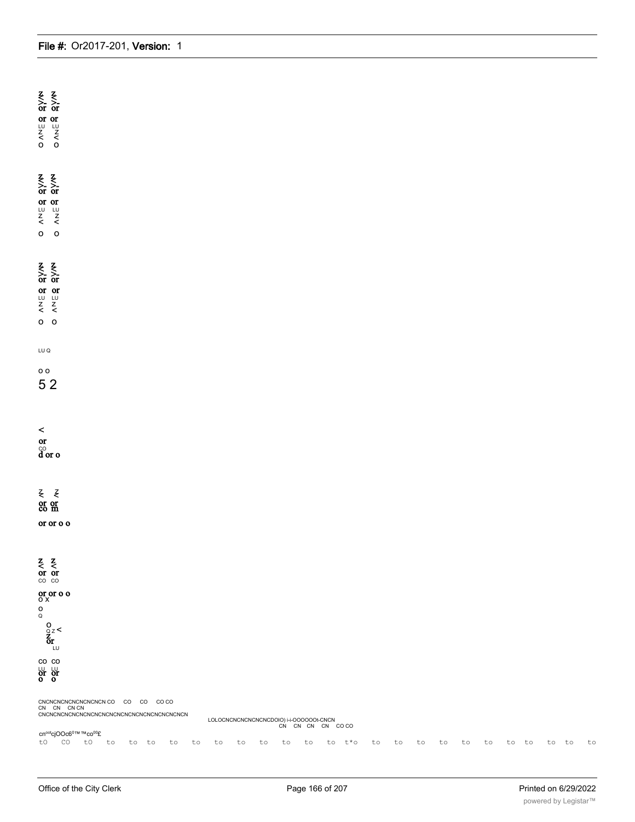| $\frac{z}{\sum_{\text{or}}^{z}}$<br>or or<br>$L_U$ $L_U$<br>$\geq$<br>$L_U$<br>$\geq$<br>$\geq$<br>$\geq$<br>$\geq$<br>$\geq$<br>$\geq$<br>$\geq$<br>$\geq$<br>$\geq$<br>$\geq$<br>$\frac{z}{\sqrt{2}} \sum_{\text{or}}^{\infty}$<br>or or<br>$\begin{array}{ccc}\n\cup & \cup & \cup \\ Z & Z & \end{array}$<br>$0$ 0<br>LU Q<br>$\circ$ $\circ$<br>52<br>$\,<$<br>or $_{\rm{G}^{\rm{O}}}$ d'or o<br>$\xi$ $\xi$<br>or or<br>co m<br>$\,$ or or $\,$ o $\,$<br>$\leq$ $\leq$<br>or or<br>CO CO<br>$\mathop{\rm or}_{\mathcal{O}}\mathop{\rm or}_{X}\mathop{\rm o}$ o o<br>$^\mathsf{o}_\mathsf{o}$<br>$\frac{0}{2z}$ <<br>or<br>LU<br>CO CO<br>$\overline{a}$ or $\overline{b}$<br>CNCNCNCNCNCNCNCNCNCO CO CO CO CO CO<br>CN CN CN CN<br>LOLOCNCNCNCNCNCNCDOIO) i-i-OOOOOOO-CNCN<br>CN CN CN CN COCO<br>cn <sup>oot</sup> cjOOc6 <sup>0 ™ ™</sup> co <sup>00</sup> £<br>to<br>CO<br>to<br>to<br>to to<br>to<br>to<br>to<br>to<br>to t*o<br>to<br>to<br>to<br>to<br>to<br>to<br>to to<br>to to to<br>to<br>to<br>to | $\frac{z}{x}$ $\frac{z}{x}$<br>or or<br>or or<br>$\begin{array}{ccc}\nU & U \\ U & U \\ Z & Z \\ S & S \\ O & O\n\end{array}$ |  |  |  |  |  |  |  |  |
|---------------------------------------------------------------------------------------------------------------------------------------------------------------------------------------------------------------------------------------------------------------------------------------------------------------------------------------------------------------------------------------------------------------------------------------------------------------------------------------------------------------------------------------------------------------------------------------------------------------------------------------------------------------------------------------------------------------------------------------------------------------------------------------------------------------------------------------------------------------------------------------------------------------------------------------------------------------------------------------------------------------------|-------------------------------------------------------------------------------------------------------------------------------|--|--|--|--|--|--|--|--|
|                                                                                                                                                                                                                                                                                                                                                                                                                                                                                                                                                                                                                                                                                                                                                                                                                                                                                                                                                                                                                     |                                                                                                                               |  |  |  |  |  |  |  |  |
|                                                                                                                                                                                                                                                                                                                                                                                                                                                                                                                                                                                                                                                                                                                                                                                                                                                                                                                                                                                                                     |                                                                                                                               |  |  |  |  |  |  |  |  |
|                                                                                                                                                                                                                                                                                                                                                                                                                                                                                                                                                                                                                                                                                                                                                                                                                                                                                                                                                                                                                     |                                                                                                                               |  |  |  |  |  |  |  |  |
|                                                                                                                                                                                                                                                                                                                                                                                                                                                                                                                                                                                                                                                                                                                                                                                                                                                                                                                                                                                                                     |                                                                                                                               |  |  |  |  |  |  |  |  |
|                                                                                                                                                                                                                                                                                                                                                                                                                                                                                                                                                                                                                                                                                                                                                                                                                                                                                                                                                                                                                     |                                                                                                                               |  |  |  |  |  |  |  |  |
|                                                                                                                                                                                                                                                                                                                                                                                                                                                                                                                                                                                                                                                                                                                                                                                                                                                                                                                                                                                                                     |                                                                                                                               |  |  |  |  |  |  |  |  |
|                                                                                                                                                                                                                                                                                                                                                                                                                                                                                                                                                                                                                                                                                                                                                                                                                                                                                                                                                                                                                     |                                                                                                                               |  |  |  |  |  |  |  |  |
|                                                                                                                                                                                                                                                                                                                                                                                                                                                                                                                                                                                                                                                                                                                                                                                                                                                                                                                                                                                                                     |                                                                                                                               |  |  |  |  |  |  |  |  |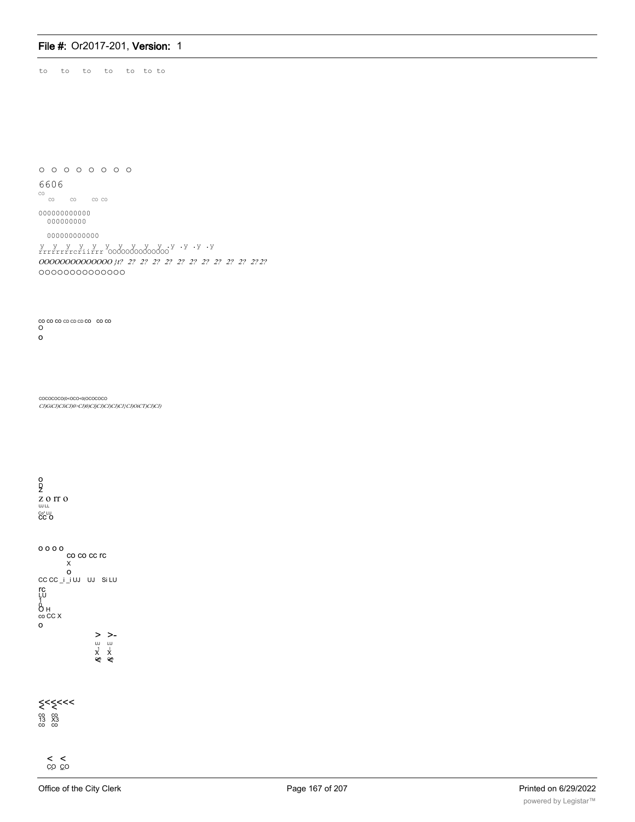to to to to to to  $\mathsf{to}$ 

### $0 0 0 0 0 0 0 0 0$

6606  $\frac{c}{c}$  $_{\rm CO}$  $CO CO$ 00000000000 000000000

000000000000  $\begin{matrix} y & y & y & y & y \\ r & r & r & r & r \end{matrix} \xrightarrow{Y} \begin{matrix} y & y & y \end{matrix} \xrightarrow{Y} \begin{matrix} y & y & y \end{matrix} \xrightarrow{Y} \begin{matrix} y & y & y \end{matrix}$ 0000000000000

 $\frac{1}{2}$  co co co co co co co co co  $\frac{1}{2}$  $\mathsf{o}$ 

COCOCOCO(0<0CO<0/0COCOCOCO CJ)GiCJ)CJiCJ)0>CJ)0)CJjCJ)CJ)CJ)CJ}CJ)OiCT)CJ)CJ)

 $\begin{array}{l} 0 \\ \underline{D} \\ \underline{Z} \\ \underline{Z} \; 0 \; \mbox{TT} \; 0 \end{array}$  $\overset{\mathbb{C}o^*}{\mathbf{CC}}\overset{\mathbb{L}\mathbb{U}}{\mathbf{O}}$ 0 0 0 0<br>co co cc rc  $\mathsf X$  $\mathsf{o}$ CCCC\_i\_iUJ UJ SiLU  $rac{1}{60}$ <br> $rac{1}{60}$ <br> $rac{1}{60}$ <br> $rac{1}{60}$  $\mathsf{o}$  $\begin{array}{l} \mathcal{S} \times_{\mathcal{F}} \mathbb{E} & \mathsf{V} \\ \mathcal{S} & \mathbb{E} & \mathsf{V} \end{array}$ 

 $X<\xrightarrow{8}X<<$ <br> $X<sup>3</sup>$ <br> $X<sup>3</sup>$ <br> $X<sup>3</sup>$ 

 $\frac{2}{100}$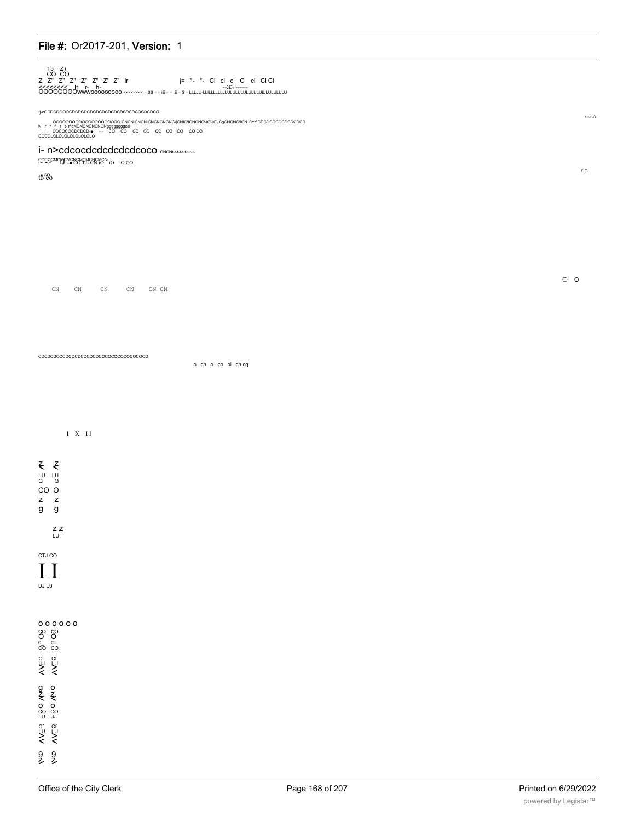

#### 

### i- n>cdcocdcdcdcdcdcoco CNCNL4444444

CN CN CN CN

cocochochomonichementemento to co

 $\mathrm{to}^{\mathrm{CO}}$ 

 $CN$  $\mathbb{C}N$   $\circ$   $\circ$ 

 $t-t-t-0$ 

 $_{\rm co}$ 

| CDCDCDCOCDCOCDCDCDCDCOCOCOCOCOCOCOCO |
|--------------------------------------|

o cn o co oi cn cq



 $\xi$   $\xi$ 

 $\begin{array}{cc} LU & LU \\ Q & Q \end{array}$  $CO$   $O$  $Z$   $Z$ 

 $g$   $g$ 

 $Z$   $Z$ 

CTJ CO  $\overline{1}$ 

UJ UJ

 $000000$  $^{60}_{0}$  co co  $\begin{array}{c} \bigwedge_{i \in \mathbb{Z}} \mathbb{Z}^n \\ \bigwedge_{i \in \mathbb{Z}} \mathbb{Z}^n \end{array}$ o Wo <sub>63</sub><br>E8**o Wo**  $\Lambda V \overline{\in} \Omega$  $\mathsf{NE}_{\mathsf{G}}^{\mathsf{G}}$  $\frac{9}{5}$  $\frac{9}{5}$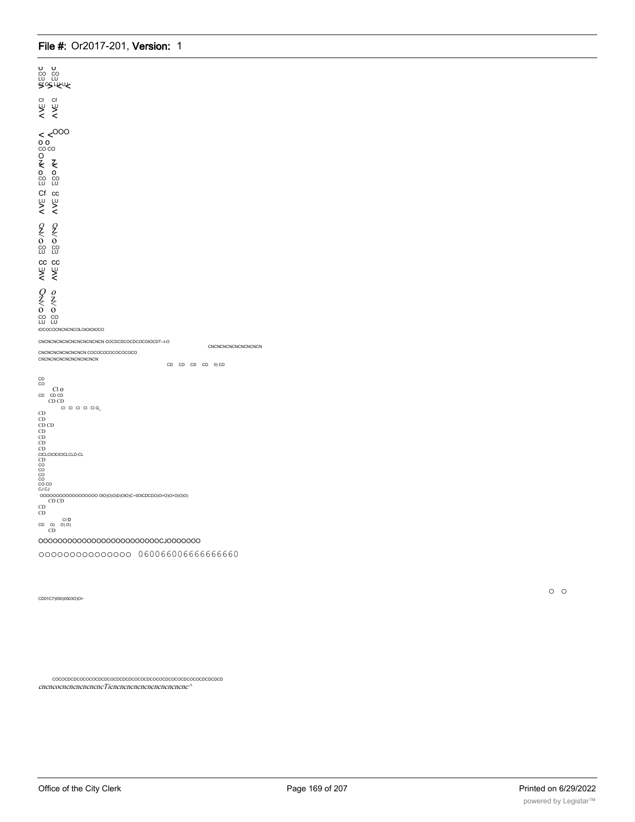| GRC<br>CO CO<br>CO CO<br>CO CO<br>CO CO                                                                                                 |
|-----------------------------------------------------------------------------------------------------------------------------------------|
| $\Lambda V \subseteq \Omega$<br>Cf<br>ia<br>∧                                                                                           |
| $\leq$ $\leq$ $\frac{1000}{1000}$<br>590 W0 891<br><b>Sook</b><br>$\lambda V_{\subseteq}$ Cf<br>cc<br>$\lambda$ V $\overline{\epsilon}$ |
| 2800<br><b>SS 0WD</b><br>$\mathcal{N} \in \mathbb{C}$<br>cc<br>どく                                                                       |
| <b>DAV053</b><br>E80W0<br>tOCOCOCNCNCNCOLOtOtOtOCO                                                                                      |

CNCNCNCNCNCNCNCNCNCNCN COCDCDCOCDCOCOtOCDT--t-O **CNCNCNCNCNCNCNCNCN** 

CNCNCNCNCNCNCNCN COCOCOCOCOCOCOCO CNCNCNCNCNCNCNCNCNCN

CD CD CD CD 0) CD CD CO Cl o<br>CD CD<br>CD CD  $C1$  Cl  $C1$   $C1$   $C1$   $Q$ CD CD CD CD CD CD CD CD ClCLClClClClCLCLD-CL CD CO CO CO CO CO CO CJ CJ OOOOOOOOOOOOOOOOOO OlO)O)O)D)OlO)C~0OlCDCDO)O>O)O>O)O)O) CD CD CD  $\overset{\text{CD}}{\text{CD}}$ CD (CD O) O) OOOOOOOOOOOOOOOOOOOOOOOOOCJOOOOOOO

ooooooooooooooo 060066006666666660

CD01C7)050)0503O)O>

o o

COCOCDCDCOCOCOCDCDCOCDCDCDCOCOCDCOCOCDCOCOCDCOCOCDCDCDCD cncncocncncncncncnc $T$ icncncncncncncncncncncnc $\wedge$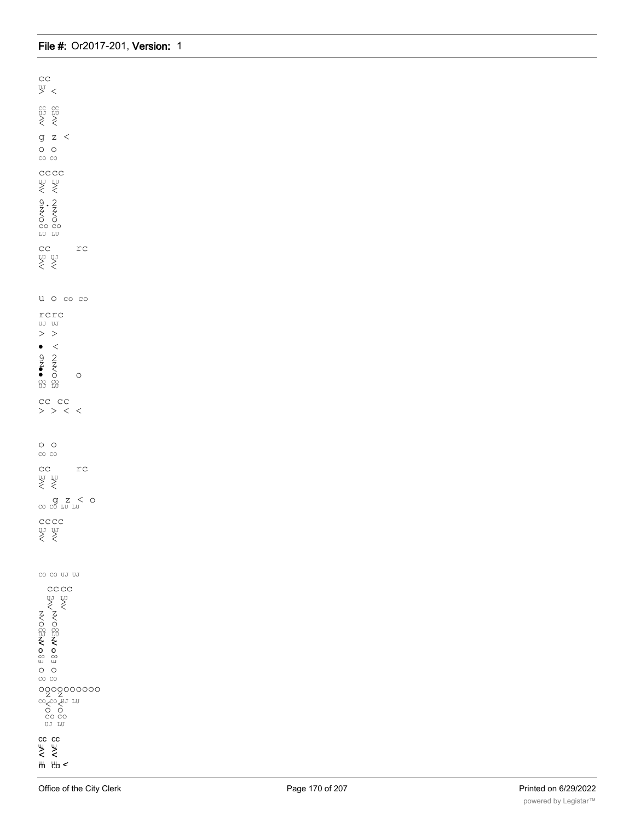| $_{\rm CC}$<br>$\lambda_1$ <                                                                                                    |                                                                 |  |
|---------------------------------------------------------------------------------------------------------------------------------|-----------------------------------------------------------------|--|
|                                                                                                                                 |                                                                 |  |
| $\begin{array}{c} \bigotimes^{\mathbf{C}\mathbf{C}}_{\mathbf{C}} \\ \bigotimes^{\mathbf{C}\mathbf{C}}_{\mathbf{C}} \end{array}$ |                                                                 |  |
| $\begin{array}{ccccc} g & z & < & \\ \circ & \circ & & \\ \end{array}$<br>CO CO                                                 |                                                                 |  |
|                                                                                                                                 |                                                                 |  |
| E COVAID VAE<br>COVAID VAE<br>E COVAID VAE                                                                                      |                                                                 |  |
| $\begin{array}{c} {\rm CC} \\ \sum\limits_{\sim}^{\rm LC} \sum\limits_{\sim}^{\rm LC} \end{array}$                              | $\mathtt{rc}$                                                   |  |
| u o co co                                                                                                                       |                                                                 |  |
| rcrc<br>$>$ $>$                                                                                                                 |                                                                 |  |
| ● 9<br>22<br>E8<br>E8<br>DANO                                                                                                   | $\circ$                                                         |  |
| $\begin{array}{l} {\rm cc~cc}\\ > \ > \ < \ < \end{array}$                                                                      |                                                                 |  |
| $\circ$ $\circ$<br>CO CO                                                                                                        |                                                                 |  |
| $\mathtt{CC}$<br>$\bigtimes_{\Omega} \bigtimes_{\Omega}$                                                                        | $\mathtt{rc}$                                                   |  |
|                                                                                                                                 | $\begin{smallmatrix}&&&\\&Q&Z&<&O\\0&CO&LU&LU\end{smallmatrix}$ |  |
| CCCC<br>$\begin{array}{c} < \\ < \\ < \end{array}$                                                                              |                                                                 |  |
| CO CO UJ UJ                                                                                                                     |                                                                 |  |
| CCCC<br>3 O E8 O MESO/M<br>8 O E8 O MESO/M <sup>AC</sup><br>8 O E8 O MESO/M <sup>AC</sup> C<br>$CO$ $CO$                        |                                                                 |  |
| $UJ - LU$<br>$\frac{1}{2}$ $\frac{1}{2}$ $\frac{1}{2}$ $\frac{1}{2}$ $\frac{1}{2}$ $\frac{1}{2}$                                |                                                                 |  |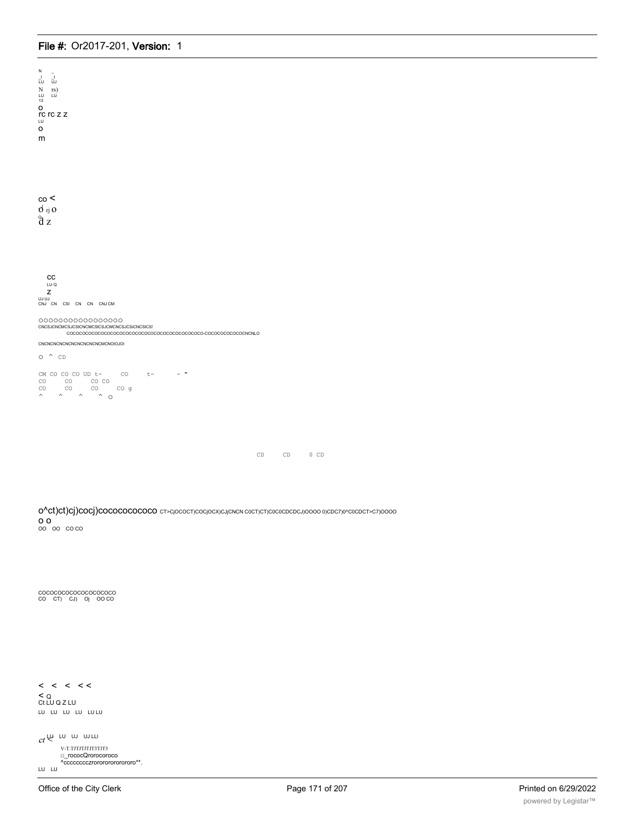| N<br>$\overline{\overline{U}}^t$<br>$\frac{1}{\mathsf{L}\mathsf{U}}$<br>N<br>rs)<br>LU<br>LÚ<br>$13\,$<br>о<br>rc rc z z<br>LU<br>о<br>m         |
|--------------------------------------------------------------------------------------------------------------------------------------------------|
| $_{\text{co}}$ <<br>$\vec{\Theta}$ rj O<br>d z                                                                                                   |
| CC<br>LU Q<br>z<br>UJ UJ<br>CNJ CN CSI CN CN CNJ CM                                                                                              |
| 0000000000000000<br>CNCSJCNCMCSJCSICNCMCSICSJCMCNCSJCSiCNCSICS!                                                                                  |
| CNCNCNCNCNCNCNCNCNCNCMCNOIOJOI                                                                                                                   |
| $\circ$ $\sim$ $\circ$ $\circ$                                                                                                                   |
| $\sim$ $\sim$ $\sim$<br>CM CO CO CO UD $t-$ CO $t-$<br>CO<br>co co co<br>CO<br>CO<br>CO CO g<br>$\wedge$ $\qquad$ $\wedge$<br>$\sim$ 0<br>$\sim$ |

 $CD$   $CD$   $0$   $CD$ 

 $o^{\wedge}ct)ct)$ сј)сос $j)$ сосососососо ст $\circ$ сјосостјеосјосхјенјемем состјетјеососососнојовоо ојерстјо $\circ$ сосост $\circ$ стјовоо  $00$  0  $00$  0  $00$  0  $00$  0  $00$  0  $00$  0  $00$  0  $00$  0  $00$  0  $00$  0  $00$  0  $00$  0  $00$  0  $00$  0  $00$  0  $00$  0  $00$  0  $00$  0  $00$  0  $00$  0  $00$  0  $00$  0  $00$  0  $00$  0  $00$  0  $00$  0  $00$  0  $00$  0  $00$  0  $00$  0  $00$  0  $00$ 

 ${\begin{array}{ccc} \texttt{COCOCOCOCOCOCOCOCOCO} \\ \texttt{CO & CT)} & \texttt{CJ)} & \texttt{Oj} & \texttt{OO CO} \end{array}}$ 

 $\langle \ \, < \ \, < \ \, < \ \, < \ \,$  $<sub>Q</sub>$  CtLU Q Z LU</sub> LU LU LU LU LULU

 $ct \stackrel{\cup}{\leftarrow}$  LU UJ UJ LLI  $\text{V-T.TJTJTJTJT3TJT3}$ ndextransitions<br>
a\_recocQrorocoroco<br>
^ccccccczrorororororororo\*\*.  $LU - LU$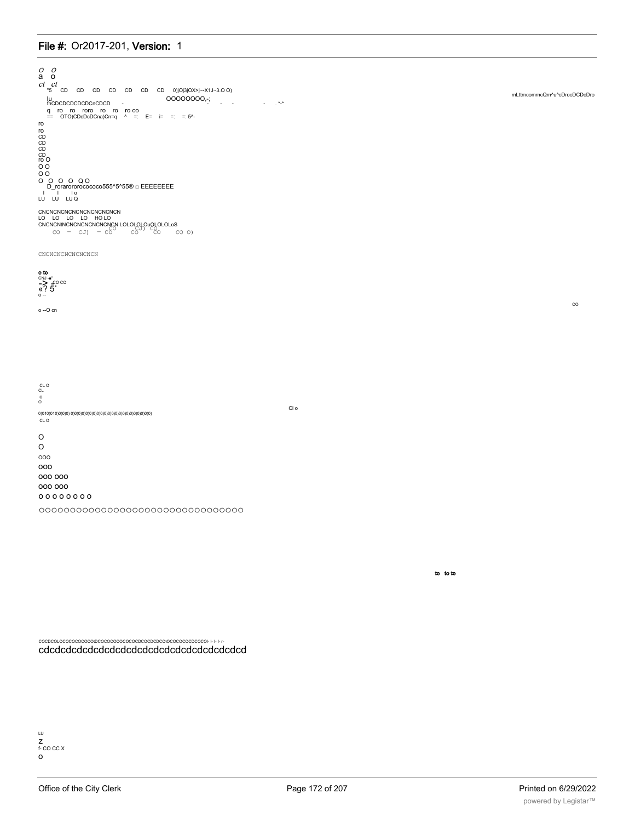

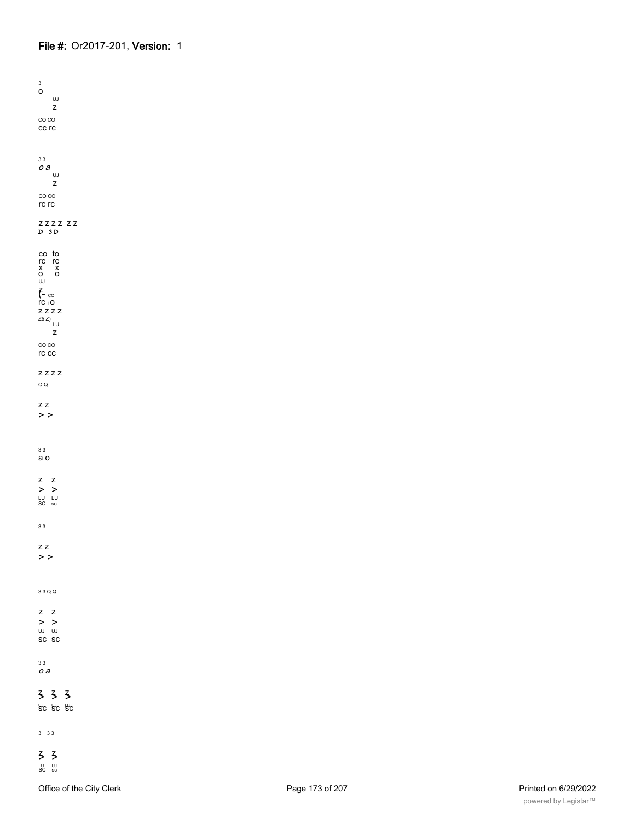| $\mathbf 3$                                                                                                                                                                                                                                                                                                                                                                                                                                                     |  |  |
|-----------------------------------------------------------------------------------------------------------------------------------------------------------------------------------------------------------------------------------------------------------------------------------------------------------------------------------------------------------------------------------------------------------------------------------------------------------------|--|--|
| $\mathsf{o}$                                                                                                                                                                                                                                                                                                                                                                                                                                                    |  |  |
| UJ                                                                                                                                                                                                                                                                                                                                                                                                                                                              |  |  |
| $\mathsf Z$                                                                                                                                                                                                                                                                                                                                                                                                                                                     |  |  |
|                                                                                                                                                                                                                                                                                                                                                                                                                                                                 |  |  |
| $_{\rm CO}$ $_{\rm CO}$                                                                                                                                                                                                                                                                                                                                                                                                                                         |  |  |
| $cc$ $rc$                                                                                                                                                                                                                                                                                                                                                                                                                                                       |  |  |
|                                                                                                                                                                                                                                                                                                                                                                                                                                                                 |  |  |
|                                                                                                                                                                                                                                                                                                                                                                                                                                                                 |  |  |
| $3\;3$                                                                                                                                                                                                                                                                                                                                                                                                                                                          |  |  |
| o a                                                                                                                                                                                                                                                                                                                                                                                                                                                             |  |  |
| UJ                                                                                                                                                                                                                                                                                                                                                                                                                                                              |  |  |
| $\mathsf z$                                                                                                                                                                                                                                                                                                                                                                                                                                                     |  |  |
|                                                                                                                                                                                                                                                                                                                                                                                                                                                                 |  |  |
| $\cos$                                                                                                                                                                                                                                                                                                                                                                                                                                                          |  |  |
| $rc$ $rc$                                                                                                                                                                                                                                                                                                                                                                                                                                                       |  |  |
|                                                                                                                                                                                                                                                                                                                                                                                                                                                                 |  |  |
| ZZZZZZ                                                                                                                                                                                                                                                                                                                                                                                                                                                          |  |  |
| $\mathbf{D}$ 3 $\mathbf{D}$                                                                                                                                                                                                                                                                                                                                                                                                                                     |  |  |
|                                                                                                                                                                                                                                                                                                                                                                                                                                                                 |  |  |
|                                                                                                                                                                                                                                                                                                                                                                                                                                                                 |  |  |
|                                                                                                                                                                                                                                                                                                                                                                                                                                                                 |  |  |
|                                                                                                                                                                                                                                                                                                                                                                                                                                                                 |  |  |
|                                                                                                                                                                                                                                                                                                                                                                                                                                                                 |  |  |
|                                                                                                                                                                                                                                                                                                                                                                                                                                                                 |  |  |
|                                                                                                                                                                                                                                                                                                                                                                                                                                                                 |  |  |
| $\begin{array}{ccc}\n\text{co} & \text{to} & \text{to} & \text{to} & \text{to} & \text{to} & \text{to} & \text{to} & \text{to} & \text{to} & \text{to} & \text{to} & \text{to} & \text{to} & \text{to} & \text{to} & \text{to} & \text{to} & \text{to} & \text{to} & \text{to} & \text{to} & \text{to} & \text{to} & \text{to} & \text{to} & \text{to} & \text{to} & \text{to} & \text{to} & \text{to} & \text{to} & \text{to} & \text{to} & \text{to} & \text$ |  |  |
| ZZZZ                                                                                                                                                                                                                                                                                                                                                                                                                                                            |  |  |
|                                                                                                                                                                                                                                                                                                                                                                                                                                                                 |  |  |
|                                                                                                                                                                                                                                                                                                                                                                                                                                                                 |  |  |
| $\begin{array}{c} \text{Z5 Z)} \\ \text{LU} \\ \text{Z} \end{array}$                                                                                                                                                                                                                                                                                                                                                                                            |  |  |
| $_{\rm CO}$ $_{\rm CO}$                                                                                                                                                                                                                                                                                                                                                                                                                                         |  |  |
| $\mathop{\mathsf{rc}}\nolimits$ cc                                                                                                                                                                                                                                                                                                                                                                                                                              |  |  |
|                                                                                                                                                                                                                                                                                                                                                                                                                                                                 |  |  |
|                                                                                                                                                                                                                                                                                                                                                                                                                                                                 |  |  |
| $Z$ $Z$ $Z$ $Z$                                                                                                                                                                                                                                                                                                                                                                                                                                                 |  |  |
| $\mathsf Q\,\mathsf Q$                                                                                                                                                                                                                                                                                                                                                                                                                                          |  |  |
|                                                                                                                                                                                                                                                                                                                                                                                                                                                                 |  |  |
|                                                                                                                                                                                                                                                                                                                                                                                                                                                                 |  |  |
| $\frac{zz}{\geq}$                                                                                                                                                                                                                                                                                                                                                                                                                                               |  |  |
|                                                                                                                                                                                                                                                                                                                                                                                                                                                                 |  |  |
|                                                                                                                                                                                                                                                                                                                                                                                                                                                                 |  |  |
|                                                                                                                                                                                                                                                                                                                                                                                                                                                                 |  |  |
|                                                                                                                                                                                                                                                                                                                                                                                                                                                                 |  |  |
|                                                                                                                                                                                                                                                                                                                                                                                                                                                                 |  |  |
| $3\;3$                                                                                                                                                                                                                                                                                                                                                                                                                                                          |  |  |
| $\mathsf a$ o                                                                                                                                                                                                                                                                                                                                                                                                                                                   |  |  |
|                                                                                                                                                                                                                                                                                                                                                                                                                                                                 |  |  |
|                                                                                                                                                                                                                                                                                                                                                                                                                                                                 |  |  |
| $Z$ $Z$                                                                                                                                                                                                                                                                                                                                                                                                                                                         |  |  |
|                                                                                                                                                                                                                                                                                                                                                                                                                                                                 |  |  |
|                                                                                                                                                                                                                                                                                                                                                                                                                                                                 |  |  |
| $\begin{array}{c} > \\ \text{LU} \\ \text{SC} \\ \text{SC} \end{array}$                                                                                                                                                                                                                                                                                                                                                                                         |  |  |
|                                                                                                                                                                                                                                                                                                                                                                                                                                                                 |  |  |
| $3\;3$                                                                                                                                                                                                                                                                                                                                                                                                                                                          |  |  |
|                                                                                                                                                                                                                                                                                                                                                                                                                                                                 |  |  |
|                                                                                                                                                                                                                                                                                                                                                                                                                                                                 |  |  |
|                                                                                                                                                                                                                                                                                                                                                                                                                                                                 |  |  |
| zz<br>>>                                                                                                                                                                                                                                                                                                                                                                                                                                                        |  |  |
|                                                                                                                                                                                                                                                                                                                                                                                                                                                                 |  |  |
|                                                                                                                                                                                                                                                                                                                                                                                                                                                                 |  |  |
|                                                                                                                                                                                                                                                                                                                                                                                                                                                                 |  |  |
| $33QQ$                                                                                                                                                                                                                                                                                                                                                                                                                                                          |  |  |
|                                                                                                                                                                                                                                                                                                                                                                                                                                                                 |  |  |
|                                                                                                                                                                                                                                                                                                                                                                                                                                                                 |  |  |
|                                                                                                                                                                                                                                                                                                                                                                                                                                                                 |  |  |
|                                                                                                                                                                                                                                                                                                                                                                                                                                                                 |  |  |
| $\begin{array}{ccc} z & z \\ > & > \\ w & w \end{array}$<br>sc sc                                                                                                                                                                                                                                                                                                                                                                                               |  |  |
|                                                                                                                                                                                                                                                                                                                                                                                                                                                                 |  |  |
|                                                                                                                                                                                                                                                                                                                                                                                                                                                                 |  |  |
|                                                                                                                                                                                                                                                                                                                                                                                                                                                                 |  |  |
| $\frac{33}{0}$                                                                                                                                                                                                                                                                                                                                                                                                                                                  |  |  |
|                                                                                                                                                                                                                                                                                                                                                                                                                                                                 |  |  |
|                                                                                                                                                                                                                                                                                                                                                                                                                                                                 |  |  |
|                                                                                                                                                                                                                                                                                                                                                                                                                                                                 |  |  |
|                                                                                                                                                                                                                                                                                                                                                                                                                                                                 |  |  |
| $3$ $3$ $3$<br>Sc Sc Sc                                                                                                                                                                                                                                                                                                                                                                                                                                         |  |  |
|                                                                                                                                                                                                                                                                                                                                                                                                                                                                 |  |  |
|                                                                                                                                                                                                                                                                                                                                                                                                                                                                 |  |  |
| $3 \quad 33$                                                                                                                                                                                                                                                                                                                                                                                                                                                    |  |  |
|                                                                                                                                                                                                                                                                                                                                                                                                                                                                 |  |  |
|                                                                                                                                                                                                                                                                                                                                                                                                                                                                 |  |  |
| $\begin{array}{cc} \zeta & \zeta \\ \xi^{\mathsf{U}} & \xi^{\mathsf{U}} \\ \xi^{\mathsf{U}} & \xi^{\mathsf{U}} \end{array}$                                                                                                                                                                                                                                                                                                                                     |  |  |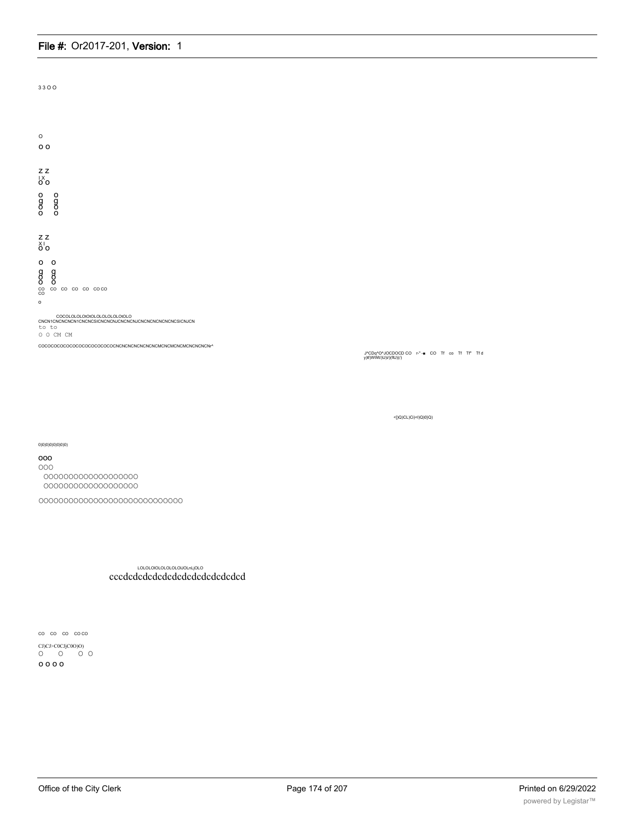| 3300                                                                                                                       |
|----------------------------------------------------------------------------------------------------------------------------|
|                                                                                                                            |
| $\circ$<br>0 <sub>0</sub>                                                                                                  |
| ZZ<br>$_{0}^{1X}$ o                                                                                                        |
| oooo<br>oooo                                                                                                               |
| ZZ<br>$\delta^I$ o                                                                                                         |
| $0$ 0<br>$\frac{g}{\sigma}$<br>$\frac{9}{6}$<br>$_{\rm CO}^{\rm CO}$<br>co co co co coco                                   |
| $\circ$<br>COCOLOLOLOtOtOLOLOLOLOLOtOLO<br>CNCN1CNCNCNCN1CNCNCSICNCNCNJCNCNCNJCNCNCNCNCNCNCNCSICNJCN<br>to to<br>O O CM CM |
|                                                                                                                            |

J^CDq^O^JOCDOCD CO r-"-■ CO Tf co Tf Tf" Tfd<br>y)tf)WWt/)U)i/)(flU)(/)

 $\leq$ ])Q)CL)Ci) $\leq$ I)Q)0}Q)

 $0)0)0)0)0)0)0)0)$ 

#### 000 000

000000000000000000 000000000000000000

LOLOLOIOLOLOLOLOIJOLnLjOLO 

 $\cos$  co  $\cos$  co  $\cos$  $\begin{array}{ccccc} \text{CJ)CJ>COCJjCOO/O)} & & \\ \text{O} & & \text{O} & & \text{O} \end{array}$  $0000$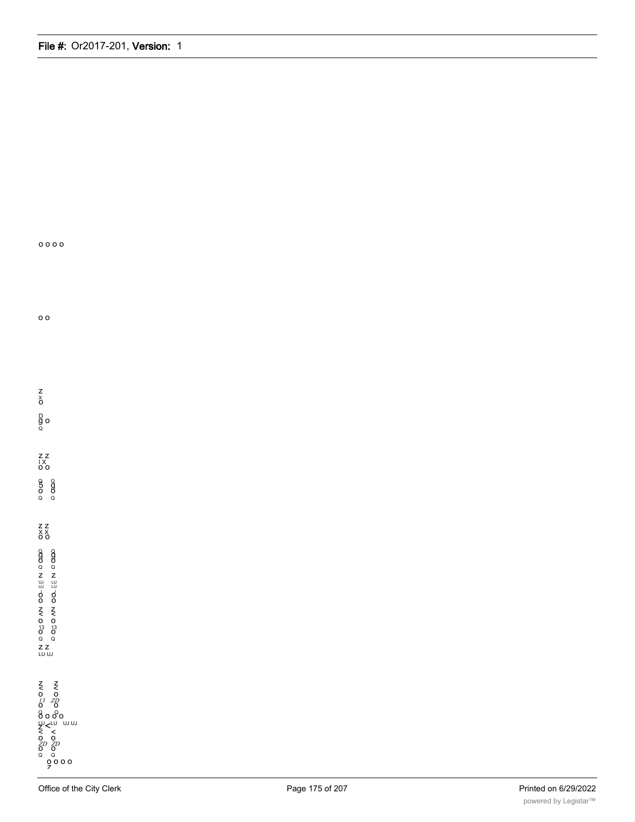| 0000                                                         |  |  |
|--------------------------------------------------------------|--|--|
|                                                              |  |  |
| $\circ$                                                      |  |  |
|                                                              |  |  |
|                                                              |  |  |
| $\frac{z}{\delta}$                                           |  |  |
| $\begin{array}{c} Z Z \\ I X \\ O O \end{array}$             |  |  |
| $\frac{8}{9}$                                                |  |  |
| z z<br>X X<br>O O                                            |  |  |
|                                                              |  |  |
|                                                              |  |  |
| Fasowander<br>Fasowander<br>Fasowander                       |  |  |
|                                                              |  |  |
|                                                              |  |  |
| a<br>and also veloces<br>and also de<br>and is a slow office |  |  |
|                                                              |  |  |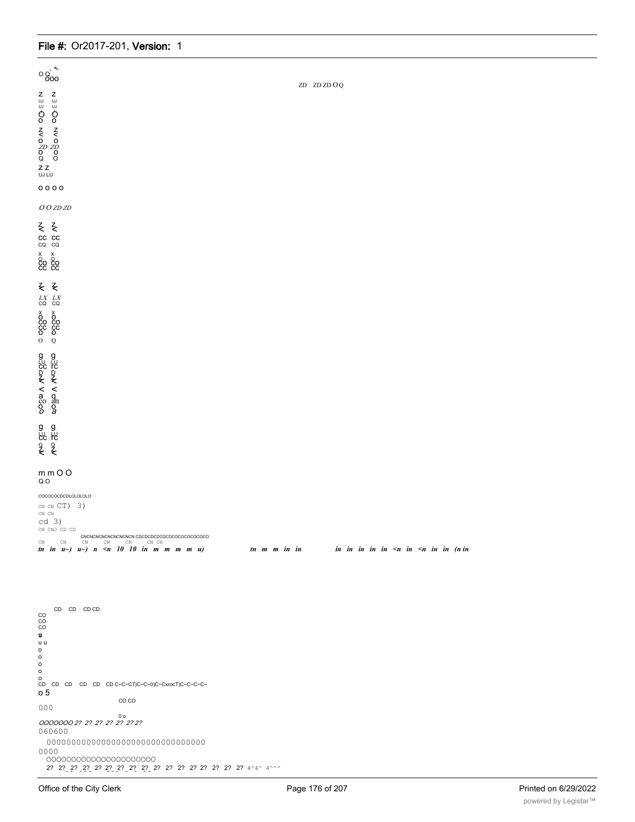| 0000                                                                                                                                                                                                                                                                       |                                             | ZD ZD ZD OQ |                                                                              |  |
|----------------------------------------------------------------------------------------------------------------------------------------------------------------------------------------------------------------------------------------------------------------------------|---------------------------------------------|-------------|------------------------------------------------------------------------------|--|
| Z Z<br>UJ LU<br>0000                                                                                                                                                                                                                                                       |                                             |             |                                                                              |  |
| $O$ $O$ $ZD$ $ZD$                                                                                                                                                                                                                                                          |                                             |             |                                                                              |  |
| そそ<br>$cc$ $cc$<br>$CQ$ $CQ$<br>$\mathop{\rm g\,}\limits^\times_{\substack{\infty}}$                                                                                                                                                                                       |                                             |             |                                                                              |  |
| そそ<br>$\begin{array}{cc} LX & LX \\ \texttt{CQ} & \texttt{CQ} \end{array}$<br>$\times 85^{\circ}_{\circ}$ o $^\circ$ o $^\circ$ o $^\circ$                                                                                                                                 |                                             |             |                                                                              |  |
| angan Wagoa<br>angkan Wagoa                                                                                                                                                                                                                                                |                                             |             |                                                                              |  |
| $\frac{95}{30}$<br>we gea                                                                                                                                                                                                                                                  |                                             |             |                                                                              |  |
| m m O O<br>QO<br>COCOCOCDCDLOLOLOLO<br>CN CN $CT$ ) 3)<br>$\mathrm{CN\_CN}$<br>cd 3)<br>${\tt CN}$ ${\tt CNJ}$ ${\tt CD}$ ${\tt CD}$<br>$\mathbb{C}\mathbb{N}$<br>$\mathbb{C}\mathbb{N}$<br>CN CN CN CN CN CN<br>tn in $u \sim$ ) $u \sim$ ) n $\le n$ 10 10 in m m m m u) | CNCNCNCNCNCNCNCNCN CDCDCDCDCDCDCOCOCOCOCOCO | tnmminin    | in in in in $\langle n \rangle$ in $\langle n \rangle$ in in $(n \rangle$ in |  |
| CD CD CD CD<br>CO<br>CO<br>CO<br>u<br>u u<br>$\mathsf{o}$<br>$\circ$<br>$\circ$<br>$\circ$<br>$\circ$<br>CD CD CD CD CD CD CDC~C~C7)C~C~0)C~CxrocT)C~C~C~C~<br>o 5<br>000<br>0 <sub>o</sub><br>0000000 2? 2? 2? 2? 2? 2? 2?                                                | CO CO                                       |             |                                                                              |  |
| 060600                                                                                                                                                                                                                                                                     |                                             |             |                                                                              |  |

0000 OOOOOOOOOOOOOOOOOOOOOO 2? 2? 2? 2? 2? 2? 2? 2? 2? 2? 2? 2? 2? 2? 2? 2? 2? 4^4^ 4^^^ oooo66o666ooc566o6o6o66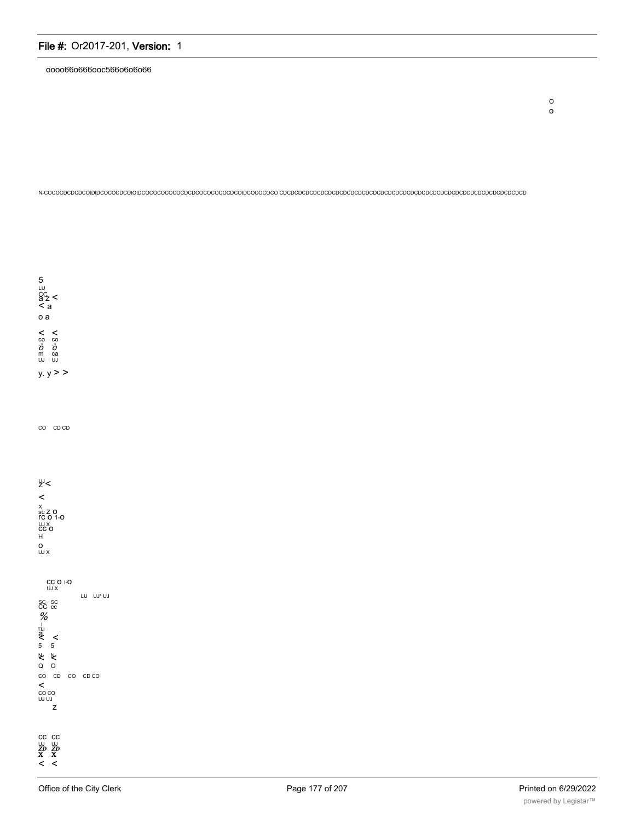000066066600c5660606066

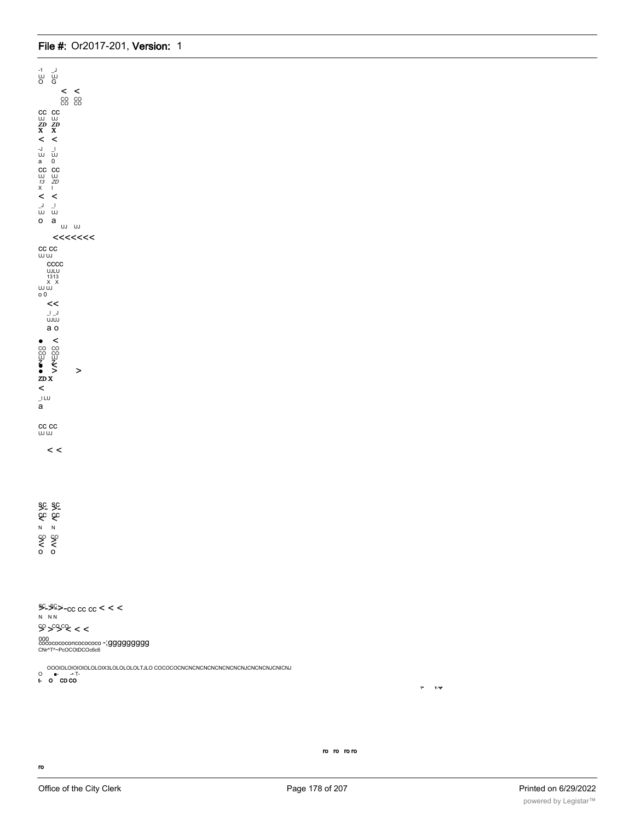

 $959902 < 8$ 000<br>cococococoncocococo -;gggggggggg<br>CNr^T^~PcOCOtDCOc6c6

 $\begin{tabular}{ll} 0 & 0 & 0 & 0 \\ 0 & 0 & -1 \\ 0 & -1 & -1 \\ 0 & 0 & 0 \\ \end{tabular} \begin{tabular}{ll} \multicolumn{2}{l}{{\footnotesize\sc D}}{\footnotesize\sc D}}{\footnotesize\sc D}}{\footnotesize\sc D}}{\footnotesize\sc D}}{\footnotesize\sc D}}{\footnotesize\sc D}}{\footnotesize\sc D}}{\footnotesize\sc D}}{\footnotesize\sc D}}{\footnotesize\sc D}}{\footnotesize\sc D}}{\footnotesize\sc D}}{\footnotesize\sc D}}{\footnotesize\sc D}}{\footnotesize\sc D}}{\footnotesize\sc D}}{\footnotesize\sc D}}{\footnotesize\$ 

 $\mathbf{r}$  .

ro ro ro ro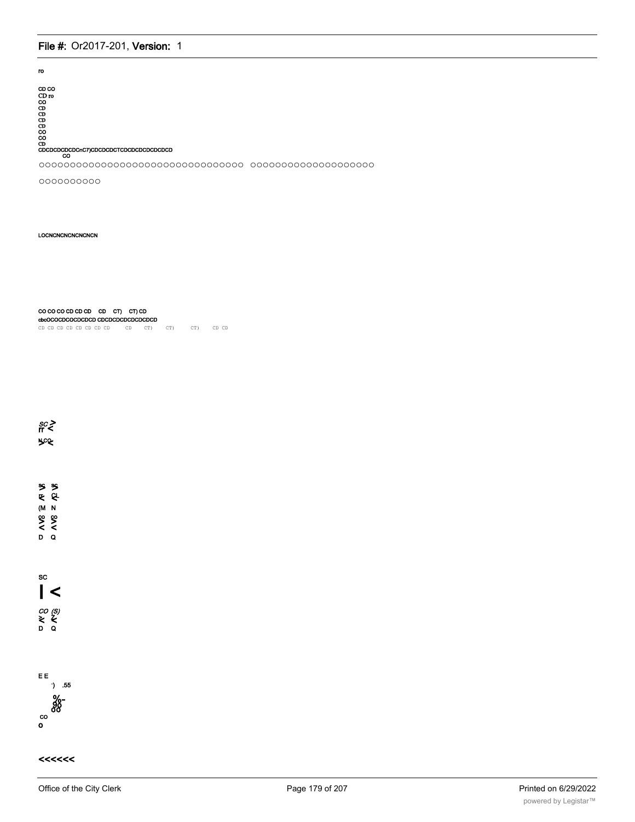ro CD CO CD ro CO CD CD CD CD CO CO CD CDCDCDCDCDCnC7)CDCDCDCTCDCDCDCDCDCDCD CO

ooooooooooooooooooooooooooooooooo oooooooooooooooooooo

oooooooooo

**LOCNCNCNCNCNCNCN** 

CO CO CO CD CD CD CD CT) CT) CD

cbcOCOCDCOCDCDCD CDCDCDCDCDCDCDCD CD CD CD CD CD CD CD CD CD CT) CT) CT) CD CD



ss<br>R<br>Cl<br>(M N co ve<br>a<br>D Q

SC

 $\prec$ CO (S) <sup>&</sup>gt; <sup>Z</sup> <sup>&</sup>lt; <sup>&</sup>lt; D Q

E E - ) .55 %- 9o oo CO o

 $\prec$ < $\prec$ < $\prec$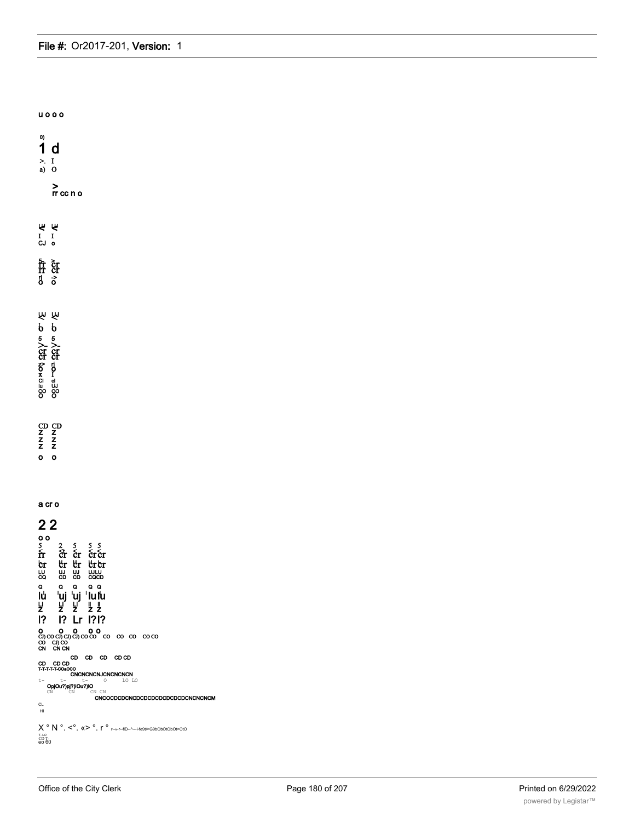| <b>uooo</b>                                                                                                                                                                                                                                                                                                                                                                                                                                                                                                                                                                                                                                                                                                                                                                                                                                                                     |
|---------------------------------------------------------------------------------------------------------------------------------------------------------------------------------------------------------------------------------------------------------------------------------------------------------------------------------------------------------------------------------------------------------------------------------------------------------------------------------------------------------------------------------------------------------------------------------------------------------------------------------------------------------------------------------------------------------------------------------------------------------------------------------------------------------------------------------------------------------------------------------|
| $\overset{\circ}{\mathbf{1}}$<br>d<br>$>$<br>a)<br>$\frac{1}{0}$                                                                                                                                                                                                                                                                                                                                                                                                                                                                                                                                                                                                                                                                                                                                                                                                                |
| ><br>rrccno                                                                                                                                                                                                                                                                                                                                                                                                                                                                                                                                                                                                                                                                                                                                                                                                                                                                     |
| یع<br>CJ<br>بي<br>I<br>o                                                                                                                                                                                                                                                                                                                                                                                                                                                                                                                                                                                                                                                                                                                                                                                                                                                        |
| រិ <del>រ្តិ</del><br>ខូ<br>ç̃r<br>∂                                                                                                                                                                                                                                                                                                                                                                                                                                                                                                                                                                                                                                                                                                                                                                                                                                            |
| కాలా - 380<br>కాలా - 380<br>కాలా నీరేన సం <sub>గ</sub> రెకరిం                                                                                                                                                                                                                                                                                                                                                                                                                                                                                                                                                                                                                                                                                                                                                                                                                   |
| CD<br>Z<br>Z<br>Z<br>$\frac{CD}{Z}$<br>$\mathbf{o}$<br>o                                                                                                                                                                                                                                                                                                                                                                                                                                                                                                                                                                                                                                                                                                                                                                                                                        |
| acro                                                                                                                                                                                                                                                                                                                                                                                                                                                                                                                                                                                                                                                                                                                                                                                                                                                                            |
| $22$<br>$\frac{5}{10}$<br>$\frac{5}{10}$<br>$\frac{1}{10}$<br>5 5<br>Terer<br>Urbr<br>$2555$<br>$55$<br>$55$<br>$55$<br>$55$<br>$55$<br>$55$<br>$55$<br>$55$<br>$55$<br>$55$<br>$55$<br>$55$<br>$55$<br>$55$<br>$55$<br>$55$<br>$55$<br>$55$<br>$55$<br>$55$<br>$55$<br>$55$<br>$55$<br>$55$<br>$55$<br>$55$<br>$55$<br>$55$<br>$55$<br>$56$<br>$56$<br>$56$<br>$56$<br>$56$<br>$56$<br>$56$<br>LU<br>CQ<br>Q.<br>Q<br>$\bullet$<br>$Q$ $Q$<br>Iú<br>'uj 'uj 'Iuiu<br>낲<br>ř.<br>$\frac{1}{2}$<br>لا<br>Z<br>1?<br>Lr 1?1?<br>1?<br>CN<br>CN CN<br>CD CD CD CD CD<br>CD CD CD<br>TTTTTCOaOCO<br>CNCNCNCNJCNCNCNCN<br>$t -$<br>LO LO<br>$t -$<br>$\circ$<br>t٠<br>OpjOu?)pj?)IOu?)IO<br>CN CN<br>CN<br>CN<br>CNCOCDCDCNCDCDCDCDCDCDCDCNCNCNCM<br>CL<br>H<br>$X \circ N \circ \langle \cdot, \cdot \rangle$ (x> $\circ$ , r $\circ$ r-x-r-flD- $\wedge$ --i-fe9t/>G9bObOtObOt>OtO |
| т. lo<br>CD T.<br><b>eo 60</b>                                                                                                                                                                                                                                                                                                                                                                                                                                                                                                                                                                                                                                                                                                                                                                                                                                                  |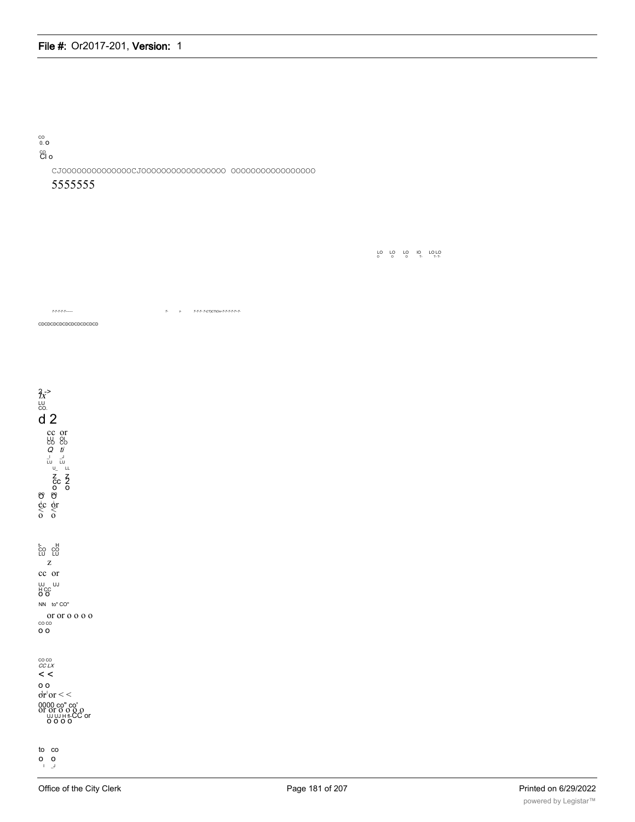$_{0.0}^{\circ}$ 

# $\overset{co}{C}$ l o

## 5555555

 $\begin{array}{ccccccccc}\nLO & LO & LO & IO & LO & LO & LO \\
0 & 0 & 0 & T & T & T\n\end{array}$ 

 $\mathcal{T}\text{-}\mathcal{T}\text{-}\mathcal{T}\text{-}\mathcal{T}\text{-}\mathcal{T}\text{-}\mathcal{T}\text{-}\mathcal{I}\text{-}\mathcal{I}\text{-}\mathcal{I}\text{-}\mathcal{I}\text{-}\mathcal{I}\text{-}\mathcal{I}\text{-}\mathcal{I}\text{-}\mathcal{I}\text{-}\mathcal{I}\text{-}\mathcal{I}\text{-}\mathcal{I}\text{-}\mathcal{I}\text{-}\mathcal{I}\text{-}\mathcal{I}\text{-}\mathcal{I}\text{-}\mathcal{I}\text{-}\mathcal{I}\text{-}\mathcal{I}\text{-}\mathcal{I}\text{-}\mathcal{I}\text{-}\mathcal{I}\text{-}\mathcal{I}\text{-}\math$  $\mathcal{T}_t \hspace{1.5cm} t_t \hspace{1.5cm} \mathcal{T}_t \mathcal{T}_t \mathcal{T}_t \mathcal{T}_t \mathcal{C} \mathcal{T}_t \mathcal{C} \mathcal{T}_t \mathcal{C} \mathcal{U}_t \mathcal{T}_t \mathcal{T}_t \mathcal{T}_t \mathcal{T}_t \mathcal{T}_t \mathcal{T}_t \mathcal{T}_t \mathcal{T}_t \mathcal{T}_t \mathcal{T}_t \mathcal{T}_t \mathcal{T}_t \mathcal{T}_t \mathcal{T}_t \mathcal{T}_t \mathcal{T}_t \mathcal{T}_t \mathcal{T}_t \mathcal{T}_t \mathcal{T}_t \mathcal{T}_t \mathcal{T}_t \$ 



to co  $\begin{array}{cc}\n0 & 0 \\
\downarrow & \downarrow\n\end{array}$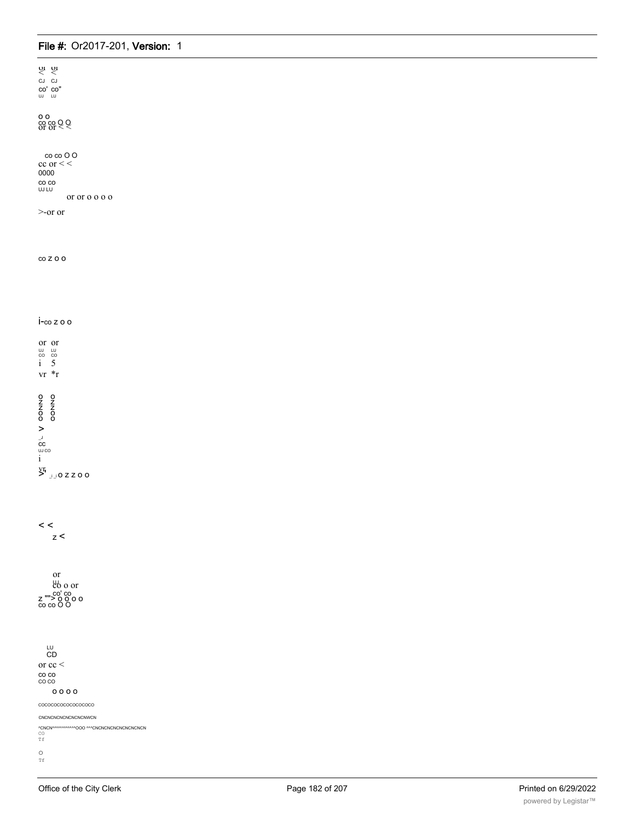| $\mathop{\mathrm{CO}}\limits_{\cup\cup}^{\circ} \mathop{\mathrm{CO}}\limits_{\sqcup}^{\circ}$ |  |
|-----------------------------------------------------------------------------------------------|--|
|                                                                                               |  |
| $\frac{000}{00000}$                                                                           |  |
|                                                                                               |  |
| co co O O<br>$cc$ or $<<$                                                                     |  |
| 0000<br>co co                                                                                 |  |
| UJ LU<br>or or o o o o                                                                        |  |
| $>$ -or or                                                                                    |  |
|                                                                                               |  |
|                                                                                               |  |
| co Z O O                                                                                      |  |
|                                                                                               |  |
|                                                                                               |  |
| $i$ -co z o o                                                                                 |  |
| or or                                                                                         |  |
| $\frac{10}{10}$ $\frac{10}{5}$                                                                |  |
| $vr *r$                                                                                       |  |
|                                                                                               |  |
| OONNO<br>OONNO                                                                                |  |
| $\begin{array}{c}\n\searrow \\ \searrow \\ \text{cc} \\ \text{cc} \\ \text{i}\n\end{array}$   |  |
|                                                                                               |  |
| $\sum_{j=0}^{N_{\mathrm{r}}^{c}}$ z z o o                                                     |  |
|                                                                                               |  |
|                                                                                               |  |
| $\,<$ $<$                                                                                     |  |
| $_{\rm Z}$ $<$                                                                                |  |
|                                                                                               |  |
| or<br>co o or                                                                                 |  |
| $Z \xrightarrow[00] 0000$                                                                     |  |
|                                                                                               |  |
|                                                                                               |  |
| LU<br>CD<br>or $\rm cc$ $<$                                                                   |  |
| $_{\rm CO}$ $_{\rm CO}$<br>CO CO                                                              |  |
| 0000                                                                                          |  |
| cococococococococo<br>CNCNCNCNCNCNCNCNWCN                                                     |  |
| ^CNCN^^^^^^^^^^^^^OOO ^^^CNCNCNCNCNCNCNCNCNCN<br>$_{\text{Tf}}^{\text{CO}}$                   |  |
| $\circ$                                                                                       |  |
| $\mathbb{T} \, \mathbb{f}$                                                                    |  |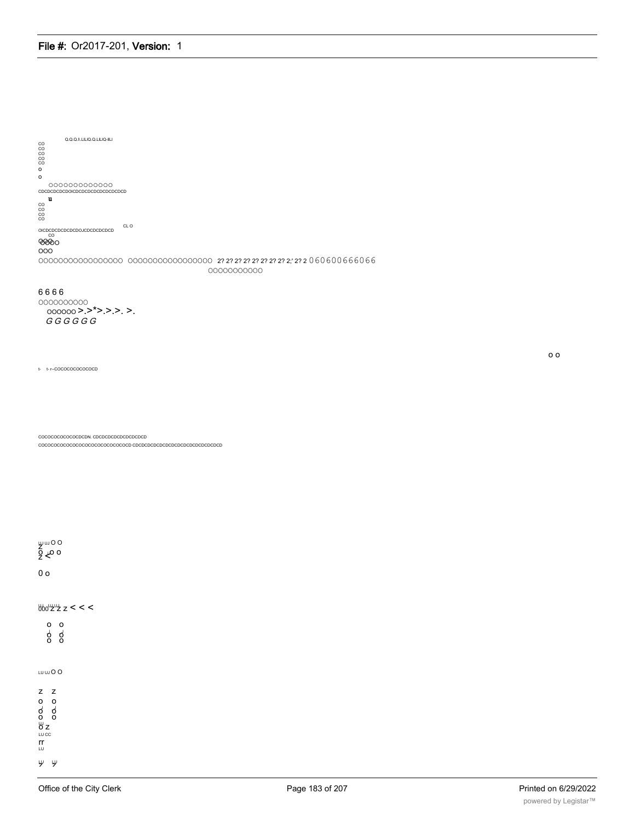

t-t-r-COCOCOCOCOCOCD

COCOCOCOCOCOCDCDN. CDCDCDCDCDCDCDCDCDCD

| ه مع <u>۶</u><br>ه مع<br>0 <sub>o</sub>                                                   |
|-------------------------------------------------------------------------------------------|
| <b>bbo 之之 z &lt; &lt; &lt;</b>                                                            |
| $\begin{array}{c} 0 & 0 \\ 0 & 0 \\ 0 & 0 \end{array}$                                    |
| LU UJ O O                                                                                 |
| Z Z<br>0 <sub>0</sub><br>$\frac{1}{\alpha}$ $\frac{1}{\alpha}$<br>₩z<br>LU CC<br>rr<br>LU |
| Ψ<br>ッ                                                                                    |

 $\circ$   $\circ$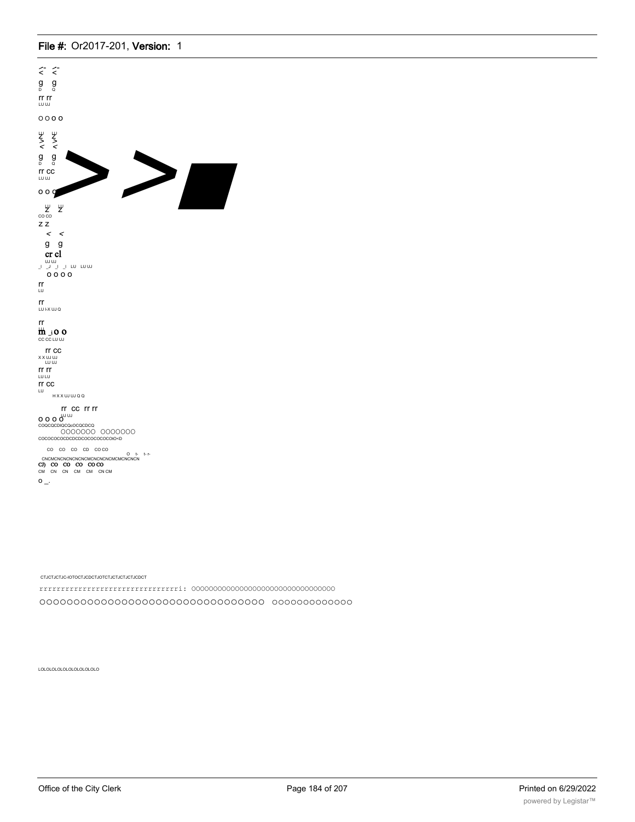

CTJCTJCTJC-IOTOCTJCDCTJOTCTJCTJCTJCTJCDCT

rrrrrrrrrrrrrrrrrrrrrrrrrrrrrrrri: OOOOOOOOOOOOOOOOOOOOOOOOOOOOOOOOO

ooooooooooooooooooooooooooooooooo ooooooooooooo

LOLOLOLOLOLOLOLOLOLOLO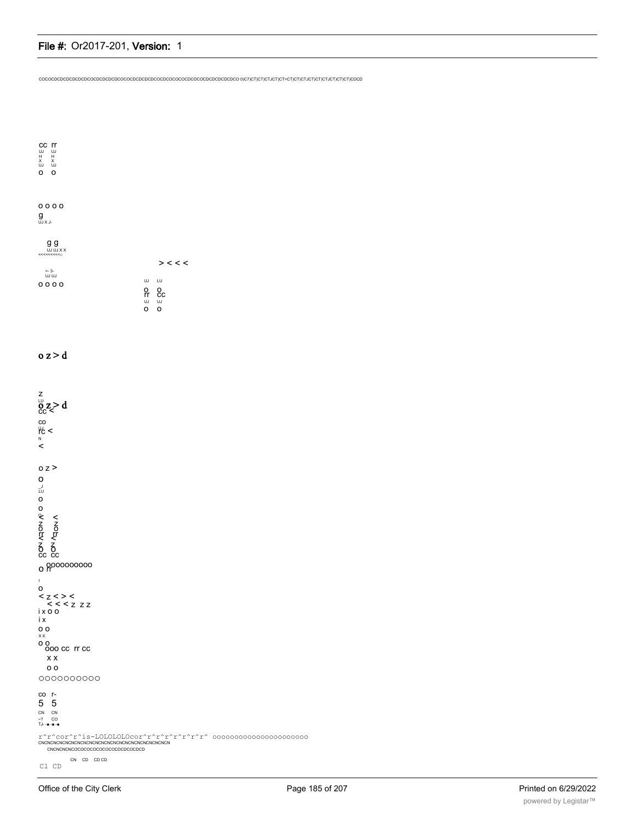

 $o z > d$ 



 $\mathtt{Cl}$   $\mathtt{CD}$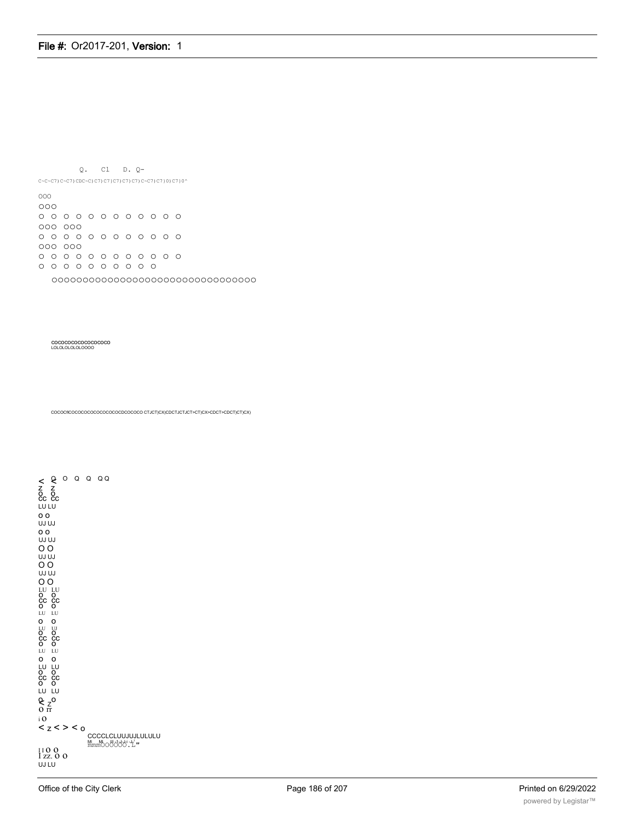$Q.$   $Cl$   $D. Q-$ 

C~C~C7)C~C7)CDC~C)C7)C7}C7)C7)C7)C~C7)C~C7}0)C7}0^  $000$  $000$  $0 0 0 0 0 0 0 0 0 0 0 0 0$ 000 000  $0 0 0 0 0 0 0 0 0 0 0 0 0$ 000 000  $0\ \, 0\ \, 0\ \, 0\ \, 0\ \, 0\ \, 0\ \, 0\ \, 0\ \, 0\ \, 0\\$  $0\ \, 0\ \, 0\ \, 0\ \, 0\ \, 0\ \, 0\ \, 0\ \, 0\ \, 0$ 

COCOC#COCOCOCOCOCOCOCOCOCOCOCOCO CTJCT)CX)CDCTJCTJCT>CT)CX>CDCT>CDCT)CT)CX)

COCOCOCOCOCOCOCOCO<br>LOLOLOLOLOLO000

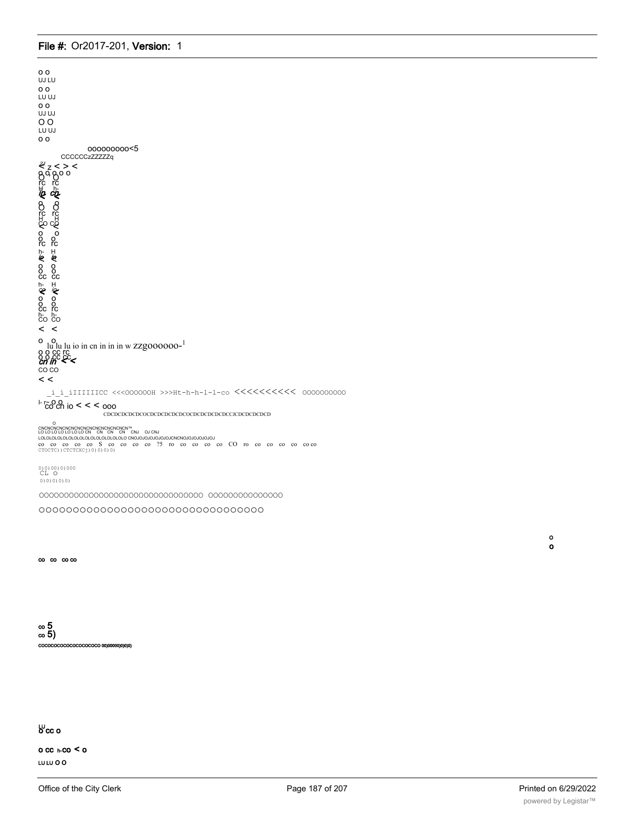

co co co co

 $\overset{\infty}{\overset{5}{\infty}}\overset{5}{5})$ COCOCOCOCOCOCOCOCOCO 00)0000

ဗလင္ပ

o cc  $n$ -co  $\leq$  o LU LU O O

 $\mathsf{o}$  $\bullet$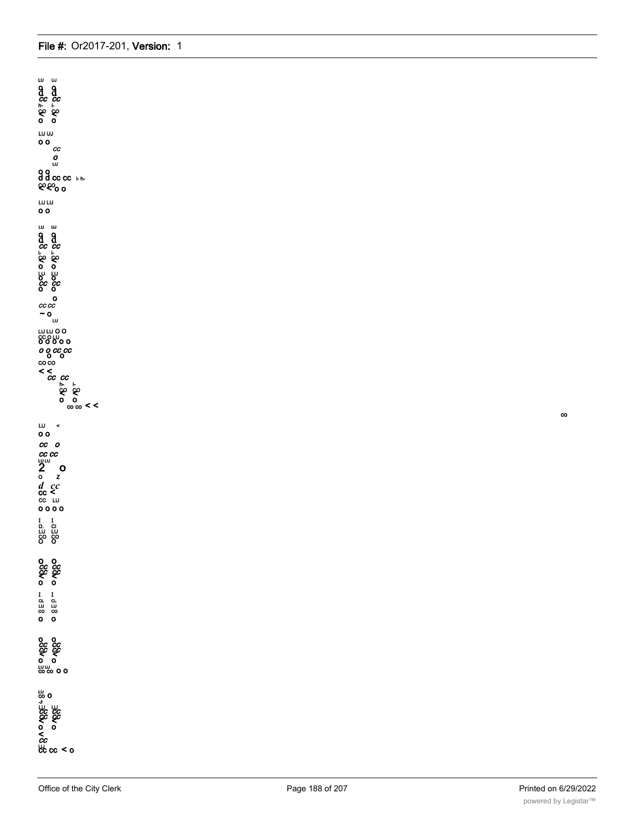

co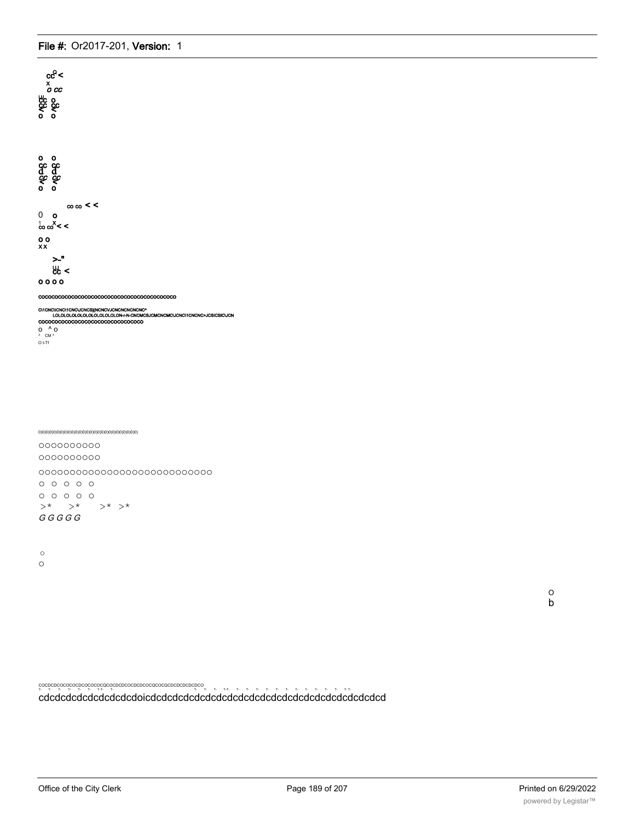| $\frac{cc^2}{\delta}$                                                                                             |
|-------------------------------------------------------------------------------------------------------------------|
| ් ශ්රී<br>සිශී<br>$\mathbf{o}$                                                                                    |
| ၀ ရာရာ<br>၁<br>၁ ရာရာ                                                                                             |
| $\cos \alpha$ < <                                                                                                 |
| 0<br><b>O</b><br>$\frac{1}{60}$ co <sup>X</sup> < <                                                               |
| 0 <sub>0</sub><br>XX                                                                                              |
| ≻-"                                                                                                               |
| ‱ <                                                                                                               |
| 0000                                                                                                              |
|                                                                                                                   |
| CVICNCUCNCVICNCUCNCS](NCNCVJCNCNCNCNCNCV<br>LOLOLOLOLOLOLOLOLOLOLOLON-r-N-CNCMCSJCMCNCMCVJCNC\1CNCNC>JCSICSIC\JCN |

o ^ o ^ CM ^ O t-Tf

0)0)0)0)0)0)0)0)0)0)0)0)0)0)0)0)0)0)0)0)0)0)0)0)0)0)0)

oooooooooo oooooooooo oooooooooooooooooooooooooooo o o o o o o o o o o  $>\star\quad \ \ >\star\quad \ \ >\star\quad \ >\star$ G G G G G

o o

> O b

COCDCDCOCOCOCDCOCOCOCQCOCDCDCOCDCDCOCQCOCQCDCDCDCDCDCO T- T- T- T- T- T- T-T- T- T- T- T- T-T- T- T- T- T- T- T- T- T- T- T- T- T- Tcdcdcdcdcdcdcdcdcdoicdcdcdcdcdcdcdcdcdcdcdcdcdcdcdcdcdcdcdcdcdcd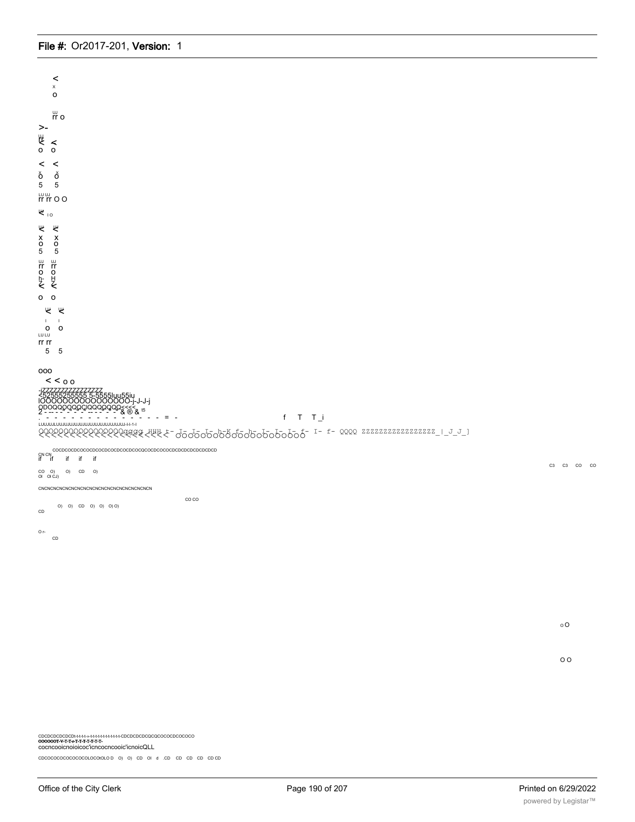

CDCOCOCOCOCOCOCOLOCOtOLO D O) O) CD OI d .CD CD CD CD CD CD CD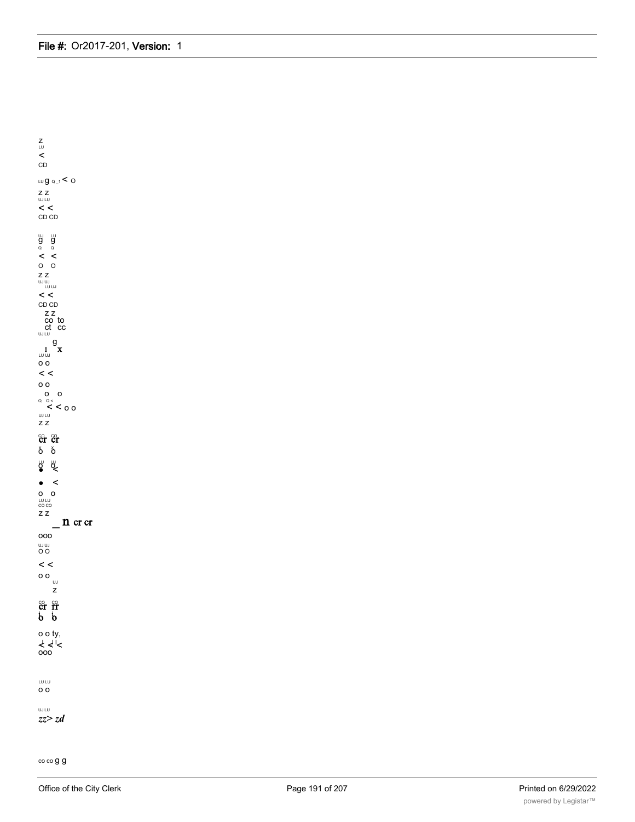

LU LU o o

UJ LU *zz> zd*

co co g g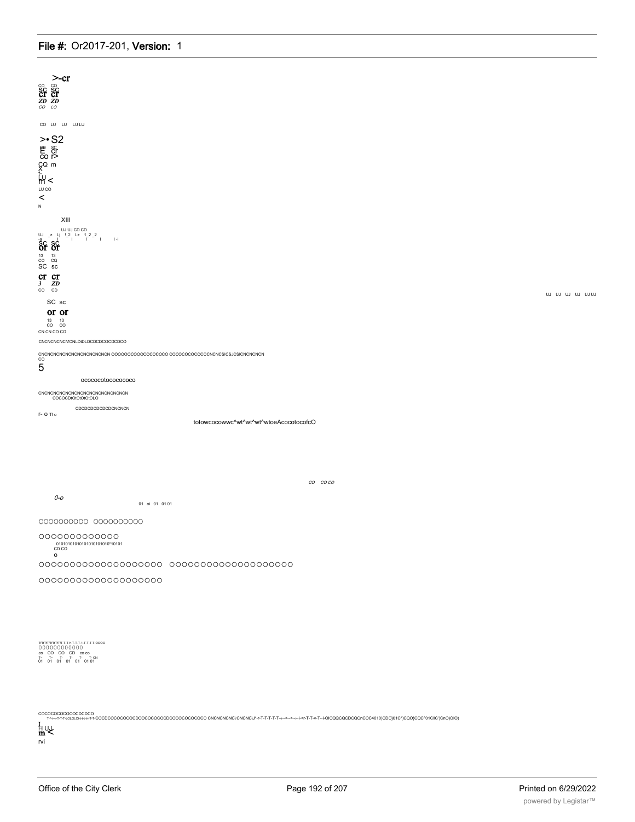

∐<br>∰ע rvi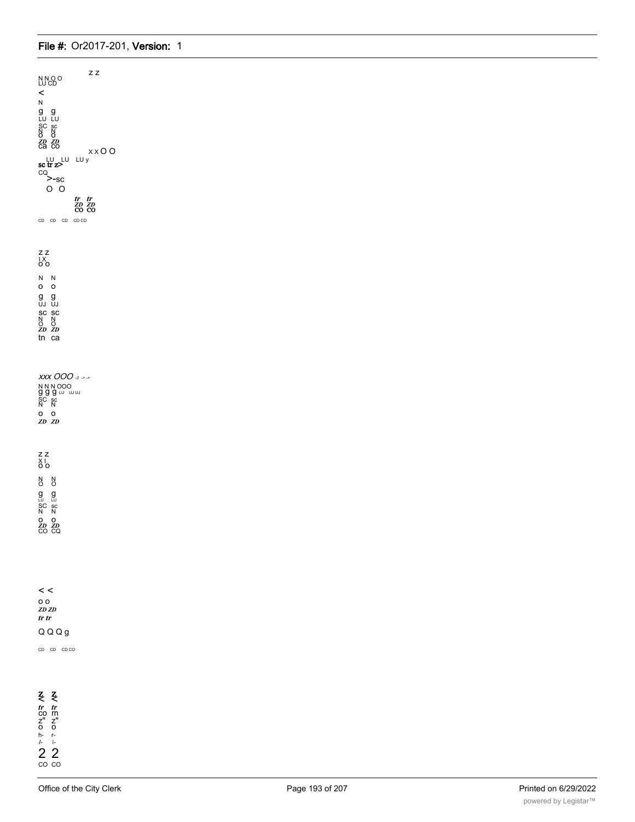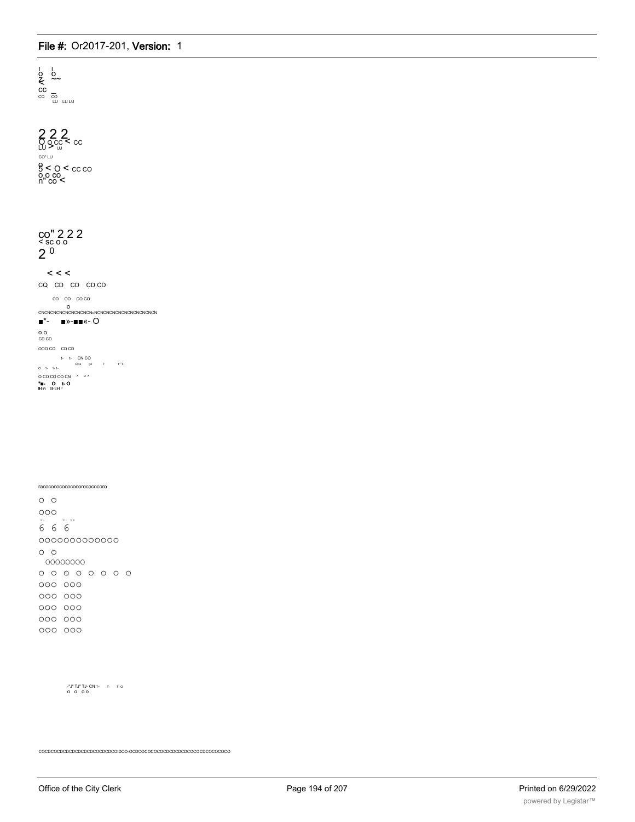| CO" LU<br>$8 < 0 <$ cc co<br>$0.000 <$<br>$\underset{<\text{sc}\,0}{\text{co}}$ 2 2 2<br>$2^0$<br><<<br>CQ CD CD CD CD<br>CO CO COCO<br>$\circ$<br>$\blacksquare^*$ - $\blacksquare$ »- $\blacksquare$ «- $\bigcirc$<br>0 <sub>0</sub><br>CD CD<br>000 CO CD CD<br>t- t- CN CO<br>$\begin{array}{cccccccccc} \mathsf{CNJ} & & ( \mathsf{O} & & \mathsf{I} & & \mathsf{T}^* \, \mathsf{T} \cdot \end{array}$<br>$0 - 1 - 1 - 1$<br>O CO CO CO CN ^ ^^<br>$" = 0 10$<br><b>HEA</b> H-114 <sup>1</sup> | $\frac{1}{2}$<br>cc<br>$\frac{1}{2}$<br>$\overline{c}$ $\overline{c}$ $\overline{c}$<br>LU LU LU |  |  |
|-----------------------------------------------------------------------------------------------------------------------------------------------------------------------------------------------------------------------------------------------------------------------------------------------------------------------------------------------------------------------------------------------------------------------------------------------------------------------------------------------------|--------------------------------------------------------------------------------------------------|--|--|
|                                                                                                                                                                                                                                                                                                                                                                                                                                                                                                     |                                                                                                  |  |  |
|                                                                                                                                                                                                                                                                                                                                                                                                                                                                                                     |                                                                                                  |  |  |
|                                                                                                                                                                                                                                                                                                                                                                                                                                                                                                     |                                                                                                  |  |  |
|                                                                                                                                                                                                                                                                                                                                                                                                                                                                                                     |                                                                                                  |  |  |
|                                                                                                                                                                                                                                                                                                                                                                                                                                                                                                     |                                                                                                  |  |  |
|                                                                                                                                                                                                                                                                                                                                                                                                                                                                                                     |                                                                                                  |  |  |

|           |         |          |     | racocococococococorocococoro    |         |  |
|-----------|---------|----------|-----|---------------------------------|---------|--|
| $\circ$   | Ω       |          |     |                                 |         |  |
| 000<br>>. |         | $>$ . >s |     |                                 |         |  |
|           | 66      | 6        |     |                                 |         |  |
|           |         |          |     | 000000000000                    |         |  |
| Ω         | Ω       |          |     |                                 |         |  |
|           |         | 00000000 |     |                                 |         |  |
| $\circ$   | $\circ$ |          |     | $\circ \circ \circ \circ \circ$ | $\circ$ |  |
|           |         | 000 000  |     |                                 |         |  |
|           |         | 000 000  |     |                                 |         |  |
|           |         | 000 000  |     |                                 |         |  |
|           |         | 000 000  |     |                                 |         |  |
|           | ೦೦೦     |          | 000 |                                 |         |  |

-"J" TJ" TJ- CN  $T$ - T- T- O<br>O O O O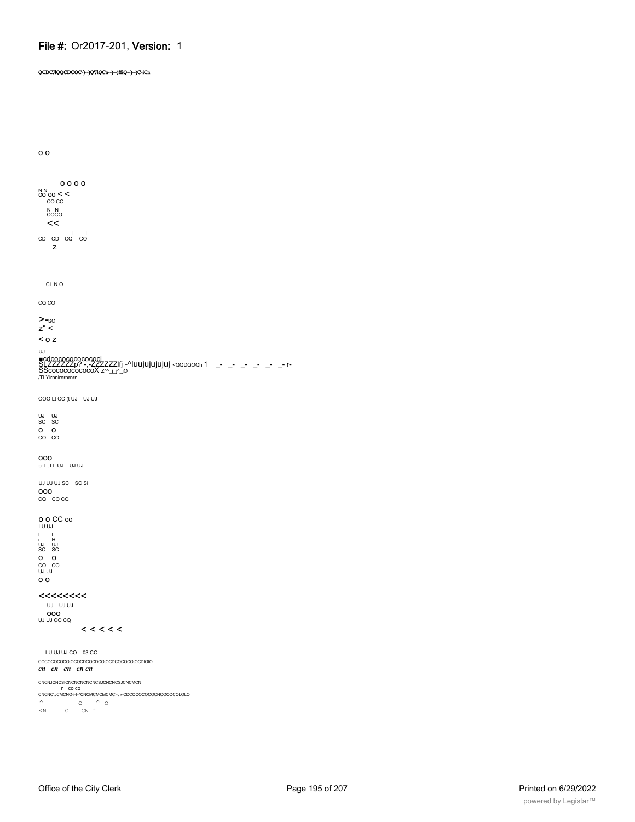$\label{eq:QCDCI} \text{QCDCIIQQCDCOC--)}\\ -\text{)Q'JIQCa--)}\\ -\text{)ffiq--)}\\ -\text{C--iCa}$ 

 $\circ$   $\circ$ 

 $0000$  $_{\rm CO~CO}^{\rm NN} <$   $<$  $\cos$  $N_N$ <br>COCO  $\,<$ CD CD CQ CO  $\mathsf z$ 

.  $CLNO$ 

 $ca$   $co$ 

 $>_{\mathsf{-SC}}$ 

 $z" <$ 

 $<$  0  $Z$ 

**UJ** 

wedcococococococoj<br>SLZZZZZZp? -,-ZZZZZZlfj -^luujujujujuj <aapaoah 1 \_- \_- \_- \_- \_- \_- \_-<br>SScocococococox z^^\_i\_i^\_jo /Ti-Yirnnirnrnrnrn

OOO Lt CC (t UJ UJ UJ UJ

UJ UJ<br>SC SC

 $\begin{matrix} 0 & 0 \\ 0 & 0 \\ 0 & 0 \end{matrix}$ 

#### 000

cr Lt LL UJ UJ UJ

UJ UJ UJ SC SC Si 000<br>cq co cq

o o CC cc<br>Lu uj

 $\circ$   $\circ$ 

 $<<<<<<$ 

UJ UJ UJ m n1 co cơ  $<<<<$ 

LU UJ UJ CO 03 CO

 $cn$  cn cn cn cn

CNCNJCNCSICNCNCNCNCNCSICNCNCSJCNCMCN<br>n co co  $\begin{array}{ccccc} \texttt{CNCN-UNC} & \texttt{N-IVC} & \texttt{N-IVC} & \texttt{N-IVC} \\ \texttt{CN/IVC} & \texttt{N-IVC} & \texttt{N-IVC} & \texttt{N-IVC} & \texttt{N-IVC} \\ \texttt{N} & \texttt{O} & \texttt{N-IVC} & \texttt{N-IVC} & \texttt{N-IVC} & \texttt{N-IVC} & \texttt{N-IVC} & \texttt{N-IVC} \\ \texttt{N} & \texttt{O} & \texttt{N-IVC} & \texttt{N-IVC} & \texttt{N-IVC} & \texttt$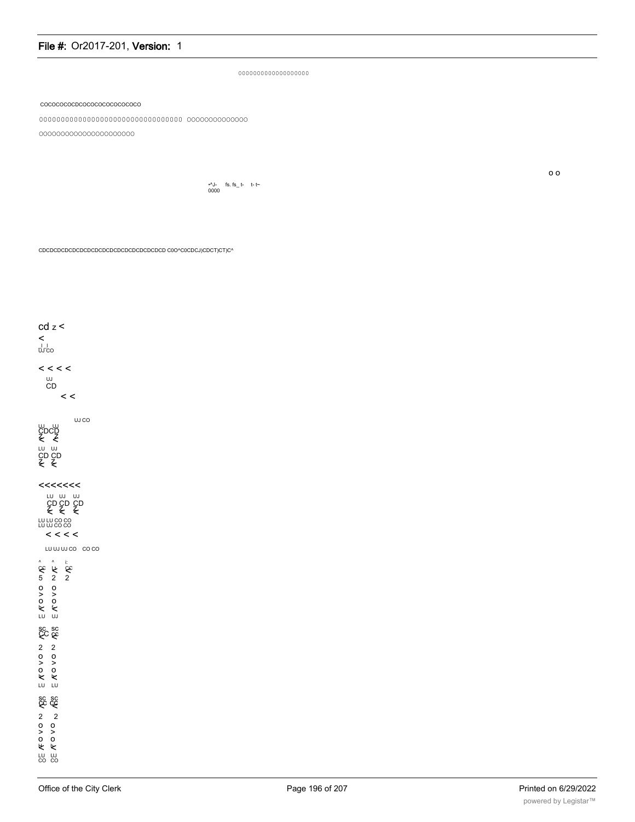${\tt 000000000000000000}$ 

#### ${\tt COCOCOCOCO COCO COCO CO COCO CO}$

000000000000000000000

\*^J- fs. fs\_t- t-t~<br>0000

 $\circ$   $\circ$ 

CDCDCDCDCDCDCDCDCDCDCDCDCDCDCDCDCDCDCOCOCOCJ)CDCT)C1

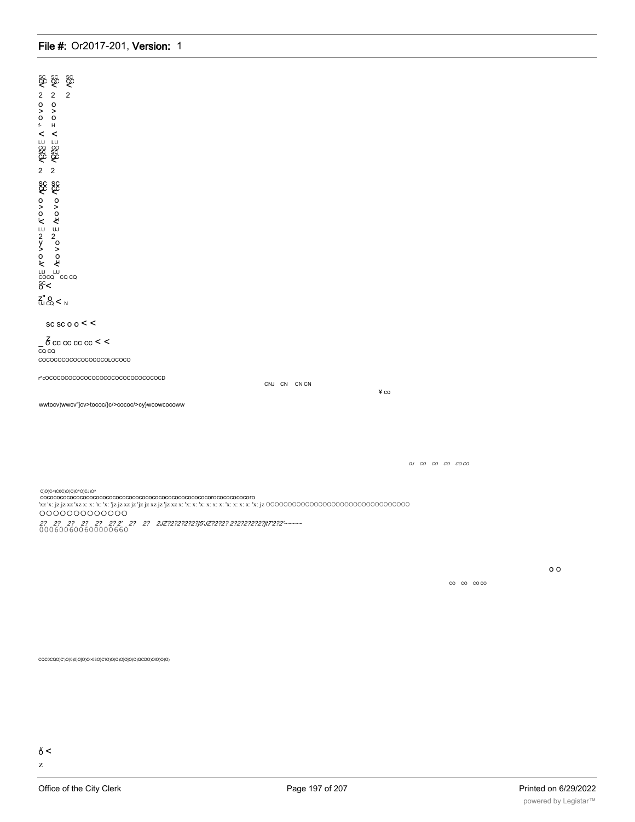| SC SC<br>ęc<br>C                               |              |      |
|------------------------------------------------|--------------|------|
| $\sqrt{2}$<br>$\overline{2}$<br>$\sqrt{2}$     |              |      |
| $\mathsf{o}$<br>$\mathsf{o}$<br>$\, >$<br>>    |              |      |
| $\mathsf{o}$<br>$\mathsf{o}$                   |              |      |
| f-<br>H<br>$\prec$<br>$\,<$                    |              |      |
|                                                |              |      |
| <b>ASSSE</b><br>ASSSE                          |              |      |
| $\overline{2}$<br>$\sqrt{2}$                   |              |      |
| sc sc                                          |              |      |
|                                                |              |      |
| Arovo<br>$\frac{0}{2}$                         |              |      |
| $\mathsf{o}$<br>$\breve{}$                     |              |      |
| UJ<br>LU<br>$\overline{2}$                     |              |      |
| $\frac{2}{\zeta}$                              |              |      |
| <b>Arovo</b><br>$\mathsf{o}$                   |              |      |
| $\,$                                           |              |      |
| se<br>coca caca<br>roca caca                   |              |      |
| $\frac{Z''}{U} \frac{Q}{CQ} < N$               |              |      |
|                                                |              |      |
| $\ncsc$ o o $\lt$ $\lt$                        |              |      |
| $\frac{7}{100}$ cc cc cc cc $\epsilon$ <       |              |      |
| COCOCOCOCOCOCOCOCOLOCOCO                       |              |      |
|                                                |              |      |
| r^cOCOCOCOCOCOCOCOCOCOCOCOCOCOCOCOCO           | CNJ CN CN CN |      |
|                                                |              | ¥ co |
| wwtocv)wwcv"jcv>tococ/}c/>cococ/>cy}wcowcocoww |              |      |
|                                                |              |      |
|                                                |              |      |
|                                                |              |      |
|                                                |              |      |

 $\omega$  co co co coco

 $\circ$   $\circ$ 

 $\cos$   $\cos$   $\cos$ 

CQC0CQO]C')O)0)0)O]O)O>03O}C'lO)O)O]O]O]O)O)QCDO)OlO)O)O)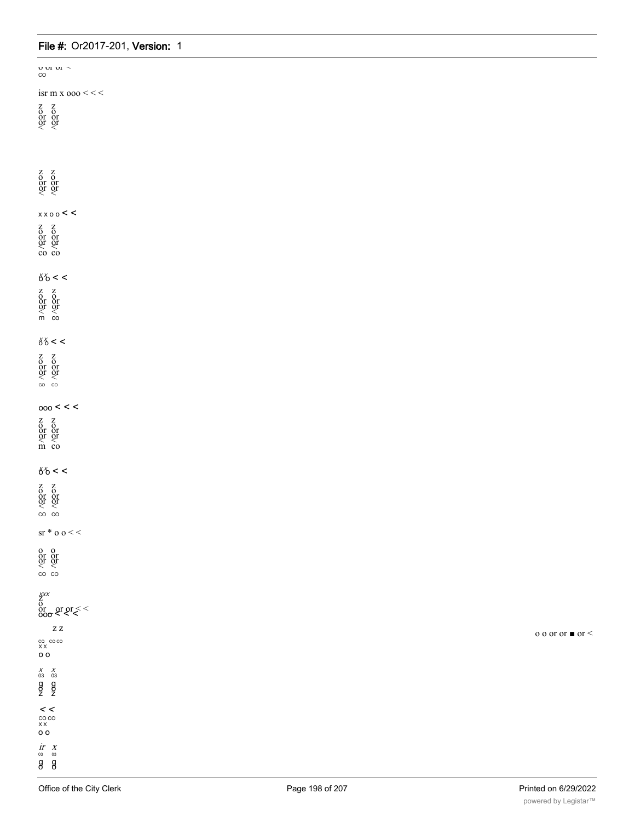| $\upsilon$ or or $\sim$<br>$_{\rm CO}$                                                                                                                                                                 |                                    |
|--------------------------------------------------------------------------------------------------------------------------------------------------------------------------------------------------------|------------------------------------|
| isr m x ooo $<<$                                                                                                                                                                                       |                                    |
| $\begin{array}{ccc} Z & Z \\ 0 & 0 \\ 0 & 0 \\ 0 & 0 \\ \end{array}$                                                                                                                                   |                                    |
|                                                                                                                                                                                                        |                                    |
| $\begin{array}{ccc} Z & Z \\ 0 & 0 \\ 0 & 0 \\ 0 & 0 \\ \bar Q^t & \bar Q^t \end{array}$                                                                                                               |                                    |
| $x \times 00 \leq$                                                                                                                                                                                     |                                    |
| $\begin{array}{c} Z & Z \\ 0 & 0 \\ 0 & 0 \\ Q^t & Q^t \\ \end{array}$                                                                                                                                 |                                    |
|                                                                                                                                                                                                        |                                    |
| $\delta \delta$ < <<br>$\frac{z}{\delta}$ $\frac{z}{\delta}$<br>or or<br>or or<br>$\frac{z}{\delta}$<br>m co                                                                                           |                                    |
| $\delta \delta$ < <                                                                                                                                                                                    |                                    |
| $\begin{array}{c} Z & Z \\ 0 & 0 \\ 0r & 0r \\ Qr & Qr \\ \infty & \infty \end{array}$                                                                                                                 |                                    |
| 000 < 1                                                                                                                                                                                                |                                    |
| $\begin{array}{c} Z & Z \\ 0 & 0 \\ 0r & 0r \\ Qr & Qr \\ m & co \end{array}$                                                                                                                          |                                    |
| $\delta\delta$ < <                                                                                                                                                                                     |                                    |
| $\begin{array}{c} Z & Z \\ 0 & 0 \\ 0r & 0r \\ Qr & Qr \\ < 0 & 0 \end{array}$                                                                                                                         |                                    |
| $\mathrm{sr}$ * o o < <                                                                                                                                                                                |                                    |
| $\begin{array}{c} 0 & 0 \\ \text{or} & \text{or} \\ \text{or} & \text{or} \\ \text{or} & \text{or} \\ \text{co} & \text{co} \end{array}$                                                               |                                    |
| $\frac{\gamma}{\sigma}$<br>$\frac{\sigma}{\sigma}$ or $\rho r \leq 0$                                                                                                                                  |                                    |
| $\mathbf{Z}$ $\mathbf{Z}$                                                                                                                                                                              | o o or or $\blacksquare$ or $\leq$ |
| cq coco<br>XX<br><b>0 0</b>                                                                                                                                                                            |                                    |
| $\begin{array}{cc} x & x \\ 03 & 03 \\ 0 & 0 \\ 2 & 2 \end{array}$                                                                                                                                     |                                    |
| $\,<$<br>$\mathop{\rm CO}_{\mathsf{X}\,\mathsf{X}}^{\mathsf{CO}}$<br>$\,$ O $\,$                                                                                                                       |                                    |
| $\begin{array}{cc} \dot{I\hspace{-0.1cm}I\hspace{-0.1cm}I} & X \\ \stackrel{03}{\phantom{0}03} & \stackrel{03}{\phantom{0}03} \\ \stackrel{03}{\phantom{0}0} & \stackrel{03}{\phantom{0}} \end{array}$ |                                    |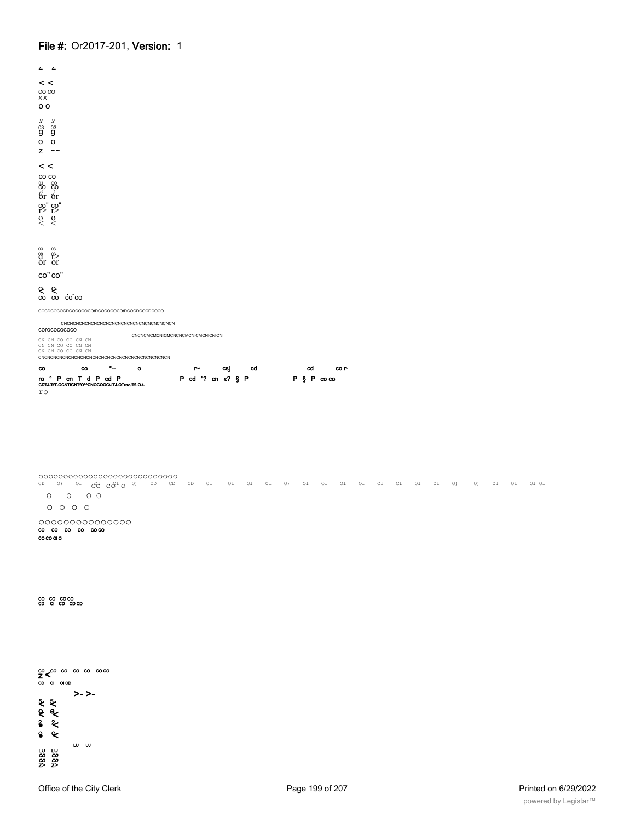

### CO CO COCO<br>CD OI CD CD CD

# $000000$

00000000000000<br>**∞ ∞ ∞ ∞ ∞∞** 

 $\circ \circ \circ \circ \circ$ 

 $\begin{matrix} 0 & 0 & 0 & 0 \end{matrix}$ 

| co | ထ                                                                      | $\sim$ | $\circ$ | ∼                 | csi | cd | œ          | CO <sub>I</sub> - |
|----|------------------------------------------------------------------------|--------|---------|-------------------|-----|----|------------|-------------------|
|    | ro ° P an T d P ad P<br>CDTJ-TIT-OCNTICNTIO*^CNOCOOC\JTJ-OTrevJTILO-t- |        |         | P od "? on «? § P |     |    | P § P coco |                   |
|    |                                                                        |        |         |                   |     |    |            |                   |

CNCNCMCMCNICMCNCNCMCNICMCNICNICNI

| $\overline{z}$<br>۷                                                                                                                                                                                                                                                                                                                                                                                                                                                                                                                                                                                                                                     |
|---------------------------------------------------------------------------------------------------------------------------------------------------------------------------------------------------------------------------------------------------------------------------------------------------------------------------------------------------------------------------------------------------------------------------------------------------------------------------------------------------------------------------------------------------------------------------------------------------------------------------------------------------------|
| $\,<$                                                                                                                                                                                                                                                                                                                                                                                                                                                                                                                                                                                                                                                   |
| $\frac{CO}{XX}$                                                                                                                                                                                                                                                                                                                                                                                                                                                                                                                                                                                                                                         |
| $\circ$ $\circ$                                                                                                                                                                                                                                                                                                                                                                                                                                                                                                                                                                                                                                         |
| $\overset{x}{\mathbf{g}}$<br>o<br>$\overset{x}{\mathfrak{g}}$<br>$\mathsf{o}$<br>Z<br>$\widetilde{\phantom{m}}$                                                                                                                                                                                                                                                                                                                                                                                                                                                                                                                                         |
| <                                                                                                                                                                                                                                                                                                                                                                                                                                                                                                                                                                                                                                                       |
| co co<br>$\overset{^{03}}{\text{60}}$ $\overset{^{60}}{\text{60}}$ or<br>$_{r>0}^{c0}$ " $_{r>0}^{c0}$ "<br>$\begin{array}{cc} 0 & 0 \\ 0 & 0 \end{array}$                                                                                                                                                                                                                                                                                                                                                                                                                                                                                              |
| $\mathop \odot \limits^{\scriptscriptstyle 03}_{\mathop \circ \limits^{\mathop \circ \limits^{\mathop \circ \limits^{\mathop \circ \limits^{\mathop \circ \limits^{\mathop \circ \limits^{\mathop \circ \limits^{\mathop \circ \limits^{\mathop \circ \limits^{\mathop \circ \limits^{\mathop \circ \limits^{\mathop \circ \limits^{\mathop \circ \limits^{\mathop \circ \limits^{\mathop \circ \limits^{\mathop \circ \limits^{\mathop \circ \limits^{\mathop \circ \limits^{\mathop \circ \limits^{\mathop \circ \limits^{\mathop \circ \limits^{\mathop \circ \limits^{\mathop \circ \limits^{\mathop \circ \limits^{\mathop \circ \limits^{\mathop$ |
| co" co"                                                                                                                                                                                                                                                                                                                                                                                                                                                                                                                                                                                                                                                 |
| $\begin{array}{c} 2 \ 8 \ 1 \end{array}$                                                                                                                                                                                                                                                                                                                                                                                                                                                                                                                                                                                                                |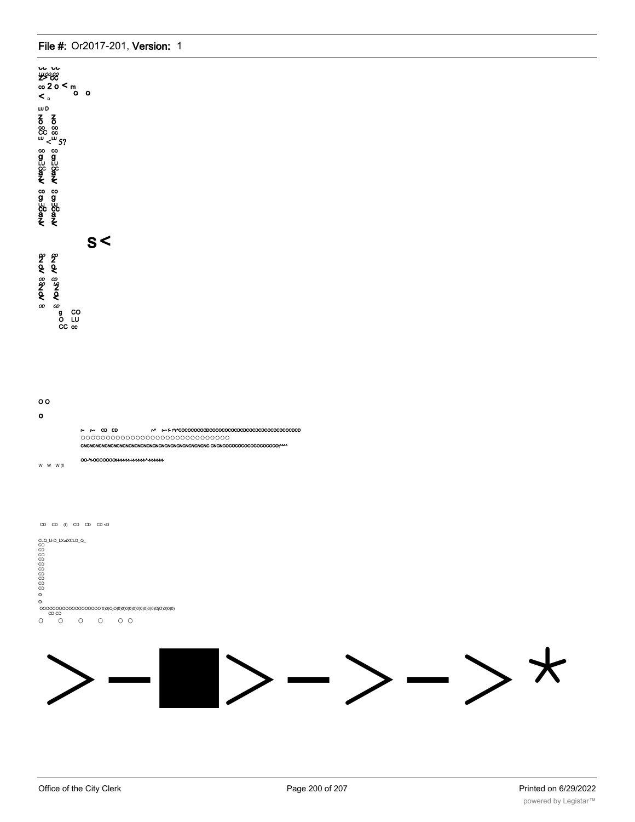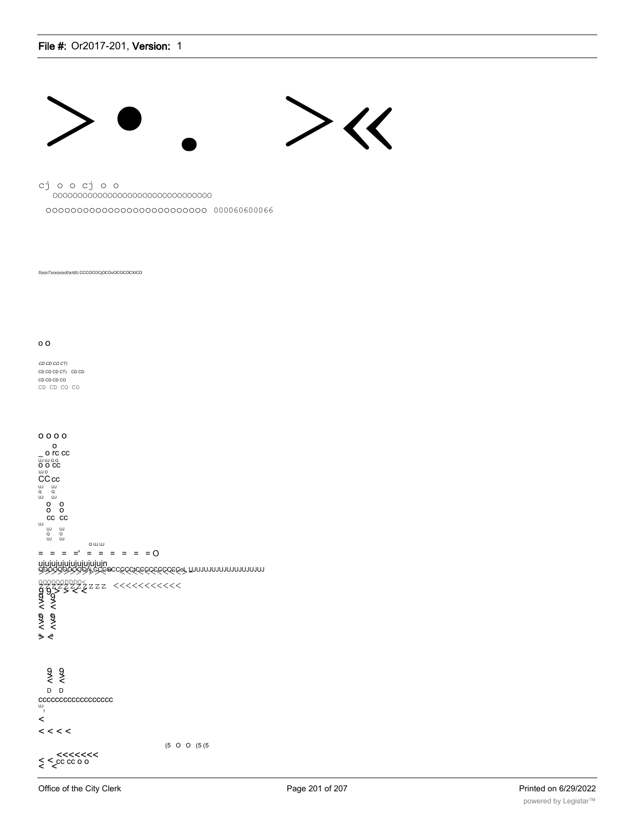

cjo o cjo o 

0)olc7)olojojoj0)ct)0) CCCOCOCiOCOcOCOCOCXICO

#### $\circ$  O

CD CD CO CT)  $\texttt{CD}\texttt{CD}\texttt{CD}\texttt{CT)}\quad \texttt{CD}\texttt{CD}$  $\begin{array}{ll} \texttt{co~co~co} \\ \texttt{CD} & \texttt{CD} & \texttt{CO} & \texttt{CO} \end{array}$ 

# $0000$  $\frac{0}{0}$  rc cc  $\begin{array}{c} \mathbf{1} \circ \mathbf{1} \circ \mathbf{1} \circ \mathbf{1} \circ \mathbf{1} \circ \mathbf{1} \circ \mathbf{1} \circ \mathbf{1} \circ \mathbf{1} \circ \mathbf{1} \circ \mathbf{1} \circ \mathbf{1} \circ \mathbf{1} \circ \mathbf{1} \circ \mathbf{1} \circ \mathbf{1} \circ \mathbf{1} \circ \mathbf{1} \circ \mathbf{1} \circ \mathbf{1} \circ \mathbf{1} \circ \mathbf{1} \circ \mathbf{1} \circ \mathbf{1} \circ \mathbf{1} \circ \mathbf{1} \circ \mathbf{1$  $\begin{bmatrix} 0 & 0 \\ 0 & 0 \\ 0 & 0 \end{bmatrix}$  $\overline{\mathsf{U}}\overline{\mathsf{J}}$  $\begin{array}{cc} 01 & 01 \\ 0 & 0 \\ 0 & 0 \end{array}$ QUJUJ  $=$   $=$   $=$ '  $=$   $=$   $=$   $=$   $=$   $=$   $\circ$  $\equiv$ aaddaaddaaliecouccoccoccoccoccocco minimminimminim ۾ و  $rac{3}{5}$  $D$   $D$  $cccccccccccccccccccccc$  $\begin{bmatrix} 1 \\ 2 \\ 3 \end{bmatrix}$  $\,<$  $\lt$   $\lt$   $\lt$  $(5 \tO \tO \t(5)5)$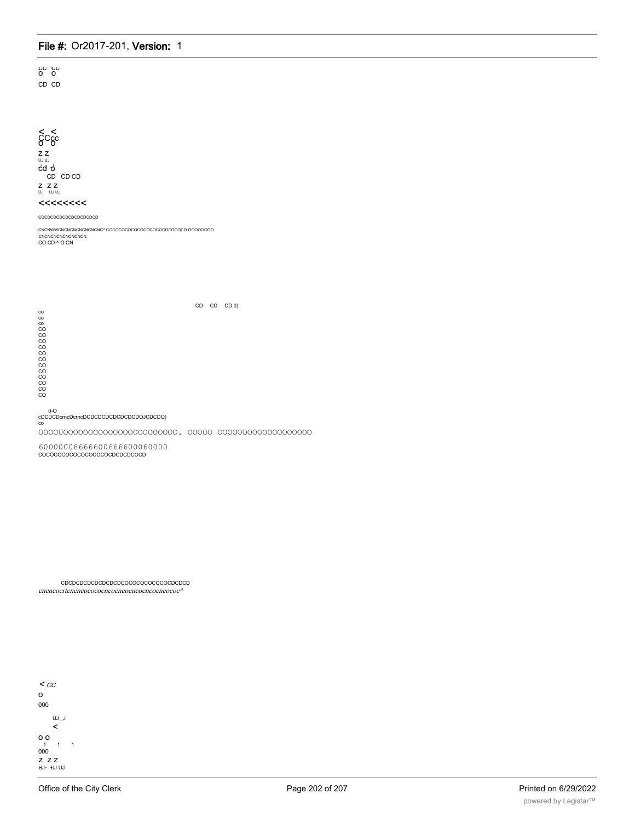cc cc <sup>o</sup> <sup>o</sup> CD CD

 $\check{\S}c_{\rm GC}^2$ z z<br>duw<br>cd o<br>cd cd cd z z z UJ UJ UJ  $<<<<<<$ 

CDCDCDCDCDCDCDCDCDCD

CNCNWWCNCNCNCNCNCNCNC^ COCOCOCOCOCOCOCOCOCOCOCOCO OOOOOOOO CNCNCNCNCNCNCNCN CO CD ^ O CN

co co co CO CO CO CO CO CO CO CO CO CO CO CO

CD CD CD 0)

0-O cDCDCDcrncDcrncDCDCDCDCDCDCDCDOJCDCDO)

co

OOOOUOOOOOOOOOOOOOOOOOOOOOOO. OOOOO OOOOOOOOOOOOOOOOOOO

60000006666600666600060000 COCOCOCOCOCOCOCOCOCDCDCDCOCD

CDCDCDCDCDCDCDCDCOCOCOCOCOCOCDCDCD  $c$ ncncocrtcncncocococncocncocncocncocococ $\wedge$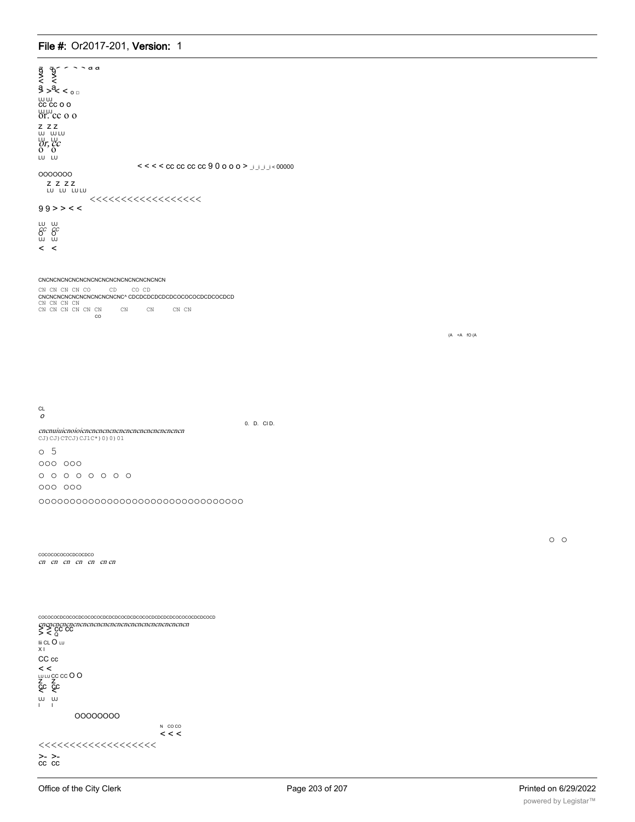| ya<br>A∖a<br>- - a a<br><b>POV</b><br>$>^a < c$<br>UJ UJ<br>CC CC O O<br>$\overset{U\cup U\cup J}{\text{or}}$ cc o o<br>Z Z Z                                 |
|---------------------------------------------------------------------------------------------------------------------------------------------------------------|
| UJ UJ LU<br>$\forall r, \forall c$<br>o<br>$\Omega$<br>LU LU                                                                                                  |
| $<<$ < $<<$ CC CC CC CC 9 0 0 0 0 > iiii < 00000<br>0000000<br>$Z$ $Z$ $Z$ $Z$<br>LU LU LULU                                                                  |
| 99 > < <                                                                                                                                                      |
| UJ<br>LU<br>Ëc<br>8 <sup>c</sup><br>UJ<br>UJ<br>$\,<\,$<br>$\,<\,$                                                                                            |
| CNCNCNCNCNCNCNCNCNCNCNCNCNCNCNCNCNCN                                                                                                                          |
| CN CN CN CN CO<br>CD<br>CO CD<br>CNCNCNCNCNCNCNCNCNCNCNCNC <sup>^</sup> CDCDCDCDCDCDCOCOCOCDCDCOCDCD<br>CN CN CN CN<br>CN CN CN CN CN CN<br>CN<br>CN CN<br>CN |
|                                                                                                                                                               |

 $(A \leq A \text{ fO } (A$ 

 $CL$  $\boldsymbol{o}$ 

 $_{\rm CO}$ 

 $0. \quad D. \quad \text{Cl D.}$ 

 $\begin{array}{l} \textit{c} \textit{n} \textit{c} \textit{l} \textit{u} \textit{u} \textit{i} \textit{c} \textit{n} \textit{o} \textit{i} \textit{c} \textit{n} \textit{c} \textit{n} \textit{c} \textit{n} \textit{c} \textit{m} \textit{c} \textit{m} \textit{c} \textit{m} \textit{c} \textit{m} \textit{c} \textit{m} \textit{c} \textit{b} \textit{c} \textit{b} \textit{c} \textit{b} \textit{c} \textit{b} \textit$  $0<sub>5</sub>$ 000 000  $\begin{array}{cccccccccccccc} \circ & \circ & \circ & \circ & \circ & \circ & \circ & \circ & \circ \end{array}$ 000 000 

 ${\tt COCOCOCO COCOCO COCOCO}$ en en en en en en en

 $\begin{array}{l} \text{Iii CL O } \xrightarrow{\alpha} \text{LU} \\ \text{X I} \end{array}$  $CC\ cc$  $\,<$   $<$ **Example 25**<br>Example 20<br>Co Co  $\frac{1}{2}$ 00000000  $N$  CO CO  $\,<\,$   $\,<$  $\begin{aligned} &\iff \begin{minipage}{0.5\textwidth} \centering \end{minipage} \begin{minipage}{0.5\textwidth} \centering \begin{minipage}{0.5\textwidth} \centering \end{minipage} \begin{minipage}{0.5\textwidth} \centering \end{minipage} \begin{minipage}{0.5\textwidth} \centering \end{minipage} \begin{minipage}{0.5\textwidth} \centering \end{minipage} \begin{minipage}{0.5\textwidth} \centering \end{minipage} \begin{minipage}{0.5\textwidth} \centering \end{minipage} \begin{minipage}{0.5\textwidth} \centering \end{minipage} \begin{$ 

 $>$   $>$   $>$   $>$   $\sim$   $\rm{cc}$   $\rm{cc}$ 

 $O$   $O$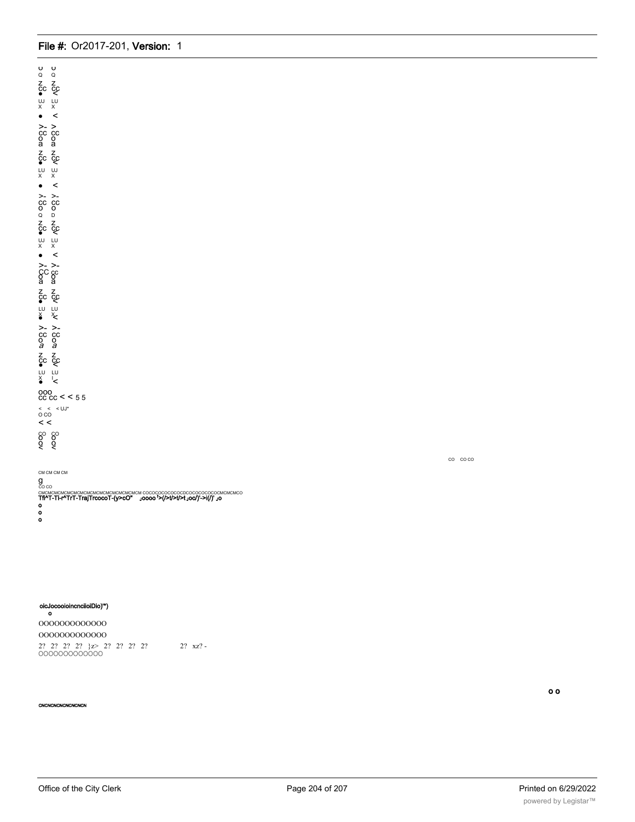| VOOS A SS E PSN BORN BORN POD Y YE PSN ORY Y YE PSN BORN A HE PSN BORN A HE PSN BORN A HE PSN BORN A HE PSN BORN A HE PSN BORN A HE PSN BORN A HE PSN BORN A HE PSN BORN A HE PSN BORN A HE PSN BORN A HE PSN BORN A HE PSN B |
|-------------------------------------------------------------------------------------------------------------------------------------------------------------------------------------------------------------------------------|
|                                                                                                                                                                                                                               |
|                                                                                                                                                                                                                               |
|                                                                                                                                                                                                                               |
|                                                                                                                                                                                                                               |
|                                                                                                                                                                                                                               |
|                                                                                                                                                                                                                               |
|                                                                                                                                                                                                                               |
|                                                                                                                                                                                                                               |
| z<br>⊵<br>∠                                                                                                                                                                                                                   |
| 5<br>5                                                                                                                                                                                                                        |
| ľ<br>ι<br>J.                                                                                                                                                                                                                  |
|                                                                                                                                                                                                                               |

CM CM CM CM

 $g_{\rm coco}$ 

# 

 $\begin{matrix} 0 \\ 0 \\ 0 \end{matrix}$ 

oicJocooioincnciioiDio)\*)<br>o

# 00000000000000

0000000000000  $2? xz? -$ 

CNCNCNCNCNCNCNCN

 $\overline{\mathbf{o}}$ 

 $\cos$   $\cos$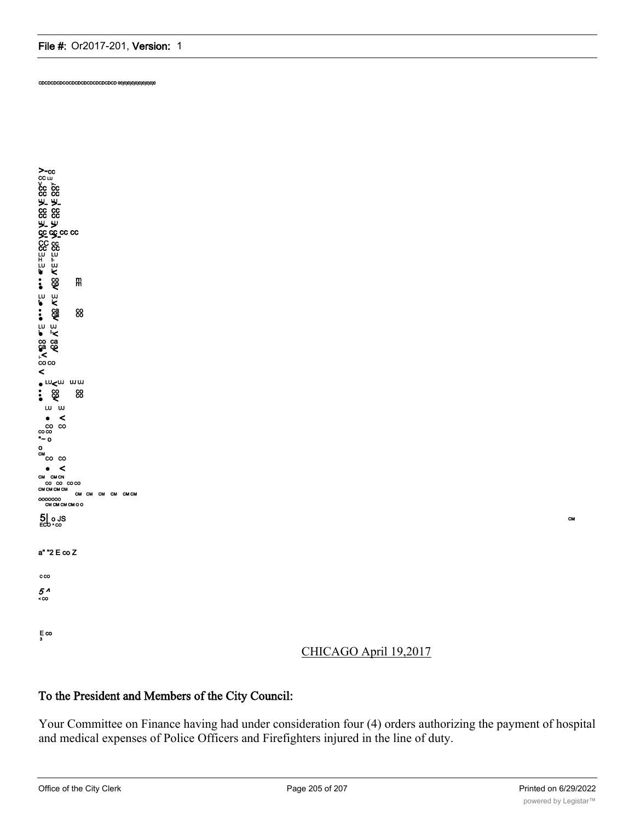CDCDCDCDCOCDCDCDCDCDCDCDCD 00)0)0)0)0)0)0)0)0)0)

 $\frac{8}{8}$   $\frac{1}{88}$   $\frac{1}{88}$   $\frac{1}{88}$   $\frac{1}{88}$   $\frac{1}{88}$   $\frac{1}{88}$   $\frac{1}{88}$   $\frac{1}{88}$   $\frac{1}{88}$   $\frac{1}{88}$   $\frac{1}{88}$   $\frac{1}{88}$   $\frac{1}{88}$   $\frac{1}{88}$   $\frac{1}{88}$   $\frac{1}{88}$   $\frac{1}{88}$   $\frac{1}{88}$   $\frac{1}{88}$   $\$ m 88  $\prec$ • m<m mm  $\vdots$ 88 LU UJ  $\bullet$  $\prec$  $80^{\circ}_{\circ}$ <br> $-6^{\circ}$  $\mathbf{c}\mathbf{o}$  $\frac{6}{3}$  co co  $\leq$  $\prec$  $\bullet$ CM CM CN CO CO COCO<br>CMCMCMCM **CM** CM CM CM CMCM 0000000<br>CM CM CM CM OO  $\frac{5}{50}$  o JS a" "2 E co Z cco  $\frac{5}{10}$  $rac{E}{3}$  co

# CHICAGO April 19,2017

# To the President and Members of the City Council:

Your Committee on Finance having had under consideration four (4) orders authorizing the payment of hospital and medical expenses of Police Officers and Firefighters injured in the line of duty.

**CM**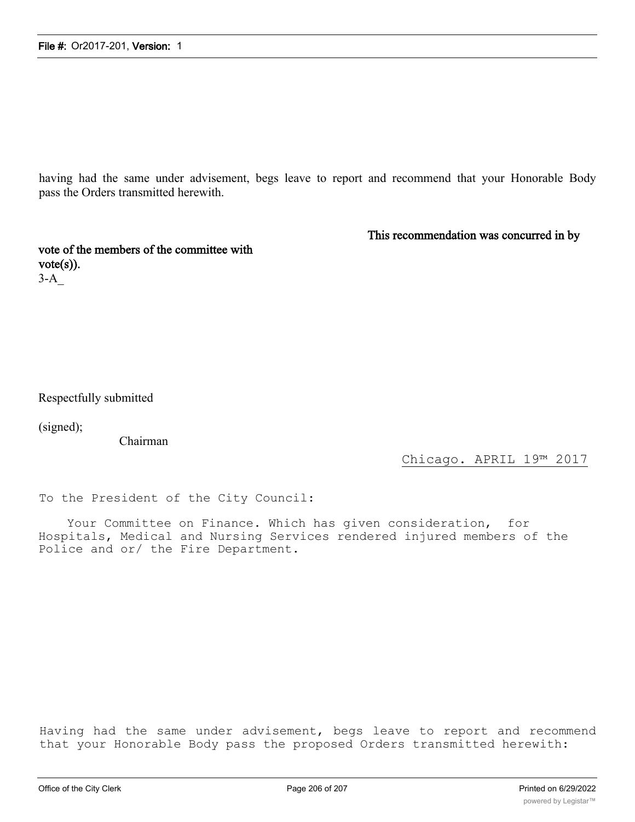having had the same under advisement, begs leave to report and recommend that your Honorable Body pass the Orders transmitted herewith.

This recommendation was concurred in by

vote of the members of the committee with vote(s)).  $3-A$ 

Respectfully submitted

(signed);

Chairman

Chicago. APRIL 19™ 2017

To the President of the City Council:

Your Committee on Finance. Which has given consideration, for Hospitals, Medical and Nursing Services rendered injured members of the Police and or/ the Fire Department.

Having had the same under advisement, begs leave to report and recommend that your Honorable Body pass the proposed Orders transmitted herewith: